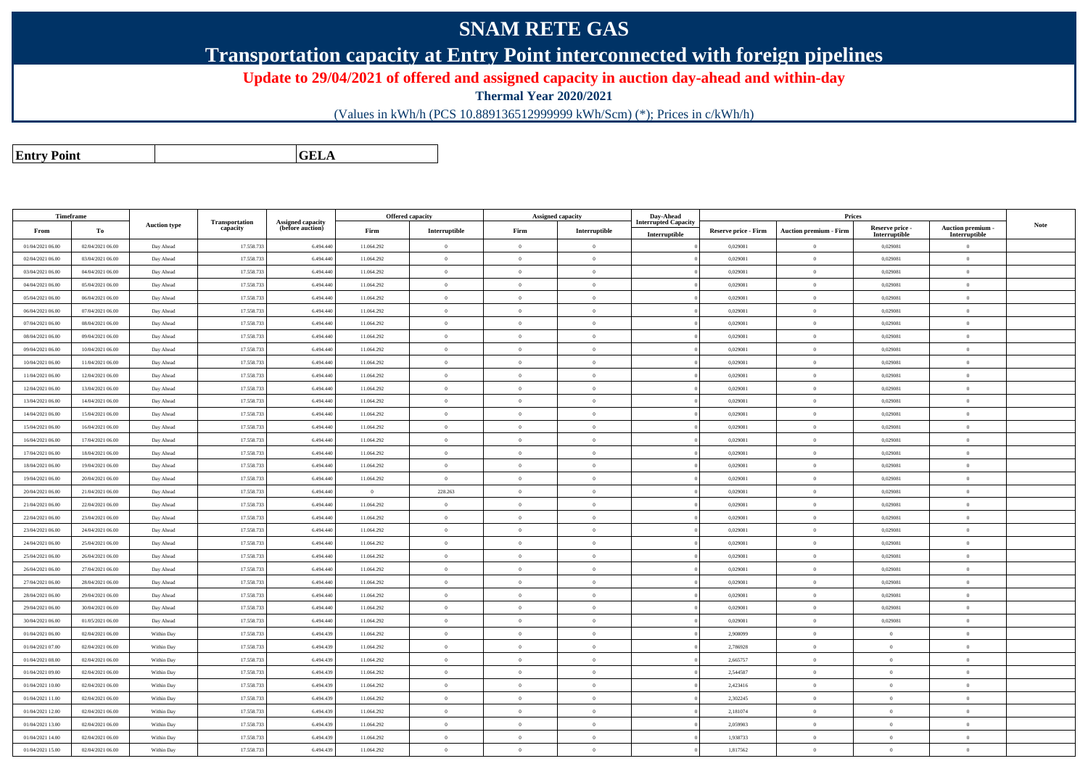## **SNAM RETE GAS**

**Transportation capacity at Entry Point interconnected with foreign pipelines**

**Update to 29/04/2021 of offered and assigned capacity in auction day-ahead and within-day**

**Thermal Year 2020/2021**

(Values in kWh/h (PCS 10.889136512999999 kWh/Scm) (\*); Prices in c/kWh/h)

**Entry PointGELA**

| <b>Timeframe</b> |                  |                     |                            |                                              |                | <b>Offered capacity</b> |                | <b>Assigned capacity</b> | Day-Ahead                   |                      | Prices                        |                           |                           |             |
|------------------|------------------|---------------------|----------------------------|----------------------------------------------|----------------|-------------------------|----------------|--------------------------|-----------------------------|----------------------|-------------------------------|---------------------------|---------------------------|-------------|
| From             | To               | <b>Auction type</b> | Transportation<br>capacity | <b>Assigned capacity</b><br>(before auction) | Firm           | Interruptible           | Firm           | Interruptible            | <b>Interrupted Capacity</b> | Reserve price - Firm | <b>Auction premium - Firm</b> | Reserve price -           | Auction premium -         | <b>Note</b> |
| 01/04/2021 06:00 | 02/04/2021 06:00 | Day Ahead           | 17.558.73                  | 6.494.440                                    | 11.064.292     | $\overline{0}$          | $\theta$       | $\theta$                 | Interruptible               | 0,029081             | $\overline{0}$                | Interruptible<br>0,029081 | Interruptible<br>$\theta$ |             |
| 02/04/2021 06:00 | 03/04/2021 06:00 | Day Ahead           | 17.558.73                  | 6.494.440                                    | 11.064.292     | $\overline{0}$          | $\overline{0}$ | $\overline{0}$           |                             | 0,029081             | $\,$ 0 $\,$                   | 0,029081                  | $\overline{0}$            |             |
| 03/04/2021 06:00 | 04/04/2021 06:00 | Day Ahead           | 17.558.73                  | 6.494.440                                    | 11.064.292     | $\overline{0}$          | $\theta$       | $\overline{0}$           |                             | 0,029081             | $\overline{0}$                | 0,029081                  | $\overline{0}$            |             |
| 04/04/2021 06:00 | 05/04/2021 06:00 | Day Ahead           | 17.558.733                 | 6.494.440                                    | 11.064.292     | $\bf{0}$                | $\theta$       | $\overline{0}$           |                             | 0,029081             | $\overline{0}$                | 0,029081                  | $\overline{0}$            |             |
| 05/04/2021 06:00 | 06/04/2021 06:00 | Day Ahead           | 17.558.73                  | 6.494.440                                    | 11.064.292     | $\theta$                | $\sqrt{2}$     | $\theta$                 |                             | 0,029081             | $\overline{0}$                | 0,029081                  | $\overline{0}$            |             |
| 06/04/2021 06:00 | 07/04/2021 06:00 | Day Ahead           | 17.558.73                  | 6.494.440                                    | 11.064.292     | $\overline{0}$          | $\mathbf{0}$   | $\overline{0}$           |                             | 0,029081             | $\overline{0}$                | 0,029081                  | $\overline{0}$            |             |
| 07/04/2021 06:00 | 08/04/2021 06:00 | Day Ahead           | 17.558.73                  | 6.494.440                                    | 11.064.292     | $\overline{0}$          | $\overline{0}$ | $\overline{0}$           |                             | 0,029081             | $\overline{0}$                | 0,029081                  | $\overline{0}$            |             |
| 08/04/2021 06:00 | 09/04/2021 06:00 | Day Ahead           | 17.558.73                  | 6.494.440                                    | 11.064.292     | $\theta$                | $\Omega$       | $\theta$                 |                             | 0.029081             | $\theta$                      | 0,029081                  | $\theta$                  |             |
| 09/04/2021 06:00 | 10/04/2021 06:00 | Day Ahead           | 17.558.73                  | 6.494.440                                    | 11.064.292     | $\theta$                | $\theta$       | $\theta$                 |                             | 0,029081             | $\overline{0}$                | 0,029081                  | $\overline{0}$            |             |
| 10/04/2021 06:00 | 11/04/2021 06:00 | Day Ahead           | 17.558.73                  | 6,494,440                                    | 11.064.292     | $\overline{0}$          | $\Omega$       | $\theta$                 |                             | 0.029081             | $\overline{0}$                | 0.029081                  | $\theta$                  |             |
| 11/04/2021 06:00 | 12/04/2021 06:00 | Day Ahead           | 17.558.733                 | 6.494.440                                    | 11.064.292     | $\overline{0}$          | $\theta$       | $\overline{0}$           |                             | 0,029081             | $\overline{0}$                | 0,029081                  | $\overline{0}$            |             |
| 12/04/2021 06:00 | 13/04/2021 06:00 | Day Ahead           | 17.558.73                  | 6.494.440                                    | 11.064.292     | $\theta$                | $\sqrt{2}$     | $\theta$                 |                             | 0,029081             | $\theta$                      | 0,029081                  | $\theta$                  |             |
| 13/04/2021 06:00 | 14/04/2021 06:00 | Day Ahead           | 17.558.73                  | 6.494.440                                    | 11.064.292     | $\overline{0}$          | $\overline{0}$ | $\overline{0}$           |                             | 0,029081             | $\overline{0}$                | 0,029081                  | $\overline{0}$            |             |
| 14/04/2021 06:00 | 15/04/2021 06:00 | Day Ahead           | 17.558.733                 | 6,494,440                                    | 11.064.292     | $\overline{0}$          | $\theta$       | $\theta$                 |                             | 0.029081             | $\theta$                      | 0.029081                  | $\Omega$                  |             |
| 15/04/2021 06:00 | 16/04/2021 06:00 | Day Ahead           | 17.558.73                  | 6.494.440                                    | 11.064.292     | $\overline{0}$          | $\Omega$       | $\theta$                 |                             | 0.029081             | $\theta$                      | 0,029081                  | $\Omega$                  |             |
| 16/04/2021 06:00 | 17/04/2021 06:00 | Day Ahead           | 17,558,733                 | 6,494,440                                    | 11.064.292     | $\theta$                | $\Omega$       | $\theta$                 |                             | 0.029081             | $\theta$                      | 0.029081                  | $\theta$                  |             |
| 17/04/2021 06:00 | 18/04/2021 06:00 | Day Ahead           | 17.558.73                  | 6.494.440                                    | 11.064.292     | $\overline{0}$          | $\Omega$       | $\theta$                 |                             | 0,029081             | $\overline{0}$                | 0,029081                  | $\overline{0}$            |             |
| 18/04/2021 06:00 | 19/04/2021 06:00 | Day Ahead           | 17.558.73                  | 6.494.440                                    | 11.064.292     | $\,$ 0                  | $\theta$       | $\overline{0}$           |                             | 0,029081             | $\overline{0}$                | 0,029081                  | $\overline{0}$            |             |
| 19/04/2021 06:00 | 20/04/2021 06:00 | Day Ahead           | 17.558.733                 | 6,494,440                                    | 11.064.292     | $\theta$                | $\overline{0}$ | $\overline{0}$           |                             | 0.029081             | $\overline{0}$                | 0.029081                  | $\overline{0}$            |             |
| 20/04/2021 06:00 | 21/04/2021 06:00 | Day Ahead           | 17.558.733                 | 6,494,440                                    | $\overline{0}$ | 228.263                 | $\theta$       | $\theta$                 |                             | 0.029081             | $\theta$                      | 0.029081                  | $\theta$                  |             |
| 21/04/2021 06:00 | 22/04/2021 06:00 | Day Ahead           | 17.558.73                  | 6,494,440                                    | 11.064.292     | $\theta$                | $\overline{0}$ | $\overline{0}$           |                             | 0.029081             | $\overline{0}$                | 0.029081                  | $\overline{0}$            |             |
| 22/04/2021 06:00 | 23/04/2021 06:00 | Day Ahead           | 17.558.73                  | 6.494.440                                    | 11.064.292     | $\overline{0}$          | $\Omega$       | $\overline{0}$           |                             | 0,029081             | $\mathbf{0}$                  | 0,029081                  | $\overline{0}$            |             |
| 23/04/2021 06:00 | 24/04/2021 06:00 | Day Ahead           | 17.558.73                  | 6.494.440                                    | 11.064.292     | $\overline{0}$          | $\Omega$       | $\overline{0}$           |                             | 0,029081             | $\overline{0}$                | 0,029081                  | $\overline{0}$            |             |
| 24/04/2021 06:00 | 25/04/2021 06:00 | Day Ahead           | 17.558.73                  | 6,494,440                                    | 11.064.292     | $\theta$                | $\Omega$       | $\theta$                 |                             | 0.029081             | $\Omega$                      | 0.029081                  | $\Omega$                  |             |
| 25/04/2021 06:00 | 26/04/2021 06:00 | Day Ahead           | 17.558.73                  | 6.494.440                                    | 11.064.292     | $\overline{0}$          | $\Omega$       | $\mathbf{0}$             |                             | 0,029081             | $\mathbf{0}$                  | 0,029081                  | $\overline{0}$            |             |
| 26/04/2021 06:00 | 27/04/2021 06:00 | Day Ahead           | 17.558.73                  | 6.494.440                                    | 11.064.292     | $\overline{0}$          | $\Omega$       | $\overline{0}$           |                             | 0,029081             | $\mathbf{0}$                  | 0,029081                  | $\overline{0}$            |             |
| 27/04/2021 06:00 | 28/04/2021 06:00 | Day Ahead           | 17.558.733                 | 6.494.440                                    | 11.064.292     | $\theta$                | $\Omega$       | $\overline{0}$           |                             | 0,029081             | $\overline{0}$                | 0,029081                  | $\overline{0}$            |             |
| 28/04/2021 06:00 | 29/04/2021 06:00 | Day Ahead           | 17.558.73                  | 6.494.440                                    | 11.064.292     | $\overline{0}$          | $\overline{0}$ | $\overline{0}$           |                             | 0,029081             | $\theta$                      | 0,029081                  | $\overline{0}$            |             |
| 29/04/2021 06:00 | 30/04/2021 06:00 | Day Ahead           | 17.558.73                  | 6.494.440                                    | 11.064.292     | $\theta$                | $\Omega$       | $\overline{0}$           |                             | 0,029081             | $\mathbf{0}$                  | 0,029081                  | $\overline{0}$            |             |
| 30/04/2021 06:00 | 01/05/2021 06:00 | Day Ahead           | 17.558.73                  | 6.494.440                                    | 11.064.292     | $\overline{0}$          | $\Omega$       | $\theta$                 |                             | 0,029081             | $\overline{0}$                | 0,029081                  | $\overline{0}$            |             |
| 01/04/2021 06:00 | 02/04/2021 06:00 | Within Day          | 17.558.73                  | 6.494.439                                    | 11.064.292     | $\overline{0}$          | $\Omega$       | $\overline{0}$           |                             | 2,908099             | $\overline{0}$                | $\Omega$                  | $\overline{0}$            |             |
| 01/04/2021 07:00 | 02/04/2021 06:00 | Within Day          | 17.558.73                  | 6.494.439                                    | 11.064.292     | $\overline{0}$          | $\overline{0}$ | $\theta$                 |                             | 2,786928             | $\theta$                      | $\mathbf{0}$              | $\theta$                  |             |
| 01/04/2021 08:00 | 02/04/2021 06:00 | Within Day          | 17.558.73                  | 6.494.439                                    | 11.064.292     | $\overline{0}$          | $\overline{0}$ | $\overline{0}$           |                             | 2,665757             | $\overline{0}$                | $\mathbf{0}$              | $\overline{0}$            |             |
| 01/04/2021 09:00 | 02/04/2021 06:00 | Within Day          | 17.558.73                  | 6.494.439                                    | 11.064.292     | $\overline{0}$          | $\Omega$       | $\theta$                 |                             | 2,544587             | $\theta$                      | $\Omega$                  | $\overline{0}$            |             |
| 01/04/2021 10:00 | 02/04/2021 06:00 | Within Day          | 17.558.73                  | 6.494.439                                    | 11.064.292     | $\overline{0}$          | $\Omega$       | $\overline{0}$           |                             | 2,423416             | $\overline{0}$                | $\Omega$                  | $\overline{0}$            |             |
| 01/04/2021 11:00 | 02/04/2021 06:00 | Within Day          | 17.558.73                  | 6.494.439                                    | 11.064.292     | $\overline{0}$          | $\Omega$       | $\overline{0}$           |                             | 2,302245             | $\theta$                      | $\mathbf{0}$              | $\overline{0}$            |             |
| 01/04/2021 12:00 | 02/04/2021 06:00 | Within Day          | 17.558.73                  | 6.494.439                                    | 11.064.292     | $\bf{0}$                | $\overline{0}$ | $\overline{0}$           |                             | 2,181074             | $\bf{0}$                      | $\theta$                  | $\overline{0}$            |             |
| 01/04/2021 13:00 | 02/04/2021 06:00 | Within Day          | 17.558.73                  | 6.494.439                                    | 11.064.292     | $\overline{0}$          | $\theta$       | $\theta$                 |                             | 2,059903             | $\theta$                      | $\Omega$                  | $\overline{0}$            |             |
| 01/04/2021 14:00 | 02/04/2021 06:00 | Within Day          | 17.558.73                  | 6.494.439                                    | 11.064.292     | $\theta$                | $\Omega$       | $\overline{0}$           |                             | 1,938733             | $\overline{0}$                | $\Omega$                  | $\overline{0}$            |             |
| 01/04/2021 15:00 | 02/04/2021 06:00 | Within Day          | 17.558.733                 | 6.494.439                                    | 11.064.292     | $\overline{0}$          | $\theta$       | $\theta$                 |                             | 1,817562             | $\theta$                      | $\overline{0}$            | $\overline{0}$            |             |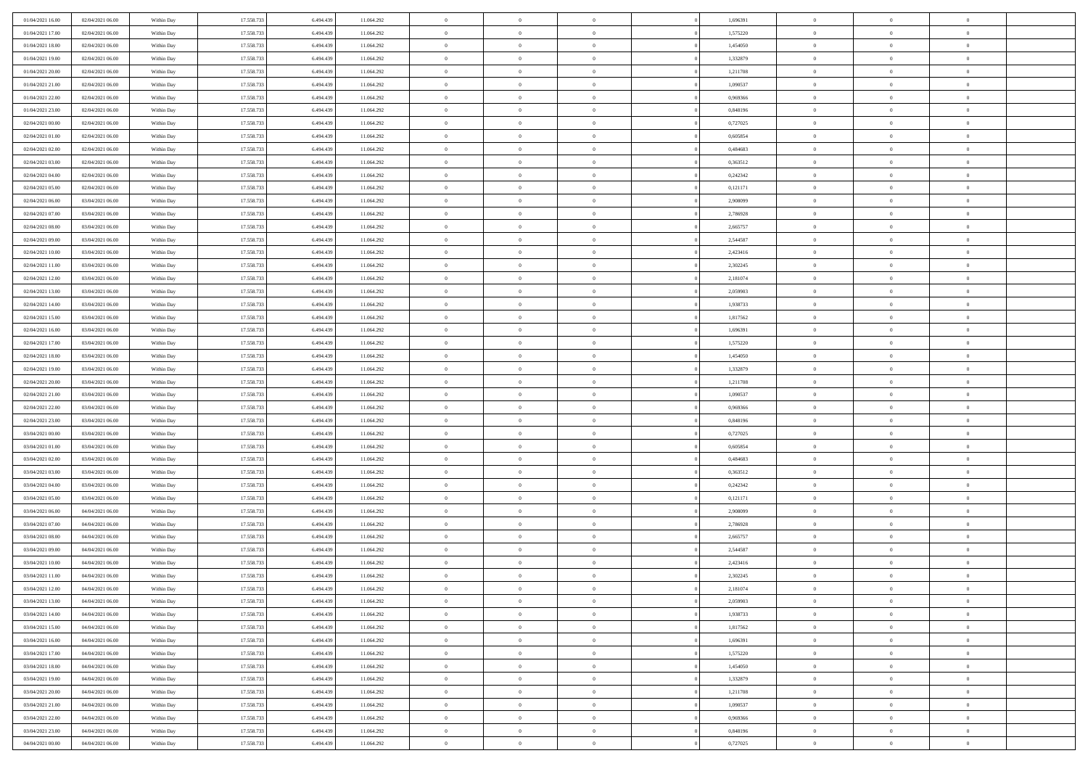| 01/04/2021 16:00 | 02/04/2021 06:00 | Within Day | 17.558.733 | 6.494.439 | 11.064.292 | $\,$ 0         | $\overline{0}$ | $\theta$       |          | 1,696391 | $\bf{0}$       | $\overline{0}$ | $\,0\,$        |  |
|------------------|------------------|------------|------------|-----------|------------|----------------|----------------|----------------|----------|----------|----------------|----------------|----------------|--|
| 01/04/2021 17:00 | 02/04/2021 06:00 | Within Day | 17.558.733 | 6,494,439 | 11.064.292 | $\overline{0}$ | $\overline{0}$ | $\overline{0}$ |          | 1,575220 | $\overline{0}$ | $\overline{0}$ | $\theta$       |  |
| 01/04/2021 18:00 | 02/04/2021 06:00 | Within Dav | 17.558.733 | 6.494.439 | 11.064.292 | $\mathbf{0}$   | $\overline{0}$ | $\overline{0}$ |          | 1,454050 | $\mathbf{0}$   | $\overline{0}$ | $\overline{0}$ |  |
| 01/04/2021 19:00 | 02/04/2021 06:00 | Within Day | 17.558.733 | 6.494.439 | 11.064.292 | $\bf{0}$       | $\overline{0}$ | $\bf{0}$       |          | 1,332879 | $\bf{0}$       | $\overline{0}$ | $\bf{0}$       |  |
| 01/04/2021 20:00 | 02/04/2021 06:00 | Within Day | 17.558.733 | 6,494,439 | 11.064.292 | $\bf{0}$       | $\overline{0}$ | $\overline{0}$ |          | 1,211708 | $\bf{0}$       | $\bf{0}$       | $\,0\,$        |  |
| 01/04/2021 21:00 | 02/04/2021 06:00 | Within Dav | 17.558.733 | 6.494.439 | 11.064.292 | $\mathbf{0}$   | $\overline{0}$ | $\overline{0}$ |          | 1,090537 | $\mathbf{0}$   | $\overline{0}$ | $\overline{0}$ |  |
| 01/04/2021 22:00 | 02/04/2021 06:00 | Within Day | 17.558.733 | 6.494.439 | 11.064.292 | $\bf{0}$       | $\overline{0}$ | $\overline{0}$ |          | 0,969366 | $\bf{0}$       | $\overline{0}$ | $\,0\,$        |  |
| 01/04/2021 23:00 | 02/04/2021 06:00 | Within Day | 17.558.733 | 6,494,439 | 11.064.292 | $\overline{0}$ | $\overline{0}$ | $\overline{0}$ |          | 0,848196 | $\,$ 0 $\,$    | $\overline{0}$ | $\theta$       |  |
| 02/04/2021 00:00 | 02/04/2021 06:00 | Within Day | 17.558.733 | 6.494.439 | 11.064.292 | $\mathbf{0}$   | $\overline{0}$ | $\overline{0}$ |          | 0,727025 | $\mathbf{0}$   | $\overline{0}$ | $\overline{0}$ |  |
| 02/04/2021 01:00 | 02/04/2021 06:00 | Within Day | 17.558.733 | 6.494.439 | 11.064.292 | $\bf{0}$       | $\overline{0}$ | $\theta$       |          | 0,605854 | $\bf{0}$       | $\overline{0}$ | $\,0\,$        |  |
| 02/04/2021 02:00 | 02/04/2021 06:00 | Within Day | 17.558.733 | 6,494,439 | 11.064.292 | $\overline{0}$ | $\overline{0}$ | $\overline{0}$ |          | 0.484683 | $\bf{0}$       | $\overline{0}$ | $\theta$       |  |
| 02/04/2021 03:00 | 02/04/2021 06:00 | Within Dav | 17.558.733 | 6.494.439 | 11.064.292 | $\mathbf{0}$   | $\overline{0}$ | $\overline{0}$ |          | 0,363512 | $\mathbf{0}$   | $\overline{0}$ | $\overline{0}$ |  |
| 02/04/2021 04:00 | 02/04/2021 06:00 | Within Day | 17.558.733 | 6.494.439 | 11.064.292 | $\bf{0}$       | $\overline{0}$ | $\bf{0}$       |          | 0,242342 | $\bf{0}$       | $\overline{0}$ | $\overline{0}$ |  |
| 02/04/2021 05:00 | 02/04/2021 06:00 | Within Day | 17.558.733 | 6,494,439 | 11.064.292 | $\bf{0}$       | $\overline{0}$ | $\overline{0}$ |          | 0,121171 | $\bf{0}$       | $\theta$       | $\,0\,$        |  |
| 02/04/2021 06:00 | 03/04/2021 06:00 | Within Dav | 17.558.733 | 6.494.439 | 11.064.292 | $\mathbf{0}$   | $\overline{0}$ | $\overline{0}$ |          | 2,908099 | $\mathbf{0}$   | $\overline{0}$ | $\overline{0}$ |  |
| 02/04/2021 07:00 | 03/04/2021 06:00 | Within Day | 17.558.733 | 6.494.439 | 11.064.292 | $\bf{0}$       | $\bf{0}$       | $\overline{0}$ |          | 2,786928 | $\bf{0}$       | $\overline{0}$ | $\,0\,$        |  |
| 02/04/2021 08:00 | 03/04/2021 06:00 | Within Day | 17.558.733 | 6,494,439 | 11.064.292 | $\overline{0}$ | $\overline{0}$ | $\overline{0}$ |          | 2,665757 | $\,$ 0 $\,$    | $\overline{0}$ | $\theta$       |  |
| 02/04/2021 09:00 | 03/04/2021 06:00 | Within Day | 17.558.733 | 6.494.439 | 11.064.292 | $\mathbf{0}$   | $\overline{0}$ | $\overline{0}$ |          | 2,544587 | $\mathbf{0}$   | $\overline{0}$ | $\overline{0}$ |  |
| 02/04/2021 10:00 | 03/04/2021 06:00 | Within Day | 17.558.733 | 6.494.439 | 11.064.292 | $\,$ 0         | $\bf{0}$       | $\overline{0}$ |          | 2,423416 | $\bf{0}$       | $\overline{0}$ | $\,0\,$        |  |
| 02/04/2021 11:00 | 03/04/2021 06:00 | Within Day | 17.558.733 | 6,494,439 | 11.064.292 | $\overline{0}$ | $\overline{0}$ | $\overline{0}$ |          | 2,302245 | $\bf{0}$       | $\overline{0}$ | $\overline{0}$ |  |
| 02/04/2021 12:00 | 03/04/2021 06:00 | Within Dav | 17.558.733 | 6.494.439 | 11.064.292 | $\mathbf{0}$   | $\overline{0}$ | $\overline{0}$ |          | 2,181074 | $\mathbf{0}$   | $\overline{0}$ | $\overline{0}$ |  |
| 02/04/2021 13:00 | 03/04/2021 06:00 | Within Day | 17.558.733 | 6.494.439 | 11.064.292 | $\bf{0}$       | $\overline{0}$ | $\bf{0}$       |          | 2,059903 | $\bf{0}$       | $\overline{0}$ | $\bf{0}$       |  |
| 02/04/2021 14:00 | 03/04/2021 06:00 | Within Day | 17.558.733 | 6,494,439 | 11.064.292 | $\bf{0}$       | $\bf{0}$       | $\overline{0}$ |          | 1,938733 | $\bf{0}$       | $\bf{0}$       | $\,0\,$        |  |
| 02/04/2021 15:00 | 03/04/2021 06:00 | Within Dav | 17.558.733 | 6.494.439 | 11.064.292 | $\mathbf{0}$   | $\overline{0}$ | $\overline{0}$ |          | 1,817562 | $\mathbf{0}$   | $\overline{0}$ | $\overline{0}$ |  |
| 02/04/2021 16:00 | 03/04/2021 06:00 | Within Day | 17.558.733 | 6.494.439 | 11.064.292 | $\bf{0}$       | $\bf{0}$       | $\overline{0}$ |          | 1,696391 | $\bf{0}$       | $\overline{0}$ | $\,0\,$        |  |
| 02/04/2021 17:00 | 03/04/2021 06:00 | Within Day | 17.558.733 | 6,494,439 | 11.064.292 | $\overline{0}$ | $\overline{0}$ | $\overline{0}$ |          | 1,575220 | $\bf{0}$       | $\overline{0}$ | $\theta$       |  |
| 02/04/2021 18:00 | 03/04/2021 06:00 | Within Day | 17.558.733 | 6.494.439 | 11.064.292 | $\mathbf{0}$   | $\overline{0}$ | $\overline{0}$ |          | 1,454050 | $\mathbf{0}$   | $\overline{0}$ | $\overline{0}$ |  |
| 02/04/2021 19:00 | 03/04/2021 06:00 | Within Day | 17.558.733 | 6.494.439 | 11.064.292 | $\bf{0}$       | $\bf{0}$       | $\overline{0}$ |          | 1,332879 | $\bf{0}$       | $\overline{0}$ | $\,0\,$        |  |
| 02/04/2021 20:00 | 03/04/2021 06:00 | Within Day | 17.558.733 | 6,494,439 | 11.064.292 | $\bf{0}$       | $\bf{0}$       | $\overline{0}$ |          | 1,211708 | $\bf{0}$       | $\mathbf{0}$   | $\overline{0}$ |  |
| 02/04/2021 21:00 | 03/04/2021 06:00 | Within Dav | 17.558.733 | 6.494.439 | 11.064.292 | $\mathbf{0}$   | $\overline{0}$ | $\overline{0}$ |          | 1,090537 | $\mathbf{0}$   | $\overline{0}$ | $\overline{0}$ |  |
| 02/04/2021 22.00 | 03/04/2021 06:00 | Within Day | 17.558.733 | 6.494.439 | 11.064.292 | $\bf{0}$       | $\overline{0}$ | $\theta$       |          | 0,969366 | $\,$ 0         | $\overline{0}$ | $\theta$       |  |
| 02/04/2021 23:00 | 03/04/2021 06:00 | Within Day | 17.558.733 | 6.494.439 | 11.064.292 | $\bf{0}$       | $\bf{0}$       | $\overline{0}$ |          | 0,848196 | $\bf{0}$       | $\mathbf{0}$   | $\overline{0}$ |  |
| 03/04/2021 00:00 | 03/04/2021 06:00 | Within Dav | 17.558.733 | 6.494.439 | 11.064.292 | $\mathbf{0}$   | $\overline{0}$ | $\overline{0}$ |          | 0,727025 | $\mathbf{0}$   | $\overline{0}$ | $\overline{0}$ |  |
| 03/04/2021 01:00 | 03/04/2021 06:00 | Within Day | 17.558.733 | 6.494.439 | 11.064.292 | $\bf{0}$       | $\overline{0}$ | $\theta$       |          | 0,605854 | $\,$ 0         | $\overline{0}$ | $\theta$       |  |
| 03/04/2021 02:00 | 03/04/2021 06:00 | Within Day | 17.558.733 | 6.494.439 | 11.064.292 | $\overline{0}$ | $\overline{0}$ | $\overline{0}$ |          | 0.484683 | $\bf{0}$       | $\overline{0}$ | $\overline{0}$ |  |
| 03/04/2021 03:00 | 03/04/2021 06:00 | Within Day | 17.558.733 | 6.494.439 | 11.064.292 | $\mathbf{0}$   | $\overline{0}$ | $\overline{0}$ |          | 0,363512 | $\mathbf{0}$   | $\overline{0}$ | $\overline{0}$ |  |
| 03/04/2021 04:00 | 03/04/2021 06:00 | Within Day | 17.558.733 | 6.494.439 | 11.064.292 | $\bf{0}$       | $\overline{0}$ | $\theta$       |          | 0,242342 | $\,$ 0         | $\overline{0}$ | $\theta$       |  |
| 03/04/2021 05:00 | 03/04/2021 06:00 | Within Day | 17.558.733 | 6,494,439 | 11.064.292 | $\bf{0}$       | $\overline{0}$ | $\overline{0}$ |          | 0,121171 | $\bf{0}$       | $\mathbf{0}$   | $\overline{0}$ |  |
| 03/04/2021 06:00 | 04/04/2021 06:00 | Within Dav | 17.558.733 | 6.494.439 | 11.064.292 | $\mathbf{0}$   | $\overline{0}$ | $\overline{0}$ |          | 2,908099 | $\mathbf{0}$   | $\overline{0}$ | $\overline{0}$ |  |
| 03/04/2021 07:00 | 04/04/2021 06:00 | Within Day | 17.558.733 | 6.494.439 | 11.064.292 | $\bf{0}$       | $\overline{0}$ | $\theta$       |          | 2,786928 | $\,$ 0         | $\overline{0}$ | $\theta$       |  |
| 03/04/2021 08:00 | 04/04/2021 06:00 | Within Day | 17.558.733 | 6.494.439 | 11.064.292 | $\bf{0}$       | $\overline{0}$ | $\overline{0}$ |          | 2,665757 | $\bf{0}$       | $\overline{0}$ | $\overline{0}$ |  |
| 03/04/2021 09:00 | 04/04/2021 06:00 | Within Dav | 17.558.733 | 6.494.439 | 11.064.292 | $\mathbf{0}$   | $\overline{0}$ | $\overline{0}$ |          | 2,544587 | $\mathbf{0}$   | $\overline{0}$ | $\overline{0}$ |  |
| 03/04/2021 10:00 | 04/04/2021 06:00 | Within Day | 17.558.733 | 6.494.439 | 11.064.292 | $\bf{0}$       | $\overline{0}$ | $\theta$       |          | 2,423416 | $\,$ 0         | $\overline{0}$ | $\theta$       |  |
| 03/04/2021 11:00 | 04/04/2021 06:00 | Within Day | 17.558.733 | 6.494.439 | 11.064.292 | $\bf{0}$       | $\overline{0}$ | $\overline{0}$ |          | 2,302245 | $\,$ 0 $\,$    | $\overline{0}$ | $\overline{0}$ |  |
| 03/04/2021 12:00 | 04/04/2021 06:00 | Within Day | 17.558.733 | 6.494.439 | 11.064.292 | $\bf{0}$       | $\overline{0}$ |                |          | 2,181074 | $\overline{0}$ | $\theta$       | $\theta$       |  |
| 03/04/2021 13:00 | 04/04/2021 06:00 | Within Day | 17.558.733 | 6.494.439 | 11.064.292 | $\,0\,$        | $\overline{0}$ | $\theta$       |          | 2,059903 | $\,$ 0 $\,$    | $\overline{0}$ | $\theta$       |  |
| 03/04/2021 14:00 | 04/04/2021 06:00 | Within Day | 17.558.733 | 6.494.439 | 11.064.292 | $\overline{0}$ | $\overline{0}$ | $\overline{0}$ |          | 1,938733 | $\overline{0}$ | $\overline{0}$ | $\overline{0}$ |  |
| 03/04/2021 15:00 | 04/04/2021 06:00 | Within Day | 17.558.733 | 6.494.439 | 11.064.292 | $\bf{0}$       | $\overline{0}$ | $\overline{0}$ |          | 1,817562 | $\overline{0}$ | $\bf{0}$       | $\mathbf{0}$   |  |
| 03/04/2021 16:00 | 04/04/2021 06:00 | Within Day | 17.558.733 | 6.494.439 | 11.064.292 | $\bf{0}$       | $\overline{0}$ | $\overline{0}$ | $\theta$ | 1,696391 | $\,$ 0 $\,$    | $\bf{0}$       | $\,$ 0 $\,$    |  |
| 03/04/2021 17:00 | 04/04/2021 06:00 | Within Day | 17.558.733 | 6,494,439 | 11.064.292 | $\bf{0}$       | $\overline{0}$ | $\overline{0}$ |          | 1,575220 | $\,$ 0 $\,$    | $\overline{0}$ | $\overline{0}$ |  |
| 03/04/2021 18:00 | 04/04/2021 06:00 | Within Day | 17.558.733 | 6.494.439 | 11.064.292 | $\bf{0}$       | $\overline{0}$ | $\overline{0}$ |          | 1,454050 | $\mathbf{0}$   | $\overline{0}$ | $\overline{0}$ |  |
| 03/04/2021 19:00 | 04/04/2021 06:00 | Within Day | 17.558.733 | 6.494.439 | 11.064.292 | $\,0\,$        | $\overline{0}$ | $\overline{0}$ | $\theta$ | 1,332879 | $\,$ 0 $\,$    | $\overline{0}$ | $\overline{0}$ |  |
| 03/04/2021 20:00 | 04/04/2021 06:00 | Within Day | 17.558.733 | 6.494.439 | 11.064.292 | $\bf{0}$       | $\overline{0}$ | $\overline{0}$ |          | 1,211708 | $\overline{0}$ | $\overline{0}$ | $\overline{0}$ |  |
| 03/04/2021 21:00 | 04/04/2021 06:00 | Within Day | 17.558.733 | 6.494.439 | 11.064.292 | $\bf{0}$       | $\overline{0}$ | $\overline{0}$ |          | 1,090537 | $\mathbf{0}$   | $\overline{0}$ | $\mathbf{0}$   |  |
| 03/04/2021 22.00 | 04/04/2021 06:00 | Within Day | 17.558.733 | 6.494.439 | 11.064.292 | $\,0\,$        | $\overline{0}$ | $\overline{0}$ |          | 0,969366 | $\,$ 0 $\,$    | $\overline{0}$ | $\theta$       |  |
| 03/04/2021 23:00 | 04/04/2021 06:00 | Within Day | 17.558.733 | 6,494,439 | 11.064.292 | $\bf{0}$       | $\overline{0}$ | $\overline{0}$ |          | 0.848196 | $\bf{0}$       | $\mathbf{0}$   | $\overline{0}$ |  |
| 04/04/2021 00:00 | 04/04/2021 06:00 | Within Day | 17.558.733 | 6.494.439 | 11.064.292 | $\bf{0}$       | $\overline{0}$ | $\overline{0}$ |          | 0,727025 | $\mathbf{0}$   | $\overline{0}$ | $\overline{0}$ |  |
|                  |                  |            |            |           |            |                |                |                |          |          |                |                |                |  |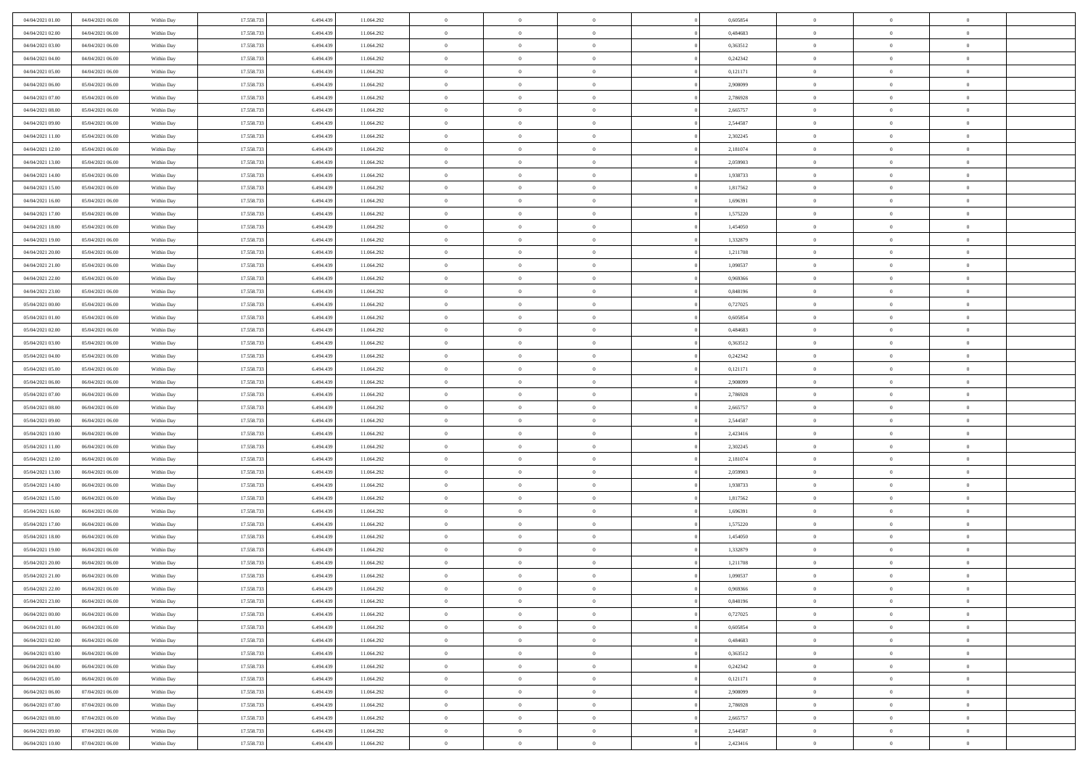| 04/04/2021 01:00                     | 04/04/2021 06:00                     | Within Day               | 17.558.733               | 6.494.439              | 11.064.292               | $\,$ 0                         | $\overline{0}$                   | $\theta$                         |          | 0,605854             | $\bf{0}$                   | $\overline{0}$                   | $\,0\,$                          |  |
|--------------------------------------|--------------------------------------|--------------------------|--------------------------|------------------------|--------------------------|--------------------------------|----------------------------------|----------------------------------|----------|----------------------|----------------------------|----------------------------------|----------------------------------|--|
| 04/04/2021 02:00                     | 04/04/2021 06:00                     | Within Day               | 17.558.733               | 6,494.43               | 11.064.292               | $\overline{0}$                 | $\overline{0}$                   | $\overline{0}$                   |          | 0.484683             | $\overline{0}$             | $\overline{0}$                   | $\theta$                         |  |
| 04/04/2021 03:00                     | 04/04/2021 06:00                     | Within Dav               | 17.558.733               | 6.494.439              | 11.064.292               | $\mathbf{0}$                   | $\overline{0}$                   | $\overline{0}$                   |          | 0,363512             | $\mathbf{0}$               | $\overline{0}$                   | $\overline{0}$                   |  |
| 04/04/2021 04:00                     | 04/04/2021 06:00                     | Within Day               | 17.558.733               | 6.494.439              | 11.064.292               | $\bf{0}$                       | $\overline{0}$                   | $\bf{0}$                         |          | 0,242342             | $\bf{0}$                   | $\overline{0}$                   | $\,0\,$                          |  |
| 04/04/2021 05:00                     | 04/04/2021 06:00                     | Within Day               | 17.558.733               | 6,494,439              | 11.064.292               | $\bf{0}$                       | $\bf{0}$                         | $\overline{0}$                   |          | 0,121171             | $\bf{0}$                   | $\theta$                         | $\,0\,$                          |  |
| 04/04/2021 06:00                     | 05/04/2021 06:00                     | Within Dav               | 17.558.733               | 6.494.439              | 11.064.292               | $\mathbf{0}$                   | $\overline{0}$                   | $\overline{0}$                   |          | 2,908099             | $\mathbf{0}$               | $\overline{0}$                   | $\overline{0}$                   |  |
| 04/04/2021 07.00                     | 05/04/2021 06:00                     | Within Day               | 17.558.733               | 6.494.439              | 11.064.292               | $\bf{0}$                       | $\bf{0}$                         | $\overline{0}$                   |          | 2,786928             | $\bf{0}$                   | $\overline{0}$                   | $\,0\,$                          |  |
| 04/04/2021 08:00                     | 05/04/2021 06:00                     | Within Day               | 17.558.733               | 6,494,439              | 11.064.292               | $\theta$                       | $\overline{0}$                   | $\overline{0}$                   |          | 2,665757             | $\,$ 0 $\,$                | $\overline{0}$                   | $\theta$                         |  |
| 04/04/2021 09:00                     | 05/04/2021 06:00                     | Within Day               | 17.558.733               | 6.494.439              | 11.064.292               | $\mathbf{0}$                   | $\overline{0}$                   | $\overline{0}$                   |          | 2,544587             | $\mathbf{0}$               | $\bf{0}$                         | $\overline{0}$                   |  |
| 04/04/2021 11:00                     | 05/04/2021 06:00                     | Within Day               | 17.558.733               | 6.494.439              | 11.064.292               | $\bf{0}$                       | $\bf{0}$                         | $\theta$                         |          | 2,302245             | $\bf{0}$                   | $\overline{0}$                   | $\,0\,$                          |  |
| 04/04/2021 12:00                     | 05/04/2021 06:00                     | Within Day               | 17.558.733               | 6,494,439              | 11.064.292               | $\overline{0}$                 | $\overline{0}$                   | $\overline{0}$                   |          | 2,181074             | $\bf{0}$                   | $\overline{0}$                   | $\theta$                         |  |
| 04/04/2021 13:00                     | 05/04/2021 06:00                     | Within Dav               | 17.558.733               | 6.494.439              | 11.064.292               | $\mathbf{0}$                   | $\overline{0}$                   | $\overline{0}$                   |          | 2,059903             | $\mathbf{0}$               | $\overline{0}$                   | $\overline{0}$                   |  |
| 04/04/2021 14:00                     | 05/04/2021 06:00                     | Within Day               | 17.558.733               | 6.494.439              | 11.064.292               | $\bf{0}$                       | $\overline{0}$                   | $\bf{0}$                         |          | 1,938733             | $\bf{0}$                   | $\overline{0}$                   | $\bf{0}$                         |  |
| 04/04/2021 15:00                     | 05/04/2021 06:00                     | Within Day               | 17.558.733               | 6,494,439              | 11.064.292               | $\bf{0}$                       | $\overline{0}$                   | $\overline{0}$                   |          | 1,817562             | $\bf{0}$                   | $\theta$                         | $\,0\,$                          |  |
| 04/04/2021 16:00                     | 05/04/2021 06:00                     | Within Dav               | 17.558.733               | 6.494.439              | 11.064.292               | $\mathbf{0}$                   | $\overline{0}$                   | $\overline{0}$                   |          | 1,696391             | $\mathbf{0}$               | $\overline{0}$                   | $\overline{0}$                   |  |
| 04/04/2021 17.00                     | 05/04/2021 06:00                     | Within Day               | 17.558.733               | 6.494.439              | 11.064.292               | $\bf{0}$                       | $\bf{0}$                         | $\overline{0}$                   |          | 1,575220             | $\bf{0}$                   | $\overline{0}$                   | $\,0\,$                          |  |
| 04/04/2021 18:00                     | 05/04/2021 06:00                     | Within Day               | 17.558.733               | 6,494,439              | 11.064.292               | $\overline{0}$                 | $\overline{0}$                   | $\overline{0}$                   |          | 1,454050             | $\,$ 0 $\,$                | $\overline{0}$                   | $\theta$                         |  |
| 04/04/2021 19:00                     | 05/04/2021 06:00                     | Within Day               | 17.558.733               | 6.494.439              | 11.064.292               | $\mathbf{0}$                   | $\overline{0}$                   | $\overline{0}$                   |          | 1,332879             | $\mathbf{0}$               | $\overline{0}$                   | $\overline{0}$                   |  |
| 04/04/2021 20:00                     | 05/04/2021 06:00                     | Within Day               | 17.558.733               | 6.494.439              | 11.064.292               | $\,$ 0                         | $\bf{0}$                         | $\overline{0}$                   |          | 1,211708             | $\bf{0}$                   | $\overline{0}$                   | $\,0\,$                          |  |
| 04/04/2021 21:00                     | 05/04/2021 06:00                     | Within Day               | 17.558.733               | 6,494,439              | 11.064.292               | $\overline{0}$                 | $\overline{0}$                   | $\overline{0}$                   |          | 1,090537             | $\bf{0}$                   | $\overline{0}$                   | $\overline{0}$                   |  |
| 04/04/2021 22:00                     | 05/04/2021 06:00                     | Within Dav               | 17.558.733               | 6.494.439              | 11.064.292               | $\mathbf{0}$                   | $\overline{0}$                   | $\overline{0}$                   |          | 0,969366             | $\mathbf{0}$               | $\overline{0}$                   | $\overline{0}$                   |  |
| 04/04/2021 23.00                     | 05/04/2021 06:00                     | Within Day               | 17.558.733               | 6.494.439              | 11.064.292               | $\bf{0}$                       | $\overline{0}$                   | $\bf{0}$                         |          | 0,848196             | $\bf{0}$                   | $\overline{0}$                   | $\bf{0}$                         |  |
| 05/04/2021 00:00                     | 05/04/2021 06:00                     |                          | 17.558.733               | 6,494,439              | 11.064.292               | $\bf{0}$                       | $\bf{0}$                         | $\overline{0}$                   |          | 0,727025             | $\bf{0}$                   | $\overline{0}$                   | $\,0\,$                          |  |
| 05/04/2021 01:00                     | 05/04/2021 06:00                     | Within Day<br>Within Dav | 17.558.733               | 6.494.439              | 11.064.292               | $\mathbf{0}$                   | $\overline{0}$                   | $\overline{0}$                   |          | 0,605854             | $\mathbf{0}$               | $\overline{0}$                   | $\overline{0}$                   |  |
| 05/04/2021 02:00                     | 05/04/2021 06:00                     | Within Day               | 17.558.733               | 6.494.439              | 11.064.292               | $\bf{0}$                       | $\bf{0}$                         | $\overline{0}$                   |          | 0,484683             | $\bf{0}$                   | $\overline{0}$                   | $\,0\,$                          |  |
|                                      |                                      |                          | 17.558.733               | 6,494,439              |                          | $\overline{0}$                 | $\overline{0}$                   | $\overline{0}$                   |          |                      | $\bf{0}$                   | $\overline{0}$                   | $\theta$                         |  |
| 05/04/2021 03:00<br>05/04/2021 04:00 | 05/04/2021 06:00<br>05/04/2021 06:00 | Within Day               |                          |                        | 11.064.292               | $\mathbf{0}$                   |                                  |                                  |          | 0,363512             | $\mathbf{0}$               |                                  | $\overline{0}$                   |  |
|                                      | 05/04/2021 06:00                     | Within Day               | 17.558.733               | 6.494.439              | 11.064.292               |                                | $\overline{0}$                   | $\overline{0}$<br>$\overline{0}$ |          | 0,242342             |                            | $\bf{0}$<br>$\overline{0}$       |                                  |  |
| 05/04/2021 05:00                     |                                      | Within Day               | 17.558.733               | 6.494.439              | 11.064.292               | $\bf{0}$                       | $\bf{0}$                         |                                  |          | 0,121171             | $\bf{0}$                   |                                  | $\,0\,$                          |  |
| 05/04/2021 06:00                     | 06/04/2021 06:00                     | Within Day               | 17.558.733               | 6,494,439              | 11.064.292               | $\bf{0}$<br>$\mathbf{0}$       | $\bf{0}$                         | $\overline{0}$                   |          | 2,908099             | $\bf{0}$<br>$\mathbf{0}$   | $\mathbf{0}$                     | $\overline{0}$<br>$\overline{0}$ |  |
| 05/04/2021 07:00                     | 06/04/2021 06:00                     | Within Dav               | 17.558.733               | 6.494.439              | 11.064.292               |                                | $\overline{0}$                   | $\overline{0}$                   |          | 2,786928             |                            | $\overline{0}$                   | $\theta$                         |  |
| 05/04/2021 08:00                     | 06/04/2021 06:00                     | Within Day               | 17.558.733               | 6.494.439              | 11.064.292               | $\bf{0}$                       | $\overline{0}$                   | $\theta$                         |          | 2,665757             | $\,$ 0                     | $\overline{0}$<br>$\mathbf{0}$   |                                  |  |
| 05/04/2021 09:00                     | 06/04/2021 06:00                     | Within Day               | 17.558.733               | 6.494.439              | 11.064.292               | $\bf{0}$<br>$\mathbf{0}$       | $\bf{0}$                         | $\overline{0}$                   |          | 2,544587             | $\bf{0}$<br>$\mathbf{0}$   |                                  | $\overline{0}$<br>$\overline{0}$ |  |
| 05/04/2021 10:00                     | 06/04/2021 06:00                     | Within Dav               | 17.558.733               | 6.494.439              | 11.064.292               |                                | $\overline{0}$                   | $\overline{0}$                   |          | 2,423416             |                            | $\overline{0}$                   |                                  |  |
| 05/04/2021 11:00                     | 06/04/2021 06:00                     | Within Day               | 17.558.733               | 6.494.439              | 11.064.292               | $\bf{0}$                       | $\overline{0}$                   | $\theta$                         |          | 2,302245             | $\,$ 0                     | $\overline{0}$<br>$\overline{0}$ | $\theta$                         |  |
| 05/04/2021 12:00                     | 06/04/2021 06:00                     | Within Day               | 17.558.733               | 6.494.439              | 11.064.292               | $\overline{0}$<br>$\mathbf{0}$ | $\overline{0}$                   | $\overline{0}$                   |          | 2,181074             | $\bf{0}$<br>$\mathbf{0}$   |                                  | $\overline{0}$<br>$\overline{0}$ |  |
| 05/04/2021 13:00                     | 06/04/2021 06:00                     | Within Day               | 17.558.733               | 6.494.439              | 11.064.292               | $\bf{0}$                       | $\overline{0}$                   | $\overline{0}$                   |          | 2,059903             |                            | $\overline{0}$                   | $\theta$                         |  |
| 05/04/2021 14:00                     | 06/04/2021 06:00                     | Within Day               | 17.558.733<br>17.558.733 | 6.494.439<br>6,494,439 | 11.064.292               | $\bf{0}$                       | $\overline{0}$                   | $\theta$<br>$\overline{0}$       |          | 1,938733             | $\,$ 0                     | $\overline{0}$<br>$\mathbf{0}$   |                                  |  |
| 05/04/2021 15:00<br>05/04/2021 16:00 | 06/04/2021 06:00<br>06/04/2021 06:00 | Within Day<br>Within Dav | 17.558.733               | 6.494.439              | 11.064.292<br>11.064.292 | $\mathbf{0}$                   | $\overline{0}$<br>$\overline{0}$ | $\overline{0}$                   |          | 1,817562<br>1,696391 | $\bf{0}$<br>$\mathbf{0}$   | $\overline{0}$                   | $\overline{0}$<br>$\overline{0}$ |  |
|                                      |                                      |                          |                          |                        |                          |                                |                                  |                                  |          |                      |                            |                                  | $\theta$                         |  |
| 05/04/2021 17:00                     | 06/04/2021 06:00<br>06/04/2021 06:00 | Within Day               | 17.558.733<br>17.558.733 | 6.494.439<br>6.494.439 | 11.064.292               | $\bf{0}$<br>$\bf{0}$           | $\overline{0}$<br>$\overline{0}$ | $\theta$<br>$\overline{0}$       |          | 1,575220             | $\,$ 0<br>$\bf{0}$         | $\overline{0}$<br>$\overline{0}$ | $\overline{0}$                   |  |
| 05/04/2021 18:00<br>05/04/2021 19:00 | 06/04/2021 06:00                     | Within Day<br>Within Dav | 17.558.733               | 6.494.439              | 11.064.292<br>11.064.292 | $\mathbf{0}$                   | $\overline{0}$                   | $\overline{0}$                   |          | 1,454050<br>1,332879 | $\mathbf{0}$               | $\overline{0}$                   | $\overline{0}$                   |  |
| 05/04/2021 20:00                     | 06/04/2021 06:00                     | Within Day               | 17.558.733               | 6.494.439              | 11.064.292               | $\bf{0}$                       | $\overline{0}$                   | $\theta$                         |          | 1,211708             | $\,$ 0                     | $\overline{0}$                   | $\theta$                         |  |
| 05/04/2021 21:00                     | 06/04/2021 06:00                     |                          | 17.558.733               | 6.494.439              | 11.064.292               | $\bf{0}$                       | $\overline{0}$                   | $\overline{0}$                   |          | 1,090537             | $\,$ 0 $\,$                | $\overline{0}$                   | $\overline{0}$                   |  |
| 05/04/2021 22:00                     | 06/04/2021 06:00                     | Within Day<br>Within Day | 17.558.733               | 6.494.439              | 11.064.292               | $\bf{0}$                       | $\overline{0}$                   |                                  |          | 0,969366             | $\overline{0}$             | $\theta$                         | $\theta$                         |  |
| 05/04/2021 23:00                     | 06/04/2021 06:00                     | Within Day               | 17.558.733               | 6.494.439              | 11.064.292               | $\,0\,$                        | $\overline{0}$                   | $\theta$                         |          | 0,848196             | $\,$ 0 $\,$                | $\overline{0}$                   | $\theta$                         |  |
| 06/04/2021 00:00                     | 06/04/2021 06:00                     |                          | 17.558.733               | 6.494.439              |                          | $\overline{0}$                 | $\overline{0}$                   | $\overline{0}$                   |          | 0,727025             | $\overline{0}$             | $\overline{0}$                   | $\overline{0}$                   |  |
| 06/04/2021 01:00                     | 06/04/2021 06:00                     | Within Day<br>Within Day | 17.558.733               | 6.494.439              | 11.064.292<br>11.064.292 | $\bf{0}$                       | $\overline{0}$                   | $\overline{0}$                   |          | 0,605854             | $\overline{0}$             | $\bf{0}$                         | $\mathbf{0}$                     |  |
|                                      |                                      |                          |                          |                        |                          |                                |                                  |                                  |          |                      |                            |                                  |                                  |  |
| 06/04/2021 02:00<br>06/04/2021 03:00 | 06/04/2021 06:00<br>06/04/2021 06:00 | Within Day               | 17.558.733<br>17.558.733 | 6.494.439<br>6,494,439 | 11.064.292               | $\bf{0}$<br>$\bf{0}$           | $\overline{0}$<br>$\overline{0}$ | $\bf{0}$<br>$\overline{0}$       | $\theta$ | 0,484683<br>0,363512 | $\,$ 0 $\,$<br>$\,$ 0 $\,$ | $\bf{0}$<br>$\overline{0}$       | $\,$ 0 $\,$<br>$\overline{0}$    |  |
| 06/04/2021 04:00                     | 06/04/2021 06:00                     | Within Day<br>Within Day | 17.558.733               | 6.494.439              | 11.064.292<br>11.064.292 | $\bf{0}$                       | $\overline{0}$                   | $\overline{0}$                   |          | 0,242342             | $\mathbf{0}$               | $\overline{0}$                   | $\overline{0}$                   |  |
|                                      |                                      |                          |                          |                        |                          |                                |                                  |                                  |          |                      |                            |                                  |                                  |  |
| 06/04/2021 05:00                     | 06/04/2021 06:00                     | Within Day               | 17.558.733               | 6.494.439              | 11.064.292               | $\,0\,$                        | $\overline{0}$                   | $\overline{0}$                   | $\theta$ | 0,121171             | $\,$ 0 $\,$                | $\overline{0}$                   | $\overline{0}$                   |  |
| 06/04/2021 06:00                     | 07/04/2021 06:00                     | Within Day               | 17.558.733               | 6.494.439              | 11.064.292               | $\bf{0}$                       | $\overline{0}$                   | $\overline{0}$                   |          | 2,908099             | $\overline{0}$             | $\overline{0}$                   | $\overline{0}$                   |  |
| 06/04/2021 07:00                     | 07/04/2021 06:00                     | Within Day               | 17.558.733               | 6.494.439              | 11.064.292               | $\bf{0}$                       | $\overline{0}$                   | $\overline{0}$                   |          | 2,786928             | $\mathbf{0}$               | $\overline{0}$                   | $\mathbf{0}$                     |  |
| 06/04/2021 08:00                     | 07/04/2021 06:00                     | Within Day               | 17.558.733               | 6.494.439              | 11.064.292               | $\,0\,$                        | $\overline{0}$                   | $\overline{0}$                   |          | 2,665757             | $\,$ 0 $\,$                | $\mathbf{0}$                     | $\theta$                         |  |
| 06/04/2021 09:00                     | 07/04/2021 06:00                     | Within Day               | 17.558.733               | 6,494,439              | 11.064.292               | $\bf{0}$                       | $\overline{0}$                   | $\overline{0}$                   |          | 2,544587             | $\bf{0}$                   | $\mathbf{0}$                     | $\overline{0}$                   |  |
| 06/04/2021 10:00                     | 07/04/2021 06:00                     | Within Day               | 17.558.733               | 6.494.439              | 11.064.292               | $\overline{0}$                 | $\overline{0}$                   | $\overline{0}$                   |          | 2,423416             | $\mathbf{0}$               | $\overline{0}$                   | $\overline{0}$                   |  |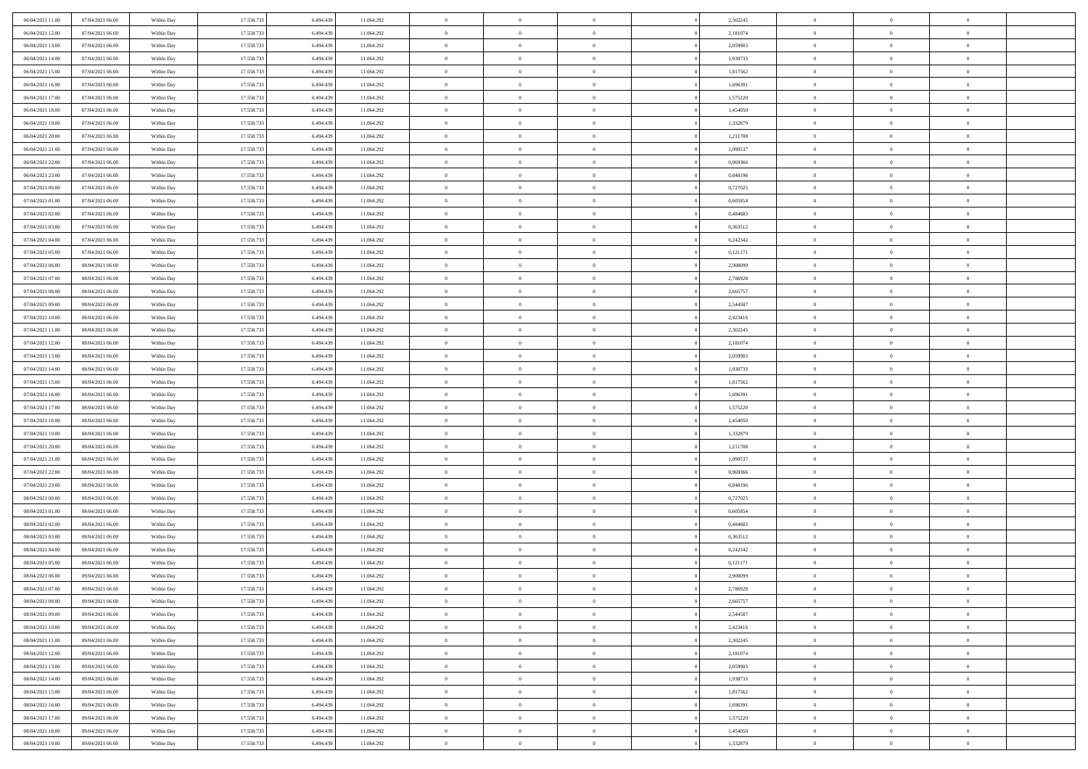| 06/04/2021 11:00                     | 07/04/2021 06:00 | Within Day | 17.558.733 | 6.494.439 | 11.064.292 | $\,$ 0         | $\bf{0}$       | $\theta$       |          | 2,302245 | $\bf{0}$                 | $\overline{0}$ | $\,0\,$        |  |
|--------------------------------------|------------------|------------|------------|-----------|------------|----------------|----------------|----------------|----------|----------|--------------------------|----------------|----------------|--|
| 06/04/2021 12:00                     | 07/04/2021 06:00 | Within Day | 17.558.733 | 6,494.43  | 11.064.292 | $\overline{0}$ | $\overline{0}$ | $\overline{0}$ |          | 2,181074 | $\overline{0}$           | $\overline{0}$ | $\theta$       |  |
| 06/04/2021 13:00                     | 07/04/2021 06:00 | Within Dav | 17.558.733 | 6.494.439 | 11.064.292 | $\mathbf{0}$   | $\overline{0}$ | $\overline{0}$ |          | 2,059903 | $\mathbf{0}$             | $\overline{0}$ | $\overline{0}$ |  |
| 06/04/2021 14:00                     | 07/04/2021 06:00 | Within Day | 17.558.733 | 6.494.439 | 11.064.292 | $\bf{0}$       | $\overline{0}$ | $\bf{0}$       |          | 1,938733 | $\bf{0}$                 | $\overline{0}$ | $\bf{0}$       |  |
| 06/04/2021 15:00                     | 07/04/2021 06:00 | Within Day | 17.558.733 | 6,494,439 | 11.064.292 | $\bf{0}$       | $\bf{0}$       | $\overline{0}$ |          | 1,817562 | $\bf{0}$                 | $\bf{0}$       | $\,0\,$        |  |
| 06/04/2021 16:00                     | 07/04/2021 06:00 | Within Dav | 17.558.733 | 6.494.439 | 11.064.292 | $\mathbf{0}$   | $\overline{0}$ | $\overline{0}$ |          | 1,696391 | $\mathbf{0}$             | $\overline{0}$ | $\overline{0}$ |  |
| 06/04/2021 17:00                     | 07/04/2021 06:00 | Within Day | 17.558.733 | 6.494.439 | 11.064.292 | $\bf{0}$       | $\bf{0}$       | $\overline{0}$ |          | 1,575220 | $\bf{0}$                 | $\overline{0}$ | $\,0\,$        |  |
| 06/04/2021 18:00                     | 07/04/2021 06:00 | Within Day | 17.558.733 | 6,494,439 | 11.064.292 | $\overline{0}$ | $\overline{0}$ | $\overline{0}$ |          | 1,454050 | $\,$ 0 $\,$              | $\overline{0}$ | $\theta$       |  |
| 06/04/2021 19:00                     | 07/04/2021 06:00 | Within Day | 17.558.733 | 6.494.439 | 11.064.292 | $\mathbf{0}$   | $\overline{0}$ | $\overline{0}$ |          | 1,332879 | $\mathbf{0}$             | $\overline{0}$ | $\overline{0}$ |  |
| 06/04/2021 20:00                     | 07/04/2021 06:00 |            | 17.558.733 | 6.494.439 | 11.064.292 | $\bf{0}$       | $\bf{0}$       | $\overline{0}$ |          | 1,211708 | $\bf{0}$                 | $\overline{0}$ | $\,0\,$        |  |
|                                      |                  | Within Day |            | 6,494,439 |            | $\overline{0}$ | $\overline{0}$ |                |          |          |                          | $\overline{0}$ | $\theta$       |  |
| 06/04/2021 21:00<br>06/04/2021 22:00 | 07/04/2021 06:00 | Within Day | 17.558.733 |           | 11.064.292 | $\mathbf{0}$   |                | $\overline{0}$ |          | 1,090537 | $\bf{0}$<br>$\mathbf{0}$ |                | $\overline{0}$ |  |
|                                      | 07/04/2021 06:00 | Within Dav | 17.558.733 | 6.494.439 | 11.064.292 |                | $\overline{0}$ | $\overline{0}$ |          | 0,969366 |                          | $\overline{0}$ |                |  |
| 06/04/2021 23.00                     | 07/04/2021 06:00 | Within Day | 17.558.733 | 6.494.439 | 11.064.292 | $\bf{0}$       | $\overline{0}$ | $\bf{0}$       |          | 0,848196 | $\bf{0}$                 | $\overline{0}$ | $\overline{0}$ |  |
| 07/04/2021 00:00                     | 07/04/2021 06:00 | Within Day | 17.558.733 | 6,494,439 | 11.064.292 | $\bf{0}$       | $\overline{0}$ | $\overline{0}$ |          | 0,727025 | $\bf{0}$                 | $\theta$       | $\,0\,$        |  |
| 07/04/2021 01:00                     | 07/04/2021 06:00 | Within Dav | 17.558.733 | 6.494.439 | 11.064.292 | $\mathbf{0}$   | $\overline{0}$ | $\overline{0}$ |          | 0,605854 | $\mathbf{0}$             | $\overline{0}$ | $\overline{0}$ |  |
| 07/04/2021 02.00                     | 07/04/2021 06:00 | Within Day | 17.558.733 | 6.494.439 | 11.064.292 | $\bf{0}$       | $\bf{0}$       | $\overline{0}$ |          | 0,484683 | $\bf{0}$                 | $\overline{0}$ | $\,0\,$        |  |
| 07/04/2021 03:00                     | 07/04/2021 06:00 | Within Day | 17.558.733 | 6,494,439 | 11.064.292 | $\overline{0}$ | $\overline{0}$ | $\overline{0}$ |          | 0.363512 | $\,$ 0 $\,$              | $\overline{0}$ | $\theta$       |  |
| 07/04/2021 04:00                     | 07/04/2021 06:00 | Within Day | 17.558.733 | 6.494.439 | 11.064.292 | $\mathbf{0}$   | $\overline{0}$ | $\overline{0}$ |          | 0,242342 | $\mathbf{0}$             | $\overline{0}$ | $\overline{0}$ |  |
| 07/04/2021 05:00                     | 07/04/2021 06:00 | Within Day | 17.558.733 | 6.494.439 | 11.064.292 | $\bf{0}$       | $\bf{0}$       | $\overline{0}$ |          | 0,121171 | $\bf{0}$                 | $\overline{0}$ | $\,0\,$        |  |
| 07/04/2021 06:00                     | 08/04/2021 06:00 | Within Day | 17.558.733 | 6,494,439 | 11.064.292 | $\overline{0}$ | $\overline{0}$ | $\overline{0}$ |          | 2,908099 | $\bf{0}$                 | $\overline{0}$ | $\overline{0}$ |  |
| 07/04/2021 07:00                     | 08/04/2021 06:00 | Within Dav | 17.558.733 | 6.494.439 | 11.064.292 | $\mathbf{0}$   | $\overline{0}$ | $\overline{0}$ |          | 2,786928 | $\mathbf{0}$             | $\overline{0}$ | $\overline{0}$ |  |
| 07/04/2021 08:00                     | 08/04/2021 06:00 | Within Day | 17.558.733 | 6.494.439 | 11.064.292 | $\bf{0}$       | $\overline{0}$ | $\bf{0}$       |          | 2,665757 | $\bf{0}$                 | $\overline{0}$ | $\bf{0}$       |  |
| 07/04/2021 09:00                     | 08/04/2021 06:00 | Within Day | 17.558.733 | 6,494,439 | 11.064.292 | $\bf{0}$       | $\bf{0}$       | $\overline{0}$ |          | 2,544587 | $\bf{0}$                 | $\overline{0}$ | $\,0\,$        |  |
| 07/04/2021 10:00                     | 08/04/2021 06:00 | Within Dav | 17.558.733 | 6.494.439 | 11.064.292 | $\mathbf{0}$   | $\overline{0}$ | $\overline{0}$ |          | 2,423416 | $\mathbf{0}$             | $\overline{0}$ | $\overline{0}$ |  |
| 07/04/2021 11:00                     | 08/04/2021 06:00 | Within Day | 17.558.733 | 6.494.439 | 11.064.292 | $\bf{0}$       | $\overline{0}$ | $\overline{0}$ |          | 2,302245 | $\bf{0}$                 | $\overline{0}$ | $\,0\,$        |  |
| 07/04/2021 12:00                     | 08/04/2021 06:00 | Within Day | 17.558.733 | 6,494,439 | 11.064.292 | $\overline{0}$ | $\overline{0}$ | $\overline{0}$ |          | 2,181074 | $\bf{0}$                 | $\overline{0}$ | $\overline{0}$ |  |
| 07/04/2021 13:00                     | 08/04/2021 06:00 | Within Day | 17.558.733 | 6.494.439 | 11.064.292 | $\mathbf{0}$   | $\overline{0}$ | $\overline{0}$ |          | 2,059903 | $\mathbf{0}$             | $\overline{0}$ | $\overline{0}$ |  |
| 07/04/2021 14:00                     | 08/04/2021 06:00 | Within Day | 17.558.733 | 6.494.439 | 11.064.292 | $\bf{0}$       | $\overline{0}$ | $\overline{0}$ |          | 1,938733 | $\bf{0}$                 | $\overline{0}$ | $\,0\,$        |  |
| 07/04/2021 15:00                     | 08/04/2021 06:00 | Within Day | 17.558.733 | 6,494,439 | 11.064.292 | $\bf{0}$       | $\overline{0}$ | $\overline{0}$ |          | 1,817562 | $\bf{0}$                 | $\overline{0}$ | $\overline{0}$ |  |
| 07/04/2021 16:00                     | 08/04/2021 06:00 | Within Dav | 17.558.733 | 6.494.439 | 11.064.292 | $\mathbf{0}$   | $\overline{0}$ | $\overline{0}$ |          | 1,696391 | $\mathbf{0}$             | $\overline{0}$ | $\overline{0}$ |  |
| 07/04/2021 17:00                     | 08/04/2021 06:00 | Within Day | 17.558.733 | 6.494.439 | 11.064.292 | $\bf{0}$       | $\overline{0}$ | $\theta$       |          | 1,575220 | $\,$ 0                   | $\overline{0}$ | $\theta$       |  |
| 07/04/2021 18:00                     | 08/04/2021 06:00 | Within Day | 17.558.733 | 6.494.439 | 11.064.292 | $\bf{0}$       | $\overline{0}$ | $\overline{0}$ |          | 1,454050 | $\bf{0}$                 | $\mathbf{0}$   | $\overline{0}$ |  |
| 07/04/2021 19:00                     | 08/04/2021 06:00 | Within Dav | 17.558.733 | 6.494.439 | 11.064.292 | $\mathbf{0}$   | $\overline{0}$ | $\overline{0}$ |          | 1,332879 | $\mathbf{0}$             | $\overline{0}$ | $\overline{0}$ |  |
| 07/04/2021 20:00                     | 08/04/2021 06:00 | Within Day | 17.558.733 | 6.494.439 | 11.064.292 | $\bf{0}$       | $\overline{0}$ | $\theta$       |          | 1,211708 | $\,$ 0                   | $\overline{0}$ | $\theta$       |  |
| 07/04/2021 21:00                     | 08/04/2021 06:00 | Within Day | 17.558.733 | 6,494,439 | 11.064.292 | $\overline{0}$ | $\overline{0}$ | $\overline{0}$ |          | 1,090537 | $\bf{0}$                 | $\overline{0}$ | $\overline{0}$ |  |
| 07/04/2021 22:00                     | 08/04/2021 06:00 | Within Day | 17.558.733 | 6.494.439 | 11.064.292 | $\mathbf{0}$   | $\overline{0}$ | $\overline{0}$ |          | 0,969366 | $\mathbf{0}$             | $\overline{0}$ | $\overline{0}$ |  |
| 07/04/2021 23:00                     | 08/04/2021 06:00 | Within Day | 17.558.733 | 6.494.439 | 11.064.292 | $\bf{0}$       | $\overline{0}$ | $\theta$       |          | 0,848196 | $\,$ 0                   | $\overline{0}$ | $\theta$       |  |
| 08/04/2021 00:00                     | 08/04/2021 06:00 | Within Day | 17.558.733 | 6,494,439 | 11.064.292 | $\bf{0}$       | $\overline{0}$ | $\overline{0}$ |          | 0,727025 | $\bf{0}$                 | $\mathbf{0}$   | $\overline{0}$ |  |
| 08/04/2021 01:00                     | 08/04/2021 06:00 | Within Dav | 17.558.733 | 6.494.439 | 11.064.292 | $\mathbf{0}$   | $\overline{0}$ | $\overline{0}$ |          | 0,605854 | $\mathbf{0}$             | $\overline{0}$ | $\overline{0}$ |  |
| 08/04/2021 02:00                     | 08/04/2021 06:00 | Within Day | 17.558.733 | 6.494.439 | 11.064.292 | $\bf{0}$       | $\overline{0}$ | $\theta$       |          | 0,484683 | $\,$ 0                   | $\overline{0}$ | $\theta$       |  |
| 08/04/2021 03:00                     | 08/04/2021 06:00 | Within Day | 17.558.733 | 6.494.439 | 11.064.292 | $\bf{0}$       | $\overline{0}$ | $\overline{0}$ |          | 0,363512 | $\bf{0}$                 | $\overline{0}$ | $\overline{0}$ |  |
| 08/04/2021 04:00                     | 08/04/2021 06:00 | Within Dav | 17.558.733 | 6.494.439 | 11.064.292 | $\mathbf{0}$   | $\overline{0}$ | $\overline{0}$ |          | 0,242342 | $\mathbf{0}$             | $\overline{0}$ | $\overline{0}$ |  |
| 08/04/2021 05:00                     | 08/04/2021 06:00 | Within Day | 17.558.733 | 6.494.439 | 11.064.292 | $\bf{0}$       | $\overline{0}$ | $\theta$       |          | 0,121171 | $\,$ 0                   | $\overline{0}$ | $\theta$       |  |
| 08/04/2021 06:00                     | 09/04/2021 06:00 | Within Day | 17.558.733 | 6.494.439 | 11.064.292 | $\bf{0}$       | $\overline{0}$ | $\overline{0}$ |          | 2.908099 | $\bf{0}$                 | $\overline{0}$ | $\overline{0}$ |  |
| 08/04/2021 07:00                     | 09/04/2021 06:00 | Within Day | 17.558.733 | 6.494.439 | 11.064.292 | $\bf{0}$       | $\overline{0}$ | $\Omega$       |          | 2,786928 | $\overline{0}$           | $\theta$       | $\theta$       |  |
| 08/04/2021 08:00                     | 09/04/2021 06:00 | Within Day | 17.558.733 | 6.494.439 | 11.064.292 | $\,0\,$        | $\overline{0}$ | $\theta$       |          | 2,665757 | $\,$ 0 $\,$              | $\overline{0}$ | $\theta$       |  |
| 08/04/2021 09:00                     | 09/04/2021 06:00 | Within Day | 17.558.733 | 6.494.439 | 11.064.292 | $\overline{0}$ | $\overline{0}$ | $\overline{0}$ |          | 2,544587 | $\overline{0}$           | $\overline{0}$ | $\overline{0}$ |  |
| 08/04/2021 10:00                     | 09/04/2021 06:00 | Within Day | 17.558.733 | 6.494.439 | 11.064.292 | $\bf{0}$       | $\overline{0}$ | $\overline{0}$ |          | 2,423416 | $\overline{0}$           | $\bf{0}$       | $\mathbf{0}$   |  |
| 08/04/2021 11:00                     | 09/04/2021 06:00 | Within Day | 17.558.733 | 6.494.439 | 11.064.292 | $\bf{0}$       | $\overline{0}$ | $\bf{0}$       | $\theta$ | 2,302245 | $\,$ 0 $\,$              | $\bf{0}$       | $\,$ 0 $\,$    |  |
| 08/04/2021 12:00                     | 09/04/2021 06:00 | Within Day | 17.558.733 | 6,494,439 | 11.064.292 | $\bf{0}$       | $\overline{0}$ | $\overline{0}$ |          | 2,181074 | $\,$ 0 $\,$              | $\overline{0}$ | $\overline{0}$ |  |
| 08/04/2021 13:00                     | 09/04/2021 06:00 | Within Day | 17.558.733 | 6.494.439 | 11.064.292 | $\bf{0}$       | $\overline{0}$ | $\overline{0}$ |          | 2,059903 | $\mathbf{0}$             | $\overline{0}$ | $\overline{0}$ |  |
|                                      |                  |            |            |           |            | $\,0\,$        | $\overline{0}$ | $\overline{0}$ | $\theta$ |          | $\,$ 0 $\,$              | $\overline{0}$ | $\overline{0}$ |  |
| 08/04/2021 14:00                     | 09/04/2021 06:00 | Within Day | 17.558.733 | 6.494.439 | 11.064.292 |                |                |                |          | 1,938733 |                          |                |                |  |
| 08/04/2021 15:00                     | 09/04/2021 06:00 | Within Day | 17.558.733 | 6.494.439 | 11.064.292 | $\bf{0}$       | $\overline{0}$ | $\overline{0}$ |          | 1,817562 | $\overline{0}$           | $\overline{0}$ | $\overline{0}$ |  |
| 08/04/2021 16:00                     | 09/04/2021 06:00 | Within Day | 17.558.733 | 6.494.439 | 11.064.292 | $\bf{0}$       | $\overline{0}$ | $\overline{0}$ |          | 1,696391 | $\mathbf{0}$             | $\overline{0}$ | $\mathbf{0}$   |  |
| 08/04/2021 17:00                     | 09/04/2021 06:00 | Within Day | 17.558.733 | 6.494.439 | 11.064.292 | $\,0\,$        | $\overline{0}$ | $\overline{0}$ |          | 1,575220 | $\,$ 0 $\,$              | $\mathbf{0}$   | $\theta$       |  |
| 08/04/2021 18:00                     | 09/04/2021 06:00 | Within Day | 17.558.733 | 6,494,439 | 11.064.292 | $\bf{0}$       | $\overline{0}$ | $\overline{0}$ |          | 1,454050 | $\bf{0}$                 | $\mathbf{0}$   | $\overline{0}$ |  |
| 08/04/2021 19:00                     | 09/04/2021 06:00 | Within Day | 17.558.733 | 6.494.439 | 11.064.292 | $\bf{0}$       | $\overline{0}$ | $\overline{0}$ |          | 1,332879 | $\mathbf{0}$             | $\overline{0}$ | $\overline{0}$ |  |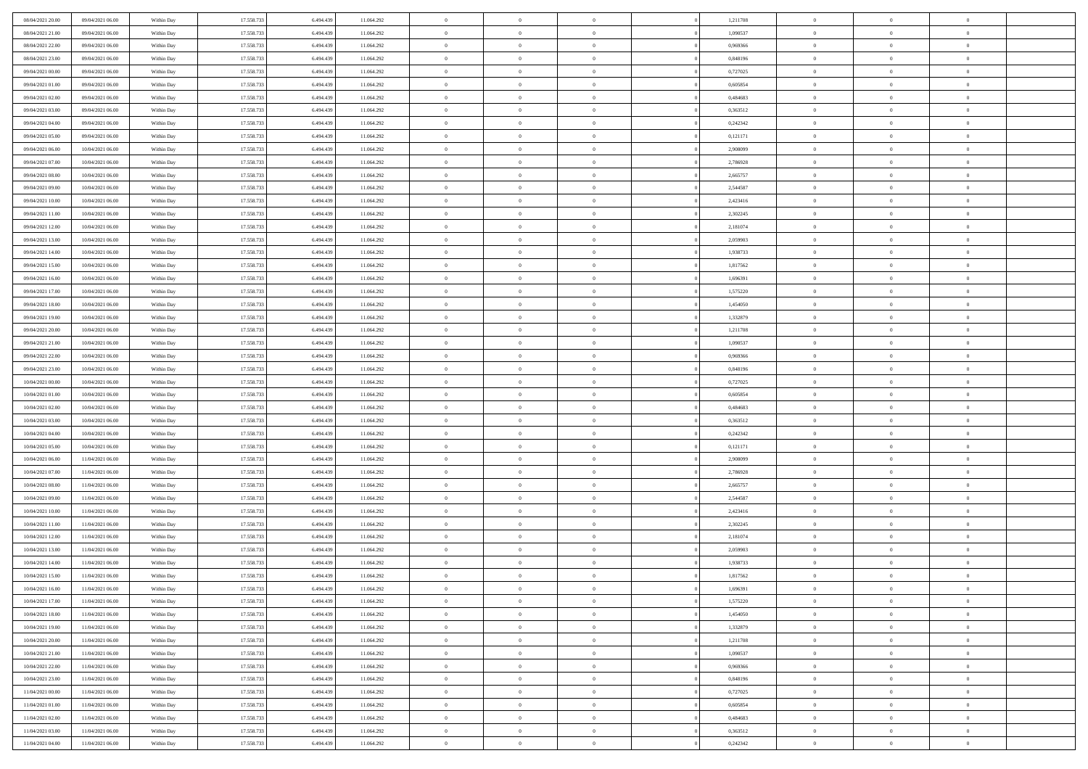| 08/04/2021 20:00                     | 09/04/2021 06:00                     | Within Day               | 17.558.733 | 6.494.439 | 11.064.292               | $\,$ 0         | $\bf{0}$       | $\theta$                         |          | 1,211708             | $\bf{0}$       | $\overline{0}$ | $\,0\,$        |  |
|--------------------------------------|--------------------------------------|--------------------------|------------|-----------|--------------------------|----------------|----------------|----------------------------------|----------|----------------------|----------------|----------------|----------------|--|
| 08/04/2021 21:00                     | 09/04/2021 06:00                     | Within Day               | 17.558.733 | 6,494,439 | 11.064.292               | $\overline{0}$ | $\overline{0}$ | $\overline{0}$                   |          | 1,090537             | $\overline{0}$ | $\overline{0}$ | $\theta$       |  |
| 08/04/2021 22:00                     | 09/04/2021 06:00                     | Within Dav               | 17.558.733 | 6.494.439 | 11.064.292               | $\mathbf{0}$   | $\overline{0}$ | $\overline{0}$                   |          | 0,969366             | $\mathbf{0}$   | $\overline{0}$ | $\overline{0}$ |  |
| 08/04/2021 23:00                     | 09/04/2021 06:00                     | Within Day               | 17.558.733 | 6.494.439 | 11.064.292               | $\bf{0}$       | $\overline{0}$ | $\bf{0}$                         |          | 0,848196             | $\bf{0}$       | $\overline{0}$ | $\bf{0}$       |  |
| 09/04/2021 00:00                     | 09/04/2021 06:00                     | Within Day               | 17.558.733 | 6,494,439 | 11.064.292               | $\bf{0}$       | $\bf{0}$       | $\overline{0}$                   |          | 0,727025             | $\bf{0}$       | $\bf{0}$       | $\,0\,$        |  |
| 09/04/2021 01:00                     | 09/04/2021 06:00                     | Within Dav               | 17.558.733 | 6.494.439 | 11.064.292               | $\mathbf{0}$   | $\overline{0}$ | $\overline{0}$                   |          | 0,605854             | $\mathbf{0}$   | $\overline{0}$ | $\overline{0}$ |  |
| 09/04/2021 02:00                     | 09/04/2021 06:00                     | Within Day               | 17.558.733 | 6.494.439 | 11.064.292               | $\bf{0}$       | $\bf{0}$       | $\overline{0}$                   |          | 0,484683             | $\bf{0}$       | $\overline{0}$ | $\,0\,$        |  |
| 09/04/2021 03:00                     | 09/04/2021 06:00                     | Within Day               | 17.558.733 | 6,494,439 | 11.064.292               | $\overline{0}$ | $\overline{0}$ | $\overline{0}$                   |          | 0,363512             | $\,$ 0 $\,$    | $\overline{0}$ | $\theta$       |  |
| 09/04/2021 04:00                     | 09/04/2021 06:00                     | Within Day               | 17.558.733 | 6.494.439 | 11.064.292               | $\mathbf{0}$   | $\overline{0}$ | $\overline{0}$                   |          | 0,242342             | $\mathbf{0}$   | $\overline{0}$ | $\overline{0}$ |  |
| 09/04/2021 05:00                     | 09/04/2021 06:00                     | Within Day               | 17.558.733 | 6.494.439 | 11.064.292               | $\bf{0}$       | $\bf{0}$       | $\theta$                         |          | 0,121171             | $\bf{0}$       | $\overline{0}$ | $\,0\,$        |  |
| 09/04/2021 06:00                     | 10/04/2021 06:00                     | Within Day               | 17.558.733 | 6,494,439 | 11.064.292               | $\overline{0}$ | $\overline{0}$ | $\overline{0}$                   |          | 2.908099             | $\bf{0}$       | $\overline{0}$ | $\theta$       |  |
| 09/04/2021 07:00                     | 10/04/2021 06:00                     | Within Dav               | 17.558.733 | 6.494.439 | 11.064.292               | $\mathbf{0}$   | $\overline{0}$ | $\overline{0}$                   |          | 2,786928             | $\mathbf{0}$   | $\overline{0}$ | $\overline{0}$ |  |
| 09/04/2021 08:00                     | 10/04/2021 06:00                     | Within Day               | 17.558.733 | 6.494.439 | 11.064.292               | $\bf{0}$       | $\overline{0}$ | $\bf{0}$                         |          | 2,665757             | $\bf{0}$       | $\overline{0}$ | $\overline{0}$ |  |
| 09/04/2021 09:00                     | 10/04/2021 06:00                     | Within Day               | 17.558.733 | 6,494,439 | 11.064.292               | $\bf{0}$       | $\overline{0}$ | $\overline{0}$                   |          | 2,544587             | $\bf{0}$       | $\theta$       | $\,0\,$        |  |
| 09/04/2021 10:00                     | 10/04/2021 06:00                     | Within Dav               | 17.558.733 | 6.494.439 | 11.064.292               | $\mathbf{0}$   | $\overline{0}$ | $\overline{0}$                   |          | 2,423416             | $\mathbf{0}$   | $\overline{0}$ | $\overline{0}$ |  |
| 09/04/2021 11:00                     | 10/04/2021 06:00                     | Within Day               | 17.558.733 | 6.494.439 | 11.064.292               | $\bf{0}$       | $\overline{0}$ | $\overline{0}$                   |          | 2,302245             | $\bf{0}$       | $\overline{0}$ | $\,0\,$        |  |
|                                      |                                      |                          | 17.558.733 | 6,494,439 |                          | $\overline{0}$ | $\overline{0}$ | $\overline{0}$                   |          |                      | $\,$ 0 $\,$    | $\overline{0}$ | $\theta$       |  |
| 09/04/2021 12:00<br>09/04/2021 13:00 | 10/04/2021 06:00<br>10/04/2021 06:00 | Within Day<br>Within Day | 17.558.733 | 6.494.439 | 11.064.292<br>11.064.292 | $\mathbf{0}$   | $\overline{0}$ |                                  |          | 2,181074<br>2,059903 | $\mathbf{0}$   | $\overline{0}$ | $\overline{0}$ |  |
|                                      |                                      |                          | 17.558.733 |           |                          | $\bf{0}$       |                | $\overline{0}$<br>$\overline{0}$ |          |                      | $\bf{0}$       | $\overline{0}$ | $\,0\,$        |  |
| 09/04/2021 14:00                     | 10/04/2021 06:00                     | Within Day               |            | 6.494.439 | 11.064.292               |                | $\overline{0}$ |                                  |          | 1,938733             |                | $\overline{0}$ |                |  |
| 09/04/2021 15:00                     | 10/04/2021 06:00                     | Within Day               | 17.558.733 | 6,494,439 | 11.064.292               | $\bf{0}$       | $\overline{0}$ | $\overline{0}$                   |          | 1,817562             | $\bf{0}$       |                | $\overline{0}$ |  |
| 09/04/2021 16:00                     | 10/04/2021 06:00                     | Within Dav               | 17.558.733 | 6.494.439 | 11.064.292               | $\mathbf{0}$   | $\overline{0}$ | $\overline{0}$                   |          | 1,696391             | $\mathbf{0}$   | $\overline{0}$ | $\overline{0}$ |  |
| 09/04/2021 17.00                     | 10/04/2021 06:00                     | Within Day               | 17.558.733 | 6.494.439 | 11.064.292               | $\bf{0}$       | $\overline{0}$ | $\bf{0}$                         |          | 1,575220             | $\bf{0}$       | $\overline{0}$ | $\bf{0}$       |  |
| 09/04/2021 18:00                     | 10/04/2021 06:00                     | Within Day               | 17.558.733 | 6,494,439 | 11.064.292               | $\bf{0}$       | $\overline{0}$ | $\overline{0}$                   |          | 1,454050             | $\bf{0}$       | $\overline{0}$ | $\,0\,$        |  |
| 09/04/2021 19:00                     | 10/04/2021 06:00                     | Within Dav               | 17.558.733 | 6.494.439 | 11.064.292               | $\mathbf{0}$   | $\overline{0}$ | $\overline{0}$                   |          | 1,332879             | $\mathbf{0}$   | $\overline{0}$ | $\overline{0}$ |  |
| 09/04/2021 20:00                     | 10/04/2021 06:00                     | Within Day               | 17.558.733 | 6.494.439 | 11.064.292               | $\bf{0}$       | $\overline{0}$ | $\overline{0}$                   |          | 1,211708             | $\bf{0}$       | $\overline{0}$ | $\,0\,$        |  |
| 09/04/2021 21:00                     | 10/04/2021 06:00                     | Within Day               | 17.558.733 | 6,494,439 | 11.064.292               | $\overline{0}$ | $\overline{0}$ | $\overline{0}$                   |          | 1,090537             | $\bf{0}$       | $\overline{0}$ | $\overline{0}$ |  |
| 09/04/2021 22:00                     | 10/04/2021 06:00                     | Within Day               | 17.558.733 | 6.494.439 | 11.064.292               | $\mathbf{0}$   | $\overline{0}$ | $\overline{0}$                   |          | 0,969366             | $\mathbf{0}$   | $\overline{0}$ | $\overline{0}$ |  |
| 09/04/2021 23.00                     | 10/04/2021 06:00                     | Within Day               | 17.558.733 | 6.494.439 | 11.064.292               | $\bf{0}$       | $\overline{0}$ | $\overline{0}$                   |          | 0,848196             | $\bf{0}$       | $\overline{0}$ | $\,0\,$        |  |
| 10/04/2021 00:00                     | 10/04/2021 06:00                     | Within Day               | 17.558.733 | 6,494,439 | 11.064.292               | $\bf{0}$       | $\overline{0}$ | $\overline{0}$                   |          | 0,727025             | $\bf{0}$       | $\overline{0}$ | $\overline{0}$ |  |
| 10/04/2021 01:00                     | 10/04/2021 06:00                     | Within Dav               | 17.558.733 | 6.494.439 | 11.064.292               | $\mathbf{0}$   | $\overline{0}$ | $\overline{0}$                   |          | 0,605854             | $\mathbf{0}$   | $\overline{0}$ | $\overline{0}$ |  |
| 10/04/2021 02:00                     | 10/04/2021 06:00                     | Within Day               | 17.558.733 | 6.494.439 | 11.064.292               | $\bf{0}$       | $\overline{0}$ | $\theta$                         |          | 0,484683             | $\,$ 0         | $\overline{0}$ | $\theta$       |  |
| 10/04/2021 03:00                     | 10/04/2021 06:00                     | Within Day               | 17.558.733 | 6.494.439 | 11.064.292               | $\bf{0}$       | $\overline{0}$ | $\overline{0}$                   |          | 0,363512             | $\bf{0}$       | $\mathbf{0}$   | $\overline{0}$ |  |
| 10/04/2021 04:00                     | 10/04/2021 06:00                     | Within Dav               | 17.558.733 | 6.494.439 | 11.064.292               | $\mathbf{0}$   | $\overline{0}$ | $\overline{0}$                   |          | 0,242342             | $\mathbf{0}$   | $\overline{0}$ | $\overline{0}$ |  |
| 10/04/2021 05:00                     | 10/04/2021 06:00                     | Within Day               | 17.558.733 | 6.494.439 | 11.064.292               | $\bf{0}$       | $\overline{0}$ | $\theta$                         |          | 0,121171             | $\,$ 0         | $\overline{0}$ | $\theta$       |  |
| 10/04/2021 06:00                     | 11/04/2021 06:00                     | Within Day               | 17.558.733 | 6,494,439 | 11.064.292               | $\overline{0}$ | $\overline{0}$ | $\overline{0}$                   |          | 2,908099             | $\bf{0}$       | $\overline{0}$ | $\overline{0}$ |  |
| 10/04/2021 07:00                     | 11/04/2021 06:00                     | Within Day               | 17.558.733 | 6.494.439 | 11.064.292               | $\mathbf{0}$   | $\overline{0}$ | $\overline{0}$                   |          | 2,786928             | $\mathbf{0}$   | $\overline{0}$ | $\overline{0}$ |  |
| 10/04/2021 08:00                     | 11/04/2021 06:00                     | Within Day               | 17.558.733 | 6.494.439 | 11.064.292               | $\bf{0}$       | $\overline{0}$ | $\theta$                         |          | 2,665757             | $\,$ 0         | $\overline{0}$ | $\theta$       |  |
| 10/04/2021 09:00                     | 11/04/2021 06:00                     | Within Day               | 17.558.733 | 6,494,439 | 11.064.292               | $\bf{0}$       | $\overline{0}$ | $\overline{0}$                   |          | 2,544587             | $\bf{0}$       | $\mathbf{0}$   | $\overline{0}$ |  |
| 10/04/2021 10:00                     | 11/04/2021 06:00                     | Within Dav               | 17.558.733 | 6.494.439 | 11.064.292               | $\mathbf{0}$   | $\overline{0}$ | $\overline{0}$                   |          | 2,423416             | $\mathbf{0}$   | $\overline{0}$ | $\overline{0}$ |  |
| 10/04/2021 11:00                     | 11/04/2021 06:00                     | Within Day               | 17.558.733 | 6.494.439 | 11.064.292               | $\,0\,$        | $\overline{0}$ | $\theta$                         |          | 2,302245             | $\,$ 0         | $\overline{0}$ | $\theta$       |  |
| 10/04/2021 12:00                     | 11/04/2021 06:00                     | Within Day               | 17.558.733 | 6.494.439 | 11.064.292               | $\bf{0}$       | $\overline{0}$ | $\overline{0}$                   |          | 2,181074             | $\bf{0}$       | $\overline{0}$ | $\overline{0}$ |  |
| 10/04/2021 13:00                     | 11/04/2021 06:00                     | Within Dav               | 17.558.733 | 6.494.439 | 11.064.292               | $\mathbf{0}$   | $\overline{0}$ | $\overline{0}$                   |          | 2,059903             | $\mathbf{0}$   | $\overline{0}$ | $\overline{0}$ |  |
| 10/04/2021 14:00                     | 11/04/2021 06:00                     | Within Day               | 17.558.733 | 6.494.439 | 11.064.292               | $\bf{0}$       | $\overline{0}$ | $\theta$                         |          | 1,938733             | $\,$ 0         | $\overline{0}$ | $\theta$       |  |
| 10/04/2021 15:00                     | 11/04/2021 06:00                     | Within Day               | 17.558.733 | 6.494.439 | 11.064.292               | $\bf{0}$       | $\overline{0}$ | $\overline{0}$                   |          | 1,817562             | $\,$ 0 $\,$    | $\overline{0}$ | $\overline{0}$ |  |
| 10/04/2021 16:00                     | 11/04/2021 06:00                     | Within Day               | 17.558.733 | 6.494.439 | 11.064.292               | $\bf{0}$       | $\overline{0}$ |                                  |          | 1,696391             | $\overline{0}$ | $\theta$       | $\theta$       |  |
| 10/04/2021 17:00                     | 11/04/2021 06:00                     | Within Day               | 17.558.733 | 6.494.439 | 11.064.292               | $\,0\,$        | $\overline{0}$ | $\theta$                         |          | 1,575220             | $\,$ 0 $\,$    | $\bf{0}$       | $\theta$       |  |
| 10/04/2021 18:00                     | 11/04/2021 06:00                     | Within Day               | 17.558.733 | 6.494.439 | 11.064.292               | $\overline{0}$ | $\overline{0}$ | $\overline{0}$                   |          | 1,454050             | $\overline{0}$ | $\overline{0}$ | $\overline{0}$ |  |
| 10/04/2021 19:00                     | 11/04/2021 06:00                     | Within Day               | 17.558.733 | 6.494.439 | 11.064.292               | $\bf{0}$       | $\overline{0}$ | $\overline{0}$                   |          | 1,332879             | $\overline{0}$ | $\bf{0}$       | $\mathbf{0}$   |  |
| 10/04/2021 20:00                     | 11/04/2021 06:00                     | Within Day               | 17.558.733 | 6.494.439 | 11.064.292               | $\bf{0}$       | $\overline{0}$ | $\overline{0}$                   | $\theta$ | 1,211708             | $\,$ 0 $\,$    | $\bf{0}$       | $\,$ 0 $\,$    |  |
| 10/04/2021 21:00                     | 11/04/2021 06:00                     | Within Day               | 17.558.733 | 6,494,439 | 11.064.292               | $\,$ 0 $\,$    | $\overline{0}$ | $\overline{0}$                   |          | 1,090537             | $\,$ 0 $\,$    | $\overline{0}$ | $\overline{0}$ |  |
| 10/04/2021 22:00                     | 11/04/2021 06:00                     | Within Day               | 17.558.733 | 6.494.439 | 11.064.292               | $\bf{0}$       | $\overline{0}$ | $\overline{0}$                   |          | 0,969366             | $\mathbf{0}$   | $\overline{0}$ | $\overline{0}$ |  |
| 10/04/2021 23:00                     | 11/04/2021 06:00                     | Within Day               | 17.558.733 | 6.494.439 | 11.064.292               | $\,0\,$        | $\overline{0}$ | $\overline{0}$                   | $\theta$ | 0,848196             | $\,$ 0 $\,$    | $\overline{0}$ | $\,$ 0 $\,$    |  |
| 11/04/2021 00:00                     | 11/04/2021 06:00                     | Within Day               | 17.558.733 | 6.494.439 | 11.064.292               | $\bf{0}$       | $\overline{0}$ | $\overline{0}$                   |          | 0,727025             | $\overline{0}$ | $\overline{0}$ | $\overline{0}$ |  |
| 11/04/2021 01:00                     | 11/04/2021 06:00                     | Within Day               | 17.558.733 | 6.494.439 | 11.064.292               | $\bf{0}$       | $\overline{0}$ | $\overline{0}$                   |          | 0,605854             | $\mathbf{0}$   | $\overline{0}$ | $\overline{0}$ |  |
| 11/04/2021 02:00                     | 11/04/2021 06:00                     | Within Day               | 17.558.733 | 6.494.439 | 11.064.292               | $\,0\,$        | $\overline{0}$ | $\overline{0}$                   |          | 0,484683             | $\mathbf{0}$   | $\mathbf{0}$   | $\,$ 0 $\,$    |  |
| 11/04/2021 03:00                     | 11/04/2021 06:00                     | Within Day               | 17.558.733 | 6.494.439 | 11.064.292               | $\bf{0}$       | $\overline{0}$ | $\overline{0}$                   |          | 0,363512             | $\mathbf 0$    | $\mathbf{0}$   | $\overline{0}$ |  |
| 11/04/2021 04:00                     | 11/04/2021 06:00                     | Within Day               | 17.558.733 | 6.494.439 | 11.064.292               | $\bf{0}$       | $\overline{0}$ | $\overline{0}$                   |          | 0,242342             | $\mathbf{0}$   | $\overline{0}$ | $\overline{0}$ |  |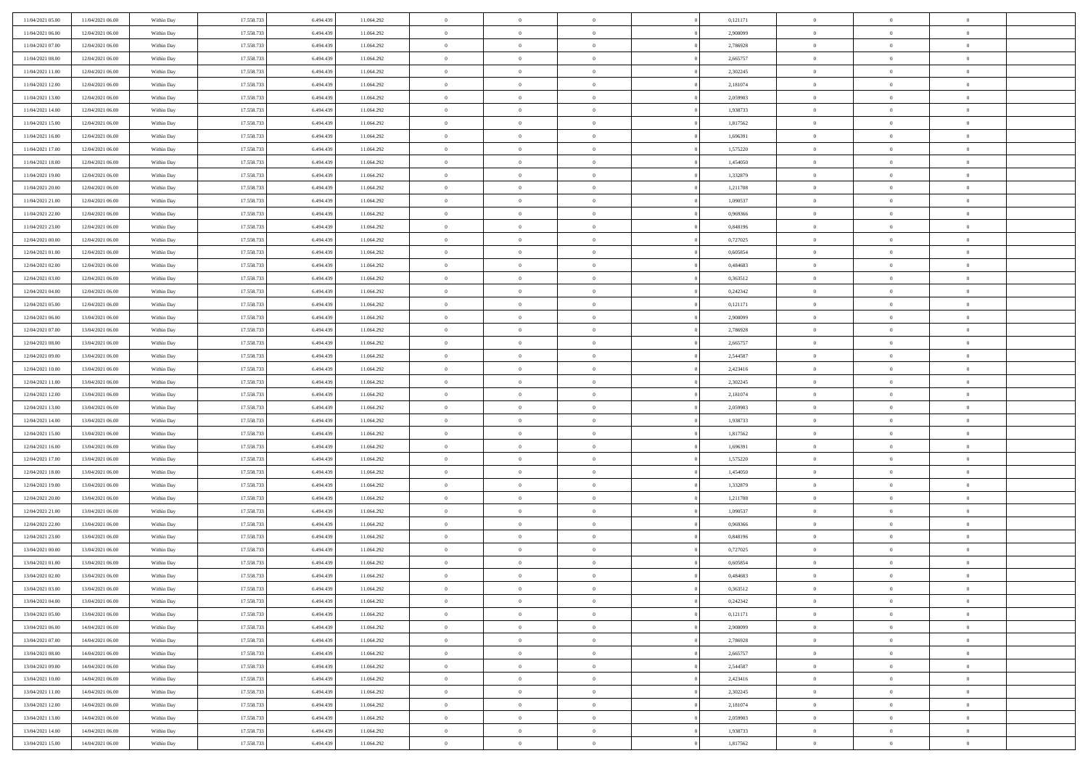| 11/04/2021 05:00                     | 11/04/2021 06:00 | Within Day | 17.558.733 | 6.494.43  | 11.064.292 | $\bf{0}$                   | $\bf{0}$                         | $\Omega$                         | 0,121171 | $\bf{0}$       | $\overline{0}$ | $\bf{0}$       |  |
|--------------------------------------|------------------|------------|------------|-----------|------------|----------------------------|----------------------------------|----------------------------------|----------|----------------|----------------|----------------|--|
| 11/04/2021 06:00                     | 12/04/2021 06:00 | Within Day | 17.558.733 | 6,494.43  | 11.064.292 | $\overline{0}$             | $\overline{0}$                   | $\Omega$                         | 2.908099 | $\overline{0}$ | $\theta$       | $\theta$       |  |
| 11/04/2021 07:00                     | 12/04/2021 06:00 | Within Day | 17.558.733 | 6.494.439 | 11.064.292 | $\overline{0}$             | $\overline{0}$                   | $\overline{0}$                   | 2,786928 | $\mathbf{0}$   | $\overline{0}$ | $\theta$       |  |
| 11/04/2021 08:00                     | 12/04/2021 06:00 | Within Day | 17.558.733 | 6.494.439 | 11.064.292 | $\bf{0}$                   | $\overline{0}$                   | $\overline{0}$                   | 2,665757 | $\mathbf{0}$   | $\overline{0}$ | $\bf{0}$       |  |
| 11/04/2021 11:00                     | 12/04/2021 06:00 | Within Day | 17.558.733 | 6.494.439 | 11.064.292 | $\bf{0}$                   | $\overline{0}$                   | $\overline{0}$                   | 2,302245 | $\bf{0}$       | $\overline{0}$ | $\bf{0}$       |  |
| 11/04/2021 12:00                     | 12/04/2021 06:00 | Within Day | 17.558.733 | 6.494.439 | 11.064.292 | $\overline{0}$             | $\overline{0}$                   | $\overline{0}$                   | 2,181074 | $\mathbf{0}$   | $\overline{0}$ | $\theta$       |  |
| 11/04/2021 13:00                     | 12/04/2021 06:00 | Within Day | 17.558.733 | 6.494.439 | 11.064.292 | $\bf{0}$                   | $\overline{0}$                   | $\overline{0}$                   | 2,059903 | $\mathbf{0}$   | $\overline{0}$ | $\bf{0}$       |  |
| 11/04/2021 14:00                     | 12/04/2021 06:00 | Within Day | 17.558.733 | 6.494.43  | 11.064.292 | $\overline{0}$             | $\overline{0}$                   | $\overline{0}$                   | 1,938733 | $\mathbf{0}$   | $\theta$       | $\theta$       |  |
| 11/04/2021 15:00                     | 12/04/2021 06:00 | Within Day | 17.558.733 | 6.494.439 | 11.064.292 | $\overline{0}$             | $\overline{0}$                   | $\overline{0}$                   | 1,817562 | $\mathbf{0}$   | $\overline{0}$ | $\theta$       |  |
| 11/04/2021 16:00                     | 12/04/2021 06:00 |            | 17.558.733 | 6.494.439 | 11.064.292 | $\bf{0}$                   | $\bf{0}$                         | $\Omega$                         | 1,696391 | $\bf{0}$       | $\overline{0}$ | $\bf{0}$       |  |
|                                      |                  | Within Day |            | 6.494.43  |            |                            |                                  |                                  |          |                | $\theta$       | $\theta$       |  |
| 11/04/2021 17:00                     | 12/04/2021 06:00 | Within Day | 17.558.733 |           | 11.064.292 | $\bf{0}$<br>$\overline{0}$ | $\overline{0}$<br>$\overline{0}$ | $\overline{0}$                   | 1,575220 | $\mathbf{0}$   |                | $\theta$       |  |
| 11/04/2021 18:00<br>11/04/2021 19:00 | 12/04/2021 06:00 | Within Day | 17.558.733 | 6.494.439 | 11.064.292 |                            |                                  | $\overline{0}$<br>$\overline{0}$ | 1,454050 | $\mathbf{0}$   | $\overline{0}$ |                |  |
|                                      | 12/04/2021 06:00 | Within Day | 17.558.733 | 6.494.439 | 11.064.292 | $\bf{0}$                   | $\overline{0}$                   |                                  | 1,332879 | $\mathbf{0}$   | $\overline{0}$ | $\bf{0}$       |  |
| 11/04/2021 20:00                     | 12/04/2021 06:00 | Within Day | 17.558.733 | 6.494.439 | 11.064.292 | $\bf{0}$                   | $\overline{0}$                   | $\overline{0}$                   | 1,211708 | $\bf{0}$       | $\theta$       | $\bf{0}$       |  |
| 11/04/2021 21:00                     | 12/04/2021 06:00 | Within Day | 17.558.733 | 6.494.439 | 11.064.292 | $\overline{0}$             | $\overline{0}$                   | $\overline{0}$                   | 1,090537 | $\overline{0}$ | $\overline{0}$ | $\theta$       |  |
| 11/04/2021 22.00                     | 12/04/2021 06:00 | Within Day | 17.558.733 | 6.494.439 | 11.064.292 | $\bf{0}$                   | $\overline{0}$                   | $\Omega$                         | 0,969366 | $\bf{0}$       | $\overline{0}$ | $\bf{0}$       |  |
| 11/04/2021 23:00                     | 12/04/2021 06:00 | Within Day | 17.558.733 | 6.494.43  | 11.064.292 | $\,$ 0 $\,$                | $\overline{0}$                   | $\overline{0}$                   | 0.848196 | $\mathbf{0}$   | $\theta$       | $\theta$       |  |
| 12/04/2021 00:00                     | 12/04/2021 06:00 | Within Day | 17.558.733 | 6.494.439 | 11.064.292 | $\overline{0}$             | $\overline{0}$                   | $\overline{0}$                   | 0,727025 | $\mathbf{0}$   | $\overline{0}$ | $\theta$       |  |
| 12/04/2021 01:00                     | 12/04/2021 06:00 | Within Day | 17.558.733 | 6.494.439 | 11.064.292 | $\bf{0}$                   | $\overline{0}$                   | $\Omega$                         | 0,605854 | $\bf{0}$       | $\overline{0}$ | $\bf{0}$       |  |
| 12/04/2021 02:00                     | 12/04/2021 06:00 | Within Day | 17.558.733 | 6.494.439 | 11.064.292 | $\bf{0}$                   | $\overline{0}$                   | $\overline{0}$                   | 0.484683 | $\mathbf{0}$   | $\theta$       | $\overline{0}$ |  |
| 12/04/2021 03:00                     | 12/04/2021 06:00 | Within Day | 17.558.733 | 6.494.439 | 11.064.292 | $\overline{0}$             | $\overline{0}$                   | $\overline{0}$                   | 0,363512 | $\mathbf{0}$   | $\overline{0}$ | $\theta$       |  |
| 12/04/2021 04:00                     | 12/04/2021 06:00 | Within Day | 17.558.733 | 6.494.439 | 11.064.292 | $\bf{0}$                   | $\overline{0}$                   | $\overline{0}$                   | 0,242342 | $\mathbf{0}$   | $\overline{0}$ | $\bf{0}$       |  |
| 12/04/2021 05:00                     | 12/04/2021 06:00 | Within Day | 17.558.733 | 6.494.439 | 11.064.292 | $\bf{0}$                   | $\overline{0}$                   | $\overline{0}$                   | 0,121171 | $\,$ 0 $\,$    | $\overline{0}$ | $\bf{0}$       |  |
| 12/04/2021 06:00                     | 13/04/2021 06:00 | Within Day | 17.558.733 | 6.494.439 | 11.064.292 | $\overline{0}$             | $\overline{0}$                   | $\overline{0}$                   | 2,908099 | $\mathbf{0}$   | $\overline{0}$ | $\theta$       |  |
| 12/04/2021 07:00                     | 13/04/2021 06:00 | Within Day | 17.558.733 | 6.494.439 | 11.064.292 | $\bf{0}$                   | $\overline{0}$                   | $\overline{0}$                   | 2,786928 | $\bf{0}$       | $\overline{0}$ | $\bf{0}$       |  |
| 12/04/2021 08:00                     | 13/04/2021 06:00 | Within Day | 17.558.733 | 6.494.43  | 11.064.292 | $\,$ 0 $\,$                | $\overline{0}$                   | $\overline{0}$                   | 2,665757 | $\mathbf{0}$   | $\overline{0}$ | $\overline{0}$ |  |
| 12/04/2021 09:00                     | 13/04/2021 06:00 | Within Day | 17.558.733 | 6.494.439 | 11.064.292 | $\overline{0}$             | $\overline{0}$                   | $\overline{0}$                   | 2,544587 | $\mathbf{0}$   | $\overline{0}$ | $\theta$       |  |
| 12/04/2021 10:00                     | 13/04/2021 06:00 | Within Day | 17.558.733 | 6.494.439 | 11.064.292 | $\bf{0}$                   | $\overline{0}$                   | $\Omega$                         | 2,423416 | $\mathbf{0}$   | $\overline{0}$ | $\bf{0}$       |  |
| 12/04/2021 11:00                     | 13/04/2021 06:00 | Within Day | 17.558.733 | 6.494.439 | 11.064.292 | $\bf{0}$                   | $\overline{0}$                   | $\overline{0}$                   | 2,302245 | $\mathbf{0}$   | $\theta$       | $\overline{0}$ |  |
| 12/04/2021 12:00                     | 13/04/2021 06:00 | Within Day | 17.558.733 | 6.494.439 | 11.064.292 | $\overline{0}$             | $\overline{0}$                   | $\overline{0}$                   | 2,181074 | $\mathbf{0}$   | $\overline{0}$ | $\theta$       |  |
| 12/04/2021 13:00                     | 13/04/2021 06:00 | Within Day | 17.558.733 | 6.494.439 | 11.064.292 | $\,$ 0                     | $\overline{0}$                   | $\overline{0}$                   | 2,059903 | $\,$ 0 $\,$    | $\overline{0}$ | $\,$ 0 $\,$    |  |
| 12/04/2021 14:00                     | 13/04/2021 06:00 | Within Day | 17.558.733 | 6.494.439 | 11.064.292 | $\bf{0}$                   | $\overline{0}$                   | $\overline{0}$                   | 1,938733 | $\bf{0}$       | $\theta$       | $\overline{0}$ |  |
| 12/04/2021 15:00                     | 13/04/2021 06:00 | Within Day | 17.558.733 | 6.494.439 | 11.064.292 | $\overline{0}$             | $\overline{0}$                   | $\overline{0}$                   | 1,817562 | $\mathbf{0}$   | $\overline{0}$ | $\theta$       |  |
| 12/04/2021 16:00                     | 13/04/2021 06:00 | Within Day | 17.558.733 | 6.494.439 | 11.064.292 | $\,$ 0                     | $\overline{0}$                   | $\theta$                         | 1,696391 | $\,$ 0         | $\overline{0}$ | $\mathbf{0}$   |  |
| 12/04/2021 17:00                     | 13/04/2021 06:00 | Within Day | 17.558.733 | 6.494.439 | 11.064.292 | $\bf{0}$                   | $\overline{0}$                   | $\overline{0}$                   | 1,575220 | $\mathbf{0}$   | $\overline{0}$ | $\overline{0}$ |  |
| 12/04/2021 18:00                     | 13/04/2021 06:00 | Within Day | 17.558.733 | 6.494.439 | 11.064.292 | $\overline{0}$             | $\overline{0}$                   | $\overline{0}$                   | 1,454050 | $\mathbf{0}$   | $\overline{0}$ | $\theta$       |  |
| 12/04/2021 19:00                     | 13/04/2021 06:00 | Within Day | 17.558.733 | 6.494.439 | 11.064.292 | $\overline{0}$             | $\overline{0}$                   | $\overline{0}$                   | 1,332879 | $\,$ 0 $\,$    | $\overline{0}$ | $\mathbf{0}$   |  |
| 12/04/2021 20:00                     | 13/04/2021 06:00 | Within Day | 17.558.733 | 6.494.43  | 11.064.292 | $\bf{0}$                   | $\overline{0}$                   | $\overline{0}$                   | 1,211708 | $\mathbf{0}$   | $\theta$       | $\overline{0}$ |  |
| 12/04/2021 21:00                     | 13/04/2021 06:00 | Within Day | 17.558.733 | 6.494.439 | 11.064.292 | $\overline{0}$             | $\overline{0}$                   | $\overline{0}$                   | 1,090537 | $\mathbf{0}$   | $\overline{0}$ | $\theta$       |  |
| 12/04/2021 22:00                     | 13/04/2021 06:00 | Within Day | 17.558.733 | 6.494.439 | 11.064.292 | $\,$ 0                     | $\overline{0}$                   | $\overline{0}$                   | 0,969366 | $\,$ 0 $\,$    | $\overline{0}$ | $\,$ 0 $\,$    |  |
| 12/04/2021 23:00                     | 13/04/2021 06:00 | Within Day | 17.558.733 | 6.494.439 | 11.064.292 | $\bf{0}$                   | $\,$ 0 $\,$                      | $\overline{0}$                   | 0,848196 | $\,$ 0 $\,$    | $\overline{0}$ | $\overline{0}$ |  |
| 13/04/2021 00:00                     | 13/04/2021 06:00 | Within Day | 17.558.733 | 6.494.439 | 11.064.292 | $\overline{0}$             | $\overline{0}$                   | $\overline{0}$                   | 0,727025 | $\mathbf{0}$   | $\overline{0}$ | $\theta$       |  |
| 13/04/2021 01:00                     | 13/04/2021 06:00 | Within Day | 17.558.733 | 6.494.439 | 11.064.292 | $\overline{0}$             | $\overline{0}$                   | $\overline{0}$                   | 0,605854 | $\overline{0}$ | $\overline{0}$ | $\mathbf{0}$   |  |
| 13/04/2021 02:00                     | 13/04/2021 06:00 | Within Day | 17.558.733 | 6.494.43  | 11.064.292 | $\bf{0}$                   | $\overline{0}$                   | $\overline{0}$                   | 0.484683 | $\mathbf{0}$   | $\overline{0}$ | $\overline{0}$ |  |
| 13/04/2021 03:00                     | 13/04/2021 06:00 | Within Day | 17.558.733 | 6.494.439 | 11.064.292 | $\overline{0}$             | $\theta$                         |                                  | 0,363512 | $\overline{0}$ | $\Omega$       | $\overline{0}$ |  |
| 13/04/2021 04:00                     | 13/04/2021 06:00 | Within Day | 17.558.733 | 6.494.439 | 11.064.292 | $\,$ 0 $\,$                | $\overline{0}$                   | $\overline{0}$                   | 0,242342 | $\,$ 0 $\,$    | $\bf{0}$       | $\mathbf{0}$   |  |
| 13/04/2021 05:00                     | 13/04/2021 06:00 | Within Day | 17.558.733 | 6.494.43  | 11.064.292 | $\mathbf{0}$               | $\overline{0}$                   | $\overline{0}$                   | 0,121171 | $\,$ 0 $\,$    | $\overline{0}$ | $\overline{0}$ |  |
| 13/04/2021 06:00                     | 14/04/2021 06:00 | Within Day | 17.558.733 | 6.494.439 | 11.064.292 | $\mathbf{0}$               | $\overline{0}$                   | $\overline{0}$                   | 2,908099 | $\mathbf{0}$   | $\bf{0}$       | $\overline{0}$ |  |
| 13/04/2021 07:00                     | 14/04/2021 06:00 | Within Day | 17.558.733 | 6.494.439 | 11.064.292 | $\,$ 0 $\,$                | $\overline{0}$                   | $\overline{0}$                   | 2,786928 | $\,$ 0 $\,$    | $\bf{0}$       | $\theta$       |  |
| 13/04/2021 08:00                     | 14/04/2021 06:00 | Within Day | 17.558.733 | 6.494.439 | 11.064.292 | $\,$ 0 $\,$                | $\,$ 0 $\,$                      | $\overline{0}$                   | 2,665757 | $\,$ 0 $\,$    | $\overline{0}$ | $\overline{0}$ |  |
| 13/04/2021 09:00                     | 14/04/2021 06:00 | Within Day | 17.558.733 | 6.494.439 | 11.064.292 | $\mathbf{0}$               | $\overline{0}$                   | $\overline{0}$                   | 2,544587 | $\mathbf{0}$   | $\bf{0}$       | $\overline{0}$ |  |
| 13/04/2021 10:00                     | 14/04/2021 06:00 | Within Day | 17.558.733 | 6.494.439 | 11.064.292 | $\,$ 0 $\,$                | $\overline{0}$                   | $\overline{0}$                   | 2,423416 | $\,$ 0 $\,$    | $\overline{0}$ | $\theta$       |  |
| 13/04/2021 11:00                     | 14/04/2021 06:00 | Within Day | 17.558.733 | 6.494.43  | 11.064.292 | $\mathbf{0}$               | $\overline{0}$                   | $\overline{0}$                   | 2,302245 | $\,$ 0 $\,$    | $\overline{0}$ | $\overline{0}$ |  |
| 13/04/2021 12:00                     | 14/04/2021 06:00 | Within Day | 17.558.733 | 6.494.439 | 11.064.292 | $\mathbf{0}$               | $\overline{0}$                   | $\overline{0}$                   | 2,181074 | $\mathbf{0}$   | $\bf{0}$       | $\overline{0}$ |  |
| 13/04/2021 13:00                     | 14/04/2021 06:00 | Within Day | 17.558.733 | 6.494.439 | 11.064.292 | $\,$ 0 $\,$                | $\overline{0}$                   | $\overline{0}$                   | 2,059903 | $\,$ 0 $\,$    | $\overline{0}$ | $\theta$       |  |
|                                      |                  | Within Day | 17.558.733 |           |            |                            |                                  |                                  |          |                | $\overline{0}$ |                |  |
| 13/04/2021 14:00                     | 14/04/2021 06:00 |            |            | 6.494.439 | 11.064.292 | $\mathbf{0}$               | $\overline{0}$                   | $\overline{0}$                   | 1,938733 | $\,$ 0 $\,$    |                | $\overline{0}$ |  |
| 13/04/2021 15:00                     | 14/04/2021 06:00 | Within Day | 17.558.733 | 6.494.439 | 11.064.292 | $\overline{0}$             | $\overline{0}$                   | $\overline{0}$                   | 1,817562 | $\mathbf{0}$   | $\mathbf{0}$   | $\overline{0}$ |  |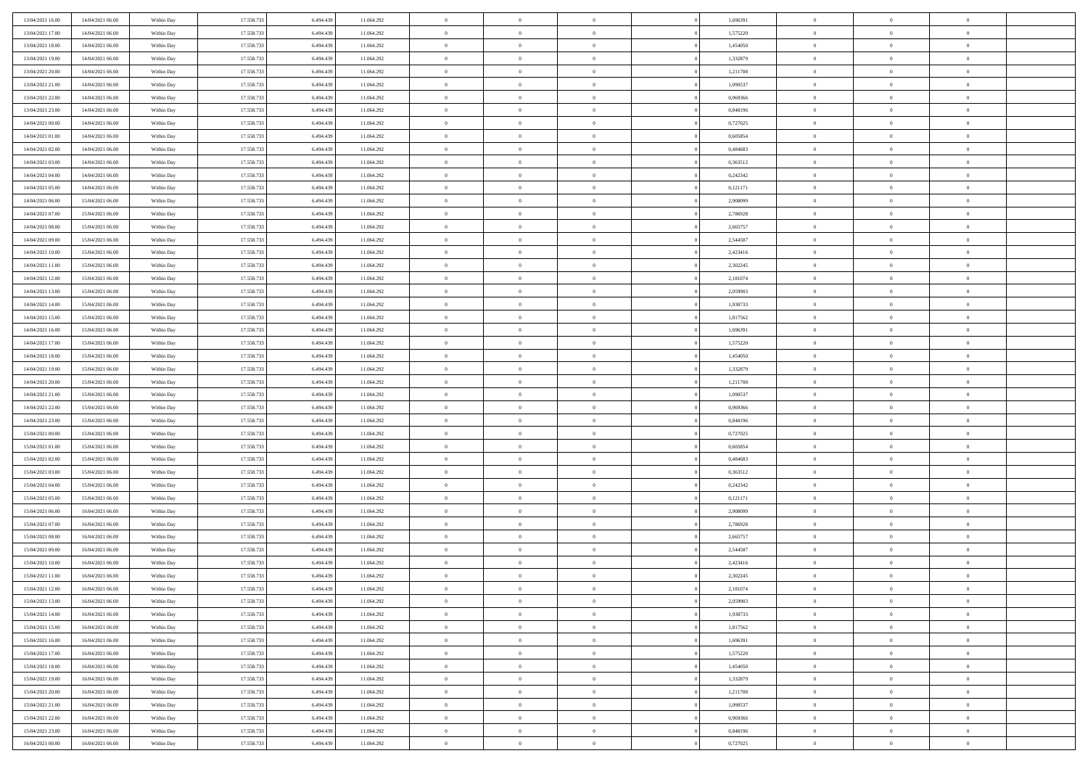| 13/04/2021 16:00                     | 14/04/2021 06:00                     | Within Day               | 17.558.733               | 6.494.439              | 11.064.292               | $\bf{0}$                   | $\overline{0}$             | $\Omega$                         | 1,696391             | $\bf{0}$                 | $\overline{0}$                   | $\overline{0}$             |  |
|--------------------------------------|--------------------------------------|--------------------------|--------------------------|------------------------|--------------------------|----------------------------|----------------------------|----------------------------------|----------------------|--------------------------|----------------------------------|----------------------------|--|
| 13/04/2021 17:00                     | 14/04/2021 06:00                     | Within Day               | 17.558.733               | 6.494.439              | 11.064.292               | $\mathbf{0}$               | $\overline{0}$             | $\overline{0}$                   | 1,575220             | $\theta$                 | $\bf{0}$                         | $\theta$                   |  |
| 13/04/2021 18:00                     | 14/04/2021 06:00                     | Within Day               | 17.558.733               | 6.494.439              | 11.064.292               | $\,$ 0                     | $\overline{0}$             | $\bf{0}$                         | 1,454050             | $\,0\,$                  | $\overline{0}$                   | $\,$ 0 $\,$                |  |
| 13/04/2021 19:00                     | 14/04/2021 06:00                     | Within Day               | 17.558.733               | 6,494,439              | 11.064.292               | $\bf{0}$                   | $\overline{0}$             | $\overline{0}$                   | 1,332879             | $\overline{0}$           | $\theta$                         | $\theta$                   |  |
| 13/04/2021 20:00                     | 14/04/2021 06:00                     | Within Dav               | 17.558.733               | 6.494.439              | 11.064.292               | $\mathbf{0}$               | $\overline{0}$             | $\overline{0}$                   | 1,211708             | $\overline{0}$           | $\bf{0}$                         | $\overline{0}$             |  |
| 13/04/2021 21:00                     | 14/04/2021 06:00                     | Within Day               | 17.558.733               | 6.494.439              | 11.064.292               | $\bf{0}$                   | $\overline{0}$             | $\bf{0}$                         | 1,090537             | $\,0\,$                  | $\overline{0}$                   | $\,$ 0 $\,$                |  |
| 13/04/2021 22:00                     | 14/04/2021 06:00                     | Within Day               | 17.558.733               | 6.494.439              | 11.064.292               | $\bf{0}$                   | $\overline{0}$             | $\overline{0}$                   | 0.969366             | $\bf{0}$                 | $\overline{0}$                   | $\theta$                   |  |
| 13/04/2021 23:00                     | 14/04/2021 06:00                     | Within Dav               | 17.558.733               | 6.494.439              | 11.064.292               | $\overline{0}$             | $\overline{0}$             | $\overline{0}$                   | 0,848196             | $\mathbf{0}$             | $\overline{0}$                   | $\theta$                   |  |
| 14/04/2021 00:00                     | 14/04/2021 06:00                     | Within Day               | 17.558.733               | 6.494.439              | 11.064.292               | $\bf{0}$                   | $\overline{0}$             | $\bf{0}$                         | 0,727025             | $\,0\,$                  | $\overline{0}$                   | $\,$ 0 $\,$                |  |
| 14/04/2021 01:00                     | 14/04/2021 06:00                     | Within Day               | 17.558.733               | 6,494,439              | 11.064.292               | $\bf{0}$                   | $\overline{0}$             | $\overline{0}$                   | 0.605854             | $\theta$                 | $\overline{0}$                   | $\overline{0}$             |  |
| 14/04/2021 02:00                     | 14/04/2021 06:00                     | Within Dav               | 17.558.733               | 6.494.439              | 11.064.292               | $\mathbf{0}$               | $\overline{0}$             | $\overline{0}$                   | 0,484683             | $\mathbf{0}$             | $\bf{0}$                         | $\theta$                   |  |
| 14/04/2021 03:00                     | 14/04/2021 06:00                     | Within Day               | 17.558.733               | 6.494.439              | 11.064.292               | $\bf{0}$                   | $\overline{0}$             | $\bf{0}$                         | 0,363512             | $\,0\,$                  | $\overline{0}$                   | $\,$ 0 $\,$                |  |
| 14/04/2021 04:00                     | 14/04/2021 06:00                     | Within Day               | 17.558.733               | 6.494.439              | 11.064.292               | $\bf{0}$                   | $\overline{0}$             | $\Omega$                         | 0,242342             | $\theta$                 | $\theta$                         | $\theta$                   |  |
| 14/04/2021 05:00                     | 14/04/2021 06:00                     | Within Dav               | 17.558.733               | 6.494.439              | 11.064.292               | $\overline{0}$             | $\overline{0}$             | $\overline{0}$                   | 0,121171             | $\mathbf{0}$             | $\overline{0}$                   | $\overline{0}$             |  |
| 14/04/2021 06:00                     | 15/04/2021 06:00                     | Within Day               | 17.558.733               | 6.494.439              | 11.064.292               | $\bf{0}$                   | $\overline{0}$             | $\bf{0}$                         | 2,908099             | $\,0\,$                  | $\overline{0}$                   | $\,$ 0 $\,$                |  |
| 14/04/2021 07:00                     | 15/04/2021 06:00                     | Within Day               | 17.558.733               | 6.494.439              | 11.064.292               | $\bf{0}$                   | $\overline{0}$             | $\overline{0}$                   | 2,786928             | $\bf{0}$                 | $\overline{0}$                   | $\bf{0}$                   |  |
| 14/04/2021 08:00                     | 15/04/2021 06:00                     | Within Dav               | 17.558.733               | 6.494.439              | 11.064.292               | $\overline{0}$             | $\overline{0}$             | $\overline{0}$                   | 2,665757             | $\mathbf{0}$             | $\overline{0}$                   | $\theta$                   |  |
| 14/04/2021 09:00                     | 15/04/2021 06:00                     | Within Day               | 17.558.733               | 6.494.439              | 11.064.292               | $\bf{0}$                   | $\overline{0}$             | $\bf{0}$                         | 2,544587             | $\,0\,$                  | $\overline{0}$                   | $\,$ 0 $\,$                |  |
| 14/04/2021 10:00                     | 15/04/2021 06:00                     | Within Day               | 17.558.733               | 6,494,439              | 11.064.292               | $\bf{0}$                   | $\overline{0}$             | $\overline{0}$                   | 2,423416             | $\theta$                 | $\theta$                         | $\overline{0}$             |  |
| 14/04/2021 11:00                     | 15/04/2021 06:00                     | Within Dav               | 17.558.733               | 6.494.439              | 11.064.292               | $\overline{0}$             | $\overline{0}$             | $\overline{0}$                   | 2,302245             | $\mathbf{0}$             | $\overline{0}$                   | $\theta$                   |  |
| 14/04/2021 12:00                     | 15/04/2021 06:00                     | Within Day               | 17.558.733               | 6.494.439              | 11.064.292               | $\bf{0}$                   | $\overline{0}$             | $\bf{0}$                         | 2,181074             | $\,0\,$                  | $\overline{0}$                   | $\,$ 0 $\,$                |  |
| 14/04/2021 13:00                     | 15/04/2021 06:00                     | Within Day               | 17.558.733               | 6.494.439              | 11.064.292               | $\bf{0}$                   | $\overline{0}$             | $\Omega$                         | 2.059903             | $\theta$                 | $\theta$                         | $\theta$                   |  |
| 14/04/2021 14:00                     | 15/04/2021 06:00                     | Within Dav               | 17.558.733               | 6.494.439              | 11.064.292               | $\overline{0}$             | $\overline{0}$             | $\overline{0}$                   | 1,938733             | $\mathbf{0}$             | $\overline{0}$                   | $\overline{0}$             |  |
| 14/04/2021 15:00                     | 15/04/2021 06:00                     | Within Day               | 17.558.733               | 6.494.439              | 11.064.292               | $\bf{0}$                   | $\overline{0}$             | $\bf{0}$                         | 1,817562             | $\,0\,$                  | $\overline{0}$                   | $\,$ 0 $\,$                |  |
| 14/04/2021 16:00                     | 15/04/2021 06:00                     | Within Day               | 17.558.733               | 6.494.439              | 11.064.292               | $\bf{0}$                   | $\overline{0}$             | $\overline{0}$                   | 1,696391             | $\bf{0}$                 | $\overline{0}$                   | $\overline{0}$             |  |
| 14/04/2021 17:00                     | 15/04/2021 06:00                     | Within Day               | 17.558.733               | 6.494.439              | 11.064.292               | $\overline{0}$             | $\overline{0}$             | $\overline{0}$                   | 1,575220             | $\mathbf{0}$             | $\overline{0}$                   | $\theta$                   |  |
| 14/04/2021 18:00                     | 15/04/2021 06:00                     | Within Day               | 17.558.733               | 6.494.439              | 11.064.292               | $\bf{0}$                   | $\overline{0}$             | $\bf{0}$                         | 1,454050             | $\,0\,$                  | $\overline{0}$                   | $\,$ 0 $\,$                |  |
| 14/04/2021 19:00                     | 15/04/2021 06:00                     | Within Day               | 17.558.733               | 6,494,439              | 11.064.292               | $\bf{0}$                   | $\overline{0}$             | $\overline{0}$                   | 1,332879             | $\theta$                 | $\theta$                         | $\overline{0}$             |  |
| 14/04/2021 20:00                     | 15/04/2021 06:00                     | Within Day               | 17.558.733               | 6.494.439              | 11.064.292               | $\overline{0}$             | $\overline{0}$             | $\overline{0}$                   | 1,211708             | $\mathbf{0}$             | $\overline{0}$                   | $\overline{0}$             |  |
| 14/04/2021 21:00                     | 15/04/2021 06:00                     | Within Day               | 17.558.733               | 6.494.439              | 11.064.292               | $\bf{0}$                   | $\overline{0}$             | $\bf{0}$                         | 1,090537             | $\,0\,$                  | $\overline{0}$                   | $\,$ 0                     |  |
| 14/04/2021 22:00                     | 15/04/2021 06:00                     | Within Day               | 17.558.733               | 6.494.439              | 11.064.292               | $\bf{0}$                   | $\bf{0}$                   | $\overline{0}$                   | 0,969366             | $\bf{0}$                 | $\overline{0}$                   | $\theta$                   |  |
| 14/04/2021 23:00                     | 15/04/2021 06:00                     | Within Day               | 17.558.733               | 6.494.439              | 11.064.292               | $\overline{0}$             | $\overline{0}$             | $\overline{0}$                   | 0,848196             | $\mathbf{0}$             | $\overline{0}$                   | $\overline{0}$             |  |
| 15/04/2021 00:00                     | 15/04/2021 06:00                     | Within Day               | 17.558.733               | 6.494.439              | 11.064.292               | $\bf{0}$                   | $\overline{0}$             | $\bf{0}$                         | 0,727025             | $\,0\,$                  | $\overline{0}$                   | $\,$ 0 $\,$                |  |
| 15/04/2021 01:00                     | 15/04/2021 06:00                     | Within Day               | 17.558.733               | 6.494.439              | 11.064.292               | $\bf{0}$                   | $\bf{0}$                   | $\bf{0}$                         | 0,605854             | $\bf{0}$                 | $\overline{0}$                   | $\bf{0}$                   |  |
| 15/04/2021 02:00                     | 15/04/2021 06:00                     | Within Day               | 17.558.733               | 6.494.439              | 11.064.292               | $\overline{0}$             | $\overline{0}$             | $\overline{0}$                   | 0,484683             | $\mathbf{0}$             | $\overline{0}$                   | $\theta$                   |  |
| 15/04/2021 03:00                     | 15/04/2021 06:00                     | Within Day               | 17.558.733               | 6.494.439              | 11.064.292               | $\bf{0}$                   | $\overline{0}$             | $\bf{0}$                         | 0,363512             | $\,0\,$                  | $\overline{0}$                   | $\bf{0}$                   |  |
| 15/04/2021 04:00<br>15/04/2021 05:00 | 15/04/2021 06:00<br>15/04/2021 06:00 | Within Day<br>Within Day | 17.558.733<br>17.558.733 | 6.494.439<br>6.494.439 | 11.064.292<br>11.064.292 | $\bf{0}$<br>$\overline{0}$ | $\bf{0}$<br>$\overline{0}$ | $\overline{0}$<br>$\overline{0}$ | 0,242342<br>0,121171 | $\bf{0}$<br>$\mathbf{0}$ | $\overline{0}$<br>$\overline{0}$ | $\theta$<br>$\overline{0}$ |  |
| 15/04/2021 06:00                     | 16/04/2021 06:00                     | Within Day               | 17.558.733               | 6.494.439              | 11.064.292               | $\bf{0}$                   | $\overline{0}$             |                                  | 2,908099             | $\,0\,$                  | $\overline{0}$                   | $\,$ 0 $\,$                |  |
|                                      |                                      |                          |                          |                        |                          | $\bf{0}$                   |                            | $\bf{0}$<br>$\overline{0}$       |                      | $\bf{0}$                 | $\overline{0}$                   | $\theta$                   |  |
| 15/04/2021 07:00<br>15/04/2021 08:00 | 16/04/2021 06:00<br>16/04/2021 06:00 | Within Day<br>Within Day | 17.558.733<br>17.558.733 | 6.494.439<br>6.494.439 | 11.064.292<br>11.064.292 | $\overline{0}$             | $\bf{0}$<br>$\overline{0}$ | $\overline{0}$                   | 2,786928<br>2,665757 | $\theta$                 | $\overline{0}$                   | $\theta$                   |  |
| 15/04/2021 09:00                     | 16/04/2021 06:00                     | Within Day               | 17.558.733               | 6.494.439              | 11.064.292               | $\bf{0}$                   | $\overline{0}$             | $\bf{0}$                         | 2,544587             | $\,0\,$                  | $\overline{0}$                   | $\,$ 0 $\,$                |  |
| 15/04/2021 10:00                     | 16/04/2021 06:00                     | Within Day               | 17.558.733               | 6.494.439              | 11.064.292               | $\bf{0}$                   | $\bf{0}$                   | $\bf{0}$                         | 2,423416             | $\bf{0}$                 | $\overline{0}$                   | $\bf{0}$                   |  |
| 15/04/2021 11:00                     | 16/04/2021 06:00                     | Within Dav               | 17.558.733               | 6.494.439              | 11.064.292               | $\mathbf{0}$               | $\overline{0}$             | $\overline{0}$                   | 2,302245             | $\theta$                 | $\overline{0}$                   | $\theta$                   |  |
| 15/04/2021 12:00                     | 16/04/2021 06:00                     | Within Day               | 17.558.733               | 6.494.439              | 11.064.292               | $\bf{0}$                   | $\overline{0}$             | $\theta$                         | 2,181074             | $\bf{0}$                 | $\overline{0}$                   | $\theta$                   |  |
| 15/04/2021 13:00                     | 16/04/2021 06:00                     | Within Day               | 17.558.733               | 6.494.439              | 11.064.292               | $\bf{0}$                   | $\bf{0}$                   | $\bf{0}$                         | 2,059903             | $\bf{0}$                 | $\overline{0}$                   | $\bf{0}$                   |  |
| 15/04/2021 14:00                     | 16/04/2021 06:00                     | Within Day               | 17.558.733               | 6.494.439              | 11.064.292               | $\overline{0}$             | $\overline{0}$             | $\overline{0}$                   | 1,938733             | $\overline{0}$           | $\overline{0}$                   | $\overline{0}$             |  |
| 15/04/2021 15:00                     | 16/04/2021 06:00                     | Within Day               | 17.558.733               | 6.494.439              | 11.064.292               | $\,$ 0 $\,$                | $\overline{0}$             | $\overline{0}$                   | 1,817562             | $\,$ 0 $\,$              | $\,$ 0 $\,$                      | $\,$ 0 $\,$                |  |
| 15/04/2021 16:00                     | 16/04/2021 06:00                     | Within Day               | 17.558.733               | 6.494.439              | 11.064.292               | $\bf{0}$                   | $\bf{0}$                   | $\overline{0}$                   | 1,696391             | $\mathbf{0}$             | $\overline{0}$                   | $\bf{0}$                   |  |
| 15/04/2021 17:00                     | 16/04/2021 06:00                     | Within Day               | 17.558.733               | 6.494.439              | 11.064.292               | $\,$ 0 $\,$                | $\overline{0}$             | $\overline{0}$                   | 1,575220             | $\mathbf{0}$             | $\bf{0}$                         | $\overline{0}$             |  |
| 15/04/2021 18:00                     | 16/04/2021 06:00                     | Within Day               | 17.558.733               | 6.494.439              | 11.064.292               | $\,$ 0 $\,$                | $\overline{0}$             | $\overline{0}$                   | 1,454050             | $\,$ 0 $\,$              | $\overline{0}$                   | $\,$ 0                     |  |
| 15/04/2021 19:00                     | 16/04/2021 06:00                     | Within Day               | 17.558.733               | 6.494.439              | 11.064.292               | $\bf{0}$                   | $\overline{0}$             | $\overline{0}$                   | 1,332879             | $\overline{0}$           | $\overline{0}$                   | $\bf{0}$                   |  |
| 15/04/2021 20:00                     | 16/04/2021 06:00                     | Within Day               | 17.558.733               | 6.494.439              | 11.064.292               | $\,$ 0 $\,$                | $\overline{0}$             | $\overline{0}$                   | 1,211708             | $\overline{0}$           | $\bf{0}$                         | $\overline{0}$             |  |
| 15/04/2021 21:00                     | 16/04/2021 06:00                     | Within Day               | 17.558.733               | 6.494.439              | 11.064.292               | $\,$ 0 $\,$                | $\overline{0}$             | $\overline{0}$                   | 1,090537             | $\,$ 0 $\,$              | $\bf{0}$                         | $\,$ 0                     |  |
| 15/04/2021 22:00                     | 16/04/2021 06:00                     | Within Day               | 17.558.733               | 6.494.439              | 11.064.292               | $\bf{0}$                   | $\bf{0}$                   | $\overline{0}$                   | 0,969366             | $\mathbf{0}$             | $\overline{0}$                   | $\bf{0}$                   |  |
| 15/04/2021 23:00                     | 16/04/2021 06:00                     | Within Day               | 17.558.733               | 6.494.439              | 11.064.292               | $\,$ 0 $\,$                | $\overline{0}$             | $\overline{0}$                   | 0,848196             | $\overline{0}$           | $\overline{0}$                   | $\overline{0}$             |  |
| 16/04/2021 00:00                     | 16/04/2021 06:00                     | Within Day               | 17.558.733               | 6.494.439              | 11.064.292               | $\,0\,$                    | $\overline{0}$             | $\overline{0}$                   | 0,727025             | $\,0\,$                  | $\overline{0}$                   | $\,$ 0 $\,$                |  |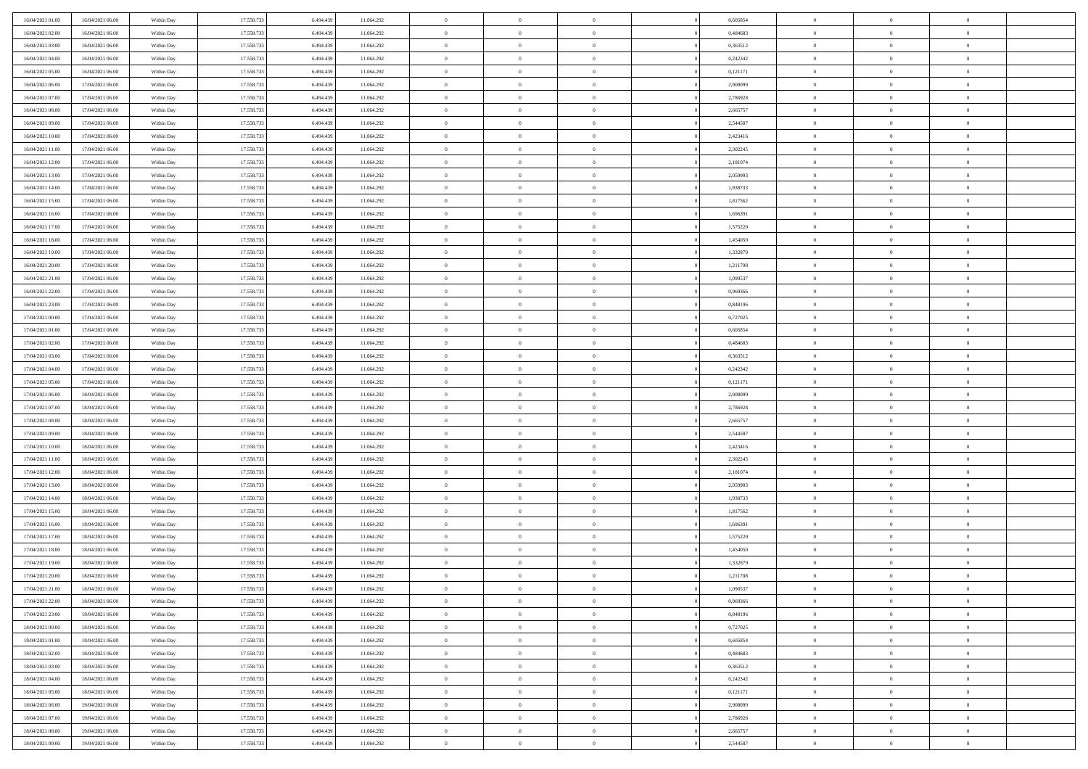| 16/04/2021 01:00 | 16/04/2021 06:00 | Within Day | 17.558.733 | 6.494.439 | 11.064.292 | $\bf{0}$       | $\overline{0}$ | $\Omega$       | 0,605854 | $\theta$       | $\overline{0}$ | $\overline{0}$ |  |
|------------------|------------------|------------|------------|-----------|------------|----------------|----------------|----------------|----------|----------------|----------------|----------------|--|
| 16/04/2021 02:00 | 16/04/2021 06:00 | Within Dav | 17.558.733 | 6.494.439 | 11.064.292 | $\mathbf{0}$   | $\overline{0}$ | $\overline{0}$ | 0,484683 | $\theta$       | $\overline{0}$ | $\theta$       |  |
| 16/04/2021 03:00 | 16/04/2021 06:00 | Within Day | 17.558.733 | 6.494.439 | 11.064.292 | $\,$ 0         | $\overline{0}$ | $\bf{0}$       | 0,363512 | $\,0\,$        | $\overline{0}$ | $\,$ 0 $\,$    |  |
| 16/04/2021 04:00 | 16/04/2021 06:00 | Within Day | 17.558.733 | 6,494,439 | 11.064.292 | $\bf{0}$       | $\overline{0}$ | $\overline{0}$ | 0,242342 | $\overline{0}$ | $\theta$       | $\theta$       |  |
| 16/04/2021 05:00 | 16/04/2021 06:00 | Within Dav | 17.558.733 | 6.494.439 | 11.064.292 | $\mathbf{0}$   | $\overline{0}$ | $\overline{0}$ | 0,121171 | $\overline{0}$ | $\overline{0}$ | $\overline{0}$ |  |
| 16/04/2021 06:00 | 17/04/2021 06:00 | Within Day | 17.558.733 | 6.494.439 | 11.064.292 | $\bf{0}$       | $\overline{0}$ | $\bf{0}$       | 2,908099 | $\,0\,$        | $\overline{0}$ | $\,$ 0 $\,$    |  |
| 16/04/2021 07:00 | 17/04/2021 06:00 | Within Day | 17.558.733 | 6.494.439 | 11.064.292 | $\bf{0}$       | $\overline{0}$ | $\overline{0}$ | 2,786928 | $\bf{0}$       | $\overline{0}$ | $\theta$       |  |
| 16/04/2021 08:00 | 17/04/2021 06:00 | Within Dav | 17.558.733 | 6.494.439 | 11.064.292 | $\overline{0}$ | $\overline{0}$ | $\overline{0}$ | 2,665757 | $\mathbf{0}$   | $\overline{0}$ | $\theta$       |  |
| 16/04/2021 09:00 | 17/04/2021 06:00 | Within Day | 17.558.733 | 6.494.439 | 11.064.292 | $\bf{0}$       | $\overline{0}$ | $\bf{0}$       | 2,544587 | $\,0\,$        | $\overline{0}$ | $\,$ 0 $\,$    |  |
| 16/04/2021 10:00 | 17/04/2021 06:00 | Within Day | 17.558.733 | 6,494,439 | 11.064.292 | $\bf{0}$       | $\overline{0}$ | $\overline{0}$ | 2,423416 | $\theta$       | $\overline{0}$ | $\overline{0}$ |  |
| 16/04/2021 11:00 | 17/04/2021 06:00 | Within Dav | 17.558.733 | 6.494.439 | 11.064.292 | $\overline{0}$ | $\overline{0}$ | $\overline{0}$ | 2,302245 | $\mathbf{0}$   | $\overline{0}$ | $\theta$       |  |
| 16/04/2021 12:00 | 17/04/2021 06:00 | Within Day | 17.558.733 | 6.494.439 | 11.064.292 | $\bf{0}$       | $\overline{0}$ | $\bf{0}$       | 2,181074 | $\,0\,$        | $\overline{0}$ | $\,$ 0 $\,$    |  |
| 16/04/2021 13:00 | 17/04/2021 06:00 | Within Day | 17.558.733 | 6.494.439 | 11.064.292 | $\bf{0}$       | $\overline{0}$ | $\Omega$       | 2.059903 | $\theta$       | $\theta$       | $\theta$       |  |
| 16/04/2021 14:00 | 17/04/2021 06:00 | Within Dav | 17.558.733 | 6.494.439 | 11.064.292 | $\overline{0}$ | $\overline{0}$ | $\overline{0}$ | 1,938733 | $\mathbf{0}$   | $\overline{0}$ | $\overline{0}$ |  |
| 16/04/2021 15:00 | 17/04/2021 06:00 | Within Day | 17.558.733 | 6.494.439 | 11.064.292 | $\bf{0}$       | $\overline{0}$ | $\bf{0}$       | 1,817562 | $\,0\,$        | $\overline{0}$ | $\,$ 0 $\,$    |  |
| 16/04/2021 16:00 | 17/04/2021 06:00 | Within Day | 17.558.733 | 6.494.439 | 11.064.292 | $\bf{0}$       | $\overline{0}$ | $\overline{0}$ | 1,696391 | $\bf{0}$       | $\overline{0}$ | $\overline{0}$ |  |
| 16/04/2021 17:00 | 17/04/2021 06:00 | Within Dav | 17.558.733 | 6.494.439 | 11.064.292 | $\overline{0}$ | $\overline{0}$ | $\overline{0}$ | 1,575220 | $\mathbf{0}$   | $\overline{0}$ | $\theta$       |  |
| 16/04/2021 18:00 | 17/04/2021 06:00 | Within Day | 17.558.733 | 6.494.439 | 11.064.292 | $\bf{0}$       | $\overline{0}$ | $\bf{0}$       | 1,454050 | $\,0\,$        | $\overline{0}$ | $\,$ 0 $\,$    |  |
| 16/04/2021 19:00 | 17/04/2021 06:00 | Within Day | 17.558.733 | 6,494,439 | 11.064.292 | $\bf{0}$       | $\overline{0}$ | $\overline{0}$ | 1,332879 | $\theta$       | $\theta$       | $\overline{0}$ |  |
| 16/04/2021 20:00 | 17/04/2021 06:00 | Within Dav | 17.558.733 | 6.494.439 | 11.064.292 | $\overline{0}$ | $\overline{0}$ | $\overline{0}$ | 1,211708 | $\mathbf{0}$   | $\overline{0}$ | $\theta$       |  |
| 16/04/2021 21:00 | 17/04/2021 06:00 | Within Day | 17.558.733 | 6.494.439 | 11.064.292 | $\bf{0}$       | $\overline{0}$ | $\bf{0}$       | 1,090537 | $\,0\,$        | $\overline{0}$ | $\,$ 0 $\,$    |  |
| 16/04/2021 22:00 | 17/04/2021 06:00 | Within Day | 17.558.733 | 6,494,439 | 11.064.292 | $\bf{0}$       | $\overline{0}$ | $\Omega$       | 0.969366 | $\overline{0}$ | $\theta$       | $\theta$       |  |
| 16/04/2021 23:00 | 17/04/2021 06:00 | Within Dav | 17.558.733 | 6.494.439 | 11.064.292 | $\overline{0}$ | $\overline{0}$ | $\overline{0}$ | 0,848196 | $\mathbf{0}$   | $\overline{0}$ | $\overline{0}$ |  |
| 17/04/2021 00:00 | 17/04/2021 06:00 | Within Day | 17.558.733 | 6.494.439 | 11.064.292 | $\bf{0}$       | $\overline{0}$ | $\bf{0}$       | 0,727025 | $\,0\,$        | $\overline{0}$ | $\,$ 0 $\,$    |  |
| 17/04/2021 01:00 | 17/04/2021 06:00 | Within Day | 17.558.733 | 6.494.439 | 11.064.292 | $\bf{0}$       | $\overline{0}$ | $\overline{0}$ | 0.605854 | $\bf{0}$       | $\overline{0}$ | $\overline{0}$ |  |
| 17/04/2021 02:00 | 17/04/2021 06:00 | Within Dav | 17.558.733 | 6.494.439 | 11.064.292 | $\overline{0}$ | $\overline{0}$ | $\overline{0}$ | 0,484683 | $\mathbf{0}$   | $\overline{0}$ | $\theta$       |  |
| 17/04/2021 03:00 | 17/04/2021 06:00 | Within Day | 17.558.733 | 6.494.439 | 11.064.292 | $\bf{0}$       | $\overline{0}$ | $\bf{0}$       | 0,363512 | $\,0\,$        | $\overline{0}$ | $\,$ 0 $\,$    |  |
| 17/04/2021 04:00 | 17/04/2021 06:00 | Within Day | 17.558.733 | 6,494,439 | 11.064.292 | $\bf{0}$       | $\overline{0}$ | $\overline{0}$ | 0,242342 | $\theta$       | $\theta$       | $\overline{0}$ |  |
| 17/04/2021 05:00 | 17/04/2021 06:00 | Within Dav | 17.558.733 | 6.494.439 | 11.064.292 | $\overline{0}$ | $\overline{0}$ | $\overline{0}$ | 0,121171 | $\mathbf{0}$   | $\overline{0}$ | $\overline{0}$ |  |
| 17/04/2021 06:00 | 18/04/2021 06:00 | Within Day | 17.558.733 | 6.494.439 | 11.064.292 | $\bf{0}$       | $\overline{0}$ | $\bf{0}$       | 2,908099 | $\,0\,$        | $\overline{0}$ | $\,$ 0 $\,$    |  |
| 17/04/2021 07:00 | 18/04/2021 06:00 | Within Day | 17.558.733 | 6.494.439 | 11.064.292 | $\bf{0}$       | $\bf{0}$       | $\overline{0}$ | 2,786928 | $\bf{0}$       | $\overline{0}$ | $\theta$       |  |
| 17/04/2021 08:00 | 18/04/2021 06:00 | Within Dav | 17.558.733 | 6.494.439 | 11.064.292 | $\overline{0}$ | $\overline{0}$ | $\overline{0}$ | 2,665757 | $\mathbf{0}$   | $\overline{0}$ | $\overline{0}$ |  |
| 17/04/2021 09:00 | 18/04/2021 06:00 | Within Day | 17.558.733 | 6.494.439 | 11.064.292 | $\bf{0}$       | $\overline{0}$ | $\bf{0}$       | 2,544587 | $\,0\,$        | $\overline{0}$ | $\,$ 0 $\,$    |  |
| 17/04/2021 10:00 | 18/04/2021 06:00 | Within Day | 17.558.733 | 6.494.439 | 11.064.292 | $\bf{0}$       | $\bf{0}$       | $\bf{0}$       | 2,423416 | $\bf{0}$       | $\overline{0}$ | $\bf{0}$       |  |
| 17/04/2021 11:00 | 18/04/2021 06:00 | Within Dav | 17.558.733 | 6.494.439 | 11.064.292 | $\overline{0}$ | $\overline{0}$ | $\overline{0}$ | 2,302245 | $\mathbf{0}$   | $\overline{0}$ | $\theta$       |  |
| 17/04/2021 12:00 | 18/04/2021 06:00 | Within Day | 17.558.733 | 6.494.439 | 11.064.292 | $\bf{0}$       | $\overline{0}$ | $\bf{0}$       | 2,181074 | $\,0\,$        | $\overline{0}$ | $\bf{0}$       |  |
| 17/04/2021 13:00 | 18/04/2021 06:00 | Within Day | 17.558.733 | 6.494.439 | 11.064.292 | $\bf{0}$       | $\bf{0}$       | $\overline{0}$ | 2,059903 | $\bf{0}$       | $\overline{0}$ | $\theta$       |  |
| 17/04/2021 14:00 | 18/04/2021 06:00 | Within Dav | 17.558.733 | 6.494.439 | 11.064.292 | $\overline{0}$ | $\overline{0}$ | $\overline{0}$ | 1,938733 | $\mathbf{0}$   | $\overline{0}$ | $\overline{0}$ |  |
| 17/04/2021 15:00 | 18/04/2021 06:00 | Within Day | 17.558.733 | 6.494.439 | 11.064.292 | $\bf{0}$       | $\overline{0}$ | $\bf{0}$       | 1,817562 | $\,0\,$        | $\overline{0}$ | $\,$ 0 $\,$    |  |
| 17/04/2021 16:00 | 18/04/2021 06:00 | Within Day | 17.558.733 | 6.494.439 | 11.064.292 | $\bf{0}$       | $\bf{0}$       | $\overline{0}$ | 1,696391 | $\bf{0}$       | $\overline{0}$ | $\theta$       |  |
| 17/04/2021 17:00 | 18/04/2021 06:00 | Within Dav | 17.558.733 | 6.494.439 | 11.064.292 | $\overline{0}$ | $\overline{0}$ | $\overline{0}$ | 1,575220 | $\theta$       | $\overline{0}$ | $\theta$       |  |
| 17/04/2021 18:00 | 18/04/2021 06:00 | Within Day | 17.558.733 | 6.494.439 | 11.064.292 | $\bf{0}$       | $\overline{0}$ | $\bf{0}$       | 1,454050 | $\,0\,$        | $\overline{0}$ | $\theta$       |  |
| 17/04/2021 19:00 | 18/04/2021 06:00 | Within Day | 17.558.733 | 6.494.439 | 11.064.292 | $\bf{0}$       | $\bf{0}$       | $\bf{0}$       | 1,332879 | $\bf{0}$       | $\overline{0}$ | $\bf{0}$       |  |
| 17/04/2021 20:00 | 18/04/2021 06:00 | Within Dav | 17.558.733 | 6.494.439 | 11.064.292 | $\mathbf{0}$   | $\overline{0}$ | $\overline{0}$ | 1,211708 | $\theta$       | $\overline{0}$ | $\theta$       |  |
| 17/04/2021 21:00 | 18/04/2021 06:00 | Within Day | 17.558.733 | 6.494.439 | 11.064.292 | $\bf{0}$       | $\overline{0}$ | $\theta$       | 1,090537 | $\bf{0}$       | $\overline{0}$ | $\theta$       |  |
| 17/04/2021 22.00 | 18/04/2021 06:00 | Within Day | 17.558.733 | 6.494.439 | 11.064.292 | $\bf{0}$       | $\bf{0}$       | $\bf{0}$       | 0,969366 | $\bf{0}$       | $\overline{0}$ | $\bf{0}$       |  |
| 17/04/2021 23:00 | 18/04/2021 06:00 | Within Day | 17.558.733 | 6.494.439 | 11.064.292 | $\overline{0}$ | $\overline{0}$ | $\overline{0}$ | 0,848196 | $\overline{0}$ | $\overline{0}$ | $\overline{0}$ |  |
| 18/04/2021 00:00 | 18/04/2021 06:00 | Within Day | 17.558.733 | 6.494.439 | 11.064.292 | $\,$ 0 $\,$    | $\overline{0}$ | $\overline{0}$ | 0,727025 | $\,$ 0 $\,$    | $\,$ 0 $\,$    | $\,$ 0 $\,$    |  |
| 18/04/2021 01:00 | 18/04/2021 06:00 | Within Day | 17.558.733 | 6.494.439 | 11.064.292 | $\bf{0}$       | $\overline{0}$ | $\overline{0}$ | 0,605854 | $\mathbf{0}$   | $\overline{0}$ | $\bf{0}$       |  |
| 18/04/2021 02:00 | 18/04/2021 06:00 | Within Day | 17.558.733 | 6.494.439 | 11.064.292 | $\mathbf{0}$   | $\overline{0}$ | $\overline{0}$ | 0,484683 | $\mathbf{0}$   | $\bf{0}$       | $\overline{0}$ |  |
| 18/04/2021 03:00 | 18/04/2021 06:00 | Within Day | 17.558.733 | 6.494.439 | 11.064.292 | $\,$ 0 $\,$    | $\overline{0}$ | $\overline{0}$ | 0,363512 | $\,$ 0 $\,$    | $\overline{0}$ | $\,$ 0         |  |
| 18/04/2021 04:00 | 18/04/2021 06:00 | Within Day | 17.558.733 | 6.494.439 | 11.064.292 | $\bf{0}$       | $\overline{0}$ | $\overline{0}$ | 0,242342 | $\overline{0}$ | $\overline{0}$ | $\bf{0}$       |  |
| 18/04/2021 05:00 | 18/04/2021 06:00 | Within Day | 17.558.733 | 6.494.439 | 11.064.292 | $\mathbf{0}$   | $\overline{0}$ | $\overline{0}$ | 0,121171 | $\overline{0}$ | $\bf{0}$       | $\overline{0}$ |  |
| 18/04/2021 06:00 | 19/04/2021 06:00 | Within Day | 17.558.733 | 6.494.439 | 11.064.292 | $\,$ 0 $\,$    | $\overline{0}$ | $\overline{0}$ | 2,908099 | $\,$ 0 $\,$    | $\bf{0}$       | $\,$ 0         |  |
| 18/04/2021 07:00 | 19/04/2021 06:00 | Within Day | 17.558.733 | 6.494.439 | 11.064.292 | $\bf{0}$       | $\overline{0}$ | $\overline{0}$ | 2,786928 | $\mathbf{0}$   | $\overline{0}$ | $\bf{0}$       |  |
| 18/04/2021 08:00 | 19/04/2021 06:00 | Within Day | 17.558.733 | 6.494.439 | 11.064.292 | $\mathbf{0}$   | $\overline{0}$ | $\overline{0}$ | 2,665757 | $\overline{0}$ | $\overline{0}$ | $\overline{0}$ |  |
| 18/04/2021 09:00 | 19/04/2021 06:00 | Within Day | 17.558.733 | 6.494.439 | 11.064.292 | $\,0\,$        | $\overline{0}$ | $\overline{0}$ | 2,544587 | $\,0\,$        | $\overline{0}$ | $\,$ 0 $\,$    |  |
|                  |                  |            |            |           |            |                |                |                |          |                |                |                |  |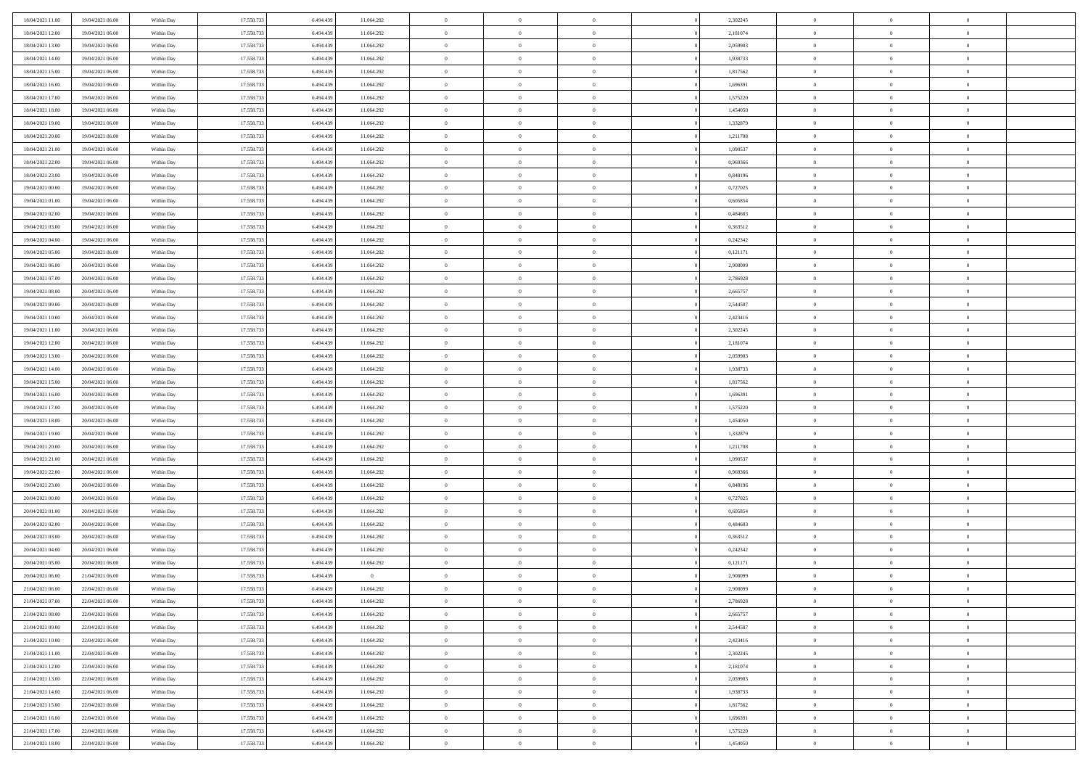| 18/04/2021 11:00 | 19/04/2021 06:00 | Within Day | 17.558.733 | 6.494.439 | 11.064.292     | $\bf{0}$       | $\overline{0}$ | $\Omega$       | 2,302245 | $\theta$       | $\overline{0}$ | $\overline{0}$ |  |
|------------------|------------------|------------|------------|-----------|----------------|----------------|----------------|----------------|----------|----------------|----------------|----------------|--|
| 18/04/2021 12:00 | 19/04/2021 06:00 | Within Dav | 17.558.733 | 6.494.439 | 11.064.292     | $\mathbf{0}$   | $\overline{0}$ | $\overline{0}$ | 2,181074 | $\theta$       | $\bf{0}$       | $\theta$       |  |
| 18/04/2021 13:00 | 19/04/2021 06:00 | Within Day | 17.558.733 | 6.494.439 | 11.064.292     | $\,$ 0         | $\overline{0}$ | $\bf{0}$       | 2,059903 | $\,0\,$        | $\overline{0}$ | $\,$ 0 $\,$    |  |
| 18/04/2021 14:00 | 19/04/2021 06:00 | Within Day | 17.558.733 | 6,494,439 | 11.064.292     | $\bf{0}$       | $\overline{0}$ | $\Omega$       | 1.938733 | $\overline{0}$ | $\theta$       | $\theta$       |  |
| 18/04/2021 15:00 | 19/04/2021 06:00 | Within Day | 17.558.733 | 6.494.439 | 11.064.292     | $\overline{0}$ | $\overline{0}$ | $\overline{0}$ | 1,817562 | $\overline{0}$ | $\overline{0}$ | $\overline{0}$ |  |
| 18/04/2021 16:00 | 19/04/2021 06:00 | Within Day | 17.558.733 | 6.494.439 | 11.064.292     | $\bf{0}$       | $\overline{0}$ | $\bf{0}$       | 1,696391 | $\,0\,$        | $\overline{0}$ | $\,$ 0 $\,$    |  |
| 18/04/2021 17:00 | 19/04/2021 06:00 | Within Day | 17.558.733 | 6.494.439 | 11.064.292     | $\bf{0}$       | $\overline{0}$ | $\overline{0}$ | 1,575220 | $\bf{0}$       | $\overline{0}$ | $\theta$       |  |
| 18/04/2021 18:00 | 19/04/2021 06:00 | Within Day | 17.558.733 | 6.494.439 | 11.064.292     | $\overline{0}$ | $\overline{0}$ | $\overline{0}$ | 1,454050 | $\mathbf{0}$   | $\overline{0}$ | $\theta$       |  |
| 18/04/2021 19:00 | 19/04/2021 06:00 | Within Day | 17.558.733 | 6.494.439 | 11.064.292     | $\bf{0}$       | $\overline{0}$ | $\bf{0}$       | 1,332879 | $\,0\,$        | $\overline{0}$ | $\,$ 0 $\,$    |  |
| 18/04/2021 20:00 | 19/04/2021 06:00 | Within Day | 17.558.733 | 6,494,439 | 11.064.292     | $\bf{0}$       | $\overline{0}$ | $\overline{0}$ | 1,211708 | $\theta$       | $\overline{0}$ | $\overline{0}$ |  |
| 18/04/2021 21:00 | 19/04/2021 06:00 | Within Day | 17.558.733 | 6.494.439 | 11.064.292     | $\overline{0}$ | $\overline{0}$ | $\overline{0}$ | 1,090537 | $\mathbf{0}$   | $\overline{0}$ | $\theta$       |  |
| 18/04/2021 22:00 | 19/04/2021 06:00 | Within Day | 17.558.733 | 6.494.439 | 11.064.292     | $\bf{0}$       | $\overline{0}$ | $\bf{0}$       | 0,969366 | $\,0\,$        | $\overline{0}$ | $\,$ 0 $\,$    |  |
| 18/04/2021 23:00 | 19/04/2021 06:00 | Within Day | 17.558.733 | 6.494.439 | 11.064.292     | $\bf{0}$       | $\overline{0}$ | $\Omega$       | 0.848196 | $\theta$       | $\theta$       | $\theta$       |  |
| 19/04/2021 00:00 | 19/04/2021 06:00 | Within Day | 17.558.733 | 6.494.439 | 11.064.292     | $\overline{0}$ | $\overline{0}$ | $\overline{0}$ | 0,727025 | $\mathbf{0}$   | $\overline{0}$ | $\overline{0}$ |  |
| 19/04/2021 01:00 | 19/04/2021 06:00 | Within Day | 17.558.733 | 6.494.439 | 11.064.292     | $\bf{0}$       | $\overline{0}$ | $\bf{0}$       | 0,605854 | $\,0\,$        | $\overline{0}$ | $\,$ 0 $\,$    |  |
| 19/04/2021 02:00 | 19/04/2021 06:00 | Within Day | 17.558.733 | 6.494.439 | 11.064.292     | $\bf{0}$       | $\overline{0}$ | $\overline{0}$ | 0.484683 | $\overline{0}$ | $\overline{0}$ | $\overline{0}$ |  |
| 19/04/2021 03:00 | 19/04/2021 06:00 | Within Day | 17.558.733 | 6.494.439 | 11.064.292     | $\overline{0}$ | $\overline{0}$ | $\overline{0}$ | 0,363512 | $\mathbf{0}$   | $\overline{0}$ | $\theta$       |  |
| 19/04/2021 04:00 | 19/04/2021 06:00 | Within Day | 17.558.733 | 6.494.439 | 11.064.292     | $\bf{0}$       | $\overline{0}$ | $\bf{0}$       | 0,242342 | $\,0\,$        | $\overline{0}$ | $\,$ 0 $\,$    |  |
| 19/04/2021 05:00 | 19/04/2021 06:00 | Within Day | 17.558.733 | 6,494,439 | 11.064.292     | $\bf{0}$       | $\overline{0}$ | $\overline{0}$ | 0,121171 | $\theta$       | $\theta$       | $\overline{0}$ |  |
| 19/04/2021 06:00 | 20/04/2021 06:00 | Within Day | 17.558.733 | 6.494.439 | 11.064.292     | $\overline{0}$ | $\overline{0}$ | $\overline{0}$ | 2,908099 | $\mathbf{0}$   | $\overline{0}$ | $\theta$       |  |
| 19/04/2021 07:00 | 20/04/2021 06:00 | Within Day | 17.558.733 | 6.494.439 | 11.064.292     | $\bf{0}$       | $\overline{0}$ | $\bf{0}$       | 2,786928 | $\,0\,$        | $\overline{0}$ | $\,$ 0 $\,$    |  |
| 19/04/2021 08:00 | 20/04/2021 06:00 | Within Day | 17.558.733 | 6,494,439 | 11.064.292     | $\bf{0}$       | $\overline{0}$ | $\Omega$       | 2.665757 | $\overline{0}$ | $\theta$       | $\theta$       |  |
| 19/04/2021 09:00 | 20/04/2021 06:00 | Within Day | 17.558.733 | 6.494.439 | 11.064.292     | $\overline{0}$ | $\overline{0}$ | $\overline{0}$ | 2,544587 | $\mathbf{0}$   | $\overline{0}$ | $\overline{0}$ |  |
| 19/04/2021 10:00 | 20/04/2021 06:00 | Within Day | 17.558.733 | 6.494.439 | 11.064.292     | $\bf{0}$       | $\overline{0}$ | $\bf{0}$       | 2,423416 | $\,0\,$        | $\overline{0}$ | $\,$ 0 $\,$    |  |
| 19/04/2021 11:00 | 20/04/2021 06:00 | Within Day | 17.558.733 | 6.494.439 | 11.064.292     | $\bf{0}$       | $\overline{0}$ | $\overline{0}$ | 2,302245 | $\bf{0}$       | $\overline{0}$ | $\overline{0}$ |  |
| 19/04/2021 12:00 | 20/04/2021 06:00 | Within Day | 17.558.733 | 6.494.439 | 11.064.292     | $\overline{0}$ | $\overline{0}$ | $\overline{0}$ | 2,181074 | $\mathbf{0}$   | $\overline{0}$ | $\theta$       |  |
| 19/04/2021 13:00 | 20/04/2021 06:00 | Within Day | 17.558.733 | 6.494.439 | 11.064.292     | $\bf{0}$       | $\overline{0}$ | $\bf{0}$       | 2,059903 | $\,0\,$        | $\overline{0}$ | $\,$ 0 $\,$    |  |
| 19/04/2021 14:00 | 20/04/2021 06:00 | Within Day | 17.558.733 | 6,494,439 | 11.064.292     | $\bf{0}$       | $\overline{0}$ | $\overline{0}$ | 1.938733 | $\theta$       | $\theta$       | $\overline{0}$ |  |
| 19/04/2021 15:00 | 20/04/2021 06:00 | Within Dav | 17.558.733 | 6.494.439 | 11.064.292     | $\overline{0}$ | $\overline{0}$ | $\overline{0}$ | 1,817562 | $\mathbf{0}$   | $\overline{0}$ | $\overline{0}$ |  |
| 19/04/2021 16:00 | 20/04/2021 06:00 | Within Day | 17.558.733 | 6.494.439 | 11.064.292     | $\bf{0}$       | $\overline{0}$ | $\bf{0}$       | 1,696391 | $\,0\,$        | $\overline{0}$ | $\,$ 0 $\,$    |  |
| 19/04/2021 17:00 | 20/04/2021 06:00 | Within Day | 17.558.733 | 6.494.439 | 11.064.292     | $\bf{0}$       | $\overline{0}$ | $\overline{0}$ | 1,575220 | $\bf{0}$       | $\overline{0}$ | $\theta$       |  |
| 19/04/2021 18:00 | 20/04/2021 06:00 | Within Dav | 17.558.733 | 6.494.439 | 11.064.292     | $\overline{0}$ | $\overline{0}$ | $\overline{0}$ | 1,454050 | $\overline{0}$ | $\overline{0}$ | $\overline{0}$ |  |
| 19/04/2021 19:00 | 20/04/2021 06:00 | Within Day | 17.558.733 | 6.494.439 | 11.064.292     | $\bf{0}$       | $\overline{0}$ | $\bf{0}$       | 1,332879 | $\,0\,$        | $\overline{0}$ | $\,$ 0 $\,$    |  |
| 19/04/2021 20:00 | 20/04/2021 06:00 | Within Day | 17.558.733 | 6.494.439 | 11.064.292     | $\bf{0}$       | $\overline{0}$ | $\bf{0}$       | 1,211708 | $\bf{0}$       | $\overline{0}$ | $\bf{0}$       |  |
| 19/04/2021 21:00 | 20/04/2021 06:00 | Within Dav | 17.558.733 | 6.494.439 | 11.064.292     | $\overline{0}$ | $\overline{0}$ | $\overline{0}$ | 1,090537 | $\mathbf{0}$   | $\overline{0}$ | $\theta$       |  |
| 19/04/2021 22:00 | 20/04/2021 06:00 | Within Day | 17.558.733 | 6.494.439 | 11.064.292     | $\bf{0}$       | $\overline{0}$ | $\bf{0}$       | 0,969366 | $\,0\,$        | $\overline{0}$ | $\bf{0}$       |  |
| 19/04/2021 23:00 | 20/04/2021 06:00 | Within Day | 17.558.733 | 6.494.439 | 11.064.292     | $\bf{0}$       | $\overline{0}$ | $\overline{0}$ | 0,848196 | $\bf{0}$       | $\overline{0}$ | $\theta$       |  |
| 20/04/2021 00:00 | 20/04/2021 06:00 | Within Dav | 17.558.733 | 6.494.439 | 11.064.292     | $\overline{0}$ | $\overline{0}$ | $\overline{0}$ | 0,727025 | $\overline{0}$ | $\bf{0}$       | $\overline{0}$ |  |
| 20/04/2021 01:00 | 20/04/2021 06:00 | Within Day | 17.558.733 | 6.494.439 | 11.064.292     | $\bf{0}$       | $\overline{0}$ | $\bf{0}$       | 0,605854 | $\,0\,$        | $\overline{0}$ | $\,$ 0 $\,$    |  |
| 20/04/2021 02:00 | 20/04/2021 06:00 | Within Day | 17.558.733 | 6.494.439 | 11.064.292     | $\bf{0}$       | $\overline{0}$ | $\overline{0}$ | 0,484683 | $\bf{0}$       | $\overline{0}$ | $\theta$       |  |
| 20/04/2021 03:00 | 20/04/2021 06:00 | Within Dav | 17.558.733 | 6.494.439 | 11.064.292     | $\overline{0}$ | $\overline{0}$ | $\overline{0}$ | 0,363512 | $\mathbf{0}$   | $\overline{0}$ | $\theta$       |  |
| 20/04/2021 04:00 | 20/04/2021 06:00 | Within Day | 17.558.733 | 6.494.439 | 11.064.292     | $\bf{0}$       | $\overline{0}$ | $\bf{0}$       | 0,242342 | $\,0\,$        | $\overline{0}$ | $\theta$       |  |
| 20/04/2021 05:00 | 20/04/2021 06:00 | Within Day | 17.558.733 | 6.494.439 | 11.064.292     | $\bf{0}$       | $\overline{0}$ | $\bf{0}$       | 0,121171 | $\bf{0}$       | $\overline{0}$ | $\bf{0}$       |  |
| 20/04/2021 06:00 | 21/04/2021 06:00 | Within Dav | 17.558.733 | 6.494.439 | $\overline{0}$ | $\mathbf{0}$   | $\overline{0}$ | $\overline{0}$ | 2,908099 | $\theta$       | $\bf{0}$       | $\theta$       |  |
| 21/04/2021 06:00 | 22/04/2021 06:00 | Within Day | 17.558.733 | 6.494.439 | 11.064.292     | $\bf{0}$       | $\overline{0}$ | $\overline{0}$ | 2,908099 | $\bf{0}$       | $\overline{0}$ | $\theta$       |  |
| 21/04/2021 07:00 | 22/04/2021 06:00 | Within Day | 17.558.733 | 6.494.439 | 11.064.292     | $\bf{0}$       | $\bf{0}$       | $\bf{0}$       | 2,786928 | $\bf{0}$       | $\overline{0}$ | $\bf{0}$       |  |
| 21/04/2021 08:00 | 22/04/2021 06:00 | Within Day | 17.558.733 | 6.494.439 | 11.064.292     | $\overline{0}$ | $\overline{0}$ | $\overline{0}$ | 2,665757 | $\overline{0}$ | $\overline{0}$ | $\overline{0}$ |  |
| 21/04/2021 09:00 | 22/04/2021 06:00 | Within Day | 17.558.733 | 6.494.439 | 11.064.292     | $\,$ 0 $\,$    | $\overline{0}$ | $\overline{0}$ | 2,544587 | $\,$ 0 $\,$    | $\,$ 0 $\,$    | $\,0\,$        |  |
| 21/04/2021 10:00 | 22/04/2021 06:00 | Within Day | 17.558.733 | 6.494.439 | 11.064.292     | $\bf{0}$       | $\bf{0}$       | $\overline{0}$ | 2,423416 | $\mathbf{0}$   | $\overline{0}$ | $\bf{0}$       |  |
| 21/04/2021 11:00 | 22/04/2021 06:00 | Within Day | 17.558.733 | 6.494.439 | 11.064.292     | $\,$ 0 $\,$    | $\overline{0}$ | $\overline{0}$ | 2,302245 | $\mathbf{0}$   | $\bf{0}$       | $\overline{0}$ |  |
| 21/04/2021 12:00 | 22/04/2021 06:00 | Within Day | 17.558.733 | 6.494.439 | 11.064.292     | $\,$ 0 $\,$    | $\overline{0}$ | $\overline{0}$ | 2,181074 | $\,$ 0 $\,$    | $\bf{0}$       | $\,$ 0         |  |
| 21/04/2021 13:00 | 22/04/2021 06:00 | Within Day | 17.558.733 | 6.494.439 | 11.064.292     | $\overline{0}$ | $\overline{0}$ | $\overline{0}$ | 2,059903 | $\overline{0}$ | $\overline{0}$ | $\bf{0}$       |  |
| 21/04/2021 14:00 | 22/04/2021 06:00 | Within Day | 17.558.733 | 6.494.439 | 11.064.292     | $\,$ 0 $\,$    | $\overline{0}$ | $\overline{0}$ | 1,938733 | $\overline{0}$ | $\overline{0}$ | $\overline{0}$ |  |
| 21/04/2021 15:00 | 22/04/2021 06:00 | Within Day | 17.558.733 | 6.494.439 | 11.064.292     | $\,$ 0 $\,$    | $\overline{0}$ | $\overline{0}$ | 1,817562 | $\,$ 0 $\,$    | $\,$ 0 $\,$    | $\,0\,$        |  |
| 21/04/2021 16:00 | 22/04/2021 06:00 | Within Day | 17.558.733 | 6.494.439 | 11.064.292     | $\bf{0}$       | $\bf{0}$       | $\overline{0}$ | 1,696391 | $\mathbf{0}$   | $\overline{0}$ | $\bf{0}$       |  |
| 21/04/2021 17:00 | 22/04/2021 06:00 | Within Day | 17.558.733 | 6.494.439 | 11.064.292     | $\,$ 0 $\,$    | $\overline{0}$ | $\overline{0}$ | 1,575220 | $\overline{0}$ | $\overline{0}$ | $\overline{0}$ |  |
| 21/04/2021 18:00 | 22/04/2021 06:00 | Within Day | 17.558.733 | 6.494.439 | 11.064.292     | $\,0\,$        | $\overline{0}$ | $\overline{0}$ | 1,454050 | $\,0\,$        | $\overline{0}$ | $\,0\,$        |  |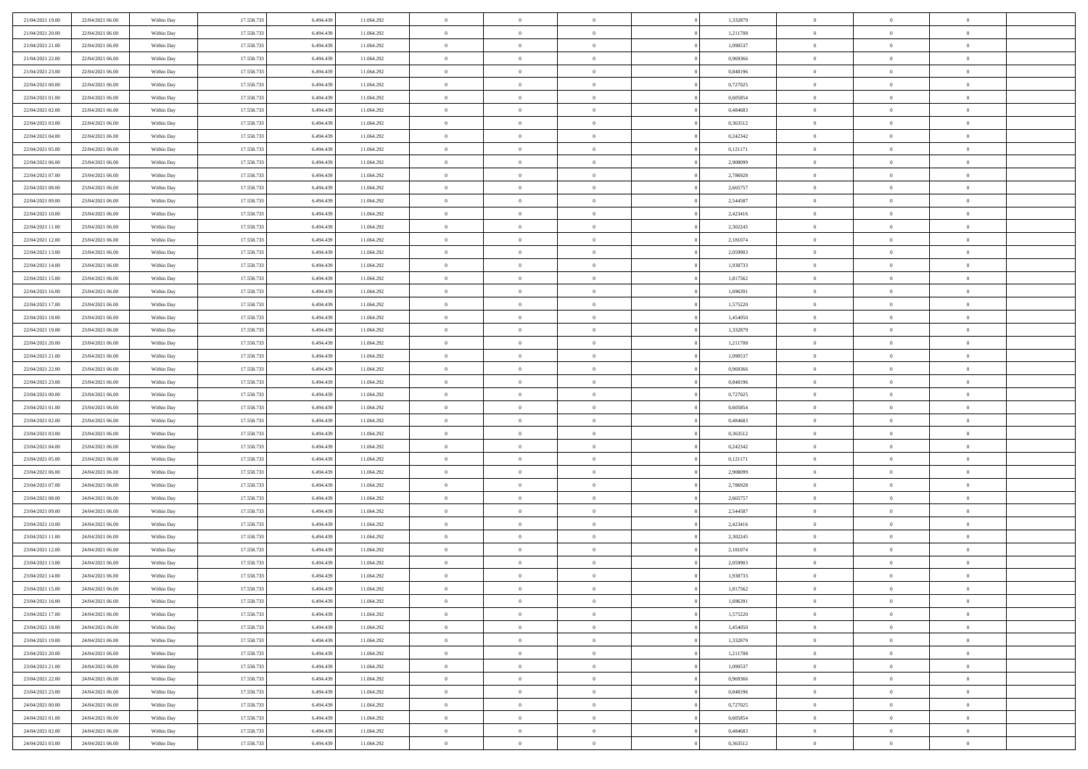| 21/04/2021 19:00                     | 22/04/2021 06:00                     | Within Day               | 17.558.733               | 6.494.439              | 11.064.292               | $\,$ 0                   | $\bf{0}$                         | $\overline{0}$                   |          | 1,332879             | $\bf{0}$                    | $\overline{0}$                   | $\,0\,$                          |  |
|--------------------------------------|--------------------------------------|--------------------------|--------------------------|------------------------|--------------------------|--------------------------|----------------------------------|----------------------------------|----------|----------------------|-----------------------------|----------------------------------|----------------------------------|--|
| 21/04/2021 20:00                     | 22/04/2021 06:00                     | Within Day               | 17.558.733               | 6,494,439              | 11.064.292               | $\overline{0}$           | $\overline{0}$                   | $\overline{0}$                   |          | 1,211708             | $\theta$                    | $\overline{0}$                   | $\theta$                         |  |
| 21/04/2021 21:00                     | 22/04/2021 06:00                     | Within Dav               | 17.558.733               | 6.494.439              | 11.064.292               | $\mathbf{0}$             | $\overline{0}$                   | $\overline{0}$                   |          | 1,090537             | $\mathbf{0}$                | $\overline{0}$                   | $\overline{0}$                   |  |
| 21/04/2021 22.00                     | 22/04/2021 06:00                     | Within Day               | 17.558.733               | 6.494.439              | 11.064.292               | $\bf{0}$                 | $\overline{0}$                   | $\bf{0}$                         |          | 0,969366             | $\bf{0}$                    | $\overline{0}$                   | $\bf{0}$                         |  |
| 21/04/2021 23:00                     | 22/04/2021 06:00                     | Within Day               | 17.558.733               | 6,494,439              | 11.064.292               | $\bf{0}$                 | $\bf{0}$                         | $\overline{0}$                   |          | 0,848196             | $\bf{0}$                    | $\bf{0}$                         | $\,0\,$                          |  |
| 22/04/2021 00:00                     | 22/04/2021 06:00                     | Within Dav               | 17.558.733               | 6.494.439              | 11.064.292               | $\mathbf{0}$             | $\overline{0}$                   | $\overline{0}$                   |          | 0,727025             | $\mathbf{0}$                | $\overline{0}$                   | $\overline{0}$                   |  |
| 22/04/2021 01:00                     | 22/04/2021 06:00                     | Within Day               | 17.558.733               | 6.494.439              | 11.064.292               | $\bf{0}$                 | $\bf{0}$                         | $\overline{0}$                   |          | 0,605854             | $\bf{0}$                    | $\overline{0}$                   | $\,0\,$                          |  |
| 22/04/2021 02:00                     | 22/04/2021 06:00                     | Within Day               | 17.558.733               | 6,494,439              | 11.064.292               | $\overline{0}$           | $\overline{0}$                   | $\overline{0}$                   |          | 0,484683             | $\,$ 0 $\,$                 | $\overline{0}$                   | $\theta$                         |  |
| 22/04/2021 03:00                     | 22/04/2021 06:00                     | Within Dav               | 17.558.733               | 6.494.439              | 11.064.292               | $\mathbf{0}$             | $\overline{0}$                   | $\overline{0}$                   |          | 0,363512             | $\mathbf{0}$                | $\overline{0}$                   | $\overline{0}$                   |  |
| 22/04/2021 04:00                     | 22/04/2021 06:00                     | Within Day               | 17.558.733               | 6.494.439              | 11.064.292               | $\bf{0}$                 | $\overline{0}$                   | $\theta$                         |          | 0,242342             | $\bf{0}$                    | $\overline{0}$                   | $\,0\,$                          |  |
| 22/04/2021 05:00                     | 22/04/2021 06:00                     | Within Day               | 17.558.733               | 6,494,439              | 11.064.292               | $\bf{0}$                 | $\overline{0}$                   | $\overline{0}$                   |          | 0,121171             | $\bf{0}$                    | $\overline{0}$                   | $\theta$                         |  |
| 22/04/2021 06:00                     | 23/04/2021 06:00                     | Within Dav               | 17.558.733               | 6.494.439              | 11.064.292               | $\mathbf{0}$             | $\overline{0}$                   | $\overline{0}$                   |          | 2,908099             | $\mathbf{0}$                | $\overline{0}$                   | $\overline{0}$                   |  |
| 22/04/2021 07:00                     | 23/04/2021 06:00                     | Within Day               | 17.558.733               | 6.494.439              | 11.064.292               | $\bf{0}$                 | $\overline{0}$                   | $\bf{0}$                         |          | 2,786928             | $\bf{0}$                    | $\overline{0}$                   | $\overline{0}$                   |  |
| 22/04/2021 08:00                     | 23/04/2021 06:00                     | Within Day               | 17.558.733               | 6.494.439              | 11.064.292               | $\bf{0}$                 | $\overline{0}$                   | $\overline{0}$                   |          | 2,665757             | $\bf{0}$                    | $\theta$                         | $\,0\,$                          |  |
| 22/04/2021 09:00                     | 23/04/2021 06:00                     | Within Dav               | 17.558.733               | 6.494.439              | 11.064.292               | $\overline{0}$           | $\overline{0}$                   | $\overline{0}$                   |          | 2,544587             | $\mathbf{0}$                | $\overline{0}$                   | $\overline{0}$                   |  |
| 22/04/2021 10:00                     | 23/04/2021 06:00                     | Within Day               | 17.558.733               | 6.494.439              | 11.064.292               | $\bf{0}$                 | $\overline{0}$                   | $\overline{0}$                   |          | 2,423416             | $\bf{0}$                    | $\overline{0}$                   | $\bf{0}$                         |  |
| 22/04/2021 11:00                     | 23/04/2021 06:00                     | Within Day               | 17.558.733               | 6,494,439              | 11.064.292               | $\overline{0}$           | $\overline{0}$                   | $\overline{0}$                   |          | 2,302245             | $\,$ 0 $\,$                 | $\overline{0}$                   | $\theta$                         |  |
| 22/04/2021 12:00                     | 23/04/2021 06:00                     | Within Day               | 17.558.733               | 6.494.439              | 11.064.292               | $\mathbf{0}$             | $\overline{0}$                   | $\overline{0}$                   |          | 2,181074             | $\mathbf{0}$                | $\overline{0}$                   | $\overline{0}$                   |  |
| 22/04/2021 13:00                     | 23/04/2021 06:00                     | Within Day               | 17.558.733               | 6.494.439              | 11.064.292               | $\bf{0}$                 | $\overline{0}$                   | $\overline{0}$                   |          | 2,059903             | $\bf{0}$                    | $\overline{0}$                   | $\,0\,$                          |  |
| 22/04/2021 14:00                     | 23/04/2021 06:00                     | Within Day               | 17.558.733               | 6,494,439              | 11.064.292               | $\bf{0}$                 | $\overline{0}$                   | $\overline{0}$                   |          | 1,938733             | $\bf{0}$                    | $\overline{0}$                   | $\overline{0}$                   |  |
| 22/04/2021 15:00                     | 23/04/2021 06:00                     | Within Dav               | 17.558.733               | 6.494.439              | 11.064.292               | $\mathbf{0}$             | $\overline{0}$                   | $\overline{0}$                   |          | 1,817562             | $\mathbf{0}$                | $\overline{0}$                   | $\overline{0}$                   |  |
| 22/04/2021 16:00                     | 23/04/2021 06:00                     | Within Day               | 17.558.733               | 6.494.439              | 11.064.292               | $\bf{0}$                 | $\overline{0}$                   | $\overline{0}$                   |          | 1,696391             | $\bf{0}$                    | $\overline{0}$                   | $\bf{0}$                         |  |
| 22/04/2021 17:00                     | 23/04/2021 06:00                     |                          | 17.558.733               | 6,494,439              | 11.064.292               | $\bf{0}$                 | $\overline{0}$                   | $\overline{0}$                   |          | 1,575220             | $\bf{0}$                    | $\overline{0}$                   | $\,0\,$                          |  |
| 22/04/2021 18:00                     | 23/04/2021 06:00                     | Within Day<br>Within Dav | 17.558.733               | 6.494.439              | 11.064.292               | $\mathbf{0}$             | $\overline{0}$                   | $\overline{0}$                   |          | 1,454050             | $\mathbf{0}$                | $\overline{0}$                   | $\overline{0}$                   |  |
| 22/04/2021 19:00                     | 23/04/2021 06:00                     | Within Day               | 17.558.733               | 6.494.439              | 11.064.292               | $\bf{0}$                 | $\overline{0}$                   | $\overline{0}$                   |          | 1,332879             | $\bf{0}$                    | $\overline{0}$                   | $\,0\,$                          |  |
|                                      |                                      |                          |                          | 6,494,439              |                          | $\bf{0}$                 | $\overline{0}$                   | $\overline{0}$                   |          |                      |                             | $\overline{0}$                   | $\overline{0}$                   |  |
| 22/04/2021 20:00<br>22/04/2021 21:00 | 23/04/2021 06:00                     | Within Day               | 17.558.733               |                        | 11.064.292               | $\mathbf{0}$             |                                  |                                  |          | 1,211708             | $\bf{0}$<br>$\mathbf{0}$    |                                  | $\overline{0}$                   |  |
|                                      | 23/04/2021 06:00                     | Within Dav               | 17.558.733               | 6.494.439              | 11.064.292               |                          | $\overline{0}$                   | $\overline{0}$<br>$\overline{0}$ |          | 1,090537             |                             | $\overline{0}$<br>$\overline{0}$ |                                  |  |
| 22/04/2021 22.00                     | 23/04/2021 06:00                     | Within Day               | 17.558.733               | 6.494.439              | 11.064.292               | $\bf{0}$                 | $\overline{0}$                   |                                  |          | 0,969366             | $\bf{0}$                    |                                  | $\,0\,$                          |  |
| 22/04/2021 23:00                     | 23/04/2021 06:00                     | Within Day               | 17.558.733               | 6,494,439              | 11.064.292               | $\bf{0}$<br>$\mathbf{0}$ | $\bf{0}$                         | $\overline{0}$                   |          | 0.848196             | $\bf{0}$<br>$\mathbf{0}$    | $\overline{0}$                   | $\overline{0}$<br>$\overline{0}$ |  |
| 23/04/2021 00:00                     | 23/04/2021 06:00                     | Within Dav               | 17.558.733               | 6.494.439              | 11.064.292               |                          | $\overline{0}$                   | $\overline{0}$                   |          | 0,727025             |                             | $\overline{0}$                   |                                  |  |
| 23/04/2021 01:00                     | 23/04/2021 06:00                     | Within Day               | 17.558.733               | 6.494.439              | 11.064.292               | $\bf{0}$                 | $\overline{0}$                   | $\theta$                         |          | 0,605854             | $\,$ 0                      | $\overline{0}$                   | $\theta$                         |  |
| 23/04/2021 02:00                     | 23/04/2021 06:00                     | Within Day               | 17.558.733               | 6.494.439              | 11.064.292               | $\bf{0}$                 | $\bf{0}$                         | $\overline{0}$                   |          | 0,484683             | $\bf{0}$                    | $\overline{0}$                   | $\overline{0}$                   |  |
| 23/04/2021 03:00                     | 23/04/2021 06:00                     | Within Dav               | 17.558.733               | 6.494.439              | 11.064.292               | $\mathbf{0}$             | $\overline{0}$                   | $\overline{0}$                   |          | 0,363512             | $\mathbf{0}$                | $\overline{0}$                   | $\overline{0}$                   |  |
| 23/04/2021 04:00                     | 23/04/2021 06:00                     | Within Day               | 17.558.733               | 6.494.439              | 11.064.292               | $\bf{0}$                 | $\overline{0}$                   | $\theta$                         |          | 0,242342             | $\,$ 0                      | $\overline{0}$                   | $\theta$                         |  |
| 23/04/2021 05:00                     | 23/04/2021 06:00                     | Within Day               | 17.558.733               | 6.494.439              | 11.064.292               | $\bf{0}$<br>$\mathbf{0}$ | $\overline{0}$                   | $\overline{0}$                   |          | 0,121171             | $\bf{0}$<br>$\mathbf{0}$    | $\overline{0}$                   | $\overline{0}$<br>$\overline{0}$ |  |
| 23/04/2021 06:00                     | 24/04/2021 06:00                     | Within Day               | 17.558.733               | 6.494.439              | 11.064.292               | $\bf{0}$                 | $\overline{0}$                   | $\overline{0}$                   |          | 2,908099             |                             | $\overline{0}$                   | $\theta$                         |  |
| 23/04/2021 07:00                     | 24/04/2021 06:00                     | Within Day               | 17.558.733<br>17.558.733 | 6.494.439<br>6,494,439 | 11.064.292               | $\bf{0}$                 | $\overline{0}$                   | $\theta$<br>$\overline{0}$       |          | 2,786928             | $\,$ 0                      | $\overline{0}$<br>$\overline{0}$ |                                  |  |
| 23/04/2021 08:00<br>23/04/2021 09:00 | 24/04/2021 06:00<br>24/04/2021 06:00 | Within Day<br>Within Dav | 17.558.733               | 6.494.439              | 11.064.292<br>11.064.292 | $\mathbf{0}$             | $\bf{0}$<br>$\overline{0}$       | $\overline{0}$                   |          | 2,665757<br>2,544587 | $\bf{0}$<br>$\mathbf{0}$    | $\overline{0}$                   | $\overline{0}$<br>$\overline{0}$ |  |
|                                      |                                      |                          |                          |                        |                          |                          |                                  |                                  |          |                      |                             |                                  | $\theta$                         |  |
| 23/04/2021 10:00                     | 24/04/2021 06:00                     | Within Day               | 17.558.733<br>17.558.733 | 6.494.439<br>6.494.439 | 11.064.292               | $\,0\,$<br>$\bf{0}$      | $\overline{0}$<br>$\overline{0}$ | $\theta$<br>$\overline{0}$       |          | 2,423416             | $\,$ 0                      | $\overline{0}$<br>$\overline{0}$ | $\overline{0}$                   |  |
| 23/04/2021 11:00<br>23/04/2021 12:00 | 24/04/2021 06:00<br>24/04/2021 06:00 | Within Day<br>Within Dav | 17.558.733               | 6.494.439              | 11.064.292<br>11.064.292 | $\mathbf{0}$             | $\overline{0}$                   | $\overline{0}$                   |          | 2,302245<br>2,181074 | $\bf{0}$<br>$\mathbf{0}$    | $\overline{0}$                   | $\overline{0}$                   |  |
| 23/04/2021 13:00                     | 24/04/2021 06:00                     | Within Day               | 17.558.733               | 6.494.439              | 11.064.292               | $\bf{0}$                 | $\overline{0}$                   | $\theta$                         |          | 2,059903             | $\,$ 0                      | $\overline{0}$                   | $\theta$                         |  |
| 23/04/2021 14:00                     | 24/04/2021 06:00                     |                          | 17.558.733               | 6.494.439              | 11.064.292               | $\bf{0}$                 | $\overline{0}$                   | $\overline{0}$                   |          | 1,938733             | $\,$ 0 $\,$                 | $\overline{0}$                   | $\overline{0}$                   |  |
| 23/04/2021 15:00                     | 24/04/2021 06:00                     | Within Day<br>Within Day | 17.558.733               | 6.494.439              | 11.064.292               | $\bf{0}$                 | $\overline{0}$                   |                                  |          | 1,817562             | $\overline{0}$              | $\theta$                         | $\theta$                         |  |
| 23/04/2021 16:00                     | 24/04/2021 06:00                     | Within Day               | 17.558.733               | 6.494.439              | 11.064.292               | $\,0\,$                  | $\overline{0}$                   | $\theta$                         |          | 1,696391             | $\,$ 0 $\,$                 | $\bf{0}$                         | $\theta$                         |  |
| 23/04/2021 17:00                     | 24/04/2021 06:00                     |                          | 17.558.733               | 6.494.439              |                          | $\overline{0}$           | $\overline{0}$                   | $\overline{0}$                   |          | 1,575220             | $\overline{0}$              | $\overline{0}$                   | $\overline{0}$                   |  |
| 23/04/2021 18:00                     | 24/04/2021 06:00                     | Within Day<br>Within Day | 17.558.733               | 6.494.439              | 11.064.292<br>11.064.292 | $\bf{0}$                 | $\overline{0}$                   | $\overline{0}$                   |          | 1,454050             | $\overline{0}$              | $\bf{0}$                         | $\mathbf{0}$                     |  |
|                                      |                                      |                          |                          |                        |                          |                          |                                  |                                  | $\theta$ |                      |                             | $\bf{0}$                         | $\,$ 0 $\,$                      |  |
| 23/04/2021 19:00<br>23/04/2021 20:00 | 24/04/2021 06:00<br>24/04/2021 06:00 | Within Day<br>Within Day | 17.558.733<br>17.558.733 | 6.494.439<br>6.494.439 | 11.064.292<br>11.064.292 | $\bf{0}$<br>$\,$ 0 $\,$  | $\overline{0}$<br>$\overline{0}$ | $\overline{0}$<br>$\overline{0}$ |          | 1,332879<br>1,211708 | $\mathbf{0}$<br>$\,$ 0 $\,$ | $\overline{0}$                   | $\overline{0}$                   |  |
| 23/04/2021 21:00                     | 24/04/2021 06:00                     | Within Day               | 17.558.733               | 6.494.439              | 11.064.292               | $\bf{0}$                 | $\overline{0}$                   | $\overline{0}$                   |          | 1,090537             | $\mathbf{0}$                | $\overline{0}$                   | $\overline{0}$                   |  |
|                                      |                                      |                          |                          |                        |                          | $\,0\,$                  |                                  | $\overline{0}$                   | $\theta$ |                      | $\,$ 0 $\,$                 | $\overline{0}$                   | $\,$ 0 $\,$                      |  |
| 23/04/2021 22:00                     | 24/04/2021 06:00                     | Within Day               | 17.558.733<br>17.558.733 | 6.494.439<br>6.494.439 | 11.064.292               | $\bf{0}$                 | $\overline{0}$<br>$\overline{0}$ | $\overline{0}$                   |          | 0,969366             | $\overline{0}$              | $\overline{0}$                   |                                  |  |
| 23/04/2021 23:00<br>24/04/2021 00:00 | 24/04/2021 06:00<br>24/04/2021 06:00 | Within Day<br>Within Day | 17.558.733               | 6.494.439              | 11.064.292<br>11.064.292 | $\bf{0}$                 | $\overline{0}$                   | $\overline{0}$                   |          | 0,848196<br>0,727025 | $\mathbf{0}$                | $\overline{0}$                   | $\overline{0}$<br>$\mathbf{0}$   |  |
|                                      |                                      |                          |                          |                        |                          | $\,0\,$                  |                                  |                                  |          |                      | $\,$ 0 $\,$                 | $\overline{0}$                   | $\,$ 0 $\,$                      |  |
| 24/04/2021 01:00                     | 24/04/2021 06:00                     | Within Day               | 17.558.733               | 6.494.439              | 11.064.292               |                          | $\overline{0}$                   | $\overline{0}$                   |          | 0,605854<br>0.484683 |                             |                                  |                                  |  |
| 24/04/2021 02.00                     | 24/04/2021 06:00                     | Within Day               | 17.558.733               | 6.494.439              | 11.064.292               | $\bf{0}$                 | $\overline{0}$                   | $\overline{0}$                   |          |                      | $\bf{0}$                    | $\mathbf{0}$                     | $\overline{0}$                   |  |
| 24/04/2021 03:00                     | 24/04/2021 06:00                     | Within Day               | 17.558.733               | 6.494.439              | 11.064.292               | $\bf{0}$                 | $\overline{0}$                   | $\overline{0}$                   |          | 0,363512             | $\mathbf{0}$                | $\overline{0}$                   | $\overline{0}$                   |  |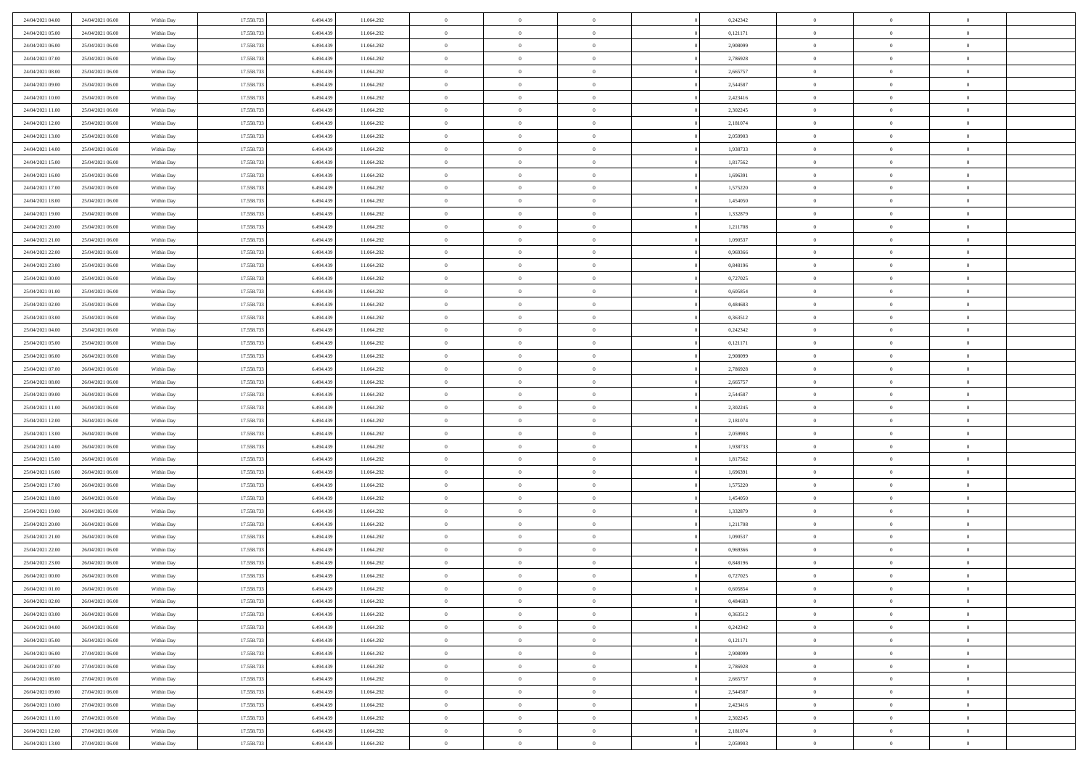| 24/04/2021 04:00                     | 24/04/2021 06:00                     | Within Day               | 17.558.733               | 6.494.439              | 11.064.292               | $\bf{0}$                   | $\overline{0}$                   | $\Omega$                         | 0,242342             | $\theta$                   | $\overline{0}$             | $\overline{0}$             |  |
|--------------------------------------|--------------------------------------|--------------------------|--------------------------|------------------------|--------------------------|----------------------------|----------------------------------|----------------------------------|----------------------|----------------------------|----------------------------|----------------------------|--|
| 24/04/2021 05:00                     | 24/04/2021 06:00                     | Within Dav               | 17.558.733               | 6.494.439              | 11.064.292               | $\mathbf{0}$               | $\overline{0}$                   | $\overline{0}$                   | 0,121171             | $\theta$                   | $\bf{0}$                   | $\theta$                   |  |
| 24/04/2021 06:00                     | 25/04/2021 06:00                     | Within Day               | 17.558.733               | 6.494.439              | 11.064.292               | $\,$ 0                     | $\overline{0}$                   | $\bf{0}$                         | 2,908099             | $\,0\,$                    | $\overline{0}$             | $\,$ 0 $\,$                |  |
| 24/04/2021 07:00                     | 25/04/2021 06:00                     | Within Day               | 17.558.733               | 6,494,439              | 11.064.292               | $\bf{0}$                   | $\overline{0}$                   | $\overline{0}$                   | 2,786928             | $\overline{0}$             | $\theta$                   | $\theta$                   |  |
| 24/04/2021 08:00                     | 25/04/2021 06:00                     | Within Dav               | 17.558.733               | 6.494.439              | 11.064.292               | $\overline{0}$             | $\overline{0}$                   | $\overline{0}$                   | 2,665757             | $\overline{0}$             | $\bf{0}$                   | $\overline{0}$             |  |
| 24/04/2021 09:00                     | 25/04/2021 06:00                     | Within Day               | 17.558.733               | 6.494.439              | 11.064.292               | $\bf{0}$                   | $\overline{0}$                   | $\bf{0}$                         | 2,544587             | $\,0\,$                    | $\overline{0}$             | $\,$ 0 $\,$                |  |
| 24/04/2021 10:00                     | 25/04/2021 06:00                     | Within Day               | 17.558.733               | 6.494.439              | 11.064.292               | $\bf{0}$                   | $\overline{0}$                   | $\overline{0}$                   | 2,423416             | $\bf{0}$                   | $\overline{0}$             | $\theta$                   |  |
| 24/04/2021 11:00                     | 25/04/2021 06:00                     | Within Dav               | 17.558.733               | 6.494.439              | 11.064.292               | $\overline{0}$             | $\overline{0}$                   | $\overline{0}$                   | 2,302245             | $\overline{0}$             | $\overline{0}$             | $\theta$                   |  |
| 24/04/2021 12:00                     | 25/04/2021 06:00                     | Within Day               | 17.558.733               | 6.494.439              | 11.064.292               | $\bf{0}$                   | $\overline{0}$                   | $\bf{0}$                         | 2,181074             | $\,0\,$                    | $\overline{0}$             | $\,$ 0 $\,$                |  |
| 24/04/2021 13:00                     | 25/04/2021 06:00                     | Within Day               | 17.558.733               | 6,494,439              | 11.064.292               | $\bf{0}$                   | $\overline{0}$                   | $\overline{0}$                   | 2.059903             | $\theta$                   | $\overline{0}$             | $\overline{0}$             |  |
| 24/04/2021 14:00                     | 25/04/2021 06:00                     | Within Dav               | 17.558.733               | 6.494.439              | 11.064.292               | $\overline{0}$             | $\overline{0}$                   | $\overline{0}$                   | 1,938733             | $\overline{0}$             | $\bf{0}$                   | $\theta$                   |  |
| 24/04/2021 15:00                     | 25/04/2021 06:00                     | Within Day               | 17.558.733               | 6.494.439              | 11.064.292               | $\bf{0}$                   | $\overline{0}$                   | $\bf{0}$                         | 1,817562             | $\,0\,$                    | $\overline{0}$             | $\,$ 0 $\,$                |  |
| 24/04/2021 16:00                     | 25/04/2021 06:00                     | Within Day               | 17.558.733               | 6.494.439              | 11.064.292               | $\bf{0}$                   | $\overline{0}$                   | $\Omega$                         | 1.696391             | $\theta$                   | $\theta$                   | $\theta$                   |  |
| 24/04/2021 17:00                     | 25/04/2021 06:00                     | Within Dav               | 17.558.733               | 6.494.439              | 11.064.292               | $\overline{0}$             | $\overline{0}$                   | $\overline{0}$                   | 1,575220             | $\mathbf{0}$               | $\overline{0}$             | $\overline{0}$             |  |
| 24/04/2021 18:00                     | 25/04/2021 06:00                     | Within Day               | 17.558.733               | 6.494.439              | 11.064.292               | $\bf{0}$                   | $\overline{0}$                   | $\bf{0}$                         | 1,454050             | $\,0\,$                    | $\overline{0}$             | $\,$ 0 $\,$                |  |
| 24/04/2021 19:00                     | 25/04/2021 06:00                     | Within Day               | 17.558.733               | 6.494.439              | 11.064.292               | $\bf{0}$                   | $\overline{0}$                   | $\overline{0}$                   | 1,332879             | $\theta$                   | $\overline{0}$             | $\overline{0}$             |  |
| 24/04/2021 20:00                     | 25/04/2021 06:00                     | Within Dav               | 17.558.733               | 6.494.439              | 11.064.292               | $\overline{0}$             | $\overline{0}$                   | $\overline{0}$                   | 1,211708             | $\mathbf{0}$               | $\overline{0}$             | $\theta$                   |  |
| 24/04/2021 21:00                     | 25/04/2021 06:00                     | Within Day               | 17.558.733               | 6.494.439              | 11.064.292               | $\bf{0}$                   | $\overline{0}$                   | $\bf{0}$                         | 1,090537             | $\,0\,$                    | $\overline{0}$             | $\,$ 0 $\,$                |  |
| 24/04/2021 22:00                     | 25/04/2021 06:00                     | Within Day               | 17.558.733               | 6,494,439              | 11.064.292               | $\bf{0}$                   | $\overline{0}$                   | $\overline{0}$                   | 0.969366             | $\theta$                   | $\theta$                   | $\overline{0}$             |  |
| 24/04/2021 23:00                     | 25/04/2021 06:00                     | Within Dav               | 17.558.733               | 6.494.439              | 11.064.292               | $\overline{0}$             | $\overline{0}$                   | $\overline{0}$                   | 0,848196             | $\mathbf{0}$               | $\overline{0}$             | $\theta$                   |  |
| 25/04/2021 00:00                     | 25/04/2021 06:00                     | Within Day               | 17.558.733               | 6.494.439              | 11.064.292               | $\bf{0}$                   | $\overline{0}$                   | $\bf{0}$                         | 0,727025             | $\,0\,$                    | $\overline{0}$             | $\,$ 0 $\,$                |  |
| 25/04/2021 01:00                     | 25/04/2021 06:00                     | Within Day               | 17.558.733               | 6,494,439              | 11.064.292               | $\bf{0}$                   | $\overline{0}$                   | $\Omega$                         | 0.605854             | $\overline{0}$             | $\theta$                   | $\theta$                   |  |
| 25/04/2021 02:00                     | 25/04/2021 06:00                     | Within Dav               | 17.558.733               | 6.494.439              | 11.064.292               | $\overline{0}$             | $\overline{0}$                   | $\overline{0}$                   | 0,484683             | $\mathbf{0}$               | $\overline{0}$             | $\overline{0}$             |  |
| 25/04/2021 03:00                     | 25/04/2021 06:00                     | Within Day               | 17.558.733               | 6.494.439              | 11.064.292               | $\bf{0}$                   | $\overline{0}$                   | $\bf{0}$                         | 0,363512             | $\,0\,$                    | $\overline{0}$             | $\,$ 0 $\,$                |  |
| 25/04/2021 04:00                     | 25/04/2021 06:00                     | Within Day               | 17.558.733               | 6.494.439              | 11.064.292               | $\bf{0}$                   | $\overline{0}$                   | $\overline{0}$                   | 0,242342             | $\bf{0}$                   | $\overline{0}$             | $\overline{0}$             |  |
| 25/04/2021 05:00                     | 25/04/2021 06:00                     | Within Dav               | 17.558.733               | 6.494.439              | 11.064.292               | $\overline{0}$             | $\overline{0}$                   | $\overline{0}$                   | 0,121171             | $\mathbf{0}$               | $\overline{0}$             | $\theta$                   |  |
| 25/04/2021 06:00                     | 26/04/2021 06:00                     | Within Day               | 17.558.733               | 6.494.439              | 11.064.292               | $\bf{0}$                   | $\overline{0}$                   | $\bf{0}$                         | 2,908099             | $\,0\,$                    | $\overline{0}$             | $\,$ 0 $\,$                |  |
| 25/04/2021 07:00                     | 26/04/2021 06:00                     | Within Day               | 17.558.733               | 6,494,439              | 11.064.292               | $\bf{0}$                   | $\overline{0}$                   | $\overline{0}$                   | 2,786928             | $\theta$                   | $\theta$                   | $\overline{0}$             |  |
| 25/04/2021 08:00                     | 26/04/2021 06:00                     | Within Dav               | 17.558.733               | 6.494.439              | 11.064.292               | $\overline{0}$             | $\overline{0}$                   | $\overline{0}$                   | 2,665757             | $\mathbf{0}$               | $\overline{0}$             | $\overline{0}$             |  |
| 25/04/2021 09:00                     | 26/04/2021 06:00                     | Within Day               | 17.558.733               | 6.494.439              | 11.064.292               | $\bf{0}$                   | $\overline{0}$                   | $\bf{0}$                         | 2,544587             | $\,0\,$                    | $\overline{0}$             | $\,$ 0 $\,$                |  |
| 25/04/2021 11:00                     | 26/04/2021 06:00                     | Within Day               | 17.558.733               | 6.494.439              | 11.064.292               | $\bf{0}$                   | $\bf{0}$                         | $\overline{0}$                   | 2,302245             | $\bf{0}$                   | $\overline{0}$             | $\theta$                   |  |
| 25/04/2021 12:00                     | 26/04/2021 06:00                     | Within Dav               | 17.558.733               | 6.494.439              | 11.064.292               | $\overline{0}$             | $\overline{0}$                   | $\overline{0}$                   | 2,181074             | $\mathbf{0}$               | $\overline{0}$             | $\overline{0}$             |  |
| 25/04/2021 13:00                     | 26/04/2021 06:00                     | Within Day               | 17.558.733               | 6.494.439              | 11.064.292               | $\bf{0}$                   | $\overline{0}$                   | $\bf{0}$                         | 2,059903             | $\,0\,$                    | $\overline{0}$             | $\,$ 0 $\,$                |  |
| 25/04/2021 14:00                     | 26/04/2021 06:00                     | Within Day               | 17.558.733               | 6.494.439              | 11.064.292               | $\bf{0}$                   | $\bf{0}$                         | $\bf{0}$                         | 1,938733             | $\bf{0}$                   | $\overline{0}$             | $\bf{0}$                   |  |
| 25/04/2021 15:00                     | 26/04/2021 06:00                     | Within Dav               | 17.558.733               | 6.494.439              | 11.064.292               | $\overline{0}$             | $\overline{0}$                   | $\overline{0}$                   | 1,817562             | $\theta$                   | $\overline{0}$             | $\theta$                   |  |
| 25/04/2021 16:00                     | 26/04/2021 06:00                     | Within Day               | 17.558.733               | 6.494.439              | 11.064.292               | $\bf{0}$                   | $\overline{0}$                   | $\bf{0}$                         | 1,696391             | $\,0\,$                    | $\overline{0}$             | $\,$ 0 $\,$                |  |
| 25/04/2021 17:00<br>25/04/2021 18:00 | 26/04/2021 06:00<br>26/04/2021 06:00 | Within Day<br>Within Dav | 17.558.733<br>17.558.733 | 6.494.439<br>6.494.439 | 11.064.292<br>11.064.292 | $\bf{0}$<br>$\overline{0}$ | $\overline{0}$<br>$\overline{0}$ | $\overline{0}$<br>$\overline{0}$ | 1,575220<br>1,454050 | $\bf{0}$<br>$\overline{0}$ | $\overline{0}$<br>$\bf{0}$ | $\theta$<br>$\overline{0}$ |  |
| 25/04/2021 19:00                     | 26/04/2021 06:00                     |                          | 17.558.733               | 6.494.439              | 11.064.292               | $\bf{0}$                   | $\overline{0}$                   |                                  | 1,332879             | $\,0\,$                    | $\overline{0}$             | $\,$ 0 $\,$                |  |
|                                      |                                      | Within Day               |                          |                        |                          | $\bf{0}$                   |                                  | $\bf{0}$<br>$\overline{0}$       |                      | $\bf{0}$                   | $\overline{0}$             | $\theta$                   |  |
| 25/04/2021 20:00<br>25/04/2021 21:00 | 26/04/2021 06:00<br>26/04/2021 06:00 | Within Day<br>Within Day | 17.558.733<br>17.558.733 | 6.494.439<br>6.494.439 | 11.064.292<br>11.064.292 | $\overline{0}$             | $\overline{0}$<br>$\overline{0}$ | $\overline{0}$                   | 1,211708<br>1,090537 | $\theta$                   | $\overline{0}$             | $\theta$                   |  |
| 25/04/2021 22:00                     | 26/04/2021 06:00                     | Within Day               | 17.558.733               | 6.494.439              | 11.064.292               | $\bf{0}$                   | $\overline{0}$                   | $\bf{0}$                         | 0,969366             | $\,0\,$                    | $\overline{0}$             | $\,$ 0 $\,$                |  |
| 25/04/2021 23:00                     | 26/04/2021 06:00                     | Within Day               | 17.558.733               | 6.494.439              | 11.064.292               | $\bf{0}$                   | $\overline{0}$                   | $\bf{0}$                         | 0,848196             | $\bf{0}$                   | $\overline{0}$             | $\bf{0}$                   |  |
| 26/04/2021 00:00                     | 26/04/2021 06:00                     | Within Dav               | 17.558.733               | 6.494.439              | 11.064.292               | $\mathbf{0}$               | $\overline{0}$                   | $\overline{0}$                   | 0,727025             | $\theta$                   | $\bf{0}$                   | $\theta$                   |  |
| 26/04/2021 01:00                     | 26/04/2021 06:00                     | Within Day               | 17.558.733               | 6.494.439              | 11.064.292               | $\bf{0}$                   | $\overline{0}$                   | $\theta$                         | 0,605854             | $\bf{0}$                   | $\overline{0}$             | $\theta$                   |  |
| 26/04/2021 02:00                     | 26/04/2021 06:00                     | Within Day               | 17.558.733               | 6.494.439              | 11.064.292               | $\bf{0}$                   | $\overline{0}$                   | $\bf{0}$                         | 0,484683             | $\bf{0}$                   | $\overline{0}$             | $\bf{0}$                   |  |
| 26/04/2021 03:00                     | 26/04/2021 06:00                     | Within Day               | 17.558.733               | 6.494.439              | 11.064.292               | $\overline{0}$             | $\overline{0}$                   | $\overline{0}$                   | 0,363512             | $\overline{0}$             | $\overline{0}$             | $\overline{0}$             |  |
| 26/04/2021 04:00                     | 26/04/2021 06:00                     | Within Day               | 17.558.733               | 6.494.439              | 11.064.292               | $\,$ 0 $\,$                | $\overline{0}$                   | $\overline{0}$                   | 0,242342             | $\,$ 0 $\,$                | $\,$ 0 $\,$                | $\,$ 0 $\,$                |  |
| 26/04/2021 05:00                     | 26/04/2021 06:00                     | Within Day               | 17.558.733               | 6.494.439              | 11.064.292               | $\bf{0}$                   | $\overline{0}$                   | $\overline{0}$                   | 0,121171             | $\mathbf{0}$               | $\overline{0}$             | $\bf{0}$                   |  |
| 26/04/2021 06:00                     | 27/04/2021 06:00                     | Within Day               | 17.558.733               | 6.494.439              | 11.064.292               | $\,$ 0 $\,$                | $\overline{0}$                   | $\overline{0}$                   | 2,908099             | $\mathbf{0}$               | $\bf{0}$                   | $\overline{0}$             |  |
| 26/04/2021 07:00                     | 27/04/2021 06:00                     | Within Day               | 17.558.733               | 6.494.439              | 11.064.292               | $\,$ 0 $\,$                | $\overline{0}$                   | $\overline{0}$                   | 2,786928             | $\,$ 0 $\,$                | $\overline{0}$             | $\,$ 0                     |  |
| 26/04/2021 08:00                     | 27/04/2021 06:00                     | Within Day               | 17.558.733               | 6.494.439              | 11.064.292               | $\overline{0}$             | $\overline{0}$                   | $\overline{0}$                   | 2,665757             | $\overline{0}$             | $\overline{0}$             | $\bf{0}$                   |  |
| 26/04/2021 09:00                     | 27/04/2021 06:00                     | Within Day               | 17.558.733               | 6.494.439              | 11.064.292               | $\,$ 0 $\,$                | $\overline{0}$                   | $\overline{0}$                   | 2,544587             | $\overline{0}$             | $\overline{0}$             | $\overline{0}$             |  |
| 26/04/2021 10:00                     | 27/04/2021 06:00                     | Within Day               | 17.558.733               | 6.494.439              | 11.064.292               | $\,$ 0 $\,$                | $\overline{0}$                   | $\overline{0}$                   | 2,423416             | $\,$ 0 $\,$                | $\bf{0}$                   | $\,$ 0                     |  |
| 26/04/2021 11:00                     | 27/04/2021 06:00                     | Within Day               | 17.558.733               | 6.494.439              | 11.064.292               | $\bf{0}$                   | $\bf{0}$                         | $\overline{0}$                   | 2,302245             | $\mathbf{0}$               | $\overline{0}$             | $\bf{0}$                   |  |
| 26/04/2021 12:00                     | 27/04/2021 06:00                     | Within Day               | 17.558.733               | 6.494.439              | 11.064.292               | $\,$ 0 $\,$                | $\overline{0}$                   | $\overline{0}$                   | 2,181074             | $\overline{0}$             | $\overline{0}$             | $\overline{0}$             |  |
| 26/04/2021 13:00                     | 27/04/2021 06:00                     | Within Day               | 17.558.733               | 6.494.439              | 11.064.292               | $\,0\,$                    | $\overline{0}$                   | $\overline{0}$                   | 2,059903             | $\,0\,$                    | $\overline{0}$             | $\,$ 0 $\,$                |  |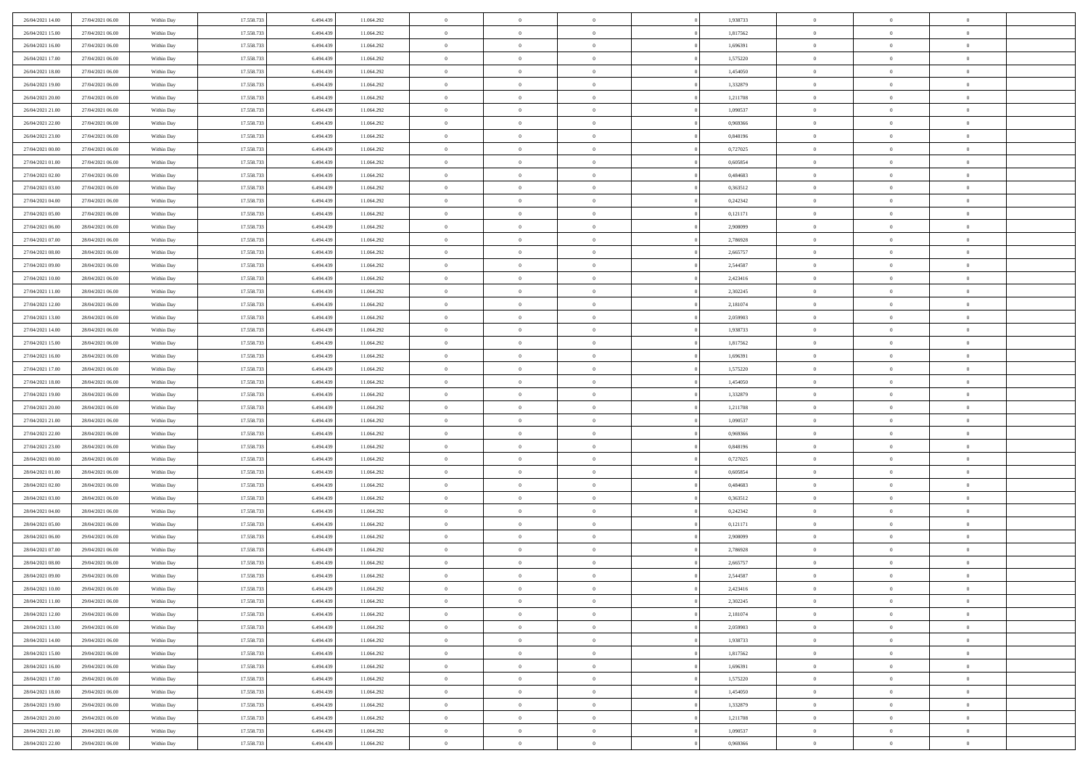| 26/04/2021 14:00 | 27/04/2021 06:00 | Within Day | 17.558.733 | 6.494.439 | 11.064.292 | $\overline{0}$ | $\overline{0}$ | $\Omega$       | 1,938733 | $\bf{0}$       | $\mathbf{0}$   | $\bf{0}$       |  |
|------------------|------------------|------------|------------|-----------|------------|----------------|----------------|----------------|----------|----------------|----------------|----------------|--|
| 26/04/2021 15:00 | 27/04/2021 06:00 | Within Day | 17.558.733 | 6.494.439 | 11.064.292 | $\mathbf{0}$   | $\overline{0}$ | $\overline{0}$ | 1,817562 | $\mathbf{0}$   | $\overline{0}$ | $\overline{0}$ |  |
| 26/04/2021 16:00 | 27/04/2021 06:00 | Within Day | 17.558.733 | 6.494.439 | 11.064.292 | $\,$ 0         | $\overline{0}$ | $\bf{0}$       | 1,696391 | $\,$ 0         | $\overline{0}$ | $\,$ 0 $\,$    |  |
| 26/04/2021 17:00 | 27/04/2021 06:00 | Within Day | 17.558.733 | 6,494,439 | 11.064.292 | $\bf{0}$       | $\overline{0}$ | $\Omega$       | 1,575220 | $\bf{0}$       | $\mathbf{0}$   | $\theta$       |  |
| 26/04/2021 18:00 | 27/04/2021 06:00 | Within Day | 17.558.733 | 6.494.439 | 11.064.292 | $\bf{0}$       | $\overline{0}$ | $\overline{0}$ | 1,454050 | $\mathbf{0}$   | $\overline{0}$ | $\overline{0}$ |  |
| 26/04/2021 19:00 | 27/04/2021 06:00 | Within Day | 17.558.733 | 6.494.439 | 11.064.292 | $\bf{0}$       | $\overline{0}$ | $\bf{0}$       | 1,332879 | $\,$ 0         | $\overline{0}$ | $\,$ 0 $\,$    |  |
| 26/04/2021 20:00 | 27/04/2021 06:00 | Within Day | 17.558.733 | 6.494.439 | 11.064.292 | $\bf{0}$       | $\overline{0}$ | $\overline{0}$ | 1,211708 | $\theta$       | $\overline{0}$ | $\theta$       |  |
| 26/04/2021 21:00 | 27/04/2021 06:00 | Within Day | 17.558.733 | 6.494.439 | 11.064.292 | $\overline{0}$ | $\overline{0}$ | $\overline{0}$ | 1,090537 | $\mathbf{0}$   | $\overline{0}$ | $\overline{0}$ |  |
| 26/04/2021 22:00 | 27/04/2021 06:00 | Within Day | 17.558.733 | 6.494.439 | 11.064.292 | $\bf{0}$       | $\overline{0}$ | $\bf{0}$       | 0,969366 | $\,$ 0         | $\overline{0}$ | $\,$ 0 $\,$    |  |
| 26/04/2021 23:00 | 27/04/2021 06:00 | Within Day | 17.558.733 | 6,494,439 | 11.064.292 | $\bf{0}$       | $\overline{0}$ | $\Omega$       | 0.848196 | $\theta$       | $\mathbf{0}$   | $\theta$       |  |
| 27/04/2021 00:00 | 27/04/2021 06:00 | Within Day | 17.558.733 | 6.494.439 | 11.064.292 | $\overline{0}$ | $\overline{0}$ | $\overline{0}$ | 0,727025 | $\mathbf{0}$   | $\overline{0}$ | $\overline{0}$ |  |
| 27/04/2021 01:00 | 27/04/2021 06:00 | Within Day | 17.558.733 | 6.494.439 | 11.064.292 | $\bf{0}$       | $\overline{0}$ | $\bf{0}$       | 0,605854 | $\,$ 0         | $\overline{0}$ | $\,$ 0 $\,$    |  |
| 27/04/2021 02.00 | 27/04/2021 06:00 | Within Day | 17.558.733 | 6,494,439 | 11.064.292 | $\bf{0}$       | $\overline{0}$ | $\Omega$       | 0.484683 | $\bf{0}$       | $\mathbf{0}$   | $\theta$       |  |
| 27/04/2021 03:00 | 27/04/2021 06:00 | Within Day | 17.558.733 | 6.494.439 | 11.064.292 | $\overline{0}$ | $\overline{0}$ | $\overline{0}$ | 0,363512 | $\mathbf{0}$   | $\overline{0}$ | $\overline{0}$ |  |
| 27/04/2021 04:00 | 27/04/2021 06:00 | Within Day | 17.558.733 | 6.494.439 | 11.064.292 | $\bf{0}$       | $\overline{0}$ | $\bf{0}$       | 0,242342 | $\,$ 0         | $\overline{0}$ | $\,$ 0 $\,$    |  |
| 27/04/2021 05:00 | 27/04/2021 06:00 | Within Day | 17.558.733 | 6.494.439 | 11.064.292 | $\bf{0}$       | $\overline{0}$ | $\overline{0}$ | 0,121171 | $\theta$       | $\mathbf{0}$   | $\bf{0}$       |  |
| 27/04/2021 06:00 | 28/04/2021 06:00 | Within Day | 17.558.733 | 6.494.439 | 11.064.292 | $\overline{0}$ | $\overline{0}$ | $\overline{0}$ | 2,908099 | $\mathbf{0}$   | $\overline{0}$ | $\overline{0}$ |  |
| 27/04/2021 07:00 | 28/04/2021 06:00 | Within Day | 17.558.733 | 6.494.439 | 11.064.292 | $\bf{0}$       | $\overline{0}$ | $\bf{0}$       | 2,786928 | $\,$ 0         | $\overline{0}$ | $\,$ 0 $\,$    |  |
| 27/04/2021 08:00 | 28/04/2021 06:00 | Within Day | 17.558.733 | 6,494,439 | 11.064.292 | $\bf{0}$       | $\overline{0}$ | $\Omega$       | 2.665757 | $\theta$       | $\mathbf{0}$   | $\theta$       |  |
| 27/04/2021 09:00 | 28/04/2021 06:00 | Within Day | 17.558.733 | 6.494.439 | 11.064.292 | $\overline{0}$ | $\overline{0}$ | $\overline{0}$ | 2,544587 | $\mathbf{0}$   | $\overline{0}$ | $\overline{0}$ |  |
| 27/04/2021 10:00 | 28/04/2021 06:00 | Within Day | 17.558.733 | 6.494.439 | 11.064.292 | $\bf{0}$       | $\overline{0}$ | $\bf{0}$       | 2,423416 | $\,$ 0         | $\overline{0}$ | $\,$ 0 $\,$    |  |
| 27/04/2021 11:00 | 28/04/2021 06:00 | Within Day | 17.558.733 | 6,494,439 | 11.064.292 | $\bf{0}$       | $\overline{0}$ | $\Omega$       | 2,302245 | $\bf{0}$       | $\mathbf{0}$   | $\theta$       |  |
| 27/04/2021 12:00 | 28/04/2021 06:00 | Within Day | 17.558.733 | 6.494.439 | 11.064.292 | $\overline{0}$ | $\overline{0}$ | $\overline{0}$ | 2,181074 | $\mathbf{0}$   | $\overline{0}$ | $\overline{0}$ |  |
| 27/04/2021 13:00 | 28/04/2021 06:00 | Within Day | 17.558.733 | 6.494.439 | 11.064.292 | $\bf{0}$       | $\overline{0}$ | $\bf{0}$       | 2,059903 | $\,$ 0         | $\overline{0}$ | $\,$ 0 $\,$    |  |
| 27/04/2021 14:00 | 28/04/2021 06:00 | Within Day | 17.558.733 | 6.494.439 | 11.064.292 | $\bf{0}$       | $\overline{0}$ | $\overline{0}$ | 1.938733 | $\bf{0}$       | $\overline{0}$ | $\bf{0}$       |  |
| 27/04/2021 15:00 | 28/04/2021 06:00 | Within Day | 17.558.733 | 6.494.439 | 11.064.292 | $\overline{0}$ | $\overline{0}$ | $\overline{0}$ | 1,817562 | $\mathbf{0}$   | $\overline{0}$ | $\overline{0}$ |  |
| 27/04/2021 16:00 | 28/04/2021 06:00 | Within Day | 17.558.733 | 6.494.439 | 11.064.292 | $\bf{0}$       | $\overline{0}$ | $\bf{0}$       | 1,696391 | $\,$ 0         | $\overline{0}$ | $\,$ 0 $\,$    |  |
| 27/04/2021 17:00 | 28/04/2021 06:00 | Within Day | 17.558.733 | 6,494,439 | 11.064.292 | $\bf{0}$       | $\overline{0}$ | $\Omega$       | 1,575220 | $\theta$       | $\mathbf{0}$   | $\theta$       |  |
| 27/04/2021 18:00 | 28/04/2021 06:00 | Within Day | 17.558.733 | 6.494.439 | 11.064.292 | $\overline{0}$ | $\overline{0}$ | $\overline{0}$ | 1,454050 | $\mathbf{0}$   | $\overline{0}$ | $\overline{0}$ |  |
| 27/04/2021 19:00 | 28/04/2021 06:00 | Within Day | 17.558.733 | 6.494.439 | 11.064.292 | $\bf{0}$       | $\overline{0}$ | $\bf{0}$       | 1,332879 | $\,$ 0         | $\overline{0}$ | $\,$ 0 $\,$    |  |
| 27/04/2021 20:00 | 28/04/2021 06:00 | Within Day | 17.558.733 | 6.494.439 | 11.064.292 | $\bf{0}$       | $\bf{0}$       | $\overline{0}$ | 1,211708 | $\bf{0}$       | $\overline{0}$ | $\,0\,$        |  |
| 27/04/2021 21:00 | 28/04/2021 06:00 | Within Day | 17.558.733 | 6.494.439 | 11.064.292 | $\overline{0}$ | $\overline{0}$ | $\overline{0}$ | 1,090537 | $\mathbf{0}$   | $\overline{0}$ | $\overline{0}$ |  |
| 27/04/2021 22.00 | 28/04/2021 06:00 | Within Day | 17.558.733 | 6.494.439 | 11.064.292 | $\bf{0}$       | $\overline{0}$ | $\bf{0}$       | 0,969366 | $\,$ 0         | $\overline{0}$ | $\,$ 0 $\,$    |  |
| 27/04/2021 23.00 | 28/04/2021 06:00 | Within Day | 17.558.733 | 6.494.439 | 11.064.292 | $\bf{0}$       | $\overline{0}$ | $\bf{0}$       | 0,848196 | $\bf{0}$       | $\overline{0}$ | $\,0\,$        |  |
| 28/04/2021 00:00 | 28/04/2021 06:00 | Within Day | 17.558.733 | 6.494.439 | 11.064.292 | $\overline{0}$ | $\overline{0}$ | $\overline{0}$ | 0,727025 | $\overline{0}$ | $\overline{0}$ | $\overline{0}$ |  |
| 28/04/2021 01:00 | 28/04/2021 06:00 | Within Day | 17.558.733 | 6.494.439 | 11.064.292 | $\bf{0}$       | $\overline{0}$ | $\bf{0}$       | 0,605854 | $\,$ 0         | $\overline{0}$ | $\,$ 0 $\,$    |  |
| 28/04/2021 02:00 | 28/04/2021 06:00 | Within Day | 17.558.733 | 6.494.439 | 11.064.292 | $\bf{0}$       | $\bf{0}$       | $\overline{0}$ | 0,484683 | $\bf{0}$       | $\overline{0}$ | $\,0\,$        |  |
| 28/04/2021 03:00 | 28/04/2021 06:00 | Within Day | 17.558.733 | 6.494.439 | 11.064.292 | $\overline{0}$ | $\overline{0}$ | $\overline{0}$ | 0,363512 | $\mathbf{0}$   | $\overline{0}$ | $\overline{0}$ |  |
| 28/04/2021 04:00 | 28/04/2021 06:00 | Within Day | 17.558.733 | 6.494.439 | 11.064.292 | $\bf{0}$       | $\overline{0}$ | $\bf{0}$       | 0,242342 | $\,$ 0         | $\overline{0}$ | $\,$ 0 $\,$    |  |
| 28/04/2021 05:00 | 28/04/2021 06:00 | Within Day | 17.558.733 | 6.494.439 | 11.064.292 | $\bf{0}$       | $\bf{0}$       | $\overline{0}$ | 0,121171 | $\bf{0}$       | $\overline{0}$ | $\,0\,$        |  |
| 28/04/2021 06:00 | 29/04/2021 06:00 | Within Day | 17.558.733 | 6.494.439 | 11.064.292 | $\overline{0}$ | $\overline{0}$ | $\overline{0}$ | 2,908099 | $\overline{0}$ | $\overline{0}$ | $\overline{0}$ |  |
| 28/04/2021 07:00 | 29/04/2021 06:00 | Within Day | 17.558.733 | 6.494.439 | 11.064.292 | $\bf{0}$       | $\overline{0}$ | $\bf{0}$       | 2,786928 | $\,$ 0         | $\overline{0}$ | $\,$ 0 $\,$    |  |
| 28/04/2021 08:00 | 29/04/2021 06:00 | Within Day | 17.558.733 | 6.494.439 | 11.064.292 | $\bf{0}$       | $\bf{0}$       | $\bf{0}$       | 2,665757 | $\bf{0}$       | $\overline{0}$ | $\,0\,$        |  |
| 28/04/2021 09:00 | 29/04/2021 06:00 | Within Dav | 17.558.733 | 6.494.439 | 11.064.292 | $\mathbf{0}$   | $\overline{0}$ | $\overline{0}$ | 2,544587 | $\mathbf{0}$   | $\overline{0}$ | $\overline{0}$ |  |
| 28/04/2021 10:00 | 29/04/2021 06:00 | Within Day | 17.558.733 | 6.494.439 | 11.064.292 | $\bf{0}$       | $\overline{0}$ | $\theta$       | 2,423416 | $\overline{0}$ | $\overline{0}$ | $\theta$       |  |
| 28/04/2021 11:00 | 29/04/2021 06:00 | Within Day | 17.558.733 | 6.494.439 | 11.064.292 | $\bf{0}$       | $\bf{0}$       | $\bf{0}$       | 2,302245 | $\bf{0}$       | $\overline{0}$ | $\,0\,$        |  |
| 28/04/2021 12:00 | 29/04/2021 06:00 | Within Day | 17.558.733 | 6.494.439 | 11.064.292 | $\overline{0}$ | $\overline{0}$ | $\overline{0}$ | 2,181074 | $\overline{0}$ | $\bf{0}$       | $\overline{0}$ |  |
| 28/04/2021 13:00 | 29/04/2021 06:00 | Within Day | 17.558.733 | 6.494.439 | 11.064.292 | $\,$ 0 $\,$    | $\overline{0}$ | $\overline{0}$ | 2,059903 | $\mathbf{0}$   | $\,$ 0 $\,$    | $\,$ 0 $\,$    |  |
| 28/04/2021 14:00 | 29/04/2021 06:00 | Within Day | 17.558.733 | 6.494.439 | 11.064.292 | $\bf{0}$       | $\bf{0}$       | $\overline{0}$ | 1,938733 | $\bf{0}$       | $\overline{0}$ | $\bf{0}$       |  |
| 28/04/2021 15:00 | 29/04/2021 06:00 | Within Day | 17.558.733 | 6.494.439 | 11.064.292 | $\bf{0}$       | $\overline{0}$ | $\overline{0}$ | 1,817562 | $\overline{0}$ | $\overline{0}$ | $\overline{0}$ |  |
| 28/04/2021 16:00 | 29/04/2021 06:00 | Within Day | 17.558.733 | 6.494.439 | 11.064.292 | $\,$ 0 $\,$    | $\overline{0}$ | $\overline{0}$ | 1,696391 | $\,$ 0 $\,$    | $\overline{0}$ | $\,$ 0 $\,$    |  |
| 28/04/2021 17:00 | 29/04/2021 06:00 | Within Day | 17.558.733 | 6.494.439 | 11.064.292 | $\bf{0}$       | $\overline{0}$ | $\overline{0}$ | 1,575220 | $\bf{0}$       | $\overline{0}$ | $\overline{0}$ |  |
| 28/04/2021 18:00 | 29/04/2021 06:00 | Within Day | 17.558.733 | 6.494.439 | 11.064.292 | $\overline{0}$ | $\overline{0}$ | $\overline{0}$ | 1,454050 | $\overline{0}$ | $\bf{0}$       | $\mathbf{0}$   |  |
| 28/04/2021 19:00 | 29/04/2021 06:00 | Within Day | 17.558.733 | 6.494.439 | 11.064.292 | $\,$ 0 $\,$    | $\overline{0}$ | $\overline{0}$ | 1,332879 | $\mathbf{0}$   | $\,$ 0 $\,$    | $\,$ 0 $\,$    |  |
| 28/04/2021 20:00 | 29/04/2021 06:00 | Within Day | 17.558.733 | 6.494.439 | 11.064.292 | $\bf{0}$       | $\bf{0}$       | $\overline{0}$ | 1,211708 | $\mathbf{0}$   | $\overline{0}$ | $\bf{0}$       |  |
| 28/04/2021 21:00 | 29/04/2021 06:00 | Within Day | 17.558.733 | 6.494.439 | 11.064.292 | $\bf{0}$       | $\overline{0}$ | $\overline{0}$ | 1,090537 | $\mathbf{0}$   | $\bf{0}$       | $\overline{0}$ |  |
| 28/04/2021 22:00 | 29/04/2021 06:00 | Within Day | 17.558.733 | 6.494.439 | 11.064.292 | $\,0\,$        | $\overline{0}$ | $\overline{0}$ | 0,969366 | $\,$ 0         | $\overline{0}$ | $\,$ 0 $\,$    |  |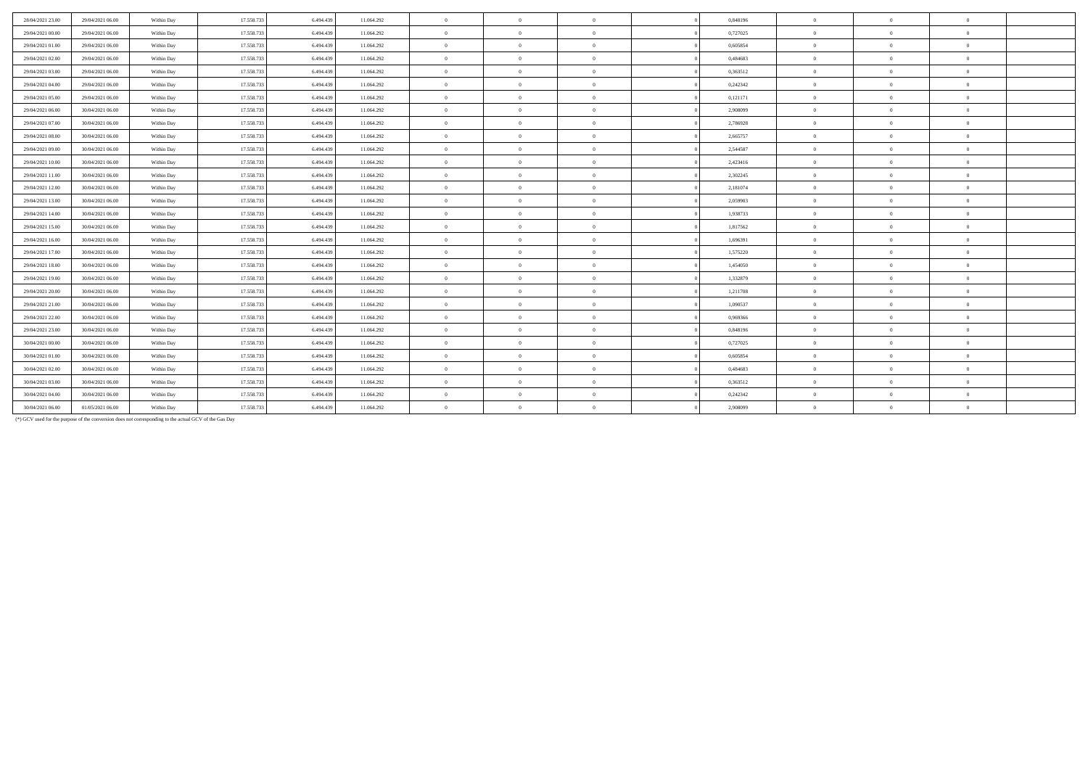| 28/04/2021 23:00 | 29/04/2021 06:00 | Within Day | 17.558.733 | 6.494.439 | 11.064.292 | $\mathbf{0}$   | $\Omega$       | $\Omega$       | 0,848196 | $\Omega$       | $\theta$       | $\Omega$       |  |
|------------------|------------------|------------|------------|-----------|------------|----------------|----------------|----------------|----------|----------------|----------------|----------------|--|
| 29/04/2021 00:00 | 29/04/2021 06:00 | Within Day | 17.558.733 | 6.494.439 | 11.064.292 | $\overline{0}$ | $\Omega$       | $\Omega$       | 0,727025 | $\Omega$       | $\theta$       | $\theta$       |  |
| 29/04/2021 01:00 | 29/04/2021 06:00 | Within Day | 17.558.733 | 6.494.439 | 11.064.292 | $\overline{0}$ | $\overline{0}$ | $\theta$       | 0.605854 | $\mathbf{0}$   | $\bf{0}$       | $\overline{0}$ |  |
| 29/04/2021 02:00 | 29/04/2021 06:00 | Within Day | 17.558.733 | 6,494,439 | 11.064.292 | $\overline{0}$ | $\Omega$       | $\overline{0}$ | 0.484683 | $\Omega$       | $\Omega$       | $\theta$       |  |
| 29/04/2021 03:00 | 29/04/2021 06:00 | Within Day | 17.558.733 | 6.494.439 | 11.064.292 | $\mathbf{0}$   | $\Omega$       | $\theta$       | 0,363512 | $\mathbf{0}$   | $\Omega$       | $\overline{0}$ |  |
| 29/04/2021 04:00 | 29/04/2021 06:00 | Within Day | 17.558.733 | 6.494.439 | 11.064.292 | $\overline{0}$ | $\Omega$       | $\Omega$       | 0,242342 | $\Omega$       | $\Omega$       | $\Omega$       |  |
| 29/04/2021 05:00 | 29/04/2021 06:00 | Within Day | 17.558.733 | 6.494.439 | 11.064.292 | $\overline{0}$ | $\overline{0}$ | $\theta$       | 0,121171 | $\overline{0}$ | $\overline{0}$ | $\overline{0}$ |  |
| 29/04/2021 06:00 | 30/04/2021 06:00 | Within Day | 17.558.733 | 6.494.439 | 11.064.292 | $\overline{0}$ | $\Omega$       | $\Omega$       | 2,908099 | $\Omega$       | $\Omega$       | $\theta$       |  |
| 29/04/2021 07:00 | 30/04/2021 06:00 | Within Day | 17.558.733 | 6.494.439 | 11.064.292 | $\overline{0}$ | $\Omega$       | $\mathbf{0}$   | 2.786928 | $\mathbf{0}$   | $\Omega$       | $\theta$       |  |
| 29/04/2021 08:00 | 30/04/2021 06:00 | Within Day | 17.558.733 | 6.494.439 | 11.064.292 | $\overline{0}$ | $\Omega$       | $\theta$       | 2,665757 | $\mathbf{0}$   | $\theta$       | $\theta$       |  |
| 29/04/2021 09:00 | 30/04/2021 06:00 | Within Day | 17.558.733 | 6.494.439 | 11.064.292 | $\overline{0}$ | $\overline{0}$ | $\theta$       | 2,544587 | $\mathbf{0}$   | $\bf{0}$       | $\theta$       |  |
| 29/04/2021 10:00 | 30/04/2021 06:00 | Within Day | 17.558.733 | 6.494.439 | 11.064.292 | $\theta$       | $\Omega$       | $\Omega$       | 2,423416 | $\Omega$       | $\Omega$       | $\Omega$       |  |
| 29/04/2021 11:00 | 30/04/2021 06:00 | Within Day | 17.558.733 | 6.494.439 | 11.064.292 | $\overline{0}$ | $\Omega$       | $\mathbf{0}$   | 2,302245 | $\mathbf{0}$   | $\theta$       | $\overline{0}$ |  |
| 29/04/2021 12:00 | 30/04/2021 06:00 | Within Day | 17.558.733 | 6,494,439 | 11.064.292 | $\overline{0}$ | $\Omega$       | $\Omega$       | 2.181074 | $\Omega$       | $\Omega$       | $\Omega$       |  |
| 29/04/2021 13:00 | 30/04/2021 06:00 | Within Day | 17.558.733 | 6.494.439 | 11.064.292 | $\overline{0}$ | $\theta$       | $\theta$       | 2,059903 | $\mathbf{0}$   | $\Omega$       | $\theta$       |  |
| 29/04/2021 14:00 | 30/04/2021 06:00 | Within Day | 17.558.733 | 6.494.439 | 11.064.292 | $\mathbf{0}$   | $\Omega$       | $\Omega$       | 1,938733 | $\Omega$       | $\theta$       | $\theta$       |  |
| 29/04/2021 15:00 | 30/04/2021 06:00 | Within Day | 17.558.733 | 6.494.439 | 11.064.292 | $\overline{0}$ | $\Omega$       | $\theta$       | 1,817562 | $\mathbf{0}$   | $\Omega$       | $\theta$       |  |
| 29/04/2021 16:00 | 30/04/2021 06:00 | Within Day | 17.558.733 | 6.494.439 | 11.064.292 | $\mathbf{0}$   | $\Omega$       | $\Omega$       | 1,696391 | $\Omega$       | $\Omega$       | $\Omega$       |  |
| 29/04/2021 17:00 | 30/04/2021 06:00 | Within Day | 17.558.733 | 6.494.439 | 11.064.292 | $\bf{0}$       | $\overline{0}$ | $\theta$       | 1,575220 | $\bf{0}$       | $\overline{0}$ | $\,0\,$        |  |
| 29/04/2021 18:00 | 30/04/2021 06:00 | Within Day | 17.558.733 | 6.494.439 | 11.064.292 | $\theta$       | $\Omega$       | $\overline{0}$ | 1.454050 | $\Omega$       | $\Omega$       | $\theta$       |  |
| 29/04/2021 19:00 | 30/04/2021 06:00 | Within Day | 17.558.733 | 6.494.439 | 11.064.292 | $\overline{0}$ | $\Omega$       | $\mathbf{0}$   | 1,332879 | $\Omega$       | $\Omega$       | $\overline{0}$ |  |
| 29/04/2021 20:00 | 30/04/2021 06:00 | Within Day | 17.558.733 | 6,494,439 | 11.064.292 | $\overline{0}$ | $\Omega$       | $\Omega$       | 1.211708 | $\Omega$       | $\Omega$       | $\Omega$       |  |
| 29/04/2021 21:00 | 30/04/2021 06:00 | Within Day | 17.558.733 | 6.494.439 | 11.064.292 | $\overline{0}$ | $\overline{0}$ | $\overline{0}$ | 1,090537 | $\overline{0}$ | $\theta$       | $\overline{0}$ |  |
| 29/04/2021 22.00 | 30/04/2021 06:00 | Within Day | 17.558.733 | 6.494.439 | 11.064.292 | $\overline{0}$ | $\Omega$       | $\theta$       | 0.969366 | $\mathbf{0}$   | $\Omega$       | $\theta$       |  |
| 29/04/2021 23:00 | 30/04/2021 06:00 | Within Day | 17.558.733 | 6.494.439 | 11.064.292 | $\overline{0}$ | $\Omega$       | $\overline{0}$ | 0.848196 | $\mathbf{0}$   | $\Omega$       | $\theta$       |  |
| 30/04/2021 00:00 | 30/04/2021 06:00 | Within Day | 17.558.733 | 6.494.439 | 11.064.292 | $\overline{0}$ | $\Omega$       | $\Omega$       | 0,727025 | $\Omega$       | $\Omega$       | $\Omega$       |  |
| 30/04/2021 01:00 | 30/04/2021 06:00 | Within Day | 17.558.733 | 6.494.439 | 11.064.292 | $\overline{0}$ | $\overline{0}$ | $\theta$       | 0.605854 | $\mathbf{0}$   | $\theta$       | $\theta$       |  |
| 30/04/2021 02:00 | 30/04/2021 06:00 | Within Day | 17.558.733 | 6.494.439 | 11.064.292 | $\overline{0}$ | $\overline{0}$ | $\theta$       | 0.484683 | $\mathbf{0}$   | $\Omega$       | $\theta$       |  |
| 30/04/2021 03:00 | 30/04/2021 06:00 | Within Day | 17.558.733 | 6.494.439 | 11.064.292 | $\overline{0}$ | $\Omega$       | $\theta$       | 0,363512 | $\Omega$       | $\Omega$       | $\theta$       |  |
| 30/04/2021 04:00 | 30/04/2021 06:00 | Within Day | 17.558.733 | 6.494.439 | 11.064.292 | $\overline{0}$ | $\Omega$       | $\overline{0}$ | 0,242342 | $\mathbf{0}$   |                | $\theta$       |  |
| 30/04/2021 06:00 | 01/05/2021 06:00 | Within Day | 17.558.733 | 6.494.439 | 11.064.292 | $\theta$       | $\Omega$       | $\overline{0}$ | 2,908099 | $\Omega$       | $\Omega$       | $\theta$       |  |

(\*) GCV used for the purpose of the conversion does not corresponding to the actual GCV of the Gas Day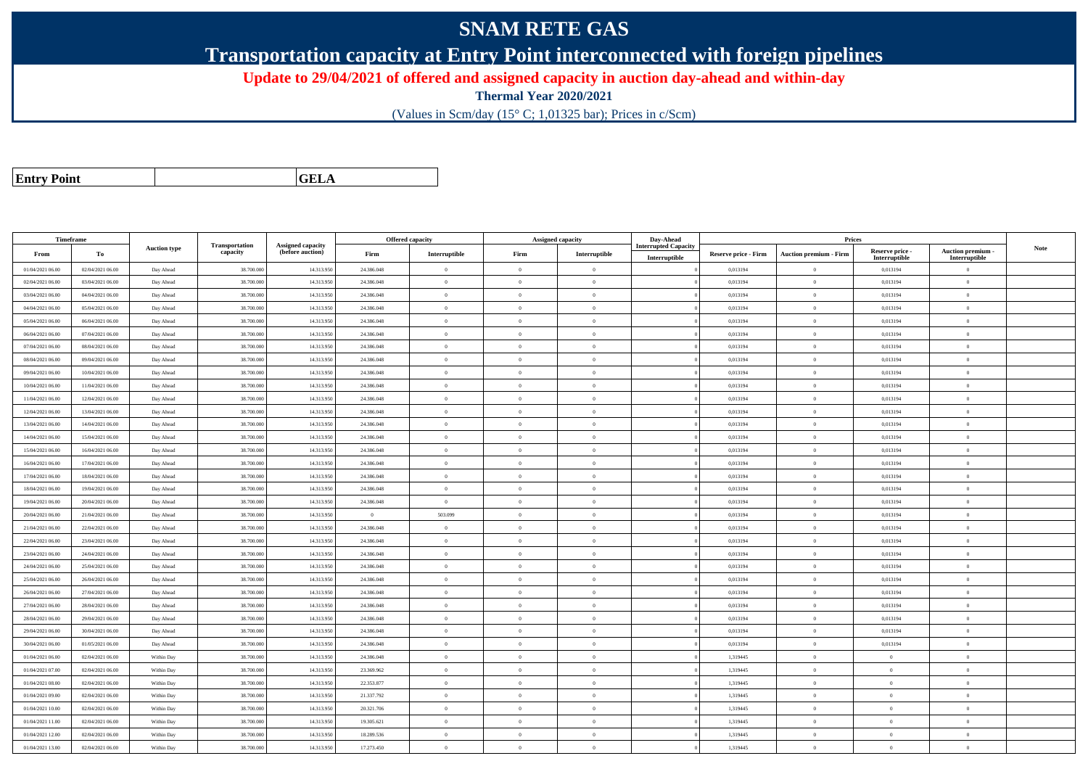## **SNAM RETE GAS**

**Transportation capacity at Entry Point interconnected with foreign pipelines**

**Update to 29/04/2021 of offered and assigned capacity in auction day-ahead and within-day**

**Thermal Year 2020/2021**

(Values in Scm/day (15° C; 1,01325 bar); Prices in c/Scm)

| <b>Entry Point</b> |  |
|--------------------|--|
|                    |  |

**GELA**

| Timeframe        |                  |                     |                            |                                              |                | <b>Offered capacity</b> |                | Assigned capacity | Day-Ahead                                    |                      | <b>Prices</b>                 |                                  |                                    |             |
|------------------|------------------|---------------------|----------------------------|----------------------------------------------|----------------|-------------------------|----------------|-------------------|----------------------------------------------|----------------------|-------------------------------|----------------------------------|------------------------------------|-------------|
| From             | To               | <b>Auction type</b> | Transportation<br>capacity | <b>Assigned capacity</b><br>(before auction) | Firm           | Interruptible           | Firm           | Interruptible     | <b>Interrupted Capacity</b><br>Interruptible | Reserve price - Firm | <b>Auction premium - Firm</b> | Reserve price -<br>Interruptible | Auction premium -<br>Interruptible | <b>Note</b> |
| 01/04/2021 06:00 | 02/04/2021 06:00 | Day Ahead           | 38.700.000                 | 14.313.950                                   | 24.386.048     | $\theta$                | $\overline{0}$ | $\overline{0}$    |                                              | 0,013194             | $\theta$                      | 0,013194                         | $\Omega$                           |             |
| 02/04/2021 06:00 | 03/04/2021 06:00 | Day Ahead           | 38.700.000                 | 14.313.950                                   | 24.386.048     | $\theta$                | $\Omega$       | $\Omega$          |                                              | 0,013194             | $\theta$                      | 0,013194                         | $\overline{0}$                     |             |
| 03/04/2021 06:00 | 04/04/2021 06:00 | Day Ahead           | 38.700.000                 | 14.313.950                                   | 24.386.048     | $\theta$                | $\overline{0}$ | $\overline{0}$    |                                              | 0,013194             | $\theta$                      | 0,013194                         | $\overline{0}$                     |             |
| 04/04/2021 06:00 | 05/04/2021 06:00 | Day Ahead           | 38.700.000                 | 14.313.950                                   | 24.386.048     | $\overline{0}$          | $\overline{0}$ | $\overline{0}$    |                                              | 0,013194             | $\theta$                      | 0,013194                         | $\overline{0}$                     |             |
| 05/04/2021 06:00 | 06/04/2021 06:00 | Day Ahead           | 38.700.000                 | 14.313.950                                   | 24.386.048     | $\overline{0}$          | $\overline{0}$ | $\overline{0}$    |                                              | 0,013194             | $\overline{0}$                | 0,013194                         | $\overline{0}$                     |             |
| 06/04/2021 06:00 | 07/04/2021 06:00 | Day Ahead           | 38.700.000                 | 14.313.950                                   | 24.386.048     | $\Omega$                | $\overline{0}$ | $\overline{0}$    |                                              | 0,013194             | $\theta$                      | 0,013194                         | $\overline{0}$                     |             |
| 07/04/2021 06:00 | 08/04/2021 06:00 | Day Ahead           | 38,700,000                 | 14.313.950                                   | 24.386.048     | $\theta$                | $\overline{0}$ | $\overline{0}$    |                                              | 0.013194             | $\mathbf{0}$                  | 0.013194                         | $\overline{0}$                     |             |
| 08/04/2021 06:00 | 09/04/2021 06:00 | Day Ahead           | 38,700,000                 | 14.313.950                                   | 24.386.048     | $\Omega$                | $\theta$       | $\theta$          |                                              | 0.013194             | $\mathbf{a}$                  | 0,013194                         | $\theta$                           |             |
| 09/04/2021 06:00 | 10/04/2021 06:00 | Day Ahead           | 38.700.000                 | 14.313.950                                   | 24.386.048     | $\Omega$                | $\overline{0}$ | $\overline{0}$    |                                              | 0,013194             | $\theta$                      | 0,013194                         | $\overline{0}$                     |             |
| 10/04/2021 06:00 | 11/04/2021 06:00 | Day Ahead           | 38.700.000                 | 14.313.950                                   | 24.386.048     | $\theta$                | $\overline{0}$ | $\overline{0}$    |                                              | 0,013194             | $\overline{0}$                | 0,013194                         | $\overline{0}$                     |             |
| 11/04/2021 06:00 | 12/04/2021 06:00 | Day Ahead           | 38,700,000                 | 14.313.950                                   | 24.386.048     | $\Omega$                | $\theta$       | $\Omega$          |                                              | 0.013194             | $\theta$                      | 0.013194                         | $\Omega$                           |             |
| 12/04/2021 06:00 | 13/04/2021 06:00 | Day Ahead           | 38.700.000                 | 14.313.950                                   | 24.386.048     | $\theta$                | $\overline{0}$ | $\overline{0}$    |                                              | 0,013194             | $\bf{0}$                      | 0,013194                         | $\overline{0}$                     |             |
| 13/04/2021 06:00 | 14/04/2021 06:00 | Day Ahead           | 38.700.000                 | 14.313.950                                   | 24.386.048     | $\theta$                | $\overline{0}$ | $\overline{0}$    |                                              | 0,013194             | $\theta$                      | 0,013194                         | $\overline{0}$                     |             |
| 14/04/2021 06:00 | 15/04/2021 06:00 | Day Ahead           | 38.700.000                 | 14.313.950                                   | 24.386.048     | $\theta$                | $\overline{0}$ | $\overline{0}$    |                                              | 0,013194             | $\theta$                      | 0,013194                         | $\overline{0}$                     |             |
| 15/04/2021 06:00 | 16/04/2021 06:00 | Day Ahead           | 38,700,000                 | 14.313.950                                   | 24.386,048     | $\overline{0}$          | $\overline{0}$ | $\overline{0}$    |                                              | 0.013194             | $\overline{0}$                | 0.013194                         | $\overline{0}$                     |             |
| 16/04/2021 06:00 | 17/04/2021 06:00 | Day Ahead           | 38,700,000                 | 14.313.950                                   | 24.386.048     | $\theta$                | $\theta$       | $\overline{0}$    |                                              | 0.013194             | $\mathbf{0}$                  | 0,013194                         | $\overline{0}$                     |             |
| 17/04/2021 06:00 | 18/04/2021 06:00 | Day Ahead           | 38.700.000                 | 14.313.950                                   | 24.386.048     | $\Omega$                | $\overline{0}$ | $\overline{0}$    |                                              | 0,013194             | $\theta$                      | 0,013194                         | $\overline{0}$                     |             |
| 18/04/2021 06:00 | 19/04/2021 06:00 | Day Ahead           | 38,700,000                 | 14.313.950                                   | 24.386.048     | $\theta$                | $\theta$       | $\Omega$          |                                              | 0.013194             | $\theta$                      | 0.013194                         | $\theta$                           |             |
| 19/04/2021 06:00 | 20/04/2021 06:00 | Day Ahead           | 38,700,000                 | 14.313.950                                   | 24.386.048     | $\theta$                | $\theta$       | $\Omega$          |                                              | 0.013194             | $\theta$                      | 0.013194                         | $\Omega$                           |             |
| 20/04/2021 06:00 | 21/04/2021 06:00 | Day Ahead           | 38.700.000                 | 14.313.950                                   | $\overline{0}$ | 503.099                 | $\overline{0}$ | $\overline{0}$    |                                              | 0,013194             | $\mathbf{0}$                  | 0,013194                         | $\overline{0}$                     |             |
| 21/04/2021 06:00 | 22/04/2021 06:00 | Day Ahead           | 38.700.000                 | 14.313.950                                   | 24.386.048     | $\theta$                | $\overline{0}$ | $\overline{0}$    |                                              | 0,013194             | $\overline{0}$                | 0,013194                         | $\overline{0}$                     |             |
| 22/04/2021 06:00 | 23/04/2021 06:00 | Day Ahead           | 38.700.000                 | 14.313.950                                   | 24.386.048     | $\theta$                | $\overline{0}$ | $\overline{0}$    |                                              | 0,013194             | $\Omega$                      | 0,013194                         | $\overline{0}$                     |             |
| 23/04/2021 06:00 | 24/04/2021 06:00 | Day Ahead           | 38,700,000                 | 14.313.950                                   | 24.386.048     | $\theta$                | $\overline{0}$ | $\overline{0}$    |                                              | 0.013194             | $\bf{0}$                      | 0.013194                         | $\theta$                           |             |
| 24/04/2021 06:00 | 25/04/2021 06:00 | Day Ahead           | 38.700.000                 | 14.313.950                                   | 24.386.048     | $\theta$                | $\overline{0}$ | $\overline{0}$    |                                              | 0,013194             | $\mathbf{0}$                  | 0,013194                         | $\overline{0}$                     |             |
| 25/04/2021 06:00 | 26/04/2021 06:00 | Day Ahead           | 38.700.000                 | 14.313.950                                   | 24.386.048     | $\overline{0}$          | $\overline{0}$ | $\overline{0}$    |                                              | 0,013194             | $\theta$                      | 0,013194                         | $\overline{0}$                     |             |
| 26/04/2021 06:00 | 27/04/2021 06:00 | Day Ahead           | 38,700,000                 | 14.313.950                                   | 24.386.048     | $\theta$                | $\theta$       | $\Omega$          |                                              | 0.013194             | $\overline{0}$                | 0.013194                         | $\theta$                           |             |
| 27/04/2021 06:00 | 28/04/2021 06:00 | Day Ahead           | 38.700.000                 | 14.313.950                                   | 24.386.048     | $\theta$                | $\overline{0}$ | $\overline{0}$    |                                              | 0,013194             | $\mathbf{0}$                  | 0,013194                         | $\overline{0}$                     |             |
| 28/04/2021 06:00 | 29/04/2021 06:00 | Day Ahead           | 38.700.000                 | 14.313.950                                   | 24.386.048     | $\Omega$                | $\overline{0}$ | $\overline{0}$    |                                              | 0,013194             | $\theta$                      | 0,013194                         | $\overline{0}$                     |             |
| 29/04/2021 06:00 | 30/04/2021 06:00 | Day Ahead           | 38.700.000                 | 14.313.950                                   | 24.386.048     | $\theta$                | $\overline{0}$ | $\Omega$          |                                              | 0,013194             | $\Omega$                      | 0,013194                         | $\overline{0}$                     |             |
| 30/04/2021 06:00 | 01/05/2021 06:00 | Day Ahead           | 38,700,000                 | 14.313.950                                   | 24.386.048     | $\theta$                | $\theta$       | $\Omega$          |                                              | 0.013194             | $\Omega$                      | 0.013194                         | $\Omega$                           |             |
| 01/04/2021 06:00 | 02/04/2021 06:00 | Within Day          | 38.700.000                 | 14.313.950                                   | 24.386.048     | $\overline{0}$          | $\overline{0}$ | $\overline{0}$    |                                              | 1,319445             | $\overline{0}$                | $\overline{0}$                   | $\overline{0}$                     |             |
| 01/04/2021 07:00 | 02/04/2021 06:00 | Within Day          | 38.700.000                 | 14.313.950                                   | 23.369.962     | $\overline{0}$          | $\overline{0}$ | $\overline{0}$    |                                              | 1,319445             | $\bf{0}$                      | $\bf{0}$                         | $\overline{0}$                     |             |
| 01/04/2021 08:00 | 02/04/2021 06:00 | Within Day          | 38.700.000                 | 14.313.950                                   | 22.353.877     | $\theta$                | $\overline{0}$ | $\overline{0}$    |                                              | 1,319445             | $\theta$                      | $\overline{0}$                   | $\overline{0}$                     |             |
| 01/04/2021 09:00 | 02/04/2021 06:00 | Within Day          | 38,700,000                 | 14.313.950                                   | 21.337.792     | $\overline{0}$          | $\overline{0}$ | $\overline{0}$    |                                              | 1.319445             | $\overline{0}$                | $\overline{0}$                   | $\overline{0}$                     |             |
| 01/04/2021 10:00 | 02/04/2021 06:00 | Within Day          | 38.700.000                 | 14.313.950                                   | 20.321.706     | $\Omega$                | $\theta$       | $\theta$          |                                              | 1,319445             | $\Omega$                      | $\theta$                         | $\theta$                           |             |
| 01/04/2021 11:00 | 02/04/2021 06:00 | Within Day          | 38.700.000                 | 14.313.950                                   | 19.305.621     | $\overline{0}$          | $\overline{0}$ | $\overline{0}$    |                                              | 1,319445             | $\theta$                      | $\overline{0}$                   | $\overline{0}$                     |             |
| 01/04/2021 12:00 | 02/04/2021 06:00 | Within Day          | 38.700.000                 | 14.313.950                                   | 18.289.536     | $\theta$                | $\overline{0}$ | $\Omega$          |                                              | 1,319445             | $\Omega$                      | $\overline{0}$                   | $\overline{0}$                     |             |
| 01/04/2021 13:00 | 02/04/2021 06:00 | Within Day          | 38,700,000                 | 14.313.950                                   | 17.273.450     | $\Omega$                | $\theta$       | $\Omega$          |                                              | 1.319445             | $\Omega$                      | $\overline{0}$                   | $\Omega$                           |             |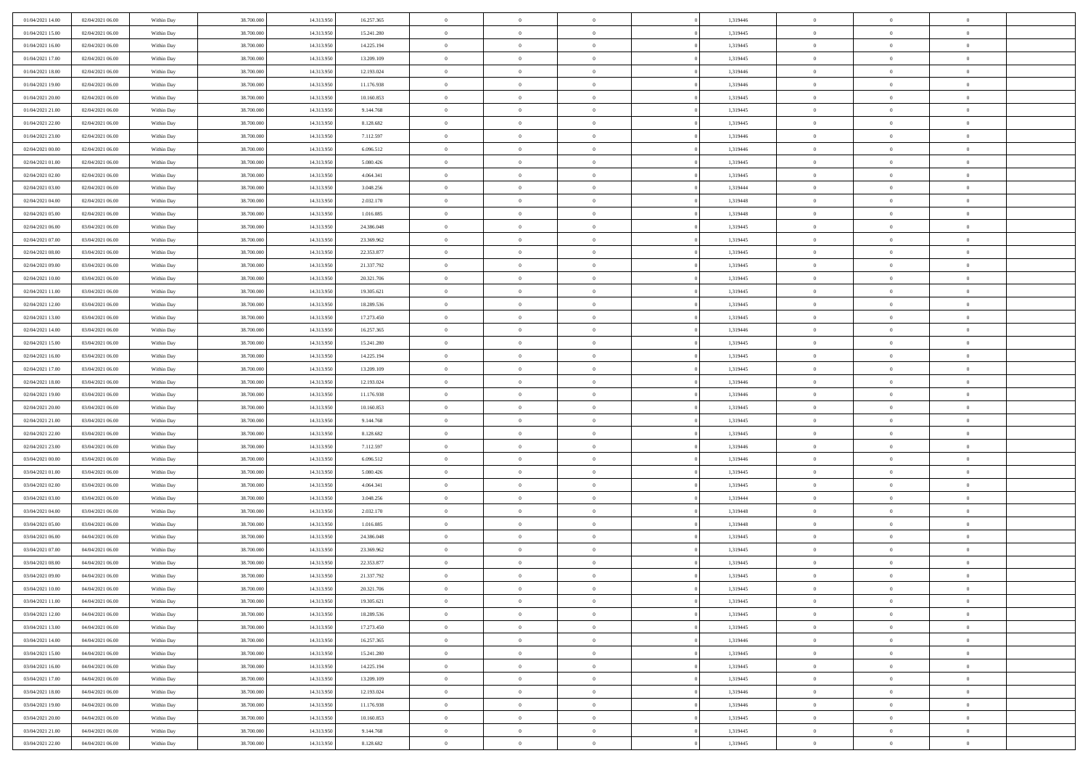| 01/04/2021 14:00 | 02/04/2021 06:00 | Within Day | 38,700,000 | 14.313.950 | 16.257.365 | $\overline{0}$ | $\overline{0}$ | $\Omega$       | 1,319446 | $\bf{0}$       | $\mathbf{0}$   | $\bf{0}$       |  |
|------------------|------------------|------------|------------|------------|------------|----------------|----------------|----------------|----------|----------------|----------------|----------------|--|
| 01/04/2021 15:00 | 02/04/2021 06:00 | Within Day | 38.700.000 | 14.313.950 | 15.241.280 | $\mathbf{0}$   | $\overline{0}$ | $\overline{0}$ | 1,319445 | $\overline{0}$ | $\overline{0}$ | $\theta$       |  |
| 01/04/2021 16:00 | 02/04/2021 06:00 | Within Day | 38.700.000 | 14.313.950 | 14.225.194 | $\,$ 0         | $\overline{0}$ | $\bf{0}$       | 1,319445 | $\,$ 0         | $\overline{0}$ | $\,$ 0 $\,$    |  |
| 01/04/2021 17.00 | 02/04/2021 06:00 | Within Day | 38,700,000 | 14.313.950 | 13.209.109 | $\bf{0}$       | $\overline{0}$ | $\Omega$       | 1,319445 | $\bf{0}$       | $\theta$       | $\theta$       |  |
| 01/04/2021 18:00 | 02/04/2021 06:00 | Within Dav | 38.700.000 | 14.313.950 | 12.193.024 | $\overline{0}$ | $\overline{0}$ | $\overline{0}$ | 1,319446 | $\mathbf{0}$   | $\overline{0}$ | $\overline{0}$ |  |
| 01/04/2021 19:00 | 02/04/2021 06:00 | Within Day | 38.700.000 | 14.313.950 | 11.176.938 | $\bf{0}$       | $\overline{0}$ | $\bf{0}$       | 1,319446 | $\,$ 0         | $\overline{0}$ | $\,$ 0 $\,$    |  |
| 01/04/2021 20:00 | 02/04/2021 06:00 | Within Day | 38,700,000 | 14.313.950 | 10.160.853 | $\bf{0}$       | $\overline{0}$ | $\Omega$       | 1,319445 | $\overline{0}$ | $\mathbf{0}$   | $\theta$       |  |
| 01/04/2021 21:00 | 02/04/2021 06:00 | Within Dav | 38.700.000 | 14.313.950 | 9.144.768  | $\overline{0}$ | $\overline{0}$ | $\overline{0}$ | 1,319445 | $\mathbf{0}$   | $\overline{0}$ | $\overline{0}$ |  |
| 01/04/2021 22.00 | 02/04/2021 06:00 | Within Day | 38.700.000 | 14.313.950 | 8.128.682  | $\bf{0}$       | $\overline{0}$ | $\bf{0}$       | 1,319445 | $\,$ 0         | $\overline{0}$ | $\,$ 0 $\,$    |  |
| 01/04/2021 23.00 | 02/04/2021 06:00 | Within Day | 38,700,000 | 14.313.950 | 7.112.597  | $\bf{0}$       | $\overline{0}$ | $\Omega$       | 1,319446 | $\bf{0}$       | $\mathbf{0}$   | $\theta$       |  |
| 02/04/2021 00:00 | 02/04/2021 06:00 | Within Day | 38.700.000 | 14.313.950 | 6.096.512  | $\overline{0}$ | $\overline{0}$ | $\overline{0}$ | 1,319446 | $\overline{0}$ | $\overline{0}$ | $\overline{0}$ |  |
| 02/04/2021 01:00 | 02/04/2021 06:00 | Within Day | 38.700.000 | 14.313.950 | 5.080.426  | $\,$ 0         | $\overline{0}$ | $\bf{0}$       | 1,319445 | $\,$ 0         | $\overline{0}$ | $\,$ 0 $\,$    |  |
| 02/04/2021 02:00 | 02/04/2021 06:00 | Within Day | 38,700,000 | 14.313.950 | 4.064.341  | $\bf{0}$       | $\overline{0}$ | $\Omega$       | 1,319445 | $\overline{0}$ | $\theta$       | $\theta$       |  |
| 02/04/2021 03:00 | 02/04/2021 06:00 | Within Dav | 38.700.000 | 14.313.950 | 3.048.256  | $\overline{0}$ | $\overline{0}$ | $\overline{0}$ | 1,319444 | $\mathbf{0}$   | $\overline{0}$ | $\overline{0}$ |  |
| 02/04/2021 04:00 | 02/04/2021 06:00 | Within Day | 38.700.000 | 14.313.950 | 2.032.170  | $\bf{0}$       | $\overline{0}$ | $\bf{0}$       | 1,319448 | $\,$ 0         | $\overline{0}$ | $\,$ 0 $\,$    |  |
| 02/04/2021 05:00 | 02/04/2021 06:00 | Within Day | 38,700,000 | 14.313.950 | 1.016.085  | $\bf{0}$       | $\overline{0}$ | $\overline{0}$ | 1,319448 | $\bf{0}$       | $\mathbf{0}$   | $\bf{0}$       |  |
| 02/04/2021 06:00 | 03/04/2021 06:00 | Within Day | 38.700.000 | 14.313.950 | 24.386.048 | $\overline{0}$ | $\overline{0}$ | $\overline{0}$ | 1,319445 | $\overline{0}$ | $\overline{0}$ | $\overline{0}$ |  |
| 02/04/2021 07:00 | 03/04/2021 06:00 | Within Day | 38.700.000 | 14.313.950 | 23.369.962 | $\bf{0}$       | $\overline{0}$ | $\bf{0}$       | 1,319445 | $\,$ 0         | $\overline{0}$ | $\,0\,$        |  |
| 02/04/2021 08:00 | 03/04/2021 06:00 | Within Day | 38,700,000 | 14.313.950 | 22.353.877 | $\bf{0}$       | $\overline{0}$ | $\Omega$       | 1,319445 | $\overline{0}$ | $\mathbf{0}$   | $\theta$       |  |
| 02/04/2021 09:00 | 03/04/2021 06:00 | Within Day | 38.700.000 | 14.313.950 | 21.337.792 | $\overline{0}$ | $\overline{0}$ | $\overline{0}$ | 1,319445 | $\overline{0}$ | $\overline{0}$ | $\overline{0}$ |  |
| 02/04/2021 10:00 | 03/04/2021 06:00 | Within Day | 38.700.000 | 14.313.950 | 20.321.706 | $\bf{0}$       | $\overline{0}$ | $\bf{0}$       | 1,319445 | $\,$ 0         | $\overline{0}$ | $\,$ 0 $\,$    |  |
| 02/04/2021 11:00 | 03/04/2021 06:00 | Within Day | 38,700,000 | 14.313.950 | 19.305.621 | $\bf{0}$       | $\overline{0}$ | $\Omega$       | 1,319445 | $\overline{0}$ | $\theta$       | $\theta$       |  |
| 02/04/2021 12:00 | 03/04/2021 06:00 | Within Dav | 38.700.000 | 14.313.950 | 18.289.536 | $\overline{0}$ | $\overline{0}$ | $\overline{0}$ | 1,319445 | $\mathbf{0}$   | $\overline{0}$ | $\overline{0}$ |  |
| 02/04/2021 13:00 | 03/04/2021 06:00 | Within Day | 38.700.000 | 14.313.950 | 17.273.450 | $\bf{0}$       | $\overline{0}$ | $\bf{0}$       | 1,319445 | $\,$ 0         | $\overline{0}$ | $\,$ 0 $\,$    |  |
| 02/04/2021 14:00 | 03/04/2021 06:00 | Within Day | 38,700,000 | 14.313.950 | 16.257.365 | $\bf{0}$       | $\overline{0}$ | $\overline{0}$ | 1,319446 | $\bf{0}$       | $\mathbf{0}$   | $\theta$       |  |
| 02/04/2021 15:00 | 03/04/2021 06:00 | Within Day | 38.700.000 | 14.313.950 | 15.241.280 | $\overline{0}$ | $\overline{0}$ | $\overline{0}$ | 1,319445 | $\overline{0}$ | $\overline{0}$ | $\overline{0}$ |  |
| 02/04/2021 16:00 | 03/04/2021 06:00 | Within Day | 38.700.000 | 14.313.950 | 14.225.194 | $\bf{0}$       | $\overline{0}$ | $\bf{0}$       | 1,319445 | $\,$ 0         | $\overline{0}$ | $\,$ 0 $\,$    |  |
| 02/04/2021 17:00 | 03/04/2021 06:00 | Within Day | 38,700,000 | 14.313.950 | 13.209.109 | $\bf{0}$       | $\overline{0}$ | $\Omega$       | 1,319445 | $\bf{0}$       | $\mathbf{0}$   | $\theta$       |  |
| 02/04/2021 18:00 | 03/04/2021 06:00 | Within Day | 38.700.000 | 14.313.950 | 12.193.024 | $\overline{0}$ | $\overline{0}$ | $\overline{0}$ | 1,319446 | $\mathbf{0}$   | $\overline{0}$ | $\overline{0}$ |  |
| 02/04/2021 19:00 | 03/04/2021 06:00 | Within Day | 38.700.000 | 14.313.950 | 11.176.938 | $\bf{0}$       | $\overline{0}$ | $\bf{0}$       | 1,319446 | $\,$ 0         | $\overline{0}$ | $\,$ 0 $\,$    |  |
| 02/04/2021 20:00 | 03/04/2021 06:00 | Within Day | 38.700.000 | 14.313.950 | 10.160.853 | $\,$ 0         | $\bf{0}$       | $\overline{0}$ | 1,319445 | $\bf{0}$       | $\overline{0}$ | $\,0\,$        |  |
| 02/04/2021 21:00 | 03/04/2021 06:00 | Within Dav | 38.700.000 | 14.313.950 | 9.144.768  | $\overline{0}$ | $\overline{0}$ | $\overline{0}$ | 1,319445 | $\mathbf{0}$   | $\overline{0}$ | $\overline{0}$ |  |
| 02/04/2021 22.00 | 03/04/2021 06:00 | Within Day | 38.700.000 | 14.313.950 | 8.128.682  | $\bf{0}$       | $\overline{0}$ | $\bf{0}$       | 1,319445 | $\,$ 0         | $\overline{0}$ | $\,$ 0 $\,$    |  |
| 02/04/2021 23.00 | 03/04/2021 06:00 | Within Day | 38.700.000 | 14.313.950 | 7.112.597  | $\bf{0}$       | $\bf{0}$       | $\bf{0}$       | 1,319446 | $\bf{0}$       | $\overline{0}$ | $\,0\,$        |  |
| 03/04/2021 00:00 | 03/04/2021 06:00 | Within Day | 38.700.000 | 14.313.950 | 6.096.512  | $\mathbf{0}$   | $\overline{0}$ | $\overline{0}$ | 1,319446 | $\overline{0}$ | $\overline{0}$ | $\overline{0}$ |  |
| 03/04/2021 01:00 | 03/04/2021 06:00 | Within Day | 38.700.000 | 14.313.950 | 5.080.426  | $\bf{0}$       | $\overline{0}$ | $\bf{0}$       | 1,319445 | $\,$ 0         | $\overline{0}$ | $\,$ 0 $\,$    |  |
| 03/04/2021 02:00 | 03/04/2021 06:00 | Within Day | 38.700.000 | 14.313.950 | 4.064.341  | $\bf{0}$       | $\bf{0}$       | $\overline{0}$ | 1,319445 | $\bf{0}$       | $\overline{0}$ | $\,0\,$        |  |
| 03/04/2021 03:00 | 03/04/2021 06:00 | Within Day | 38.700.000 | 14.313.950 | 3.048.256  | $\overline{0}$ | $\overline{0}$ | $\overline{0}$ | 1,319444 | $\mathbf{0}$   | $\overline{0}$ | $\overline{0}$ |  |
| 03/04/2021 04:00 | 03/04/2021 06:00 | Within Day | 38.700.000 | 14.313.950 | 2.032.170  | $\bf{0}$       | $\overline{0}$ | $\bf{0}$       | 1,319448 | $\,$ 0         | $\overline{0}$ | $\,$ 0 $\,$    |  |
| 03/04/2021 05:00 | 03/04/2021 06:00 | Within Day | 38.700.000 | 14.313.950 | 1.016.085  | $\bf{0}$       | $\bf{0}$       | $\overline{0}$ | 1,319448 | $\bf{0}$       | $\overline{0}$ | $\,0\,$        |  |
| 03/04/2021 06:00 | 04/04/2021 06:00 | Within Dav | 38.700.000 | 14.313.950 | 24.386.048 | $\overline{0}$ | $\overline{0}$ | $\overline{0}$ | 1,319445 | $\overline{0}$ | $\overline{0}$ | $\overline{0}$ |  |
| 03/04/2021 07:00 | 04/04/2021 06:00 | Within Day | 38.700.000 | 14.313.950 | 23.369.962 | $\bf{0}$       | $\overline{0}$ | $\bf{0}$       | 1,319445 | $\,$ 0         | $\overline{0}$ | $\,$ 0 $\,$    |  |
| 03/04/2021 08:00 | 04/04/2021 06:00 | Within Day | 38.700.000 | 14.313.950 | 22.353.877 | $\bf{0}$       | $\bf{0}$       | $\bf{0}$       | 1,319445 | $\bf{0}$       | $\overline{0}$ | $\,0\,$        |  |
| 03/04/2021 09:00 | 04/04/2021 06:00 | Within Day | 38.700.000 | 14.313.950 | 21.337.792 | $\mathbf{0}$   | $\overline{0}$ | $\overline{0}$ | 1,319445 | $\overline{0}$ | $\overline{0}$ | $\overline{0}$ |  |
| 03/04/2021 10:00 | 04/04/2021 06:00 | Within Day | 38.700.000 | 14.313.950 | 20.321.706 | $\bf{0}$       | $\overline{0}$ | $\theta$       | 1,319445 | $\overline{0}$ | $\theta$       | $\theta$       |  |
| 03/04/2021 11:00 | 04/04/2021 06:00 | Within Day | 38.700.000 | 14.313.950 | 19.305.621 | $\bf{0}$       | $\bf{0}$       | $\bf{0}$       | 1,319445 | $\bf{0}$       | $\overline{0}$ | $\,0\,$        |  |
| 03/04/2021 12:00 | 04/04/2021 06:00 | Within Day | 38.700.000 | 14.313.950 | 18.289.536 | $\overline{0}$ | $\overline{0}$ | $\overline{0}$ | 1,319445 | $\overline{0}$ | $\bf{0}$       | $\overline{0}$ |  |
| 03/04/2021 13:00 | 04/04/2021 06:00 | Within Day | 38.700.000 | 14.313.950 | 17.273.450 | $\,$ 0 $\,$    | $\overline{0}$ | $\overline{0}$ | 1,319445 | $\mathbf{0}$   | $\,$ 0 $\,$    | $\,$ 0 $\,$    |  |
| 03/04/2021 14:00 | 04/04/2021 06:00 | Within Day | 38.700.000 | 14.313.950 | 16.257.365 | $\bf{0}$       | $\bf{0}$       | $\overline{0}$ | 1,319446 | $\bf{0}$       | $\overline{0}$ | $\bf{0}$       |  |
| 03/04/2021 15:00 | 04/04/2021 06:00 | Within Day | 38.700.000 | 14.313.950 | 15.241.280 | $\bf{0}$       | $\overline{0}$ | $\overline{0}$ | 1,319445 | $\overline{0}$ | $\overline{0}$ | $\overline{0}$ |  |
| 03/04/2021 16:00 | 04/04/2021 06:00 | Within Day | 38.700.000 | 14.313.950 | 14.225.194 | $\,$ 0 $\,$    | $\overline{0}$ | $\overline{0}$ | 1,319445 | $\,$ 0 $\,$    | $\overline{0}$ | $\,$ 0 $\,$    |  |
| 03/04/2021 17:00 | 04/04/2021 06:00 | Within Day | 38.700.000 | 14.313.950 | 13.209.109 | $\bf{0}$       | $\overline{0}$ | $\overline{0}$ | 1,319445 | $\bf{0}$       | $\overline{0}$ | $\overline{0}$ |  |
| 03/04/2021 18:00 | 04/04/2021 06:00 | Within Day | 38.700.000 | 14.313.950 | 12.193.024 | $\overline{0}$ | $\overline{0}$ | $\overline{0}$ | 1,319446 | $\overline{0}$ | $\bf{0}$       | $\overline{0}$ |  |
| 03/04/2021 19:00 | 04/04/2021 06:00 | Within Day | 38.700.000 | 14.313.950 | 11.176.938 | $\,$ 0 $\,$    | $\overline{0}$ | $\overline{0}$ | 1,319446 | $\,$ 0 $\,$    | $\,$ 0 $\,$    | $\,$ 0 $\,$    |  |
| 03/04/2021 20:00 | 04/04/2021 06:00 | Within Day | 38.700.000 | 14.313.950 | 10.160.853 | $\bf{0}$       | $\bf{0}$       | $\overline{0}$ | 1,319445 | $\mathbf{0}$   | $\overline{0}$ | $\bf{0}$       |  |
| 03/04/2021 21:00 | 04/04/2021 06:00 | Within Day | 38.700.000 | 14.313.950 | 9.144.768  | $\bf{0}$       | $\overline{0}$ | $\overline{0}$ | 1,319445 | $\mathbf{0}$   | $\bf{0}$       | $\overline{0}$ |  |
| 03/04/2021 22.00 | 04/04/2021 06:00 | Within Day | 38.700.000 | 14.313.950 | 8.128.682  | $\,0\,$        | $\overline{0}$ | $\overline{0}$ | 1,319445 | $\,$ 0         | $\overline{0}$ | $\,$ 0 $\,$    |  |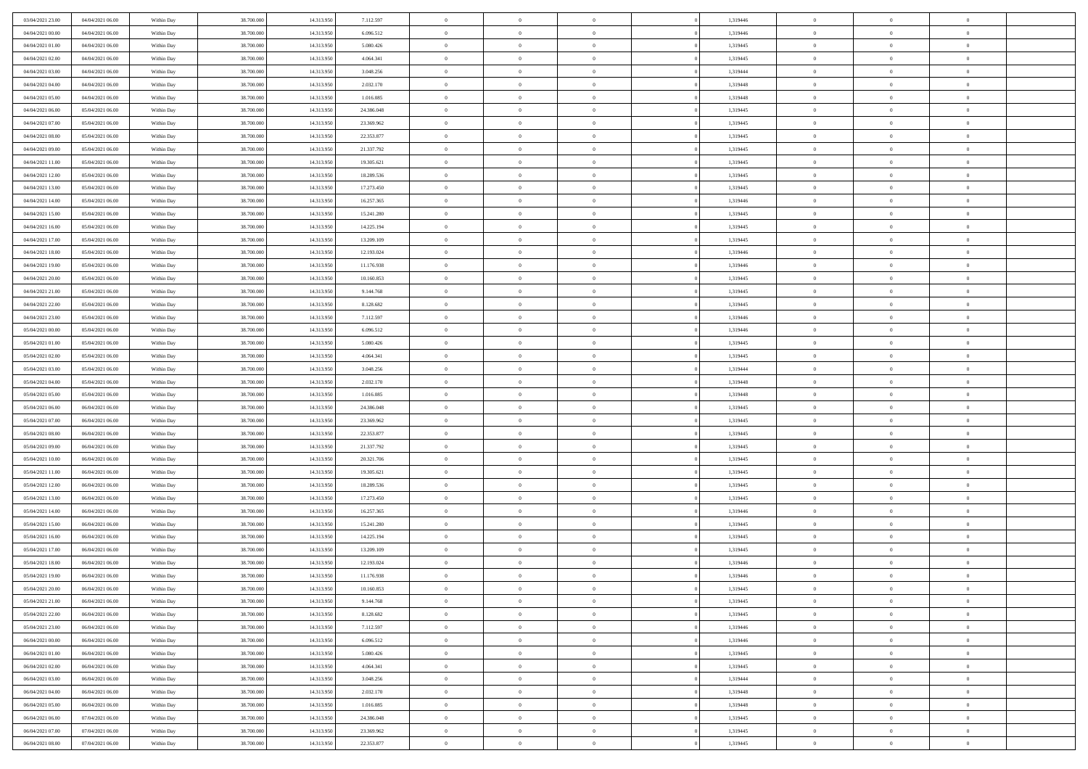| 03/04/2021 23:00 | 04/04/2021 06:00 | Within Day | 38,700,000 | 14.313.950 | 7.112.597  | $\bf{0}$       | $\overline{0}$ | $\Omega$       | 1,319446 | $\bf{0}$       | $\mathbf{0}$   | $\bf{0}$       |  |
|------------------|------------------|------------|------------|------------|------------|----------------|----------------|----------------|----------|----------------|----------------|----------------|--|
| 04/04/2021 00:00 | 04/04/2021 06:00 | Within Day | 38.700.000 | 14.313.950 | 6.096.512  | $\mathbf{0}$   | $\overline{0}$ | $\overline{0}$ | 1,319446 | $\overline{0}$ | $\overline{0}$ | $\theta$       |  |
| 04/04/2021 01:00 | 04/04/2021 06:00 | Within Day | 38.700.000 | 14.313.950 | 5.080.426  | $\,$ 0         | $\overline{0}$ | $\bf{0}$       | 1,319445 | $\,$ 0         | $\overline{0}$ | $\,$ 0 $\,$    |  |
| 04/04/2021 02.00 | 04/04/2021 06:00 | Within Day | 38,700,000 | 14.313.950 | 4.064.341  | $\bf{0}$       | $\overline{0}$ | $\Omega$       | 1,319445 | $\bf{0}$       | $\theta$       | $\theta$       |  |
| 04/04/2021 03:00 | 04/04/2021 06:00 | Within Dav | 38.700.000 | 14.313.950 | 3.048.256  | $\bf{0}$       | $\overline{0}$ | $\overline{0}$ | 1,319444 | $\mathbf{0}$   | $\overline{0}$ | $\overline{0}$ |  |
| 04/04/2021 04:00 | 04/04/2021 06:00 | Within Day | 38.700.000 | 14.313.950 | 2.032.170  | $\bf{0}$       | $\overline{0}$ | $\bf{0}$       | 1,319448 | $\,$ 0         | $\overline{0}$ | $\,$ 0 $\,$    |  |
| 04/04/2021 05:00 | 04/04/2021 06:00 | Within Day | 38,700,000 | 14.313.950 | 1.016.085  | $\bf{0}$       | $\overline{0}$ | $\Omega$       | 1,319448 | $\overline{0}$ | $\mathbf{0}$   | $\theta$       |  |
| 04/04/2021 06:00 | 05/04/2021 06:00 | Within Dav | 38.700.000 | 14.313.950 | 24.386.048 | $\overline{0}$ | $\overline{0}$ | $\overline{0}$ | 1,319445 | $\mathbf{0}$   | $\overline{0}$ | $\overline{0}$ |  |
| 04/04/2021 07:00 | 05/04/2021 06:00 | Within Day | 38.700.000 | 14.313.950 | 23.369.962 | $\bf{0}$       | $\overline{0}$ | $\bf{0}$       | 1,319445 | $\,$ 0         | $\overline{0}$ | $\,$ 0 $\,$    |  |
| 04/04/2021 08:00 | 05/04/2021 06:00 | Within Day | 38,700,000 | 14.313.950 | 22.353.877 | $\bf{0}$       | $\overline{0}$ | $\Omega$       | 1,319445 | $\bf{0}$       | $\mathbf{0}$   | $\theta$       |  |
| 04/04/2021 09:00 | 05/04/2021 06:00 | Within Day | 38.700.000 | 14.313.950 | 21.337.792 | $\overline{0}$ | $\overline{0}$ | $\overline{0}$ | 1,319445 | $\overline{0}$ | $\overline{0}$ | $\overline{0}$ |  |
| 04/04/2021 11:00 | 05/04/2021 06:00 | Within Day | 38.700.000 | 14.313.950 | 19.305.621 | $\,$ 0         | $\overline{0}$ | $\bf{0}$       | 1,319445 | $\,$ 0         | $\overline{0}$ | $\,$ 0 $\,$    |  |
| 04/04/2021 12:00 | 05/04/2021 06:00 | Within Day | 38.700.000 | 14.313.950 | 18.289.536 | $\bf{0}$       | $\overline{0}$ | $\Omega$       | 1,319445 | $\overline{0}$ | $\theta$       | $\theta$       |  |
| 04/04/2021 13:00 | 05/04/2021 06:00 | Within Dav | 38.700.000 | 14.313.950 | 17.273.450 | $\overline{0}$ | $\overline{0}$ | $\overline{0}$ | 1,319445 | $\mathbf{0}$   | $\overline{0}$ | $\overline{0}$ |  |
| 04/04/2021 14:00 | 05/04/2021 06:00 | Within Day | 38.700.000 | 14.313.950 | 16.257.365 | $\bf{0}$       | $\overline{0}$ | $\bf{0}$       | 1,319446 | $\,$ 0         | $\overline{0}$ | $\,$ 0 $\,$    |  |
| 04/04/2021 15:00 | 05/04/2021 06:00 | Within Day | 38,700,000 | 14.313.950 | 15.241.280 | $\bf{0}$       | $\overline{0}$ | $\overline{0}$ | 1,319445 | $\bf{0}$       | $\mathbf{0}$   | $\bf{0}$       |  |
| 04/04/2021 16:00 | 05/04/2021 06:00 | Within Dav | 38.700.000 | 14.313.950 | 14.225.194 | $\overline{0}$ | $\overline{0}$ | $\overline{0}$ | 1,319445 | $\overline{0}$ | $\overline{0}$ | $\overline{0}$ |  |
| 04/04/2021 17:00 | 05/04/2021 06:00 | Within Day | 38.700.000 | 14.313.950 | 13.209.109 | $\bf{0}$       | $\overline{0}$ | $\bf{0}$       | 1,319445 | $\,$ 0         | $\overline{0}$ | $\,0\,$        |  |
| 04/04/2021 18:00 | 05/04/2021 06:00 | Within Day | 38,700,000 | 14.313.950 | 12.193.024 | $\bf{0}$       | $\overline{0}$ | $\Omega$       | 1,319446 | $\overline{0}$ | $\mathbf{0}$   | $\theta$       |  |
| 04/04/2021 19:00 | 05/04/2021 06:00 | Within Day | 38.700.000 | 14.313.950 | 11.176.938 | $\overline{0}$ | $\overline{0}$ | $\overline{0}$ | 1,319446 | $\overline{0}$ | $\overline{0}$ | $\overline{0}$ |  |
| 04/04/2021 20:00 | 05/04/2021 06:00 | Within Day | 38.700.000 | 14.313.950 | 10.160.853 | $\bf{0}$       | $\overline{0}$ | $\bf{0}$       | 1,319445 | $\,$ 0         | $\overline{0}$ | $\,$ 0 $\,$    |  |
| 04/04/2021 21:00 | 05/04/2021 06:00 | Within Day | 38,700,000 | 14.313.950 | 9.144.768  | $\bf{0}$       | $\overline{0}$ | $\Omega$       | 1,319445 | $\overline{0}$ | $\theta$       | $\theta$       |  |
| 04/04/2021 22:00 | 05/04/2021 06:00 | Within Dav | 38.700.000 | 14.313.950 | 8.128.682  | $\overline{0}$ | $\overline{0}$ | $\overline{0}$ | 1,319445 | $\mathbf{0}$   | $\overline{0}$ | $\overline{0}$ |  |
| 04/04/2021 23:00 | 05/04/2021 06:00 | Within Day | 38.700.000 | 14.313.950 | 7.112.597  | $\bf{0}$       | $\overline{0}$ | $\bf{0}$       | 1,319446 | $\,$ 0         | $\overline{0}$ | $\,$ 0 $\,$    |  |
| 05/04/2021 00:00 | 05/04/2021 06:00 | Within Day | 38,700,000 | 14.313.950 | 6.096.512  | $\bf{0}$       | $\overline{0}$ | $\overline{0}$ | 1,319446 | $\bf{0}$       | $\mathbf{0}$   | $\theta$       |  |
| 05/04/2021 01:00 | 05/04/2021 06:00 | Within Day | 38.700.000 | 14.313.950 | 5.080.426  | $\overline{0}$ | $\overline{0}$ | $\overline{0}$ | 1,319445 | $\overline{0}$ | $\overline{0}$ | $\theta$       |  |
| 05/04/2021 02:00 | 05/04/2021 06:00 | Within Day | 38.700.000 | 14.313.950 | 4.064.341  | $\bf{0}$       | $\overline{0}$ | $\bf{0}$       | 1,319445 | $\,$ 0         | $\overline{0}$ | $\,$ 0 $\,$    |  |
| 05/04/2021 03:00 | 05/04/2021 06:00 | Within Day | 38,700,000 | 14.313.950 | 3.048.256  | $\bf{0}$       | $\overline{0}$ | $\Omega$       | 1,319444 | $\bf{0}$       | $\mathbf{0}$   | $\theta$       |  |
| 05/04/2021 04:00 | 05/04/2021 06:00 | Within Day | 38.700.000 | 14.313.950 | 2.032.170  | $\overline{0}$ | $\overline{0}$ | $\overline{0}$ | 1,319448 | $\mathbf{0}$   | $\overline{0}$ | $\overline{0}$ |  |
| 05/04/2021 05:00 | 05/04/2021 06:00 | Within Day | 38.700.000 | 14.313.950 | 1.016.085  | $\bf{0}$       | $\overline{0}$ | $\bf{0}$       | 1,319448 | $\,$ 0         | $\overline{0}$ | $\,$ 0 $\,$    |  |
| 05/04/2021 06:00 | 06/04/2021 06:00 | Within Day | 38.700.000 | 14.313.950 | 24.386.048 | $\,$ 0         | $\overline{0}$ | $\overline{0}$ | 1,319445 | $\bf{0}$       | $\overline{0}$ | $\,0\,$        |  |
| 05/04/2021 07:00 | 06/04/2021 06:00 | Within Dav | 38.700.000 | 14.313.950 | 23.369.962 | $\overline{0}$ | $\overline{0}$ | $\overline{0}$ | 1,319445 | $\mathbf{0}$   | $\overline{0}$ | $\overline{0}$ |  |
| 05/04/2021 08:00 | 06/04/2021 06:00 | Within Day | 38.700.000 | 14.313.950 | 22.353.877 | $\bf{0}$       | $\overline{0}$ | $\bf{0}$       | 1,319445 | $\,$ 0         | $\overline{0}$ | $\,$ 0 $\,$    |  |
| 05/04/2021 09:00 | 06/04/2021 06:00 | Within Day | 38.700.000 | 14.313.950 | 21.337.792 | $\bf{0}$       | $\overline{0}$ | $\bf{0}$       | 1,319445 | $\bf{0}$       | $\overline{0}$ | $\,0\,$        |  |
| 05/04/2021 10:00 | 06/04/2021 06:00 | Within Day | 38.700.000 | 14.313.950 | 20.321.706 | $\mathbf{0}$   | $\overline{0}$ | $\overline{0}$ | 1,319445 | $\overline{0}$ | $\overline{0}$ | $\overline{0}$ |  |
| 05/04/2021 11:00 | 06/04/2021 06:00 | Within Day | 38.700.000 | 14.313.950 | 19.305.621 | $\bf{0}$       | $\overline{0}$ | $\bf{0}$       | 1,319445 | $\,$ 0         | $\overline{0}$ | $\,$ 0 $\,$    |  |
| 05/04/2021 12:00 | 06/04/2021 06:00 | Within Day | 38.700.000 | 14.313.950 | 18.289.536 | $\,$ 0         | $\overline{0}$ | $\overline{0}$ | 1,319445 | $\bf{0}$       | $\overline{0}$ | $\,0\,$        |  |
| 05/04/2021 13:00 | 06/04/2021 06:00 | Within Day | 38.700.000 | 14.313.950 | 17.273.450 | $\overline{0}$ | $\overline{0}$ | $\overline{0}$ | 1,319445 | $\mathbf{0}$   | $\overline{0}$ | $\overline{0}$ |  |
| 05/04/2021 14:00 | 06/04/2021 06:00 | Within Day | 38.700.000 | 14.313.950 | 16.257.365 | $\bf{0}$       | $\overline{0}$ | $\bf{0}$       | 1,319446 | $\,$ 0         | $\overline{0}$ | $\,$ 0 $\,$    |  |
| 05/04/2021 15:00 | 06/04/2021 06:00 | Within Day | 38.700.000 | 14.313.950 | 15.241.280 | $\bf{0}$       | $\overline{0}$ | $\overline{0}$ | 1,319445 | $\bf{0}$       | $\overline{0}$ | $\,0\,$        |  |
| 05/04/2021 16:00 | 06/04/2021 06:00 | Within Dav | 38.700.000 | 14.313.950 | 14.225.194 | $\overline{0}$ | $\overline{0}$ | $\overline{0}$ | 1,319445 | $\overline{0}$ | $\overline{0}$ | $\overline{0}$ |  |
| 05/04/2021 17:00 | 06/04/2021 06:00 | Within Day | 38.700.000 | 14.313.950 | 13.209.109 | $\bf{0}$       | $\overline{0}$ | $\bf{0}$       | 1,319445 | $\,$ 0         | $\overline{0}$ | $\,$ 0 $\,$    |  |
| 05/04/2021 18:00 | 06/04/2021 06:00 | Within Day | 38.700.000 | 14.313.950 | 12.193.024 | $\bf{0}$       | $\overline{0}$ | $\bf{0}$       | 1,319446 | $\bf{0}$       | $\overline{0}$ | $\,0\,$        |  |
| 05/04/2021 19:00 | 06/04/2021 06:00 | Within Day | 38.700.000 | 14.313.950 | 11.176.938 | $\mathbf{0}$   | $\overline{0}$ | $\overline{0}$ | 1,319446 | $\overline{0}$ | $\overline{0}$ | $\overline{0}$ |  |
| 05/04/2021 20:00 | 06/04/2021 06:00 | Within Day | 38.700.000 | 14.313.950 | 10.160.853 | $\bf{0}$       | $\overline{0}$ | $\theta$       | 1,319445 | $\overline{0}$ | $\theta$       | $\theta$       |  |
| 05/04/2021 21:00 | 06/04/2021 06:00 | Within Day | 38.700.000 | 14.313.950 | 9.144.768  | $\bf{0}$       | $\overline{0}$ | $\bf{0}$       | 1,319445 | $\bf{0}$       | $\overline{0}$ | $\,0\,$        |  |
| 05/04/2021 22:00 | 06/04/2021 06:00 | Within Day | 38.700.000 | 14.313.950 | 8.128.682  | $\overline{0}$ | $\overline{0}$ | $\overline{0}$ | 1,319445 | $\overline{0}$ | $\bf{0}$       | $\overline{0}$ |  |
| 05/04/2021 23:00 | 06/04/2021 06:00 | Within Day | 38.700.000 | 14.313.950 | 7.112.597  | $\,$ 0 $\,$    | $\overline{0}$ | $\overline{0}$ | 1,319446 | $\mathbf{0}$   | $\overline{0}$ | $\,$ 0 $\,$    |  |
| 06/04/2021 00:00 | 06/04/2021 06:00 | Within Day | 38.700.000 | 14.313.950 | 6.096.512  | $\bf{0}$       | $\overline{0}$ | $\overline{0}$ | 1,319446 | $\bf{0}$       | $\overline{0}$ | $\bf{0}$       |  |
| 06/04/2021 01:00 | 06/04/2021 06:00 | Within Day | 38.700.000 | 14.313.950 | 5.080.426  | $\bf{0}$       | $\overline{0}$ | $\overline{0}$ | 1,319445 | $\overline{0}$ | $\overline{0}$ | $\overline{0}$ |  |
| 06/04/2021 02:00 | 06/04/2021 06:00 | Within Day | 38.700.000 | 14.313.950 | 4.064.341  | $\,$ 0 $\,$    | $\overline{0}$ | $\overline{0}$ | 1,319445 | $\,$ 0 $\,$    | $\overline{0}$ | $\,$ 0 $\,$    |  |
| 06/04/2021 03:00 | 06/04/2021 06:00 | Within Day | 38.700.000 | 14.313.950 | 3.048.256  | $\bf{0}$       | $\overline{0}$ | $\overline{0}$ | 1,319444 | $\bf{0}$       | $\overline{0}$ | $\overline{0}$ |  |
| 06/04/2021 04:00 | 06/04/2021 06:00 | Within Day | 38.700.000 | 14.313.950 | 2.032.170  | $\overline{0}$ | $\overline{0}$ | $\overline{0}$ | 1,319448 | $\overline{0}$ | $\bf{0}$       | $\overline{0}$ |  |
| 06/04/2021 05:00 | 06/04/2021 06:00 | Within Day | 38.700.000 | 14.313.950 | 1.016.085  | $\,$ 0 $\,$    | $\overline{0}$ | $\overline{0}$ | 1,319448 | $\,$ 0 $\,$    | $\overline{0}$ | $\,$ 0 $\,$    |  |
| 06/04/2021 06:00 | 07/04/2021 06:00 | Within Day | 38.700.000 | 14.313.950 | 24.386.048 | $\bf{0}$       | $\overline{0}$ | $\overline{0}$ | 1,319445 | $\mathbf{0}$   | $\overline{0}$ | $\bf{0}$       |  |
| 06/04/2021 07:00 | 07/04/2021 06:00 | Within Day | 38.700.000 | 14.313.950 | 23.369.962 | $\bf{0}$       | $\overline{0}$ | $\overline{0}$ | 1,319445 | $\mathbf{0}$   | $\bf{0}$       | $\overline{0}$ |  |
| 06/04/2021 08:00 | 07/04/2021 06:00 | Within Day | 38.700.000 | 14.313.950 | 22.353.877 | $\,0\,$        | $\overline{0}$ | $\overline{0}$ | 1,319445 | $\,$ 0         | $\overline{0}$ | $\,$ 0 $\,$    |  |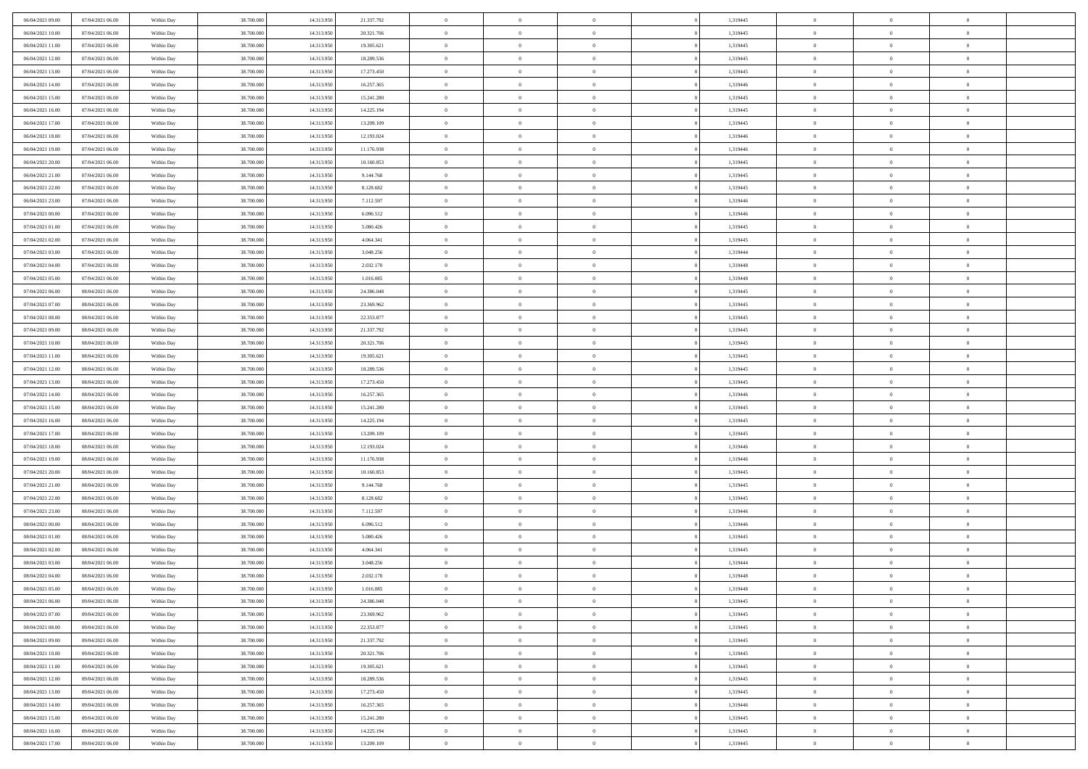| 06/04/2021 09:00                     | 07/04/2021 06:00                     | Within Day               | 38,700,000               | 14.313.950               | 21.337.792             | $\bf{0}$                      | $\overline{0}$                   | $\Omega$                         | 1,319445             | $\bf{0}$                 | $\overline{0}$             | $\theta$                  |  |
|--------------------------------------|--------------------------------------|--------------------------|--------------------------|--------------------------|------------------------|-------------------------------|----------------------------------|----------------------------------|----------------------|--------------------------|----------------------------|---------------------------|--|
| 06/04/2021 10:00                     | 07/04/2021 06:00                     | Within Day               | 38.700.000               | 14.313.950               | 20.321.706             | $\overline{0}$                | $\overline{0}$                   | $\overline{0}$                   | 1,319445             | $\mathbf{0}$             | $\bf{0}$                   | $\overline{0}$            |  |
| 06/04/2021 11:00                     | 07/04/2021 06:00                     | Within Day               | 38.700.000               | 14.313.950               | 19.305.621             | $\theta$                      | $\overline{0}$                   | $\overline{0}$                   | 1,319445             | $\,$ 0                   | $\overline{0}$             | $\,$ 0 $\,$               |  |
| 06/04/2021 12:00                     | 07/04/2021 06:00                     | Within Day               | 38,700,000               | 14.313.950               | 18.289.536             | $\mathbf{0}$                  | $\overline{0}$                   | $\mathbf{0}$                     | 1,319445             | $\bf{0}$                 | $\mathbf{0}$               | $\theta$                  |  |
| 06/04/2021 13:00                     | 07/04/2021 06:00                     | Within Day               | 38.700.000               | 14.313.950               | 17.273.450             | $\mathbf{0}$                  | $\overline{0}$                   | $\overline{0}$                   | 1,319445             | $\mathbf{0}$             | $\bf{0}$                   | $\overline{0}$            |  |
| 06/04/2021 14:00                     | 07/04/2021 06:00                     | Within Day               | 38.700.000               | 14.313.950               | 16.257.365             | $\theta$                      | $\overline{0}$                   | $\bf{0}$                         | 1,319446             | $\,$ 0                   | $\overline{0}$             | $\,$ 0 $\,$               |  |
| 06/04/2021 15:00                     | 07/04/2021 06:00                     | Within Day               | 38,700,000               | 14.313.950               | 15.241.280             | $\,$ 0 $\,$                   | $\overline{0}$                   | $\Omega$                         | 1,319445             | $\bf{0}$                 | $\mathbf{0}$               | $\theta$                  |  |
| 06/04/2021 16:00                     | 07/04/2021 06:00                     | Within Day               | 38.700.000               | 14.313.950               | 14.225.194             | $\overline{0}$                | $\overline{0}$                   | $\overline{0}$                   | 1,319445             | $\mathbf{0}$             | $\bf{0}$                   | $\overline{0}$            |  |
| 06/04/2021 17:00                     | 07/04/2021 06:00                     | Within Day               | 38.700.000               | 14.313.950               | 13.209.109             | $\theta$                      | $\overline{0}$                   | $\overline{0}$                   | 1,319445             | $\,$ 0                   | $\overline{0}$             | $\,$ 0 $\,$               |  |
| 06/04/2021 18:00                     | 07/04/2021 06:00                     | Within Day               | 38,700,000               | 14.313.950               | 12.193.024             | $\mathbf{0}$                  | $\overline{0}$                   | $\mathbf{0}$                     | 1,319446             | $\bf{0}$                 | $\mathbf{0}$               | $\theta$                  |  |
| 06/04/2021 19:00                     | 07/04/2021 06:00                     | Within Day               | 38.700.000               | 14.313.950               | 11.176.938             | $\overline{0}$                | $\overline{0}$                   | $\overline{0}$                   | 1,319446             | $\mathbf{0}$             | $\bf{0}$                   | $\overline{0}$            |  |
| 06/04/2021 20:00                     | 07/04/2021 06:00                     | Within Day               | 38.700.000               | 14.313.950               | 10.160.853             | $\theta$                      | $\overline{0}$                   | $\bf{0}$                         | 1,319445             | $\,$ 0                   | $\overline{0}$             | $\,$ 0 $\,$               |  |
| 06/04/2021 21:00                     | 07/04/2021 06:00                     | Within Day               | 38,700,000               | 14.313.950               | 9.144.768              | $\theta$                      | $\overline{0}$                   | $\mathbf{0}$                     | 1,319445             | $\bf{0}$                 | $\theta$                   | $\theta$                  |  |
| 06/04/2021 22:00                     | 07/04/2021 06:00                     | Within Day               | 38.700.000               | 14.313.950               | 8.128.682              | $\overline{0}$                | $\overline{0}$                   | $\overline{0}$                   | 1,319445             | $\mathbf{0}$             | $\bf{0}$                   | $\overline{0}$            |  |
| 06/04/2021 23:00                     | 07/04/2021 06:00                     | Within Day               | 38.700.000               | 14.313.950               | 7.112.597              | $\theta$                      | $\overline{0}$                   | $\overline{0}$                   | 1,319446             | $\,$ 0                   | $\overline{0}$             | $\,$ 0 $\,$               |  |
| 07/04/2021 00:00                     | 07/04/2021 06:00                     | Within Day               | 38,700,000               | 14.313.950               | 6.096.512              | $\bf{0}$                      | $\overline{0}$                   | $\mathbf{0}$                     | 1,319446             | $\bf{0}$                 | $\mathbf{0}$               | $\bf{0}$                  |  |
| 07/04/2021 01:00                     | 07/04/2021 06:00                     | Within Day               | 38.700.000               | 14.313.950               | 5.080.426              | $\overline{0}$                | $\overline{0}$                   | $\overline{0}$                   | 1,319445             | $\mathbf{0}$             | $\bf{0}$                   | $\overline{0}$            |  |
| 07/04/2021 02:00                     | 07/04/2021 06:00                     | Within Day               | 38.700.000               | 14.313.950               | 4.064.341              | $\theta$                      | $\overline{0}$                   | $\bf{0}$                         | 1,319445             | $\,$ 0                   | $\overline{0}$             | $\,$ 0 $\,$               |  |
| 07/04/2021 03:00                     | 07/04/2021 06:00                     | Within Day               | 38,700,000               | 14.313.950               | 3.048.256              | $\mathbf{0}$                  | $\overline{0}$                   | $\mathbf{0}$                     | 1,319444             | $\bf{0}$                 | $\mathbf{0}$               | $\theta$                  |  |
| 07/04/2021 04:00                     | 07/04/2021 06:00                     | Within Dav               | 38.700.000               | 14.313.950               | 2.032.170              | $\overline{0}$                | $\overline{0}$                   | $\overline{0}$                   | 1,319448             | $\mathbf{0}$             | $\bf{0}$                   | $\overline{0}$            |  |
| 07/04/2021 05:00                     | 07/04/2021 06:00                     | Within Day               | 38.700.000               | 14.313.950               | 1.016.085              | $\theta$                      | $\overline{0}$                   | $\bf{0}$                         | 1,319448             | $\,$ 0                   | $\overline{0}$             | $\,$ 0 $\,$               |  |
| 07/04/2021 06:00                     | 08/04/2021 06:00                     | Within Day               | 38.700.000               | 14.313.950               | 24,386,048             | $\mathbf{0}$                  | $\overline{0}$                   | $\mathbf{0}$                     | 1,319445             | $\bf{0}$                 | $\theta$                   | $\theta$                  |  |
| 07/04/2021 07:00                     | 08/04/2021 06:00                     | Within Dav               | 38.700.000               | 14.313.950               | 23.369.962             | $\overline{0}$                | $\overline{0}$                   | $\overline{0}$                   | 1,319445             | $\mathbf{0}$             | $\bf{0}$                   | $\overline{0}$            |  |
| 07/04/2021 08:00                     | 08/04/2021 06:00                     | Within Day               | 38.700.000               | 14.313.950               | 22.353.877             | $\theta$                      | $\overline{0}$                   | $\overline{0}$                   | 1,319445             | $\,$ 0                   | $\overline{0}$             | $\,$ 0 $\,$               |  |
| 07/04/2021 09:00                     | 08/04/2021 06:00                     | Within Day               | 38,700,000               | 14.313.950               | 21.337.792             | $\bf{0}$                      | $\overline{0}$                   | $\mathbf{0}$                     | 1,319445             | $\bf{0}$                 | $\overline{0}$             | $\bf{0}$                  |  |
| 07/04/2021 10:00                     | 08/04/2021 06:00                     | Within Dav               | 38.700.000               | 14.313.950               | 20.321.706             | $\overline{0}$                | $\overline{0}$                   | $\overline{0}$                   | 1,319445             | $\mathbf{0}$             | $\bf{0}$                   | $\overline{0}$            |  |
| 07/04/2021 11:00                     | 08/04/2021 06:00                     | Within Day               | 38.700.000               | 14.313.950               | 19.305.621             | $\theta$                      | $\overline{0}$                   | $\overline{0}$                   | 1,319445             | $\,$ 0                   | $\overline{0}$             | $\,$ 0 $\,$               |  |
| 07/04/2021 12:00                     | 08/04/2021 06:00                     | Within Day               | 38,700,000               | 14.313.950               | 18.289.536             | $\mathbf{0}$                  | $\overline{0}$                   | $\mathbf{0}$                     | 1,319445             | $\bf{0}$                 | $\mathbf{0}$               | $\theta$                  |  |
| 07/04/2021 13:00                     | 08/04/2021 06:00                     | Within Dav               | 38.700.000               | 14.313.950               | 17.273.450             | $\overline{0}$                | $\overline{0}$                   | $\overline{0}$                   | 1,319445             | $\mathbf{0}$             | $\bf{0}$                   | $\overline{0}$            |  |
| 07/04/2021 14:00                     | 08/04/2021 06:00                     | Within Day               | 38.700.000               | 14.313.950               | 16.257.365             | $\theta$                      | $\overline{0}$                   | $\bf{0}$                         | 1,319446             | $\,$ 0                   | $\overline{0}$             | $\,$ 0 $\,$               |  |
| 07/04/2021 15:00                     | 08/04/2021 06:00                     | Within Day               | 38.700.000               | 14.313.950               | 15.241.280             | $\bf{0}$                      | $\overline{0}$                   | $\overline{0}$                   | 1,319445             | $\bf{0}$                 | $\overline{0}$             | $\,0\,$                   |  |
| 07/04/2021 16:00                     | 08/04/2021 06:00                     | Within Dav               | 38.700.000               | 14.313.950               | 14.225.194             | $\overline{0}$                | $\overline{0}$                   | $\overline{0}$                   | 1,319445             | $\mathbf{0}$             | $\bf{0}$                   | $\overline{0}$            |  |
| 07/04/2021 17:00                     | 08/04/2021 06:00                     | Within Day               | 38.700.000               | 14.313.950               | 13.209.109             | $\theta$                      | $\overline{0}$                   | $\overline{0}$                   | 1,319445             | $\,$ 0                   | $\overline{0}$             | $\,$ 0 $\,$               |  |
| 07/04/2021 18:00                     | 08/04/2021 06:00                     | Within Day               | 38.700.000               | 14.313.950               | 12.193.024             | $\,$ 0 $\,$                   | $\overline{0}$                   | $\overline{0}$                   | 1,319446             | $\bf{0}$                 | $\overline{0}$             | $\,0\,$                   |  |
| 07/04/2021 19:00                     | 08/04/2021 06:00                     | Within Dav               | 38.700.000               | 14.313.950               | 11.176.938             | $\theta$                      | $\overline{0}$                   | $\overline{0}$                   | 1,319446             | $\mathbf{0}$             | $\bf{0}$                   | $\overline{0}$            |  |
| 07/04/2021 20:00                     | 08/04/2021 06:00                     | Within Day               | 38.700.000               | 14.313.950               | 10.160.853             | $\theta$                      | $\overline{0}$                   | $\bf{0}$                         | 1,319445             | $\,$ 0                   | $\overline{0}$             | $\,$ 0 $\,$               |  |
| 07/04/2021 21:00<br>07/04/2021 22:00 | 08/04/2021 06:00<br>08/04/2021 06:00 | Within Day<br>Within Dav | 38.700.000<br>38.700.000 | 14.313.950<br>14.313.950 | 9.144.768<br>8.128.682 | $\,$ 0 $\,$<br>$\overline{0}$ | $\overline{0}$<br>$\overline{0}$ | $\overline{0}$<br>$\overline{0}$ | 1,319445<br>1,319445 | $\bf{0}$<br>$\mathbf{0}$ | $\overline{0}$<br>$\bf{0}$ | $\,0\,$<br>$\overline{0}$ |  |
| 07/04/2021 23:00                     | 08/04/2021 06:00                     |                          | 38.700.000               | 14.313.950               | 7.112.597              | $\theta$                      | $\overline{0}$                   | $\bf{0}$                         | 1,319446             | $\,$ 0                   | $\overline{0}$             | $\,$ 0 $\,$               |  |
|                                      |                                      | Within Day               |                          |                          |                        | $\,$ 0 $\,$                   |                                  | $\overline{0}$                   |                      | $\bf{0}$                 | $\overline{0}$             | $\,0\,$                   |  |
| 08/04/2021 00:00<br>08/04/2021 01:00 | 08/04/2021 06:00<br>08/04/2021 06:00 | Within Day<br>Within Dav | 38.700.000<br>38.700.000 | 14.313.950<br>14.313.950 | 6.096.512<br>5.080.426 | $\theta$                      | $\overline{0}$<br>$\overline{0}$ | $\overline{0}$                   | 1,319446<br>1,319445 | $\mathbf{0}$             | $\bf{0}$                   | $\overline{0}$            |  |
| 08/04/2021 02:00                     | 08/04/2021 06:00                     | Within Day               | 38.700.000               | 14.313.950               | 4.064.341              | $\theta$                      | $\overline{0}$                   | $\bf{0}$                         | 1,319445             | $\,$ 0                   | $\overline{0}$             | $\,$ 0 $\,$               |  |
| 08/04/2021 03:00                     | 08/04/2021 06:00                     | Within Day               | 38.700.000               | 14.313.950               | 3.048.256              | $\,$ 0 $\,$                   | $\overline{0}$                   | $\overline{0}$                   | 1,319444             | $\bf{0}$                 | $\overline{0}$             | $\,0\,$                   |  |
| 08/04/2021 04:00                     | 08/04/2021 06:00                     | Within Dav               | 38.700.000               | 14.313.950               | 2.032.170              | $\theta$                      | $\overline{0}$                   | $\overline{0}$                   | 1,319448             | $\mathbf{0}$             | $\bf{0}$                   | $\overline{0}$            |  |
| 08/04/2021 05:00                     | 08/04/2021 06:00                     | Within Day               | 38.700.000               | 14.313.950               | 1.016.085              | $\overline{0}$                | $\overline{0}$                   | $\overline{0}$                   | 1,319448             | $\overline{0}$           | $\theta$                   | $\theta$                  |  |
| 08/04/2021 06:00                     | 09/04/2021 06:00                     | Within Day               | 38.700.000               | 14.313.950               | 24.386.048             | $\bf{0}$                      | $\overline{0}$                   | $\overline{0}$                   | 1,319445             | $\bf{0}$                 | $\overline{0}$             | $\bf{0}$                  |  |
| 08/04/2021 07:00                     | 09/04/2021 06:00                     | Within Day               | 38.700.000               | 14.313.950               | 23.369.962             | $\overline{0}$                | $\overline{0}$                   | $\overline{0}$                   | 1,319445             | $\overline{0}$           | $\overline{0}$             | $\overline{0}$            |  |
| 08/04/2021 08:00                     | 09/04/2021 06:00                     | Within Day               | 38.700.000               | 14.313.950               | 22.353.877             | $\,$ 0 $\,$                   | $\overline{0}$                   | $\overline{0}$                   | 1,319445             | $\,$ 0 $\,$              | $\,$ 0 $\,$                | $\,$ 0 $\,$               |  |
| 08/04/2021 09:00                     | 09/04/2021 06:00                     | Within Day               | 38.700.000               | 14.313.950               | 21.337.792             | $\bf{0}$                      | $\overline{0}$                   | $\overline{0}$                   | 1,319445             | $\mathbf{0}$             | $\overline{0}$             | $\bf{0}$                  |  |
| 08/04/2021 10:00                     | 09/04/2021 06:00                     | Within Day               | 38.700.000               | 14.313.950               | 20.321.706             | $\mathbf{0}$                  | $\overline{0}$                   | $\overline{0}$                   | 1,319445             | $\,$ 0 $\,$              | $\bf{0}$                   | $\overline{0}$            |  |
| 08/04/2021 11:00                     | 09/04/2021 06:00                     | Within Day               | 38.700.000               | 14.313.950               | 19.305.621             | $\,$ 0                        | $\overline{0}$                   | $\overline{0}$                   | 1,319445             | $\,$ 0 $\,$              | $\overline{0}$             | $\,$ 0 $\,$               |  |
| 08/04/2021 12:00                     | 09/04/2021 06:00                     | Within Day               | 38.700.000               | 14.313.950               | 18.289.536             | $\bf{0}$                      | $\overline{0}$                   | $\overline{0}$                   | 1,319445             | $\overline{0}$           | $\overline{0}$             | $\overline{0}$            |  |
| 08/04/2021 13:00                     | 09/04/2021 06:00                     | Within Day               | 38.700.000               | 14.313.950               | 17.273.450             | $\,$ 0 $\,$                   | $\overline{0}$                   | $\overline{0}$                   | 1,319445             | $\,$ 0 $\,$              | $\bf{0}$                   | $\mathbf{0}$              |  |
| 08/04/2021 14:00                     | 09/04/2021 06:00                     | Within Day               | 38.700.000               | 14.313.950               | 16.257.365             | $\,$ 0                        | $\overline{0}$                   | $\overline{0}$                   | 1,319446             | $\,$ 0 $\,$              | $\,$ 0 $\,$                | $\,$ 0 $\,$               |  |
| 08/04/2021 15:00                     | 09/04/2021 06:00                     | Within Day               | 38.700.000               | 14.313.950               | 15.241.280             | $\bf{0}$                      | $\overline{0}$                   | $\overline{0}$                   | 1,319445             | $\mathbf{0}$             | $\overline{0}$             | $\bf{0}$                  |  |
| 08/04/2021 16:00                     | 09/04/2021 06:00                     | Within Day               | 38.700.000               | 14.313.950               | 14.225.194             | $\,$ 0 $\,$                   | $\overline{0}$                   | $\overline{0}$                   | 1,319445             | $\mathbf{0}$             | $\bf{0}$                   | $\overline{0}$            |  |
| 08/04/2021 17:00                     | 09/04/2021 06:00                     | Within Day               | 38.700.000               | 14.313.950               | 13.209.109             | $\,$ 0 $\,$                   | $\overline{0}$                   | $\overline{0}$                   | 1,319445             | $\,$ 0 $\,$              | $\overline{0}$             | $\,$ 0 $\,$               |  |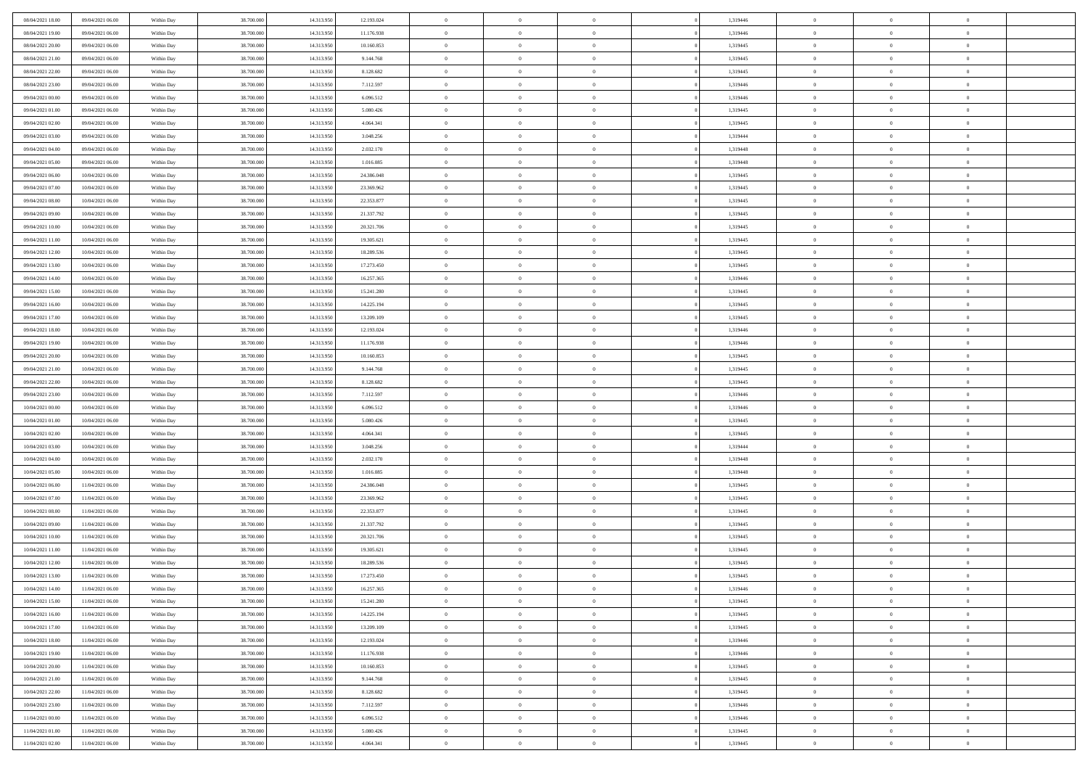| 08/04/2021 18:00                     | 09/04/2021 06:00                     | Within Day               | 38.700.000 | 14.313.950               | 12.193.024             | $\,$ 0         | $\bf{0}$                         | $\theta$       |          | 1,319446 | $\bf{0}$       | $\overline{0}$             | $\,0\,$        |  |
|--------------------------------------|--------------------------------------|--------------------------|------------|--------------------------|------------------------|----------------|----------------------------------|----------------|----------|----------|----------------|----------------------------|----------------|--|
| 08/04/2021 19:00                     | 09/04/2021 06:00                     | Within Day               | 38,700,000 | 14.313.950               | 11.176.938             | $\overline{0}$ | $\overline{0}$                   | $\overline{0}$ |          | 1,319446 | $\overline{0}$ | $\overline{0}$             | $\theta$       |  |
| 08/04/2021 20:00                     | 09/04/2021 06:00                     | Within Dav               | 38.700.000 | 14.313.950               | 10.160.853             | $\mathbf{0}$   | $\overline{0}$                   | $\overline{0}$ |          | 1,319445 | $\mathbf{0}$   | $\overline{0}$             | $\overline{0}$ |  |
| 08/04/2021 21:00                     | 09/04/2021 06:00                     | Within Day               | 38.700.000 | 14.313.950               | 9.144.768              | $\bf{0}$       | $\overline{0}$                   | $\bf{0}$       |          | 1,319445 | $\bf{0}$       | $\overline{0}$             | $\,0\,$        |  |
| 08/04/2021 22:00                     | 09/04/2021 06:00                     | Within Day               | 38,700,000 | 14.313.950               | 8.128.682              | $\bf{0}$       | $\bf{0}$                         | $\overline{0}$ |          | 1,319445 | $\bf{0}$       | $\theta$                   | $\,0\,$        |  |
| 08/04/2021 23:00                     | 09/04/2021 06:00                     | Within Dav               | 38.700.000 | 14.313.950               | 7.112.597              | $\mathbf{0}$   | $\overline{0}$                   | $\overline{0}$ |          | 1,319446 | $\mathbf{0}$   | $\overline{0}$             | $\overline{0}$ |  |
| 09/04/2021 00:00                     | 09/04/2021 06:00                     | Within Day               | 38.700.000 | 14.313.950               | 6.096.512              | $\bf{0}$       | $\bf{0}$                         | $\overline{0}$ |          | 1,319446 | $\bf{0}$       | $\overline{0}$             | $\,0\,$        |  |
| 09/04/2021 01:00                     | 09/04/2021 06:00                     | Within Day               | 38,700,000 | 14.313.950               | 5.080.426              | $\overline{0}$ | $\overline{0}$                   | $\overline{0}$ |          | 1,319445 | $\,$ 0 $\,$    | $\overline{0}$             | $\theta$       |  |
| 09/04/2021 02:00                     | 09/04/2021 06:00                     | Within Day               | 38.700.000 | 14.313.950               | 4.064.341              | $\mathbf{0}$   | $\overline{0}$                   | $\overline{0}$ |          | 1,319445 | $\mathbf{0}$   | $\overline{0}$             | $\overline{0}$ |  |
| 09/04/2021 03:00                     | 09/04/2021 06:00                     | Within Day               | 38.700.000 | 14.313.950               | 3.048.256              | $\bf{0}$       | $\bf{0}$                         | $\theta$       |          | 1,319444 | $\bf{0}$       | $\overline{0}$             | $\,0\,$        |  |
|                                      |                                      |                          | 38,700,000 |                          |                        | $\overline{0}$ | $\overline{0}$                   | $\overline{0}$ |          | 1,319448 | $\bf{0}$       | $\overline{0}$             | $\theta$       |  |
| 09/04/2021 04:00<br>09/04/2021 05:00 | 09/04/2021 06:00<br>09/04/2021 06:00 | Within Day<br>Within Dav | 38.700.000 | 14.313.950<br>14.313.950 | 2.032.170<br>1.016.085 | $\mathbf{0}$   | $\overline{0}$                   | $\overline{0}$ |          | 1,319448 | $\mathbf{0}$   | $\overline{0}$             | $\overline{0}$ |  |
|                                      |                                      |                          |            |                          |                        | $\bf{0}$       |                                  |                |          |          | $\bf{0}$       |                            | $\,0\,$        |  |
| 09/04/2021 06:00                     | 10/04/2021 06:00                     | Within Day               | 38.700.000 | 14.313.950               | 24.386.048             |                | $\overline{0}$<br>$\overline{0}$ | $\bf{0}$       |          | 1,319445 |                | $\overline{0}$<br>$\theta$ |                |  |
| 09/04/2021 07:00                     | 10/04/2021 06:00                     | Within Day               | 38.700.000 | 14.313.950               | 23.369.962             | $\bf{0}$       |                                  | $\overline{0}$ |          | 1,319445 | $\bf{0}$       |                            | $\,0\,$        |  |
| 09/04/2021 08:00                     | 10/04/2021 06:00                     | Within Dav               | 38.700.000 | 14.313.950               | 22.353.877             | $\mathbf{0}$   | $\overline{0}$                   | $\overline{0}$ |          | 1,319445 | $\mathbf{0}$   | $\overline{0}$             | $\overline{0}$ |  |
| 09/04/2021 09:00                     | 10/04/2021 06:00                     | Within Day               | 38.700.000 | 14.313.950               | 21.337.792             | $\bf{0}$       | $\bf{0}$                         | $\overline{0}$ |          | 1,319445 | $\bf{0}$       | $\overline{0}$             | $\,0\,$        |  |
| 09/04/2021 10:00                     | 10/04/2021 06:00                     | Within Day               | 38,700,000 | 14.313.950               | 20.321.706             | $\overline{0}$ | $\overline{0}$                   | $\overline{0}$ |          | 1,319445 | $\,$ 0 $\,$    | $\overline{0}$             | $\theta$       |  |
| 09/04/2021 11:00                     | 10/04/2021 06:00                     | Within Day               | 38.700.000 | 14.313.950               | 19.305.621             | $\mathbf{0}$   | $\overline{0}$                   | $\overline{0}$ |          | 1,319445 | $\mathbf{0}$   | $\overline{0}$             | $\overline{0}$ |  |
| 09/04/2021 12:00                     | 10/04/2021 06:00                     | Within Day               | 38.700.000 | 14.313.950               | 18.289.536             | $\,$ 0         | $\bf{0}$                         | $\overline{0}$ |          | 1,319445 | $\bf{0}$       | $\overline{0}$             | $\,0\,$        |  |
| 09/04/2021 13:00                     | 10/04/2021 06:00                     | Within Day               | 38,700,000 | 14.313.950               | 17.273.450             | $\overline{0}$ | $\overline{0}$                   | $\overline{0}$ |          | 1,319445 | $\bf{0}$       | $\overline{0}$             | $\overline{0}$ |  |
| 09/04/2021 14:00                     | 10/04/2021 06:00                     | Within Dav               | 38.700.000 | 14.313.950               | 16.257.365             | $\mathbf{0}$   | $\overline{0}$                   | $\overline{0}$ |          | 1,319446 | $\mathbf{0}$   | $\overline{0}$             | $\overline{0}$ |  |
| 09/04/2021 15:00                     | 10/04/2021 06:00                     | Within Day               | 38.700.000 | 14.313.950               | 15.241.280             | $\bf{0}$       | $\overline{0}$                   | $\bf{0}$       |          | 1,319445 | $\bf{0}$       | $\overline{0}$             | $\bf{0}$       |  |
| 09/04/2021 16:00                     | 10/04/2021 06:00                     | Within Day               | 38,700,000 | 14.313.950               | 14.225.194             | $\bf{0}$       | $\bf{0}$                         | $\overline{0}$ |          | 1,319445 | $\bf{0}$       | $\overline{0}$             | $\,0\,$        |  |
| 09/04/2021 17:00                     | 10/04/2021 06:00                     | Within Dav               | 38.700.000 | 14.313.950               | 13.209.109             | $\mathbf{0}$   | $\overline{0}$                   | $\overline{0}$ |          | 1,319445 | $\mathbf{0}$   | $\overline{0}$             | $\overline{0}$ |  |
| 09/04/2021 18:00                     | 10/04/2021 06:00                     | Within Day               | 38.700.000 | 14.313.950               | 12.193.024             | $\bf{0}$       | $\bf{0}$                         | $\overline{0}$ |          | 1,319446 | $\bf{0}$       | $\overline{0}$             | $\,0\,$        |  |
| 09/04/2021 19:00                     | 10/04/2021 06:00                     | Within Day               | 38,700,000 | 14.313.950               | 11.176.938             | $\overline{0}$ | $\overline{0}$                   | $\overline{0}$ |          | 1,319446 | $\bf{0}$       | $\overline{0}$             | $\theta$       |  |
| 09/04/2021 20:00                     | 10/04/2021 06:00                     | Within Dav               | 38.700.000 | 14.313.950               | 10.160.853             | $\mathbf{0}$   | $\overline{0}$                   | $\overline{0}$ |          | 1,319445 | $\mathbf{0}$   | $\overline{0}$             | $\overline{0}$ |  |
| 09/04/2021 21:00                     | 10/04/2021 06:00                     | Within Day               | 38.700.000 | 14.313.950               | 9.144.768              | $\bf{0}$       | $\bf{0}$                         | $\overline{0}$ |          | 1,319445 | $\bf{0}$       | $\overline{0}$             | $\,0\,$        |  |
| 09/04/2021 22.00                     | 10/04/2021 06:00                     | Within Day               | 38,700,000 | 14.313.950               | 8.128.682              | $\bf{0}$       | $\overline{0}$                   | $\overline{0}$ |          | 1,319445 | $\bf{0}$       | $\mathbf{0}$               | $\bf{0}$       |  |
| 09/04/2021 23:00                     | 10/04/2021 06:00                     | Within Dav               | 38.700.000 | 14.313.950               | 7.112.597              | $\mathbf{0}$   | $\overline{0}$                   | $\overline{0}$ |          | 1,319446 | $\mathbf{0}$   | $\overline{0}$             | $\overline{0}$ |  |
| 10/04/2021 00:00                     | 10/04/2021 06:00                     | Within Day               | 38.700.000 | 14.313.950               | 6.096.512              | $\bf{0}$       | $\overline{0}$                   | $\theta$       |          | 1,319446 | $\,$ 0         | $\overline{0}$             | $\theta$       |  |
| 10/04/2021 01:00                     | 10/04/2021 06:00                     | Within Day               | 38.700.000 | 14.313.950               | 5.080.426              | $\bf{0}$       | $\bf{0}$                         | $\overline{0}$ |          | 1,319445 | $\bf{0}$       | $\mathbf{0}$               | $\bf{0}$       |  |
| 10/04/2021 02:00                     | 10/04/2021 06:00                     | Within Dav               | 38.700.000 | 14.313.950               | 4.064.341              | $\mathbf{0}$   | $\overline{0}$                   | $\overline{0}$ |          | 1,319445 | $\mathbf{0}$   | $\overline{0}$             | $\overline{0}$ |  |
| 10/04/2021 03:00                     | 10/04/2021 06:00                     | Within Day               | 38.700.000 | 14.313.950               | 3.048.256              | $\bf{0}$       | $\overline{0}$                   | $\theta$       |          | 1,319444 | $\,$ 0         | $\overline{0}$             | $\theta$       |  |
| 10/04/2021 04:00                     | 10/04/2021 06:00                     | Within Day               | 38,700,000 | 14.313.950               | 2.032.170              | $\overline{0}$ | $\overline{0}$                   | $\overline{0}$ |          | 1,319448 | $\bf{0}$       | $\overline{0}$             | $\overline{0}$ |  |
| 10/04/2021 05:00                     | 10/04/2021 06:00                     | Within Day               | 38.700.000 | 14.313.950               | 1.016.085              | $\mathbf{0}$   | $\overline{0}$                   | $\overline{0}$ |          | 1,319448 | $\mathbf{0}$   | $\overline{0}$             | $\overline{0}$ |  |
| 10/04/2021 06:00                     | 11/04/2021 06:00                     | Within Day               | 38.700.000 | 14.313.950               | 24.386.048             | $\bf{0}$       | $\overline{0}$                   | $\theta$       |          | 1,319445 | $\,$ 0         | $\overline{0}$             | $\theta$       |  |
| 10/04/2021 07:00                     | 11/04/2021 06:00                     | Within Day               | 38,700,000 | 14.313.950               | 23.369.962             | $\bf{0}$       | $\overline{0}$                   | $\overline{0}$ |          | 1,319445 | $\bf{0}$       | $\mathbf{0}$               | $\overline{0}$ |  |
| 10/04/2021 08:00                     | 11/04/2021 06:00                     | Within Dav               | 38.700.000 | 14.313.950               | 22.353.877             | $\mathbf{0}$   | $\overline{0}$                   | $\overline{0}$ |          | 1,319445 | $\mathbf{0}$   | $\overline{0}$             | $\overline{0}$ |  |
| 10/04/2021 09:00                     | 11/04/2021 06:00                     | Within Day               | 38.700.000 | 14.313.950               | 21.337.792             | $\bf{0}$       | $\overline{0}$                   | $\theta$       |          | 1,319445 | $\,$ 0         | $\overline{0}$             | $\theta$       |  |
| 10/04/2021 10:00                     | 11/04/2021 06:00                     | Within Day               | 38.700.000 | 14.313.950               | 20.321.706             | $\bf{0}$       | $\overline{0}$                   | $\overline{0}$ |          | 1,319445 | $\bf{0}$       | $\overline{0}$             | $\overline{0}$ |  |
| 10/04/2021 11:00                     | 11/04/2021 06:00                     | Within Dav               | 38.700.000 | 14.313.950               | 19.305.621             | $\mathbf{0}$   | $\overline{0}$                   | $\overline{0}$ |          | 1,319445 | $\mathbf{0}$   | $\overline{0}$             | $\overline{0}$ |  |
| 10/04/2021 12:00                     | 11/04/2021 06:00                     | Within Day               | 38.700.000 | 14.313.950               | 18.289.536             | $\bf{0}$       | $\overline{0}$                   | $\theta$       |          | 1,319445 | $\,$ 0         | $\overline{0}$             | $\theta$       |  |
| 10/04/2021 13:00                     | 11/04/2021 06:00                     | Within Day               | 38,700,000 | 14.313.950               | 17.273.450             | $\bf{0}$       | $\overline{0}$                   | $\overline{0}$ |          | 1,319445 | $\,$ 0 $\,$    | $\overline{0}$             | $\overline{0}$ |  |
| 10/04/2021 14:00                     | 11/04/2021 06:00                     | Within Day               | 38.700.000 | 14.313.950               | 16.257.365             | $\bf{0}$       | $\overline{0}$                   |                |          | 1,319446 | $\overline{0}$ | $\theta$                   | $\theta$       |  |
| 10/04/2021 15:00                     | 11/04/2021 06:00                     | Within Day               | 38.700.000 | 14.313.950               | 15.241.280             | $\,0\,$        | $\overline{0}$                   | $\theta$       |          | 1,319445 | $\,$ 0 $\,$    | $\bf{0}$                   | $\theta$       |  |
| 10/04/2021 16:00                     | 11/04/2021 06:00                     | Within Day               | 38.700.000 | 14.313.950               | 14.225.194             | $\overline{0}$ | $\overline{0}$                   | $\overline{0}$ |          | 1,319445 | $\overline{0}$ | $\overline{0}$             | $\overline{0}$ |  |
| 10/04/2021 17:00                     | 11/04/2021 06:00                     | Within Day               | 38.700.000 | 14.313.950               | 13.209.109             | $\bf{0}$       | $\overline{0}$                   | $\overline{0}$ |          | 1,319445 | $\overline{0}$ | $\bf{0}$                   | $\mathbf{0}$   |  |
| 10/04/2021 18:00                     | 11/04/2021 06:00                     | Within Day               | 38.700.000 | 14.313.950               | 12.193.024             | $\bf{0}$       | $\overline{0}$                   | $\overline{0}$ | $\theta$ | 1,319446 | $\mathbf{0}$   | $\bf{0}$                   | $\,$ 0 $\,$    |  |
| 10/04/2021 19:00                     | 11/04/2021 06:00                     | Within Day               | 38.700.000 | 14.313.950               | 11.176.938             | $\bf{0}$       | $\overline{0}$                   | $\overline{0}$ |          | 1,319446 | $\,$ 0 $\,$    | $\overline{0}$             | $\overline{0}$ |  |
| 10/04/2021 20:00                     | 11/04/2021 06:00                     | Within Day               | 38.700.000 | 14.313.950               | 10.160.853             | $\bf{0}$       | $\overline{0}$                   | $\overline{0}$ |          | 1,319445 | $\mathbf{0}$   | $\overline{0}$             | $\overline{0}$ |  |
| 10/04/2021 21:00                     | 11/04/2021 06:00                     | Within Day               | 38.700.000 | 14.313.950               | 9.144.768              | $\,0\,$        | $\overline{0}$                   | $\overline{0}$ | $\theta$ | 1,319445 | $\mathbf{0}$   | $\overline{0}$             | $\,$ 0 $\,$    |  |
| 10/04/2021 22:00                     | 11/04/2021 06:00                     | Within Day               | 38.700.000 | 14.313.950               | 8.128.682              | $\bf{0}$       | $\overline{0}$                   | $\overline{0}$ |          | 1,319445 | $\overline{0}$ | $\overline{0}$             | $\overline{0}$ |  |
| 10/04/2021 23:00                     | 11/04/2021 06:00                     | Within Day               | 38.700.000 | 14.313.950               | 7.112.597              | $\bf{0}$       | $\overline{0}$                   | $\overline{0}$ |          | 1,319446 | $\overline{0}$ | $\bf{0}$                   | $\overline{0}$ |  |
| 11/04/2021 00:00                     | 11/04/2021 06:00                     | Within Day               | 38.700.000 | 14.313.950               | 6.096.512              | $\,0\,$        | $\overline{0}$                   | $\overline{0}$ |          | 1,319446 | $\mathbf{0}$   | $\overline{0}$             | $\overline{0}$ |  |
| 11/04/2021 01:00                     | 11/04/2021 06:00                     |                          | 38.700.000 | 14.313.950               | 5.080.426              | $\overline{0}$ | $\bf{0}$                         | $\overline{0}$ |          | 1,319445 | $\mathbf{0}$   | $\mathbf{0}$               | $\overline{0}$ |  |
|                                      |                                      | Within Day               |            |                          |                        |                |                                  |                |          |          |                |                            |                |  |
| 11/04/2021 02:00                     | 11/04/2021 06:00                     | Within Day               | 38.700.000 | 14.313.950               | 4.064.341              | $\overline{0}$ | $\overline{0}$                   | $\overline{0}$ |          | 1,319445 | $\mathbf{0}$   | $\overline{0}$             | $\overline{0}$ |  |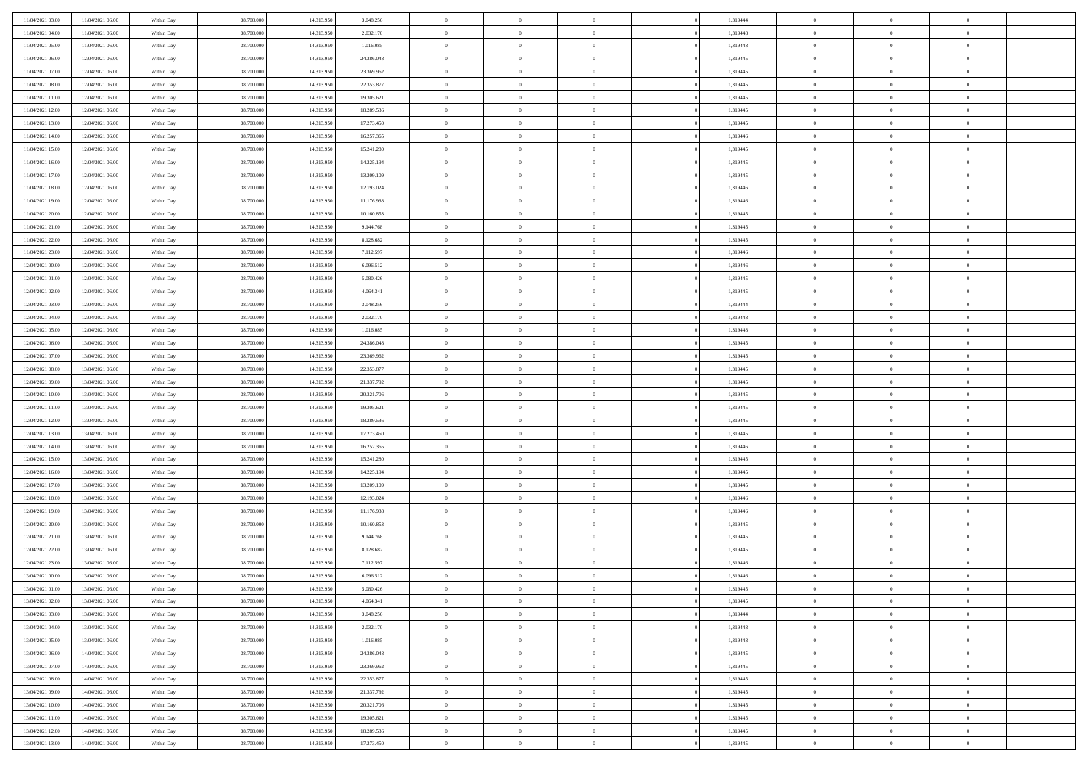| 11/04/2021 03:00<br>11/04/2021 06:00<br>38,700,000<br>14.313.950<br>1,319444<br>$\bf{0}$<br>Within Day<br>3.048.256<br>$\bf{0}$<br>$\overline{0}$<br>$\overline{0}$<br>$\overline{0}$           | $\bf{0}$       |  |
|-------------------------------------------------------------------------------------------------------------------------------------------------------------------------------------------------|----------------|--|
| 11/04/2021 04:00<br>11/04/2021 06:00<br>38.700.000<br>14.313.950<br>2.032.170<br>$\overline{0}$<br>$\overline{0}$<br>$\overline{0}$<br>1,319448<br>$\mathbf{0}$<br>$\bf{0}$<br>Within Day       | $\theta$       |  |
| 11/04/2021 05:00<br>11/04/2021 06:00<br>Within Day<br>38.700.000<br>14.313.950<br>1.016.085<br>$\overline{0}$<br>$\overline{0}$<br>1,319448<br>$\,$ 0 $\,$<br>$\overline{0}$<br>$\overline{0}$  | $\,$ 0 $\,$    |  |
| 11/04/2021 06:00<br>38,700,000<br>14.313.950<br>24,386,048<br>1,319445<br>12/04/2021 06:00<br>Within Day<br>$\overline{0}$<br>$\overline{0}$<br>$\Omega$<br>$\overline{0}$<br>$\theta$          | $\overline{0}$ |  |
| 11/04/2021 07:00<br>12/04/2021 06:00<br>38.700.000<br>14.313.950<br>23.369.962<br>$\mathbf{0}$<br>$\overline{0}$<br>$\overline{0}$<br>1,319445<br>$\mathbf{0}$<br>$\bf{0}$<br>Within Day        | $\overline{0}$ |  |
| 11/04/2021 08:00<br>12/04/2021 06:00<br>38.700.000<br>14.313.950<br>22.353.877<br>$\overline{0}$<br>$\overline{0}$<br>1,319445<br>$\,$ 0 $\,$<br>Within Day<br>$\overline{0}$<br>$\overline{0}$ | $\,$ 0 $\,$    |  |
| 11/04/2021 11:00<br>38,700,000<br>14.313.950<br>1,319445<br>12/04/2021 06:00<br>Within Day<br>19.305.621<br>$\bf{0}$<br>$\overline{0}$<br>$\Omega$<br>$\bf{0}$<br>$\theta$                      | $\overline{0}$ |  |
| 11/04/2021 12:00<br>12/04/2021 06:00<br>38.700.000<br>14.313.950<br>18.289.536<br>$\overline{0}$<br>$\overline{0}$<br>$\overline{0}$<br>1,319445<br>$\mathbf{0}$<br>$\bf{0}$<br>Within Day      | $\theta$       |  |
| 11/04/2021 13:00<br>12/04/2021 06:00<br>38.700.000<br>14.313.950<br>17.273.450<br>$\,$ 0<br>$\overline{0}$<br>1,319445<br>$\,$ 0 $\,$<br>Within Day<br>$\overline{0}$<br>$\overline{0}$         | $\,$ 0 $\,$    |  |
| 11/04/2021 14:00<br>38,700,000<br>14.313.950<br>16.257.365<br>1,319446<br>12/04/2021 06:00<br>Within Day<br>$\overline{0}$<br>$\overline{0}$<br>$\Omega$<br>$\overline{0}$<br>$\theta$          | $\overline{0}$ |  |
| 11/04/2021 15:00<br>12/04/2021 06:00<br>38.700.000<br>14.313.950<br>15.241.280<br>$\mathbf{0}$<br>$\overline{0}$<br>$\overline{0}$<br>1,319445<br>$\mathbf{0}$<br>$\bf{0}$<br>Within Day        | $\theta$       |  |
| 11/04/2021 16:00<br>12/04/2021 06:00<br>Within Day<br>38.700.000<br>14.313.950<br>14.225.194<br>$\overline{0}$<br>$\overline{0}$<br>1,319445<br>$\,$ 0 $\,$<br>$\overline{0}$<br>$\overline{0}$ | $\,$ 0 $\,$    |  |
| 11/04/2021 17:00<br>12/04/2021 06:00<br>38,700,000<br>14.313.950<br>13.209.109<br>1,319445<br>Within Day<br>$\overline{0}$<br>$\overline{0}$<br>$\Omega$<br>$\overline{0}$<br>$\theta$          | $\overline{0}$ |  |
| 11/04/2021 18:00<br>12/04/2021 06:00<br>38.700.000<br>14.313.950<br>12.193.024<br>$\mathbf{0}$<br>$\overline{0}$<br>$\overline{0}$<br>1,319446<br>$\mathbf{0}$<br>$\bf{0}$<br>Within Day        | $\theta$       |  |
| 11/04/2021 19:00<br>12/04/2021 06:00<br>38.700.000<br>14.313.950<br>11.176.938<br>$\,$ 0<br>$\,$ 0 $\,$<br>1,319446<br>$\,$ 0 $\,$<br>Within Day<br>$\overline{0}$<br>$\overline{0}$            | $\,$ 0 $\,$    |  |
| 11/04/2021 20:00<br>38,700,000<br>14.313.950<br>1,319445<br>12/04/2021 06:00<br>Within Day<br>10.160.853<br>$\bf{0}$<br>$\overline{0}$<br>$\Omega$<br>$\overline{0}$<br>$\theta$                | $\bf{0}$       |  |
| 11/04/2021 21:00<br>12/04/2021 06:00<br>38.700.000<br>14.313.950<br>9.144.768<br>$\mathbf{0}$<br>$\overline{0}$<br>$\overline{0}$<br>1,319445<br>$\mathbf{0}$<br>$\bf{0}$<br>Within Day         | $\theta$       |  |
| 11/04/2021 22:00<br>12/04/2021 06:00<br>38.700.000<br>14.313.950<br>8.128.682<br>$\,$ 0<br>$\overline{0}$<br>1,319445<br>$\,$ 0 $\,$<br>Within Day<br>$\overline{0}$<br>$\overline{0}$          | $\,$ 0 $\,$    |  |
| 11/04/2021 23.00<br>38,700,000<br>14.313.950<br>7.112.597<br>1,319446<br>12/04/2021 06:00<br>Within Day<br>$\overline{0}$<br>$\overline{0}$<br>$\Omega$<br>$\overline{0}$<br>$\theta$           | $\overline{0}$ |  |
| 12/04/2021 00:00<br>12/04/2021 06:00<br>38.700.000<br>14.313.950<br>6.096.512<br>$\mathbf{0}$<br>$\overline{0}$<br>$\overline{0}$<br>1,319446<br>$\mathbf{0}$<br>$\bf{0}$<br>Within Day         | $\theta$       |  |
| 12/04/2021 01:00<br>12/04/2021 06:00<br>Within Day<br>38.700.000<br>14.313.950<br>5.080.426<br>$\,$ 0<br>$\overline{0}$<br>1,319445<br>$\,$ 0 $\,$<br>$\overline{0}$<br>$\overline{0}$          | $\,$ 0 $\,$    |  |
| 12/04/2021 02:00<br>38,700,000<br>14.313.950<br>4.064.341<br>1,319445<br>12/04/2021 06:00<br>Within Day<br>$\overline{0}$<br>$\overline{0}$<br>$\Omega$<br>$\overline{0}$<br>$\theta$           | $\overline{0}$ |  |
| 12/04/2021 03:00<br>12/04/2021 06:00<br>38.700.000<br>14.313.950<br>3.048.256<br>$\mathbf{0}$<br>$\overline{0}$<br>1,319444<br>$\mathbf{0}$<br>$\bf{0}$<br>Within Day<br>$\overline{0}$         | $\theta$       |  |
| 12/04/2021 04:00<br>12/04/2021 06:00<br>38.700.000<br>14.313.950<br>2.032.170<br>$\,$ 0<br>$\overline{0}$<br>1,319448<br>$\,$ 0 $\,$<br>Within Day<br>$\overline{0}$<br>$\overline{0}$          | $\,0\,$        |  |
| 12/04/2021 05:00<br>38,700,000<br>14.313.950<br>1.319448<br>12/04/2021 06:00<br>Within Day<br>1.016.085<br>$\bf{0}$<br>$\overline{0}$<br>$\Omega$<br>$\bf{0}$<br>$\theta$                       | $\bf{0}$       |  |
| 12/04/2021 06:00<br>13/04/2021 06:00<br>38.700.000<br>14.313.950<br>24.386.048<br>$\overline{0}$<br>$\overline{0}$<br>$\overline{0}$<br>1,319445<br>$\overline{0}$<br>$\bf{0}$<br>Within Day    | $\theta$       |  |
| 12/04/2021 07:00<br>13/04/2021 06:00<br>38.700.000<br>14.313.950<br>23.369.962<br>$\,$ 0<br>$\overline{0}$<br>1,319445<br>$\,$ 0 $\,$<br>Within Day<br>$\overline{0}$<br>$\overline{0}$         | $\,0\,$        |  |
| 12/04/2021 08:00<br>38,700,000<br>14.313.950<br>22,353,877<br>1,319445<br>13/04/2021 06:00<br>Within Day<br>$\overline{0}$<br>$\overline{0}$<br>$\Omega$<br>$\overline{0}$<br>$\theta$          | $\overline{0}$ |  |
| 12/04/2021 09:00<br>13/04/2021 06:00<br>38.700.000<br>14.313.950<br>21.337.792<br>$\mathbf{0}$<br>$\overline{0}$<br>$\overline{0}$<br>1,319445<br>$\mathbf{0}$<br>$\bf{0}$<br>Within Day        | $\overline{0}$ |  |
| 12/04/2021 10:00<br>13/04/2021 06:00<br>38.700.000<br>14.313.950<br>20.321.706<br>$\,$ 0<br>$\overline{0}$<br>1,319445<br>$\,$ 0 $\,$<br>Within Day<br>$\overline{0}$<br>$\overline{0}$         | $\,0\,$        |  |
| 12/04/2021 11:00<br>13/04/2021 06:00<br>Within Day<br>38.700.000<br>14.313.950<br>19.305.621<br>$\bf{0}$<br>$\overline{0}$<br>$\Omega$<br>1,319445<br>$\bf{0}$<br>$\overline{0}$                | $\bf{0}$       |  |
| 12/04/2021 12:00<br>13/04/2021 06:00<br>38.700.000<br>14.313.950<br>18.289.536<br>$\overline{0}$<br>$\overline{0}$<br>1,319445<br>$\mathbf{0}$<br>$\bf{0}$<br>Within Day<br>$\overline{0}$      | $\theta$       |  |
| 12/04/2021 13:00<br>13/04/2021 06:00<br>38.700.000<br>14.313.950<br>17.273.450<br>$\,$ 0<br>$\overline{0}$<br>1,319445<br>$\,$ 0 $\,$<br>Within Day<br>$\overline{0}$<br>$\overline{0}$         | $\,0\,$        |  |
| 12/04/2021 14:00<br>13/04/2021 06:00<br>Within Day<br>38.700.000<br>14.313.950<br>16.257.365<br>$\bf{0}$<br>$\overline{0}$<br>$\overline{0}$<br>1,319446<br>$\mathbf{0}$<br>$\overline{0}$      | $\bf{0}$       |  |
| 12/04/2021 15:00<br>13/04/2021 06:00<br>38.700.000<br>14.313.950<br>15.241.280<br>$\overline{0}$<br>$\overline{0}$<br>$\overline{0}$<br>1,319445<br>$\overline{0}$<br>$\bf{0}$<br>Within Day    | $\theta$       |  |
| 12/04/2021 16:00<br>13/04/2021 06:00<br>38.700.000<br>14.313.950<br>14.225.194<br>$\overline{0}$<br>$\overline{0}$<br>1,319445<br>$\,$ 0 $\,$<br>Within Day<br>$\overline{0}$<br>$\overline{0}$ | $\,0\,$        |  |
| 12/04/2021 17:00<br>13/04/2021 06:00<br>Within Day<br>38.700.000<br>14.313.950<br>13.209.109<br>$\bf{0}$<br>$\overline{0}$<br>1,319445<br>$\bf{0}$<br>$\theta$<br>$\Omega$                      | $\bf{0}$       |  |
| 12/04/2021 18:00<br>13/04/2021 06:00<br>38.700.000<br>14.313.950<br>12.193.024<br>$\mathbf{0}$<br>$\overline{0}$<br>$\overline{0}$<br>1,319446<br>$\mathbf{0}$<br>$\bf{0}$<br>Within Day        | $\overline{0}$ |  |
| 12/04/2021 19:00<br>13/04/2021 06:00<br>Within Day<br>38.700.000<br>14.313.950<br>11.176.938<br>$\,$ 0<br>$\overline{0}$<br>1,319446<br>$\,$ 0 $\,$<br>$\overline{0}$<br>$\overline{0}$         | $\,0\,$        |  |
| 12/04/2021 20:00<br>13/04/2021 06:00<br>Within Day<br>38.700.000<br>14.313.950<br>10.160.853<br>$\bf{0}$<br>$\overline{0}$<br>$\Omega$<br>1,319445<br>$\bf{0}$<br>$\overline{0}$                | $\bf{0}$       |  |
| 12/04/2021 21:00<br>13/04/2021 06:00<br>38.700.000<br>14.313.950<br>9.144.768<br>$\mathbf{0}$<br>$\overline{0}$<br>1,319445<br>$\overline{0}$<br>$\overline{0}$<br>Within Day<br>$\overline{0}$ | $\theta$       |  |
| 12/04/2021 22:00<br>13/04/2021 06:00<br>38.700.000<br>14.313.950<br>8.128.682<br>$\,$ 0<br>$\overline{0}$<br>1,319445<br>$\,$ 0 $\,$<br>Within Day<br>$\overline{0}$<br>$\overline{0}$          | $\,0\,$        |  |
| 12/04/2021 23:00<br>13/04/2021 06:00<br>Within Day<br>38.700.000<br>14.313.950<br>7.112.597<br>$\bf{0}$<br>$\overline{0}$<br>$\overline{0}$<br>1,319446<br>$\bf{0}$<br>$\overline{0}$           | $\bf{0}$       |  |
| 13/04/2021 00:00<br>13/04/2021 06:00<br>38.700.000<br>14.313.950<br>6.096.512<br>$\mathbf{0}$<br>$\overline{0}$<br>$\overline{0}$<br>1,319446<br>$\overline{0}$<br>$\bf{0}$<br>Within Day       | $\theta$       |  |
| 13/04/2021 01:00<br>13/04/2021 06:00<br>Within Day<br>38.700.000<br>14.313.950<br>5.080.426<br>$\theta$<br>$\overline{0}$<br>1,319445<br>$\overline{0}$<br>$\theta$<br>$\overline{0}$           | $\overline{0}$ |  |
| 13/04/2021 02:00<br>13/04/2021 06:00<br>Within Day<br>38.700.000<br>14.313.950<br>4.064.341<br>$\bf{0}$<br>$\overline{0}$<br>$\overline{0}$<br>1,319445<br>$\mathbf{0}$<br>$\overline{0}$       | $\bf{0}$       |  |
| 38.700.000<br>14.313.950<br>$\overline{0}$<br>$\overline{0}$<br>$\overline{0}$<br>13/04/2021 03:00<br>13/04/2021 06:00<br>Within Day<br>3.048.256<br>$\overline{0}$<br>1,319444<br>$\mathbf{0}$ | $\overline{0}$ |  |
|                                                                                                                                                                                                 | $\theta$       |  |
| 13/04/2021 04:00<br>13/04/2021 06:00<br>Within Day<br>38.700.000<br>14.313.950<br>2.032.170<br>$\,$ 0 $\,$<br>$\overline{0}$<br>$\overline{0}$<br>1,319448<br>$\,$ 0 $\,$<br>$\,$ 0 $\,$        |                |  |
| 13/04/2021 05:00<br>13/04/2021 06:00<br>Within Day<br>38.700.000<br>14.313.950<br>1.016.085<br>$\bf{0}$<br>$\overline{0}$<br>$\overline{0}$<br>1,319448<br>$\mathbf{0}$<br>$\overline{0}$       | $\bf{0}$       |  |
| $\overline{0}$<br>13/04/2021 06:00<br>14/04/2021 06:00<br>38.700.000<br>14.313.950<br>24.386.048<br>$\mathbf{0}$<br>$\overline{0}$<br>1,319445<br>$\mathbf{0}$<br>$\bf{0}$<br>Within Day        | $\theta$       |  |
| 13/04/2021 07:00<br>14/04/2021 06:00<br>Within Day<br>38.700.000<br>14.313.950<br>23.369.962<br>$\,$ 0 $\,$<br>$\overline{0}$<br>$\overline{0}$<br>1,319445<br>$\,$ 0 $\,$<br>$\overline{0}$    | $\theta$       |  |
| 13/04/2021 08:00<br>14/04/2021 06:00<br>Within Day<br>38.700.000<br>14.313.950<br>22.353.877<br>$\mathbf{0}$<br>$\overline{0}$<br>$\overline{0}$<br>1,319445<br>$\mathbf{0}$<br>$\overline{0}$  | $\overline{0}$ |  |
| 38.700.000<br>14.313.950<br>$\,$ 0 $\,$<br>$\overline{0}$<br>$\,$ 0 $\,$<br>13/04/2021 09:00<br>14/04/2021 06:00<br>Within Day<br>21.337.792<br>$\overline{0}$<br>1,319445<br>$\bf{0}$          | $\overline{0}$ |  |
| 13/04/2021 10:00<br>14/04/2021 06:00<br>Within Day<br>38.700.000<br>14.313.950<br>20.321.706<br>$\,$ 0 $\,$<br>$\overline{0}$<br>$\overline{0}$<br>1,319445<br>$\,$ 0 $\,$<br>$\,$ 0            | $\theta$       |  |
| 38.700.000<br>13/04/2021 11:00<br>14/04/2021 06:00<br>Within Day<br>14.313.950<br>19.305.621<br>$\bf{0}$<br>$\overline{0}$<br>$\overline{0}$<br>1,319445<br>$\mathbf{0}$<br>$\overline{0}$      | $\bf{0}$       |  |
| 38.700.000<br>$\overline{0}$<br>13/04/2021 12:00<br>14/04/2021 06:00<br>Within Day<br>14.313.950<br>18.289.536<br>$\mathbf{0}$<br>$\overline{0}$<br>1,319445<br>$\mathbf{0}$<br>$\bf{0}$        | $\overline{0}$ |  |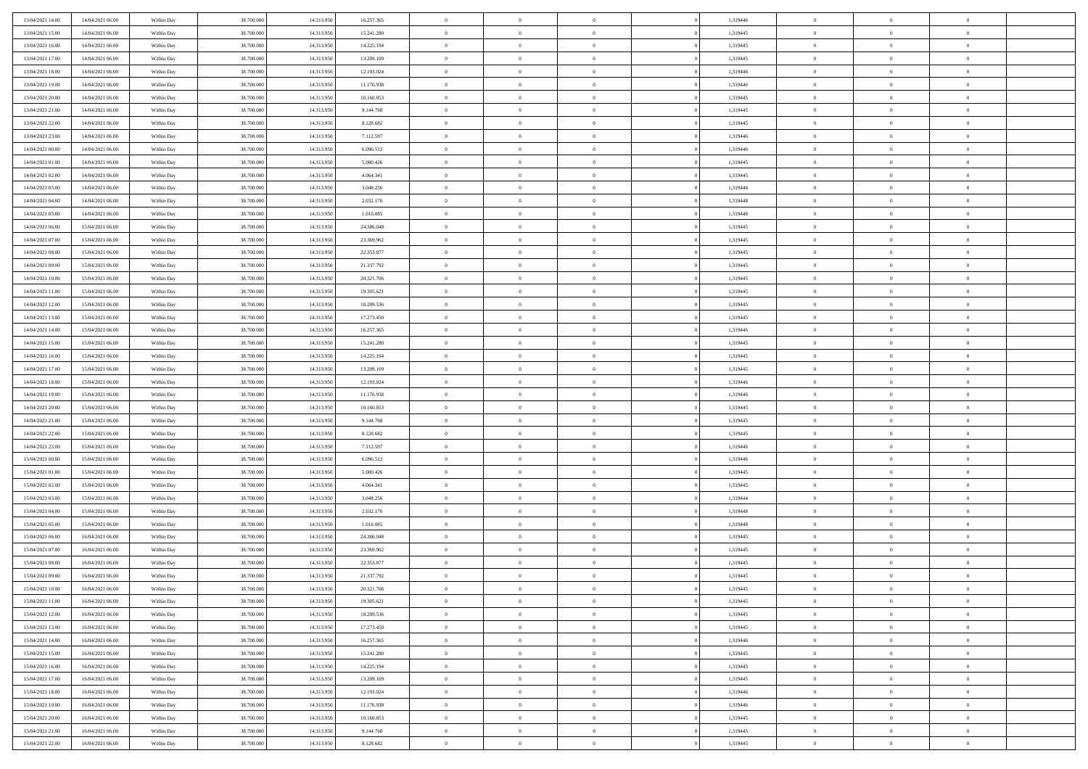| 13/04/2021 14:00 | 14/04/2021 06:00 | Within Day | 38,700,000 | 14.313.950 | 16.257.365 | $\bf{0}$       | $\overline{0}$ | $\theta$       | 1,319446 | $\theta$       | $\overline{0}$ | $\overline{0}$ |  |
|------------------|------------------|------------|------------|------------|------------|----------------|----------------|----------------|----------|----------------|----------------|----------------|--|
| 13/04/2021 15:00 | 14/04/2021 06:00 | Within Dav | 38.700.000 | 14.313.950 | 15.241.280 | $\mathbf{0}$   | $\overline{0}$ | $\overline{0}$ | 1,319445 | $\theta$       | $\overline{0}$ | $\theta$       |  |
| 13/04/2021 16:00 | 14/04/2021 06:00 | Within Day | 38.700.000 | 14.313.950 | 14.225.194 | $\,$ 0         | $\overline{0}$ | $\bf{0}$       | 1,319445 | $\,0\,$        | $\overline{0}$ | $\,$ 0 $\,$    |  |
| 13/04/2021 17:00 | 14/04/2021 06:00 | Within Day | 38,700,000 | 14.313.950 | 13.209.109 | $\bf{0}$       | $\overline{0}$ | $\overline{0}$ | 1,319445 | $\overline{0}$ | $\theta$       | $\theta$       |  |
| 13/04/2021 18:00 | 14/04/2021 06:00 | Within Dav | 38.700.000 | 14.313.950 | 12.193.024 | $\mathbf{0}$   | $\overline{0}$ | $\overline{0}$ | 1,319446 | $\mathbf{0}$   | $\overline{0}$ | $\overline{0}$ |  |
| 13/04/2021 19:00 | 14/04/2021 06:00 | Within Day | 38.700.000 | 14.313.950 | 11.176.938 | $\bf{0}$       | $\overline{0}$ | $\bf{0}$       | 1,319446 | $\,0\,$        | $\overline{0}$ | $\,$ 0 $\,$    |  |
| 13/04/2021 20:00 | 14/04/2021 06:00 | Within Day | 38,700,000 | 14.313.950 | 10.160.853 | $\bf{0}$       | $\overline{0}$ | $\overline{0}$ | 1,319445 | $\bf{0}$       | $\overline{0}$ | $\theta$       |  |
| 13/04/2021 21:00 | 14/04/2021 06:00 | Within Dav | 38.700.000 | 14.313.950 | 9.144.768  | $\overline{0}$ | $\overline{0}$ | $\overline{0}$ | 1,319445 | $\mathbf{0}$   | $\overline{0}$ | $\theta$       |  |
| 13/04/2021 22:00 | 14/04/2021 06:00 | Within Day | 38.700.000 | 14.313.950 | 8.128.682  | $\bf{0}$       | $\overline{0}$ | $\bf{0}$       | 1,319445 | $\,0\,$        | $\overline{0}$ | $\,$ 0 $\,$    |  |
| 13/04/2021 23:00 | 14/04/2021 06:00 | Within Day | 38,700,000 | 14.313.950 | 7.112.597  | $\bf{0}$       | $\overline{0}$ | $\overline{0}$ | 1,319446 | $\theta$       | $\overline{0}$ | $\overline{0}$ |  |
| 14/04/2021 00:00 | 14/04/2021 06:00 | Within Dav | 38.700.000 | 14.313.950 | 6.096.512  | $\overline{0}$ | $\overline{0}$ | $\overline{0}$ | 1,319446 | $\overline{0}$ | $\bf{0}$       | $\theta$       |  |
| 14/04/2021 01:00 | 14/04/2021 06:00 | Within Day | 38.700.000 | 14.313.950 | 5.080.426  | $\bf{0}$       | $\overline{0}$ | $\bf{0}$       | 1,319445 | $\,0\,$        | $\overline{0}$ | $\,$ 0 $\,$    |  |
| 14/04/2021 02:00 | 14/04/2021 06:00 | Within Day | 38,700,000 | 14.313.950 | 4.064.341  | $\bf{0}$       | $\overline{0}$ | $\Omega$       | 1,319445 | $\theta$       | $\theta$       | $\theta$       |  |
| 14/04/2021 03:00 | 14/04/2021 06:00 | Within Dav | 38.700.000 | 14.313.950 | 3.048.256  | $\overline{0}$ | $\overline{0}$ | $\overline{0}$ | 1,319444 | $\overline{0}$ | $\overline{0}$ | $\overline{0}$ |  |
| 14/04/2021 04:00 | 14/04/2021 06:00 | Within Day | 38.700.000 | 14.313.950 | 2.032.170  | $\bf{0}$       | $\overline{0}$ | $\bf{0}$       | 1,319448 | $\,0\,$        | $\overline{0}$ | $\,$ 0 $\,$    |  |
| 14/04/2021 05:00 | 14/04/2021 06:00 | Within Day | 38,700,000 | 14.313.950 | 1.016.085  | $\bf{0}$       | $\overline{0}$ | $\overline{0}$ | 1,319448 | $\theta$       | $\overline{0}$ | $\bf{0}$       |  |
| 14/04/2021 06:00 | 15/04/2021 06:00 | Within Dav | 38.700.000 | 14.313.950 | 24.386.048 | $\overline{0}$ | $\overline{0}$ | $\overline{0}$ | 1,319445 | $\overline{0}$ | $\overline{0}$ | $\theta$       |  |
| 14/04/2021 07:00 | 15/04/2021 06:00 | Within Day | 38.700.000 | 14.313.950 | 23.369.962 | $\bf{0}$       | $\overline{0}$ | $\bf{0}$       | 1,319445 | $\,0\,$        | $\overline{0}$ | $\,$ 0 $\,$    |  |
| 14/04/2021 08:00 | 15/04/2021 06:00 | Within Day | 38,700,000 | 14.313.950 | 22.353.877 | $\bf{0}$       | $\overline{0}$ | $\overline{0}$ | 1,319445 | $\theta$       | $\theta$       | $\overline{0}$ |  |
| 14/04/2021 09:00 | 15/04/2021 06:00 | Within Dav | 38.700.000 | 14.313.950 | 21.337.792 | $\overline{0}$ | $\overline{0}$ | $\overline{0}$ | 1,319445 | $\overline{0}$ | $\overline{0}$ | $\theta$       |  |
| 14/04/2021 10:00 | 15/04/2021 06:00 | Within Day | 38.700.000 | 14.313.950 | 20.321.706 | $\bf{0}$       | $\overline{0}$ | $\bf{0}$       | 1,319445 | $\,0\,$        | $\overline{0}$ | $\,$ 0 $\,$    |  |
| 14/04/2021 11:00 | 15/04/2021 06:00 | Within Day | 38.700.000 | 14.313.950 | 19.305.621 | $\bf{0}$       | $\overline{0}$ | $\Omega$       | 1,319445 | $\overline{0}$ | $\theta$       | $\theta$       |  |
| 14/04/2021 12:00 | 15/04/2021 06:00 | Within Day | 38.700.000 | 14.313.950 | 18.289.536 | $\overline{0}$ | $\overline{0}$ | $\overline{0}$ | 1,319445 | $\overline{0}$ | $\overline{0}$ | $\overline{0}$ |  |
| 14/04/2021 13:00 | 15/04/2021 06:00 | Within Day | 38.700.000 | 14.313.950 | 17.273.450 | $\bf{0}$       | $\overline{0}$ | $\bf{0}$       | 1,319445 | $\,0\,$        | $\overline{0}$ | $\,$ 0 $\,$    |  |
| 14/04/2021 14:00 | 15/04/2021 06:00 | Within Day | 38,700,000 | 14.313.950 | 16.257.365 | $\bf{0}$       | $\overline{0}$ | $\overline{0}$ | 1,319446 | $\bf{0}$       | $\overline{0}$ | $\overline{0}$ |  |
| 14/04/2021 15:00 | 15/04/2021 06:00 | Within Day | 38.700.000 | 14.313.950 | 15.241.280 | $\overline{0}$ | $\overline{0}$ | $\overline{0}$ | 1,319445 | $\overline{0}$ | $\overline{0}$ | $\theta$       |  |
| 14/04/2021 16:00 | 15/04/2021 06:00 | Within Day | 38.700.000 | 14.313.950 | 14.225.194 | $\bf{0}$       | $\overline{0}$ | $\bf{0}$       | 1,319445 | $\,0\,$        | $\overline{0}$ | $\,$ 0 $\,$    |  |
| 14/04/2021 17:00 | 15/04/2021 06:00 | Within Day | 38,700,000 | 14.313.950 | 13.209.109 | $\bf{0}$       | $\overline{0}$ | $\overline{0}$ | 1,319445 | $\theta$       | $\theta$       | $\overline{0}$ |  |
| 14/04/2021 18:00 | 15/04/2021 06:00 | Within Day | 38.700.000 | 14.313.950 | 12.193.024 | $\overline{0}$ | $\overline{0}$ | $\overline{0}$ | 1,319446 | $\overline{0}$ | $\bf{0}$       | $\overline{0}$ |  |
| 14/04/2021 19:00 | 15/04/2021 06:00 | Within Day | 38.700.000 | 14.313.950 | 11.176.938 | $\bf{0}$       | $\overline{0}$ | $\bf{0}$       | 1,319446 | $\,0\,$        | $\overline{0}$ | $\,$ 0         |  |
| 14/04/2021 20:00 | 15/04/2021 06:00 | Within Day | 38.700.000 | 14.313.950 | 10.160.853 | $\bf{0}$       | $\overline{0}$ | $\overline{0}$ | 1,319445 | $\bf{0}$       | $\overline{0}$ | $\theta$       |  |
| 14/04/2021 21:00 | 15/04/2021 06:00 | Within Day | 38.700.000 | 14.313.950 | 9.144.768  | $\overline{0}$ | $\overline{0}$ | $\overline{0}$ | 1,319445 | $\overline{0}$ | $\overline{0}$ | $\overline{0}$ |  |
| 14/04/2021 22:00 | 15/04/2021 06:00 | Within Day | 38.700.000 | 14.313.950 | 8.128.682  | $\bf{0}$       | $\overline{0}$ | $\bf{0}$       | 1,319445 | $\,0\,$        | $\overline{0}$ | $\,$ 0 $\,$    |  |
| 14/04/2021 23:00 | 15/04/2021 06:00 | Within Day | 38.700.000 | 14.313.950 | 7.112.597  | $\bf{0}$       | $\overline{0}$ | $\bf{0}$       | 1,319446 | $\bf{0}$       | $\overline{0}$ | $\bf{0}$       |  |
| 15/04/2021 00:00 | 15/04/2021 06:00 | Within Day | 38.700.000 | 14.313.950 | 6.096.512  | $\overline{0}$ | $\overline{0}$ | $\overline{0}$ | 1,319446 | $\mathbf{0}$   | $\overline{0}$ | $\theta$       |  |
| 15/04/2021 01:00 | 15/04/2021 06:00 | Within Day | 38.700.000 | 14.313.950 | 5.080.426  | $\bf{0}$       | $\overline{0}$ | $\bf{0}$       | 1,319445 | $\,0\,$        | $\overline{0}$ | $\bf{0}$       |  |
| 15/04/2021 02:00 | 15/04/2021 06:00 | Within Day | 38.700.000 | 14.313.950 | 4.064.341  | $\bf{0}$       | $\bf{0}$       | $\overline{0}$ | 1,319445 | $\bf{0}$       | $\overline{0}$ | $\theta$       |  |
| 15/04/2021 03:00 | 15/04/2021 06:00 | Within Day | 38.700.000 | 14.313.950 | 3.048.256  | $\overline{0}$ | $\overline{0}$ | $\overline{0}$ | 1,319444 | $\mathbf{0}$   | $\overline{0}$ | $\overline{0}$ |  |
| 15/04/2021 04:00 | 15/04/2021 06:00 | Within Day | 38.700.000 | 14.313.950 | 2.032.170  | $\bf{0}$       | $\overline{0}$ | $\bf{0}$       | 1,319448 | $\,0\,$        | $\overline{0}$ | $\,$ 0 $\,$    |  |
| 15/04/2021 05:00 | 15/04/2021 06:00 | Within Day | 38.700.000 | 14.313.950 | 1.016.085  | $\bf{0}$       | $\bf{0}$       | $\overline{0}$ | 1,319448 | $\bf{0}$       | $\overline{0}$ | $\theta$       |  |
| 15/04/2021 06:00 | 16/04/2021 06:00 | Within Day | 38.700.000 | 14.313.950 | 24.386.048 | $\overline{0}$ | $\overline{0}$ | $\overline{0}$ | 1,319445 | $\mathbf{0}$   | $\overline{0}$ | $\theta$       |  |
| 15/04/2021 07:00 | 16/04/2021 06:00 | Within Day | 38.700.000 | 14.313.950 | 23.369.962 | $\bf{0}$       | $\overline{0}$ | $\bf{0}$       | 1,319445 | $\,0\,$        | $\overline{0}$ | $\,$ 0 $\,$    |  |
| 15/04/2021 08:00 | 16/04/2021 06:00 | Within Day | 38.700.000 | 14.313.950 | 22.353.877 | $\bf{0}$       | $\bf{0}$       | $\bf{0}$       | 1,319445 | $\bf{0}$       | $\overline{0}$ | $\bf{0}$       |  |
| 15/04/2021 09:00 | 16/04/2021 06:00 | Within Dav | 38.700.000 | 14.313.950 | 21.337.792 | $\mathbf{0}$   | $\overline{0}$ | $\overline{0}$ | 1,319445 | $\theta$       | $\overline{0}$ | $\theta$       |  |
| 15/04/2021 10:00 | 16/04/2021 06:00 | Within Day | 38.700.000 | 14.313.950 | 20.321.706 | $\bf{0}$       | $\overline{0}$ | $\theta$       | 1,319445 | $\bf{0}$       | $\overline{0}$ | $\theta$       |  |
| 15/04/2021 11:00 | 16/04/2021 06:00 | Within Day | 38.700.000 | 14.313.950 | 19.305.621 | $\bf{0}$       | $\bf{0}$       | $\bf{0}$       | 1,319445 | $\bf{0}$       | $\overline{0}$ | $\bf{0}$       |  |
| 15/04/2021 12:00 | 16/04/2021 06:00 | Within Day | 38.700.000 | 14.313.950 | 18.289.536 | $\overline{0}$ | $\overline{0}$ | $\overline{0}$ | 1,319445 | $\overline{0}$ | $\overline{0}$ | $\overline{0}$ |  |
| 15/04/2021 13:00 | 16/04/2021 06:00 | Within Day | 38.700.000 | 14.313.950 | 17.273.450 | $\,$ 0 $\,$    | $\overline{0}$ | $\overline{0}$ | 1,319445 | $\,$ 0 $\,$    | $\,$ 0 $\,$    | $\,$ 0 $\,$    |  |
| 15/04/2021 14:00 | 16/04/2021 06:00 | Within Day | 38.700.000 | 14.313.950 | 16.257.365 | $\bf{0}$       | $\overline{0}$ | $\overline{0}$ | 1,319446 | $\mathbf{0}$   | $\overline{0}$ | $\bf{0}$       |  |
| 15/04/2021 15:00 | 16/04/2021 06:00 | Within Day | 38.700.000 | 14.313.950 | 15.241.280 | $\mathbf{0}$   | $\overline{0}$ | $\overline{0}$ | 1,319445 | $\mathbf{0}$   | $\bf{0}$       | $\overline{0}$ |  |
| 15/04/2021 16:00 | 16/04/2021 06:00 | Within Day | 38.700.000 | 14.313.950 | 14.225.194 | $\,$ 0 $\,$    | $\overline{0}$ | $\overline{0}$ | 1,319445 | $\,$ 0 $\,$    | $\overline{0}$ | $\,$ 0         |  |
| 15/04/2021 17:00 | 16/04/2021 06:00 | Within Day | 38.700.000 | 14.313.950 | 13.209.109 | $\bf{0}$       | $\overline{0}$ | $\overline{0}$ | 1,319445 | $\overline{0}$ | $\overline{0}$ | $\bf{0}$       |  |
| 15/04/2021 18:00 | 16/04/2021 06:00 | Within Day | 38.700.000 | 14.313.950 | 12.193.024 | $\mathbf{0}$   | $\overline{0}$ | $\overline{0}$ | 1,319446 | $\overline{0}$ | $\bf{0}$       | $\overline{0}$ |  |
| 15/04/2021 19:00 | 16/04/2021 06:00 | Within Day | 38.700.000 | 14.313.950 | 11.176.938 | $\,$ 0 $\,$    | $\overline{0}$ | $\overline{0}$ | 1,319446 | $\,$ 0 $\,$    | $\bf{0}$       | $\,$ 0         |  |
| 15/04/2021 20:00 | 16/04/2021 06:00 | Within Day | 38.700.000 | 14.313.950 | 10.160.853 | $\bf{0}$       | $\overline{0}$ | $\overline{0}$ | 1,319445 | $\mathbf{0}$   | $\overline{0}$ | $\bf{0}$       |  |
| 15/04/2021 21:00 | 16/04/2021 06:00 | Within Day | 38.700.000 | 14.313.950 | 9.144.768  | $\overline{0}$ | $\overline{0}$ | $\overline{0}$ | 1,319445 | $\overline{0}$ | $\overline{0}$ | $\overline{0}$ |  |
| 15/04/2021 22:00 | 16/04/2021 06:00 | Within Day | 38.700.000 | 14.313.950 | 8.128.682  | $\,0\,$        | $\overline{0}$ | $\overline{0}$ | 1,319445 | $\,0\,$        | $\overline{0}$ | $\,$ 0 $\,$    |  |
|                  |                  |            |            |            |            |                |                |                |          |                |                |                |  |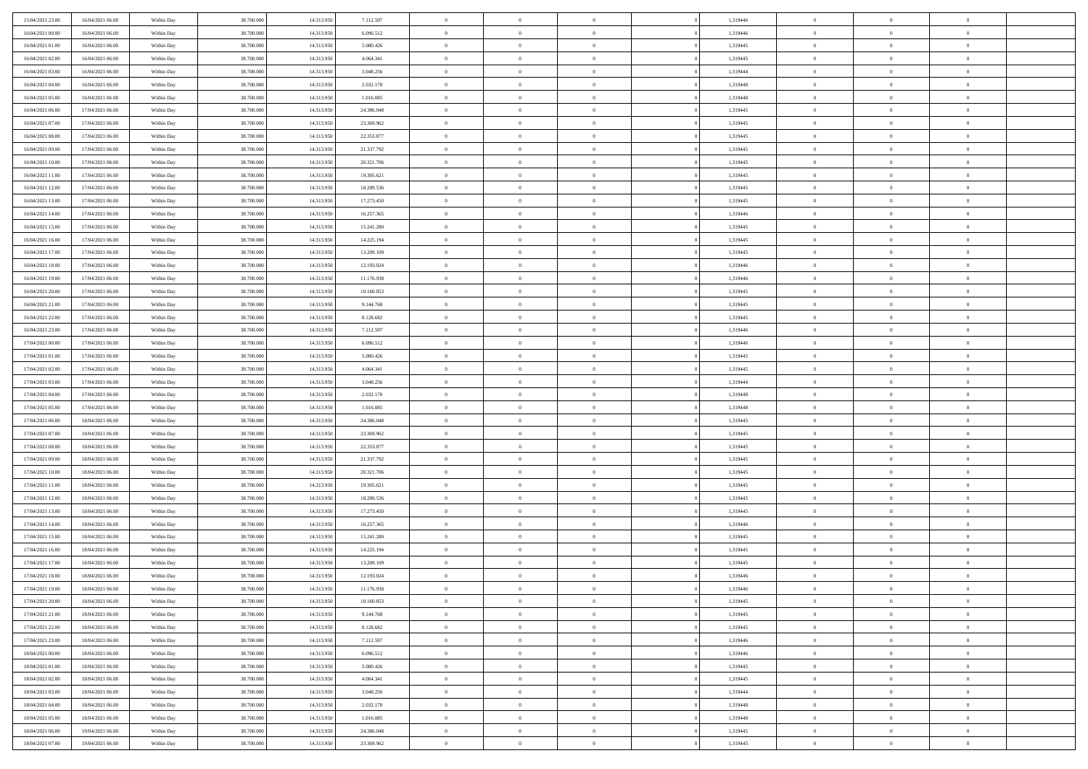| 15/04/2021 23:00 | 16/04/2021 06:00                     | Within Day | 38.700.000 | 14.313.950 | 7.112.597  | $\,$ 0         | $\overline{0}$ | $\theta$       |                | 1,319446 | $\bf{0}$       | $\overline{0}$ | $\theta$                         |  |
|------------------|--------------------------------------|------------|------------|------------|------------|----------------|----------------|----------------|----------------|----------|----------------|----------------|----------------------------------|--|
| 16/04/2021 00:00 | 16/04/2021 06:00                     | Within Day | 38,700,000 | 14.313.950 | 6.096.512  | $\overline{0}$ | $\overline{0}$ | $\overline{0}$ |                | 1,319446 | $\theta$       | $\theta$       | $\overline{0}$                   |  |
| 16/04/2021 01:00 | 16/04/2021 06:00                     | Within Day | 38.700.000 | 14.313.950 | 5.080.426  | $\mathbf{0}$   | $\overline{0}$ | $\overline{0}$ |                | 1,319445 | $\theta$       | $\overline{0}$ | $\theta$                         |  |
| 16/04/2021 02:00 | 16/04/2021 06:00                     | Within Day | 38.700.000 | 14.313.950 | 4.064.341  | $\bf{0}$       | $\overline{0}$ | $\bf{0}$       |                | 1,319445 | $\bf{0}$       | $\overline{0}$ | $\bf{0}$                         |  |
| 16/04/2021 03:00 | 16/04/2021 06:00                     | Within Day | 38.700.000 | 14.313.950 | 3.048.256  | $\bf{0}$       | $\overline{0}$ | $\overline{0}$ |                | 1,319444 | $\bf{0}$       | $\Omega$       | $\bf{0}$                         |  |
| 16/04/2021 04:00 | 16/04/2021 06:00                     | Within Day | 38.700.000 | 14.313.950 | 2.032.170  | $\mathbf{0}$   | $\overline{0}$ | $\overline{0}$ |                | 1,319448 | $\theta$       | $\overline{0}$ | $\theta$                         |  |
| 16/04/2021 05:00 | 16/04/2021 06:00                     | Within Day | 38.700.000 | 14.313.950 | 1.016.085  | $\bf{0}$       | $\overline{0}$ | $\overline{0}$ |                | 1,319448 | $\bf{0}$       | $\overline{0}$ | $\theta$                         |  |
|                  |                                      |            |            |            |            |                |                |                |                |          |                |                |                                  |  |
| 16/04/2021 06:00 | 17/04/2021 06:00                     | Within Day | 38.700.000 | 14.313.950 | 24.386.048 | $\overline{0}$ | $\overline{0}$ | $\overline{0}$ |                | 1,319445 | $\,$ 0 $\,$    | $\overline{0}$ | $\overline{0}$                   |  |
| 16/04/2021 07:00 | 17/04/2021 06:00                     | Within Day | 38.700.000 | 14.313.950 | 23.369.962 | $\mathbf{0}$   | $\overline{0}$ | $\overline{0}$ |                | 1,319445 | $\theta$       | $\overline{0}$ | $\theta$                         |  |
| 16/04/2021 08:00 | 17/04/2021 06:00                     | Within Day | 38.700.000 | 14.313.950 | 22.353.877 | $\bf{0}$       | $\overline{0}$ | $\overline{0}$ |                | 1,319445 | $\bf{0}$       | $\overline{0}$ | $\theta$                         |  |
| 16/04/2021 09:00 | 17/04/2021 06:00                     | Within Day | 38,700,000 | 14.313.950 | 21.337.792 | $\bf{0}$       | $\overline{0}$ | $\overline{0}$ |                | 1,319445 | $\bf{0}$       | $\theta$       | $\overline{0}$                   |  |
| 16/04/2021 10:00 | 17/04/2021 06:00                     | Within Day | 38.700.000 | 14.313.950 | 20.321.706 | $\mathbf{0}$   | $\overline{0}$ | $\overline{0}$ |                | 1,319445 | $\theta$       | $\overline{0}$ | $\theta$                         |  |
| 16/04/2021 11:00 | 17/04/2021 06:00                     | Within Day | 38.700.000 | 14.313.950 | 19.305.621 | $\bf{0}$       | $\overline{0}$ | $\bf{0}$       |                | 1,319445 | $\bf{0}$       | $\overline{0}$ | $\bf{0}$                         |  |
| 16/04/2021 12:00 | 17/04/2021 06:00                     | Within Day | 38.700.000 | 14.313.950 | 18.289.536 | $\bf{0}$       | $\overline{0}$ | $\overline{0}$ |                | 1,319445 | $\bf{0}$       | $\Omega$       | $\bf{0}$                         |  |
| 16/04/2021 13:00 | 17/04/2021 06:00                     | Within Day | 38.700.000 | 14.313.950 | 17.273.450 | $\mathbf{0}$   | $\overline{0}$ | $\overline{0}$ |                | 1,319445 | $\theta$       | $\overline{0}$ | $\theta$                         |  |
| 16/04/2021 14:00 | 17/04/2021 06:00                     | Within Day | 38.700.000 | 14.313.950 | 16.257.365 | $\bf{0}$       | $\overline{0}$ | $\overline{0}$ |                | 1,319446 | $\bf{0}$       | $\overline{0}$ | $\theta$                         |  |
| 16/04/2021 15:00 | 17/04/2021 06:00                     | Within Day | 38,700,000 | 14.313.950 | 15.241.280 | $\bf{0}$       | $\overline{0}$ | $\overline{0}$ |                | 1,319445 | $\,$ 0 $\,$    | $\overline{0}$ | $\overline{0}$                   |  |
| 16/04/2021 16:00 | 17/04/2021 06:00                     | Within Day | 38.700.000 | 14.313.950 | 14.225.194 | $\mathbf{0}$   | $\overline{0}$ | $\overline{0}$ |                | 1,319445 | $\theta$       | $\overline{0}$ | $\theta$                         |  |
| 16/04/2021 17:00 | 17/04/2021 06:00                     | Within Day | 38.700.000 | 14.313.950 | 13.209.109 | $\,$ 0         | $\bf{0}$       | $\overline{0}$ |                | 1,319445 | $\bf{0}$       | $\overline{0}$ | $\theta$                         |  |
| 16/04/2021 18:00 | 17/04/2021 06:00                     | Within Day | 38.700.000 | 14.313.950 | 12.193.024 | $\bf{0}$       | $\overline{0}$ | $\overline{0}$ |                | 1,319446 | $\bf{0}$       | $\theta$       | $\overline{0}$                   |  |
| 16/04/2021 19:00 | 17/04/2021 06:00                     | Within Day | 38.700.000 | 14.313.950 | 11.176.938 | $\mathbf{0}$   | $\overline{0}$ | $\overline{0}$ |                | 1,319446 | $\theta$       | $\overline{0}$ | $\theta$                         |  |
| 16/04/2021 20:00 | 17/04/2021 06:00                     | Within Day | 38.700.000 | 14.313.950 | 10.160.853 | $\bf{0}$       | $\bf{0}$       | $\bf{0}$       |                | 1,319445 | $\bf{0}$       | $\overline{0}$ | $\bf{0}$                         |  |
| 16/04/2021 21:00 | 17/04/2021 06:00                     | Within Day | 38,700,000 | 14.313.950 | 9.144.768  | $\bf{0}$       | $\bf{0}$       | $\overline{0}$ |                | 1,319445 | $\bf{0}$       | $\overline{0}$ | $\bf{0}$                         |  |
| 16/04/2021 22:00 | 17/04/2021 06:00                     | Within Day | 38.700.000 | 14.313.950 | 8.128.682  | $\mathbf{0}$   | $\overline{0}$ | $\overline{0}$ |                | 1,319445 | $\theta$       | $\overline{0}$ | $\theta$                         |  |
| 16/04/2021 23:00 | 17/04/2021 06:00                     | Within Day | 38.700.000 | 14.313.950 | 7.112.597  | $\bf{0}$       | $\bf{0}$       | $\overline{0}$ |                | 1,319446 | $\bf{0}$       | $\overline{0}$ | $\theta$                         |  |
| 17/04/2021 00:00 | 17/04/2021 06:00                     | Within Day | 38.700.000 | 14.313.950 | 6.096.512  | $\bf{0}$       | $\overline{0}$ | $\overline{0}$ |                | 1,319446 | $\,$ 0 $\,$    | $\overline{0}$ | $\bf{0}$                         |  |
| 17/04/2021 01:00 | 17/04/2021 06:00                     | Within Day | 38.700.000 | 14.313.950 | 5.080.426  | $\mathbf{0}$   | $\overline{0}$ | $\overline{0}$ |                | 1,319445 | $\theta$       | $\overline{0}$ | $\theta$                         |  |
| 17/04/2021 02:00 | 17/04/2021 06:00                     | Within Day | 38.700.000 | 14.313.950 | 4.064.341  | $\bf{0}$       | $\bf{0}$       | $\overline{0}$ |                | 1,319445 | $\bf{0}$       | $\overline{0}$ | $\theta$                         |  |
| 17/04/2021 03:00 | 17/04/2021 06:00                     | Within Day | 38,700,000 | 14.313.950 | 3.048.256  | $\bf{0}$       | $\overline{0}$ | $\overline{0}$ |                | 1,319444 | $\bf{0}$       | $\theta$       | $\bf{0}$                         |  |
| 17/04/2021 04:00 | 17/04/2021 06:00                     | Within Day | 38.700.000 | 14.313.950 | 2.032.170  | $\mathbf{0}$   | $\overline{0}$ | $\overline{0}$ |                | 1,319448 | $\theta$       | $\overline{0}$ | $\theta$                         |  |
| 17/04/2021 05:00 | 17/04/2021 06:00                     | Within Day | 38.700.000 | 14.313.950 | 1.016.085  | $\bf{0}$       | $\overline{0}$ | $\overline{0}$ |                | 1,319448 | $\,0\,$        | $\overline{0}$ | $\theta$                         |  |
| 17/04/2021 06:00 | 18/04/2021 06:00                     | Within Day | 38.700.000 | 14.313.950 | 24.386.048 | $\bf{0}$       | $\overline{0}$ | $\overline{0}$ |                | 1,319445 | $\bf{0}$       | $\overline{0}$ | $\bf{0}$                         |  |
| 17/04/2021 07:00 | 18/04/2021 06:00                     | Within Day | 38.700.000 | 14.313.950 | 23.369.962 | $\mathbf{0}$   | $\overline{0}$ | $\overline{0}$ |                | 1,319445 | $\theta$       | $\overline{0}$ | $\theta$                         |  |
| 17/04/2021 08:00 | 18/04/2021 06:00                     | Within Day | 38.700.000 | 14.313.950 | 22.353.877 | $\bf{0}$       | $\overline{0}$ | $\theta$       |                | 1,319445 | $\,0\,$        | $\overline{0}$ | $\theta$                         |  |
| 17/04/2021 09:00 | 18/04/2021 06:00                     | Within Day | 38,700,000 | 14.313.950 | 21.337.792 | $\bf{0}$       | $\overline{0}$ | $\overline{0}$ |                | 1,319445 | $\bf{0}$       | $\overline{0}$ | $\bf{0}$                         |  |
| 17/04/2021 10:00 | 18/04/2021 06:00                     | Within Day | 38.700.000 | 14.313.950 | 20.321.706 | $\mathbf{0}$   | $\overline{0}$ | $\overline{0}$ |                | 1,319445 | $\theta$       | $\overline{0}$ | $\theta$                         |  |
| 17/04/2021 11:00 | 18/04/2021 06:00                     | Within Day | 38.700.000 | 14.313.950 | 19.305.621 | $\bf{0}$       | $\overline{0}$ | $\theta$       |                | 1,319445 | $\,0\,$        | $\overline{0}$ | $\theta$                         |  |
| 17/04/2021 12:00 | 18/04/2021 06:00                     | Within Day | 38.700.000 | 14.313.950 | 18.289.536 | $\bf{0}$       | $\overline{0}$ | $\overline{0}$ |                | 1,319445 | $\bf{0}$       | $\theta$       | $\bf{0}$                         |  |
| 17/04/2021 13:00 | 18/04/2021 06:00                     | Within Day | 38.700.000 | 14.313.950 | 17.273.450 | $\mathbf{0}$   | $\overline{0}$ | $\overline{0}$ |                | 1,319445 | $\theta$       | $\overline{0}$ | $\theta$                         |  |
| 17/04/2021 14:00 | 18/04/2021 06:00                     | Within Day | 38.700.000 | 14.313.950 | 16.257.365 | $\bf{0}$       | $\overline{0}$ | $\theta$       |                | 1,319446 | $\,0\,$        | $\overline{0}$ | $\theta$                         |  |
| 17/04/2021 15:00 | 18/04/2021 06:00                     | Within Day | 38.700.000 | 14.313.950 | 15.241.280 | $\bf{0}$       | $\overline{0}$ | $\overline{0}$ |                | 1,319445 | $\bf{0}$       | $\overline{0}$ | $\bf{0}$                         |  |
| 17/04/2021 16:00 | 18/04/2021 06:00                     | Within Day | 38.700.000 | 14.313.950 | 14.225.194 | $\mathbf{0}$   | $\overline{0}$ | $\overline{0}$ |                | 1,319445 | $\theta$       | $\overline{0}$ | $\theta$                         |  |
| 17/04/2021 17:00 | 18/04/2021 06:00                     | Within Day | 38.700.000 | 14.313.950 | 13.209.109 | $\bf{0}$       | $\overline{0}$ | $\theta$       |                | 1,319445 | $\,0\,$        | $\overline{0}$ | $\theta$                         |  |
| 17/04/2021 18:00 | 18/04/2021 06:00                     | Within Day | 38,700,000 | 14.313.950 | 12.193.024 | $\bf{0}$       | $\overline{0}$ | $\overline{0}$ |                | 1,319446 | $\,$ 0 $\,$    | $\overline{0}$ | $\bf{0}$                         |  |
| 17/04/2021 19:00 | 18/04/2021 06:00                     | Within Day | 38.700.000 | 14.313.950 | 11.176.938 | $\bf{0}$       | $\overline{0}$ |                |                | 1,319446 | $\bf{0}$       | $\Omega$       | $\theta$                         |  |
| 17/04/2021 20:00 | 18/04/2021 06:00                     | Within Day | 38.700.000 | 14.313.950 | 10.160.853 | $\,0\,$        | $\overline{0}$ | $\theta$       |                | 1,319445 | $\,$ 0 $\,$    | $\overline{0}$ | $\theta$                         |  |
| 17/04/2021 21:00 | 18/04/2021 06:00                     | Within Day | 38.700.000 | 14.313.950 | 9.144.768  | $\overline{0}$ | $\overline{0}$ | $\overline{0}$ |                | 1,319445 | $\overline{0}$ | $\overline{0}$ | $\overline{0}$                   |  |
| 17/04/2021 22:00 | 18/04/2021 06:00                     | Within Day | 38.700.000 | 14.313.950 | 8.128.682  | $\overline{0}$ | $\overline{0}$ | $\overline{0}$ |                | 1,319445 | $\mathbf{0}$   | $\overline{0}$ | $\overline{0}$                   |  |
| 17/04/2021 23:00 | 18/04/2021 06:00                     | Within Day | 38.700.000 | 14.313.950 | 7.112.597  | $\,$ 0 $\,$    | $\overline{0}$ | $\overline{0}$ | $\overline{0}$ | 1,319446 | $\,$ 0 $\,$    | $\overline{0}$ | $\,$ 0                           |  |
|                  |                                      |            | 38.700.000 | 14.313.950 |            |                | $\overline{0}$ |                |                | 1,319446 |                | $\overline{0}$ |                                  |  |
| 18/04/2021 00:00 | 18/04/2021 06:00<br>18/04/2021 06:00 | Within Day |            |            | 6.096.512  | $\,$ 0 $\,$    |                | $\overline{0}$ |                |          | $\,$ 0 $\,$    |                | $\overline{0}$<br>$\overline{0}$ |  |
| 18/04/2021 01:00 |                                      | Within Day | 38.700.000 | 14.313.950 | 5.080.426  | $\overline{0}$ | $\overline{0}$ | $\overline{0}$ |                | 1,319445 | $\overline{0}$ | $\overline{0}$ |                                  |  |
| 18/04/2021 02:00 | 18/04/2021 06:00                     | Within Day | 38.700.000 | 14.313.950 | 4.064.341  | $\,0\,$        | $\overline{0}$ | $\overline{0}$ |                | 1,319445 | $\,$ 0 $\,$    | $\overline{0}$ | $\theta$                         |  |
| 18/04/2021 03:00 | 18/04/2021 06:00                     | Within Day | 38.700.000 | 14.313.950 | 3.048.256  | $\bf{0}$       | $\overline{0}$ | $\overline{0}$ |                | 1,319444 | $\overline{0}$ | $\overline{0}$ | $\overline{0}$                   |  |
| 18/04/2021 04:00 | 18/04/2021 06:00                     | Within Day | 38.700.000 | 14.313.950 | 2.032.170  | $\mathbf{0}$   | $\overline{0}$ | $\overline{0}$ |                | 1,319448 | $\mathbf{0}$   | $\overline{0}$ | $\overline{0}$                   |  |
| 18/04/2021 05:00 | 18/04/2021 06:00                     | Within Day | 38.700.000 | 14.313.950 | 1.016.085  | $\,0\,$        | $\overline{0}$ | $\bf{0}$       |                | 1,319448 | $\,$ 0 $\,$    | $\overline{0}$ | $\theta$                         |  |
| 18/04/2021 06:00 | 19/04/2021 06:00                     | Within Day | 38.700.000 | 14.313.950 | 24.386.048 | $\bf{0}$       | $\bf{0}$       | $\overline{0}$ |                | 1,319445 | $\bf{0}$       | $\overline{0}$ | $\overline{0}$                   |  |
| 18/04/2021 07:00 | 19/04/2021 06:00                     | Within Day | 38.700.000 | 14.313.950 | 23.369.962 | $\mathbf{0}$   | $\overline{0}$ | $\overline{0}$ |                | 1,319445 | $\mathbf{0}$   | $\overline{0}$ | $\overline{0}$                   |  |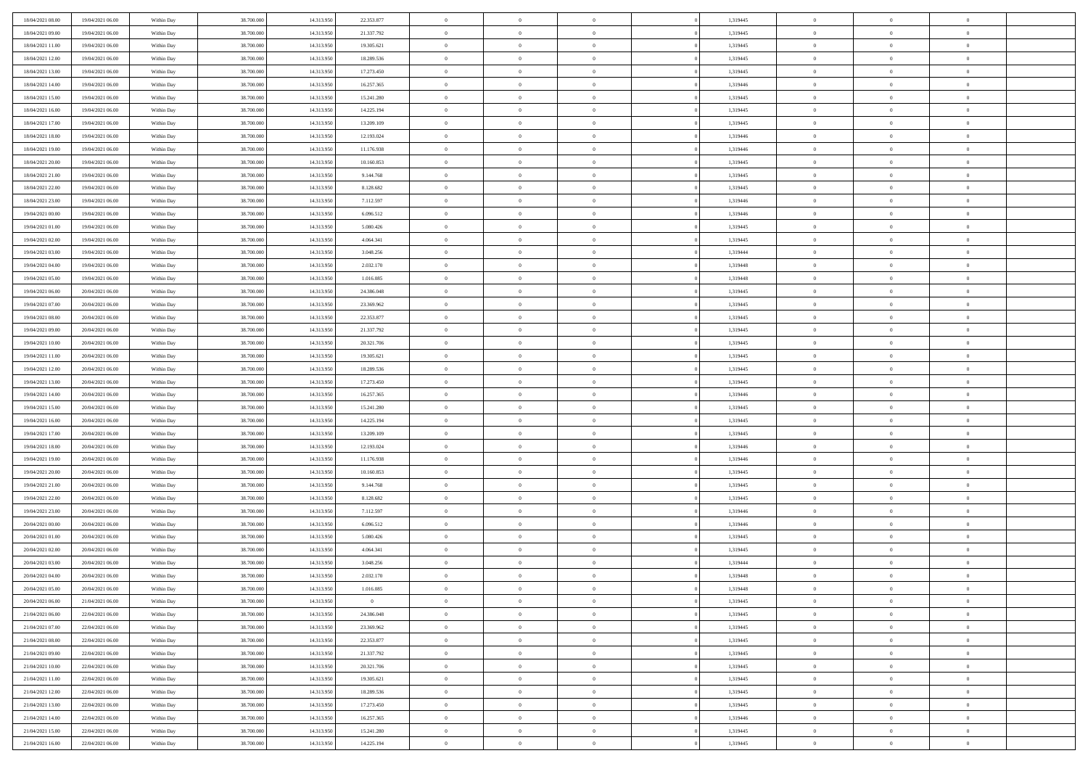| 18/04/2021 08:00                     | 19/04/2021 06:00                     | Within Day               | 38.700.000               | 14.313.950 | 22.353.877               | $\,$ 0         | $\bf{0}$       | $\theta$       |                | 1,319445             | $\bf{0}$       | $\overline{0}$ | $\theta$       |  |
|--------------------------------------|--------------------------------------|--------------------------|--------------------------|------------|--------------------------|----------------|----------------|----------------|----------------|----------------------|----------------|----------------|----------------|--|
| 18/04/2021 09:00                     | 19/04/2021 06:00                     | Within Day               | 38,700,000               | 14.313.950 | 21.337.792               | $\overline{0}$ | $\overline{0}$ | $\overline{0}$ |                | 1,319445             | $\theta$       | $\theta$       | $\overline{0}$ |  |
| 18/04/2021 11:00                     | 19/04/2021 06:00                     | Within Day               | 38.700.000               | 14.313.950 | 19.305.621               | $\mathbf{0}$   | $\overline{0}$ | $\overline{0}$ |                | 1,319445             | $\theta$       | $\overline{0}$ | $\theta$       |  |
| 18/04/2021 12:00                     | 19/04/2021 06:00                     | Within Day               | 38.700.000               | 14.313.950 | 18.289.536               | $\bf{0}$       | $\bf{0}$       | $\bf{0}$       |                | 1,319445             | $\bf{0}$       | $\overline{0}$ | $\bf{0}$       |  |
| 18/04/2021 13:00                     | 19/04/2021 06:00                     | Within Day               | 38.700.000               | 14.313.950 | 17.273.450               | $\bf{0}$       | $\bf{0}$       | $\overline{0}$ |                | 1,319445             | $\bf{0}$       | $\Omega$       | $\bf{0}$       |  |
| 18/04/2021 14:00                     | 19/04/2021 06:00                     | Within Day               | 38.700.000               | 14.313.950 | 16.257.365               | $\mathbf{0}$   | $\overline{0}$ | $\overline{0}$ |                | 1,319446             | $\theta$       | $\overline{0}$ | $\theta$       |  |
| 18/04/2021 15:00                     | 19/04/2021 06:00                     | Within Day               | 38.700.000               | 14.313.950 |                          | $\bf{0}$       | $\bf{0}$       | $\overline{0}$ |                | 1,319445             | $\bf{0}$       | $\overline{0}$ | $\theta$       |  |
|                                      |                                      |                          |                          |            | 15.241.280               | $\overline{0}$ | $\overline{0}$ |                |                |                      | $\,$ 0 $\,$    | $\overline{0}$ | $\overline{0}$ |  |
| 18/04/2021 16:00                     | 19/04/2021 06:00                     | Within Day               | 38.700.000               | 14.313.950 | 14.225.194               |                |                | $\overline{0}$ |                | 1,319445             |                |                |                |  |
| 18/04/2021 17:00                     | 19/04/2021 06:00                     | Within Day               | 38.700.000               | 14.313.950 | 13.209.109               | $\mathbf{0}$   | $\overline{0}$ | $\overline{0}$ |                | 1,319445             | $\theta$       | $\overline{0}$ | $\theta$       |  |
| 18/04/2021 18:00                     | 19/04/2021 06:00                     | Within Day               | 38.700.000               | 14.313.950 | 12.193.024               | $\bf{0}$       | $\bf{0}$       | $\overline{0}$ |                | 1,319446             | $\bf{0}$       | $\overline{0}$ | $\theta$       |  |
| 18/04/2021 19:00                     | 19/04/2021 06:00                     | Within Day               | 38,700,000               | 14.313.950 | 11.176.938               | $\bf{0}$       | $\overline{0}$ | $\overline{0}$ |                | 1,319446             | $\bf{0}$       | $\theta$       | $\overline{0}$ |  |
| 18/04/2021 20:00                     | 19/04/2021 06:00                     | Within Day               | 38.700.000               | 14.313.950 | 10.160.853               | $\mathbf{0}$   | $\overline{0}$ | $\overline{0}$ |                | 1,319445             | $\theta$       | $\overline{0}$ | $\theta$       |  |
| 18/04/2021 21:00                     | 19/04/2021 06:00                     | Within Day               | 38.700.000               | 14.313.950 | 9.144.768                | $\bf{0}$       | $\overline{0}$ | $\bf{0}$       |                | 1,319445             | $\bf{0}$       | $\overline{0}$ | $\bf{0}$       |  |
| 18/04/2021 22:00                     | 19/04/2021 06:00                     | Within Day               | 38.700.000               | 14.313.950 | 8.128.682                | $\bf{0}$       | $\overline{0}$ | $\overline{0}$ |                | 1,319445             | $\bf{0}$       | $\Omega$       | $\bf{0}$       |  |
| 18/04/2021 23:00                     | 19/04/2021 06:00                     | Within Day               | 38.700.000               | 14.313.950 | 7.112.597                | $\mathbf{0}$   | $\overline{0}$ | $\overline{0}$ |                | 1,319446             | $\theta$       | $\overline{0}$ | $\theta$       |  |
| 19/04/2021 00:00                     | 19/04/2021 06:00                     | Within Day               | 38.700.000               | 14.313.950 | 6.096.512                | $\bf{0}$       | $\bf{0}$       | $\overline{0}$ |                | 1,319446             | $\bf{0}$       | $\overline{0}$ | $\theta$       |  |
| 19/04/2021 01:00                     | 19/04/2021 06:00                     | Within Day               | 38,700,000               | 14.313.950 | 5.080.426                | $\bf{0}$       | $\overline{0}$ | $\overline{0}$ |                | 1,319445             | $\,$ 0 $\,$    | $\overline{0}$ | $\overline{0}$ |  |
| 19/04/2021 02:00                     | 19/04/2021 06:00                     | Within Day               | 38.700.000               | 14.313.950 | 4.064.341                | $\mathbf{0}$   | $\overline{0}$ | $\overline{0}$ |                | 1,319445             | $\theta$       | $\overline{0}$ | $\theta$       |  |
| 19/04/2021 03:00                     | 19/04/2021 06:00                     | Within Day               | 38.700.000               | 14.313.950 | 3.048.256                | $\bf{0}$       | $\overline{0}$ | $\overline{0}$ |                | 1,319444             | $\bf{0}$       | $\overline{0}$ | $\theta$       |  |
| 19/04/2021 04:00                     | 19/04/2021 06:00                     | Within Day               | 38.700.000               | 14.313.950 | 2.032.170                | $\bf{0}$       | $\overline{0}$ | $\overline{0}$ |                | 1,319448             | $\bf{0}$       | $\theta$       | $\overline{0}$ |  |
| 19/04/2021 05:00                     | 19/04/2021 06:00                     | Within Day               | 38.700.000               | 14.313.950 | 1.016.085                | $\mathbf{0}$   | $\overline{0}$ | $\overline{0}$ |                | 1,319448             | $\theta$       | $\overline{0}$ | $\theta$       |  |
| 19/04/2021 06:00                     | 20/04/2021 06:00                     | Within Day               | 38.700.000               | 14.313.950 | 24.386.048               | $\bf{0}$       | $\overline{0}$ | $\bf{0}$       |                | 1,319445             | $\bf{0}$       | $\overline{0}$ | $\bf{0}$       |  |
| 19/04/2021 07:00                     | 20/04/2021 06:00                     | Within Day               | 38,700,000               | 14.313.950 | 23.369.962               | $\bf{0}$       | $\overline{0}$ | $\overline{0}$ |                | 1,319445             | $\bf{0}$       | $\overline{0}$ | $\bf{0}$       |  |
| 19/04/2021 08:00                     | 20/04/2021 06:00                     | Within Day               | 38.700.000               | 14.313.950 | 22.353.877               | $\mathbf{0}$   | $\overline{0}$ | $\overline{0}$ |                | 1,319445             | $\theta$       | $\overline{0}$ | $\theta$       |  |
| 19/04/2021 09:00                     | 20/04/2021 06:00                     | Within Day               | 38.700.000               | 14.313.950 | 21.337.792               | $\bf{0}$       | $\overline{0}$ | $\overline{0}$ |                | 1,319445             | $\bf{0}$       | $\overline{0}$ | $\theta$       |  |
| 19/04/2021 10:00                     | 20/04/2021 06:00                     | Within Day               | 38.700.000               | 14.313.950 | 20.321.706               | $\bf{0}$       | $\overline{0}$ | $\overline{0}$ |                | 1,319445             | $\,$ 0 $\,$    | $\overline{0}$ | $\overline{0}$ |  |
| 19/04/2021 11:00                     | 20/04/2021 06:00                     | Within Day               | 38.700.000               | 14.313.950 | 19.305.621               | $\mathbf{0}$   | $\overline{0}$ | $\overline{0}$ |                | 1,319445             | $\theta$       | $\overline{0}$ | $\theta$       |  |
| 19/04/2021 12:00                     | 20/04/2021 06:00                     | Within Day               | 38.700.000               | 14.313.950 | 18.289.536               | $\bf{0}$       | $\overline{0}$ | $\overline{0}$ |                | 1,319445             | $\bf{0}$       | $\overline{0}$ | $\theta$       |  |
| 19/04/2021 13:00                     | 20/04/2021 06:00                     | Within Day               | 38,700,000               | 14.313.950 | 17.273.450               | $\bf{0}$       | $\overline{0}$ | $\overline{0}$ |                | 1,319445             | $\bf{0}$       | $\theta$       | $\bf{0}$       |  |
| 19/04/2021 14:00                     | 20/04/2021 06:00                     | Within Day               | 38.700.000               | 14.313.950 | 16.257.365               | $\mathbf{0}$   | $\overline{0}$ | $\overline{0}$ |                | 1,319446             | $\theta$       | $\overline{0}$ | $\theta$       |  |
| 19/04/2021 15:00                     |                                      |                          | 38.700.000               | 14.313.950 |                          | $\bf{0}$       | $\overline{0}$ | $\overline{0}$ |                | 1,319445             | $\,0\,$        | $\overline{0}$ | $\theta$       |  |
|                                      | 20/04/2021 06:00                     | Within Day               |                          | 14.313.950 | 15.241.280               | $\bf{0}$       | $\overline{0}$ |                |                |                      | $\bf{0}$       | $\overline{0}$ | $\bf{0}$       |  |
| 19/04/2021 16:00<br>19/04/2021 17:00 | 20/04/2021 06:00<br>20/04/2021 06:00 | Within Day<br>Within Day | 38.700.000<br>38.700.000 | 14.313.950 | 14.225.194<br>13.209.109 | $\mathbf{0}$   | $\overline{0}$ | $\overline{0}$ |                | 1,319445<br>1,319445 | $\theta$       |                | $\theta$       |  |
|                                      |                                      |                          |                          |            |                          |                |                | $\overline{0}$ |                |                      |                | $\overline{0}$ |                |  |
| 19/04/2021 18:00                     | 20/04/2021 06:00                     | Within Day               | 38.700.000               | 14.313.950 | 12.193.024               | $\bf{0}$       | $\overline{0}$ | $\overline{0}$ |                | 1,319446             | $\,0\,$        | $\overline{0}$ | $\theta$       |  |
| 19/04/2021 19:00                     | 20/04/2021 06:00                     | Within Day               | 38,700,000               | 14.313.950 | 11.176.938               | $\bf{0}$       | $\overline{0}$ | $\overline{0}$ |                | 1,319446             | $\bf{0}$       | $\overline{0}$ | $\bf{0}$       |  |
| 19/04/2021 20:00                     | 20/04/2021 06:00                     | Within Day               | 38.700.000               | 14.313.950 | 10.160.853               | $\mathbf{0}$   | $\overline{0}$ | $\overline{0}$ |                | 1,319445             | $\theta$       | $\overline{0}$ | $\theta$       |  |
| 19/04/2021 21:00                     | 20/04/2021 06:00                     | Within Day               | 38.700.000               | 14.313.950 | 9.144.768                | $\bf{0}$       | $\overline{0}$ | $\overline{0}$ |                | 1,319445             | $\,0\,$        | $\overline{0}$ | $\theta$       |  |
| 19/04/2021 22:00                     | 20/04/2021 06:00                     | Within Day               | 38.700.000               | 14.313.950 | 8.128.682                | $\bf{0}$       | $\overline{0}$ | $\overline{0}$ |                | 1,319445             | $\bf{0}$       | $\theta$       | $\bf{0}$       |  |
| 19/04/2021 23:00                     | 20/04/2021 06:00                     | Within Day               | 38.700.000               | 14.313.950 | 7.112.597                | $\mathbf{0}$   | $\overline{0}$ | $\overline{0}$ |                | 1,319446             | $\theta$       | $\overline{0}$ | $\theta$       |  |
| 20/04/2021 00:00                     | 20/04/2021 06:00                     | Within Day               | 38.700.000               | 14.313.950 | 6.096.512                | $\bf{0}$       | $\overline{0}$ | $\overline{0}$ |                | 1,319446             | $\,0\,$        | $\overline{0}$ | $\theta$       |  |
| 20/04/2021 01:00                     | 20/04/2021 06:00                     | Within Day               | 38.700.000               | 14.313.950 | 5.080.426                | $\bf{0}$       | $\bf{0}$       | $\overline{0}$ |                | 1,319445             | $\bf{0}$       | $\overline{0}$ | $\bf{0}$       |  |
| 20/04/2021 02:00                     | 20/04/2021 06:00                     | Within Day               | 38.700.000               | 14.313.950 | 4.064.341                | $\mathbf{0}$   | $\overline{0}$ | $\overline{0}$ |                | 1,319445             | $\theta$       | $\overline{0}$ | $\theta$       |  |
| 20/04/2021 03:00                     | 20/04/2021 06:00                     | Within Day               | 38.700.000               | 14.313.950 | 3.048.256                | $\bf{0}$       | $\overline{0}$ | $\overline{0}$ |                | 1,319444             | $\,0\,$        | $\overline{0}$ | $\theta$       |  |
| 20/04/2021 04:00                     | 20/04/2021 06:00                     | Within Day               | 38,700,000               | 14.313.950 | 2.032.170                | $\bf{0}$       | $\overline{0}$ | $\overline{0}$ |                | 1,319448             | $\,$ 0 $\,$    | $\overline{0}$ | $\bf{0}$       |  |
| 20/04/2021 05:00                     | 20/04/2021 06:00                     | Within Day               | 38.700.000               | 14.313.950 | 1.016.085                | $\bf{0}$       | $\overline{0}$ |                |                | 1,319448             | $\bf{0}$       | $\Omega$       | $\theta$       |  |
| 20/04/2021 06:00                     | 21/04/2021 06:00                     | Within Day               | 38.700.000               | 14.313.950 | $\overline{0}$           | $\,0\,$        | $\overline{0}$ | $\overline{0}$ |                | 1,319445             | $\,$ 0 $\,$    | $\overline{0}$ | $\theta$       |  |
| 21/04/2021 06:00                     | 22/04/2021 06:00                     | Within Day               | 38.700.000               | 14.313.950 | 24.386.048               | $\overline{0}$ | $\overline{0}$ | $\overline{0}$ |                | 1,319445             | $\overline{0}$ | $\overline{0}$ | $\overline{0}$ |  |
| 21/04/2021 07:00                     | 22/04/2021 06:00                     | Within Day               | 38.700.000               | 14.313.950 | 23.369.962               | $\mathbf{0}$   | $\overline{0}$ | $\overline{0}$ |                | 1,319445             | $\mathbf{0}$   | $\overline{0}$ | $\overline{0}$ |  |
| 21/04/2021 08:00                     | 22/04/2021 06:00                     | Within Day               | 38.700.000               | 14.313.950 | 22.353.877               | $\,$ 0 $\,$    | $\overline{0}$ | $\overline{0}$ | $\overline{0}$ | 1,319445             | $\,$ 0 $\,$    | $\overline{0}$ | $\,$ 0         |  |
| 21/04/2021 09:00                     | 22/04/2021 06:00                     | Within Day               | 38.700.000               | 14.313.950 | 21.337.792               | $\mathbf{0}$   | $\overline{0}$ | $\overline{0}$ |                | 1,319445             | $\,$ 0 $\,$    | $\overline{0}$ | $\overline{0}$ |  |
| 21/04/2021 10:00                     | 22/04/2021 06:00                     | Within Day               | 38.700.000               | 14.313.950 | 20.321.706               | $\mathbf{0}$   | $\overline{0}$ | $\overline{0}$ |                | 1,319445             | $\overline{0}$ | $\overline{0}$ | $\overline{0}$ |  |
| 21/04/2021 11:00                     | 22/04/2021 06:00                     | Within Day               | 38.700.000               | 14.313.950 | 19.305.621               | $\,$ 0 $\,$    | $\overline{0}$ | $\overline{0}$ | $\theta$       | 1,319445             | $\,$ 0 $\,$    | $\overline{0}$ | $\theta$       |  |
| 21/04/2021 12:00                     | 22/04/2021 06:00                     | Within Day               | 38.700.000               | 14.313.950 | 18.289.536               | $\bf{0}$       | $\overline{0}$ | $\overline{0}$ |                | 1,319445             | $\,$ 0 $\,$    | $\overline{0}$ | $\overline{0}$ |  |
| 21/04/2021 13:00                     | 22/04/2021 06:00                     | Within Day               | 38.700.000               | 14.313.950 | 17.273.450               | $\mathbf{0}$   | $\overline{0}$ | $\overline{0}$ |                | 1,319445             | $\mathbf{0}$   | $\overline{0}$ | $\overline{0}$ |  |
| 21/04/2021 14:00                     | 22/04/2021 06:00                     | Within Day               | 38.700.000               | 14.313.950 | 16.257.365               | $\,0\,$        | $\overline{0}$ | $\bf{0}$       |                | 1,319446             | $\,$ 0 $\,$    | $\overline{0}$ | $\,$ 0 $\,$    |  |
| 21/04/2021 15:00                     | 22/04/2021 06:00                     | Within Day               | 38.700.000               | 14.313.950 | 15.241.280               | $\bf{0}$       | $\overline{0}$ | $\overline{0}$ |                | 1,319445             | $\,$ 0 $\,$    | $\overline{0}$ | $\overline{0}$ |  |
| 21/04/2021 16:00                     | 22/04/2021 06:00                     | Within Day               | 38.700.000               | 14.313.950 | 14.225.194               | $\mathbf{0}$   | $\overline{0}$ | $\overline{0}$ |                | 1,319445             | $\overline{0}$ | $\overline{0}$ | $\overline{0}$ |  |
|                                      |                                      |                          |                          |            |                          |                |                |                |                |                      |                |                |                |  |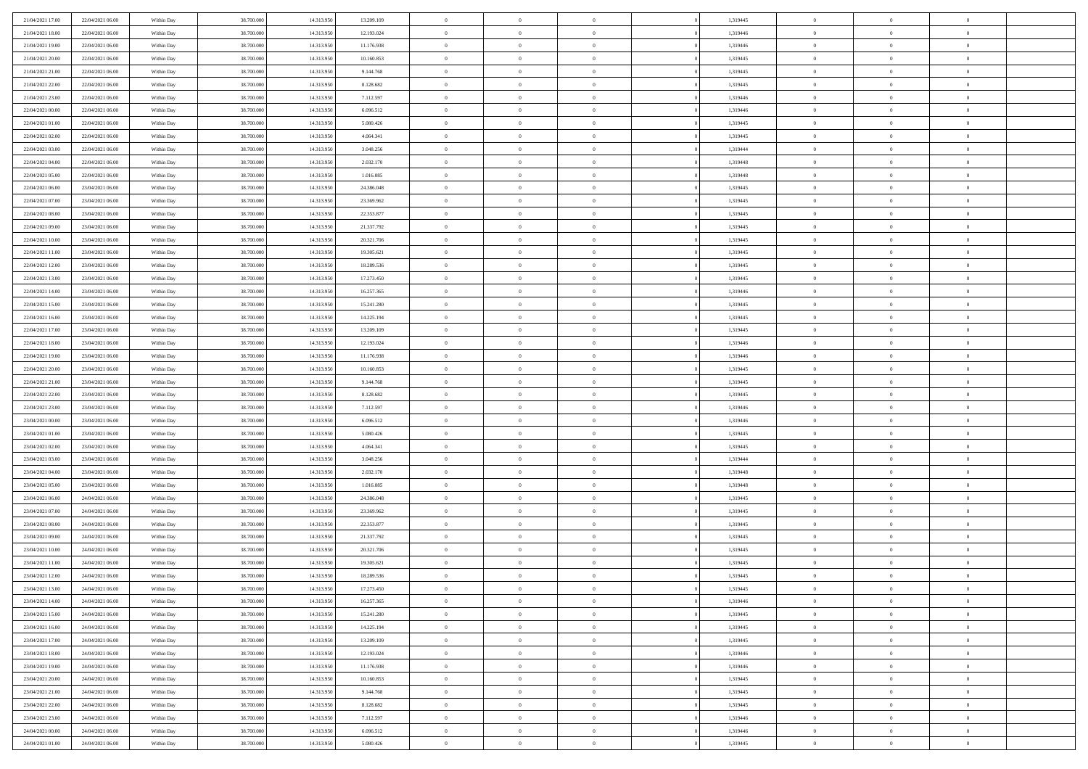| 21/04/2021 17:00                     | 22/04/2021 06:00                     | Within Day               | 38,700,000               | 14.313.950               | 13.209.109              | $\bf{0}$                    | $\overline{0}$                   | $\Omega$                   | 1,319445             | $\bf{0}$                 | $\overline{0}$                   | $\theta$                  |  |
|--------------------------------------|--------------------------------------|--------------------------|--------------------------|--------------------------|-------------------------|-----------------------------|----------------------------------|----------------------------|----------------------|--------------------------|----------------------------------|---------------------------|--|
| 21/04/2021 18:00                     | 22/04/2021 06:00                     | Within Day               | 38.700.000               | 14.313.950               | 12.193.024              | $\theta$                    | $\overline{0}$                   | $\overline{0}$             | 1,319446             | $\mathbf{0}$             | $\bf{0}$                         | $\overline{0}$            |  |
| 21/04/2021 19:00                     | 22/04/2021 06:00                     | Within Day               | 38.700.000               | 14.313.950               | 11.176.938              | $\theta$                    | $\overline{0}$                   | $\overline{0}$             | 1,319446             | $\,$ 0                   | $\overline{0}$                   | $\,$ 0 $\,$               |  |
| 21/04/2021 20:00                     | 22/04/2021 06:00                     | Within Day               | 38,700,000               | 14.313.950               | 10.160.853              | $\overline{0}$              | $\overline{0}$                   | $\mathbf{0}$               | 1,319445             | $\bf{0}$                 | $\mathbf{0}$                     | $\theta$                  |  |
| 21/04/2021 21:00                     | 22/04/2021 06:00                     | Within Day               | 38.700.000               | 14.313.950               | 9.144.768               | $\overline{0}$              | $\overline{0}$                   | $\overline{0}$             | 1,319445             | $\mathbf{0}$             | $\bf{0}$                         | $\overline{0}$            |  |
| 21/04/2021 22:00                     | 22/04/2021 06:00                     | Within Day               | 38.700.000               | 14.313.950               | 8.128.682               | $\theta$                    | $\overline{0}$                   | $\bf{0}$                   | 1,319445             | $\,$ 0                   | $\overline{0}$                   | $\,$ 0 $\,$               |  |
| 21/04/2021 23:00                     | 22/04/2021 06:00                     | Within Day               | 38,700,000               | 14.313.950               | 7.112.597               | $\,$ 0 $\,$                 | $\overline{0}$                   | $\Omega$                   | 1,319446             | $\bf{0}$                 | $\mathbf{0}$                     | $\theta$                  |  |
| 22/04/2021 00:00                     | 22/04/2021 06:00                     | Within Day               | 38.700.000               | 14.313.950               | 6.096.512               | $\overline{0}$              | $\overline{0}$                   | $\overline{0}$             | 1,319446             | $\mathbf{0}$             | $\bf{0}$                         | $\overline{0}$            |  |
| 22/04/2021 01:00                     | 22/04/2021 06:00                     | Within Day               | 38.700.000               | 14.313.950               | 5.080.426               | $\theta$                    | $\overline{0}$                   | $\bf{0}$                   | 1,319445             | $\,$ 0                   | $\overline{0}$                   | $\,$ 0 $\,$               |  |
| 22/04/2021 02:00                     | 22/04/2021 06:00                     | Within Day               | 38,700,000               | 14.313.950               | 4.064.341               | $\overline{0}$              | $\overline{0}$                   | $\mathbf{0}$               | 1,319445             | $\bf{0}$                 | $\mathbf{0}$                     | $\theta$                  |  |
| 22/04/2021 03:00                     | 22/04/2021 06:00                     | Within Dav               | 38.700.000               | 14.313.950               | 3.048.256               | $\overline{0}$              | $\overline{0}$                   | $\overline{0}$             | 1,319444             | $\mathbf{0}$             | $\bf{0}$                         | $\overline{0}$            |  |
| 22/04/2021 04:00                     | 22/04/2021 06:00                     | Within Day               | 38.700.000               | 14.313.950               | 2.032.170               | $\theta$                    | $\overline{0}$                   | $\bf{0}$                   | 1,319448             | $\,$ 0                   | $\overline{0}$                   | $\,$ 0 $\,$               |  |
| 22/04/2021 05:00                     | 22/04/2021 06:00                     | Within Day               | 38,700,000               | 14.313.950               | 1.016.085               | $\theta$                    | $\overline{0}$                   | $\mathbf{0}$               | 1,319448             | $\bf{0}$                 | $\theta$                         | $\theta$                  |  |
| 22/04/2021 06:00                     | 23/04/2021 06:00                     | Within Dav               | 38.700.000               | 14.313.950               | 24.386.048              | $\overline{0}$              | $\overline{0}$                   | $\overline{0}$             | 1,319445             | $\mathbf{0}$             | $\bf{0}$                         | $\overline{0}$            |  |
| 22/04/2021 07:00                     | 23/04/2021 06:00                     | Within Day               | 38.700.000               | 14.313.950               | 23.369.962              | $\theta$                    | $\overline{0}$                   | $\overline{0}$             | 1,319445             | $\,$ 0                   | $\overline{0}$                   | $\,$ 0 $\,$               |  |
| 22/04/2021 08:00                     | 23/04/2021 06:00                     | Within Day               | 38,700,000               | 14.313.950               | 22.353.877              | $\bf{0}$                    | $\overline{0}$                   | $\mathbf{0}$               | 1,319445             | $\bf{0}$                 | $\mathbf{0}$                     | $\bf{0}$                  |  |
| 22/04/2021 09:00                     | 23/04/2021 06:00                     | Within Dav               | 38.700.000               | 14.313.950               | 21.337.792              | $\overline{0}$              | $\overline{0}$                   | $\overline{0}$             | 1,319445             | $\mathbf{0}$             | $\bf{0}$                         | $\overline{0}$            |  |
| 22/04/2021 10:00                     | 23/04/2021 06:00                     | Within Day               | 38.700.000               | 14.313.950               | 20.321.706              | $\theta$                    | $\overline{0}$                   | $\bf{0}$                   | 1,319445             | $\,$ 0                   | $\overline{0}$                   | $\,0\,$                   |  |
| 22/04/2021 11:00                     | 23/04/2021 06:00                     | Within Day               | 38,700,000               | 14.313.950               | 19.305.621              | $\mathbf{0}$                | $\overline{0}$                   | $\mathbf{0}$               | 1,319445             | $\bf{0}$                 | $\mathbf{0}$                     | $\theta$                  |  |
| 22/04/2021 12:00                     | 23/04/2021 06:00                     | Within Dav               | 38.700.000               | 14.313.950               | 18.289.536              | $\overline{0}$              | $\overline{0}$                   | $\overline{0}$             | 1,319445             | $\mathbf{0}$             | $\bf{0}$                         | $\overline{0}$            |  |
| 22/04/2021 13:00                     | 23/04/2021 06:00                     | Within Day               | 38.700.000               | 14.313.950               | 17.273.450              | $\theta$                    | $\overline{0}$                   | $\bf{0}$                   | 1,319445             | $\,$ 0                   | $\overline{0}$                   | $\,$ 0 $\,$               |  |
| 22/04/2021 14:00                     | 23/04/2021 06:00                     | Within Day               | 38,700,000               | 14.313.950               | 16.257.365              | $\mathbf{0}$                | $\overline{0}$                   | $\mathbf{0}$               | 1,319446             | $\bf{0}$                 | $\mathbf{0}$                     | $\theta$                  |  |
| 22/04/2021 15:00                     | 23/04/2021 06:00                     | Within Dav               | 38.700.000               | 14.313.950               | 15.241.280              | $\overline{0}$              | $\overline{0}$                   | $\overline{0}$             | 1,319445             | $\mathbf{0}$             | $\bf{0}$                         | $\overline{0}$            |  |
| 22/04/2021 16:00                     | 23/04/2021 06:00                     | Within Day               | 38.700.000               | 14.313.950               | 14.225.194              | $\theta$                    | $\overline{0}$                   | $\bf{0}$                   | 1,319445             | $\,$ 0                   | $\overline{0}$                   | $\,$ 0 $\,$               |  |
| 22/04/2021 17:00                     | 23/04/2021 06:00                     | Within Day               | 38,700,000               | 14.313.950               | 13.209.109              | $\bf{0}$                    | $\overline{0}$                   | $\mathbf{0}$               | 1,319445             | $\bf{0}$                 | $\overline{0}$                   | $\bf{0}$                  |  |
| 22/04/2021 18:00                     | 23/04/2021 06:00                     | Within Dav               | 38.700.000               | 14.313.950               | 12.193.024              | $\overline{0}$              | $\overline{0}$                   | $\overline{0}$             | 1,319446             | $\mathbf{0}$             | $\bf{0}$                         | $\overline{0}$            |  |
| 22/04/2021 19:00                     | 23/04/2021 06:00                     | Within Day               | 38.700.000               | 14.313.950               | 11.176.938              | $\theta$                    | $\overline{0}$                   | $\overline{0}$             | 1,319446             | $\,$ 0                   | $\overline{0}$                   | $\,$ 0 $\,$               |  |
| 22/04/2021 20:00                     | 23/04/2021 06:00                     | Within Day               | 38,700,000               | 14.313.950               | 10.160.853              | $\mathbf{0}$                | $\overline{0}$                   | $\mathbf{0}$               | 1,319445             | $\bf{0}$                 | $\mathbf{0}$                     | $\theta$                  |  |
| 22/04/2021 21:00                     | 23/04/2021 06:00                     | Within Dav               | 38.700.000               | 14.313.950               | 9.144.768               | $\mathbf{0}$                | $\overline{0}$                   | $\overline{0}$             | 1,319445             | $\mathbf{0}$             | $\bf{0}$                         | $\overline{0}$            |  |
| 22/04/2021 22:00                     | 23/04/2021 06:00                     | Within Day               | 38.700.000               | 14.313.950               | 8.128.682               | $\theta$                    | $\overline{0}$                   | $\bf{0}$                   | 1,319445             | $\,$ 0                   | $\overline{0}$                   | $\,$ 0 $\,$               |  |
| 22/04/2021 23:00                     | 23/04/2021 06:00                     | Within Day               | 38.700.000               | 14.313.950               | 7.112.597               | $\,$ 0 $\,$                 | $\overline{0}$                   | $\overline{0}$             | 1,319446             | $\bf{0}$                 | $\overline{0}$                   | $\,0\,$                   |  |
| 23/04/2021 00:00                     | 23/04/2021 06:00                     | Within Dav               | 38.700.000               | 14.313.950               | 6.096.512               | $\overline{0}$              | $\overline{0}$                   | $\overline{0}$             | 1,319446             | $\mathbf{0}$             | $\bf{0}$                         | $\overline{0}$            |  |
| 23/04/2021 01:00                     | 23/04/2021 06:00                     | Within Day               | 38.700.000               | 14.313.950               | 5.080.426               | $\theta$                    | $\overline{0}$                   | $\overline{0}$             | 1,319445             | $\,$ 0                   | $\overline{0}$                   | $\,$ 0 $\,$               |  |
| 23/04/2021 02:00                     | 23/04/2021 06:00                     | Within Day               | 38.700.000               | 14.313.950               | 4.064.341               | $\,$ 0 $\,$                 | $\overline{0}$                   | $\overline{0}$             | 1,319445             | $\bf{0}$                 | $\overline{0}$                   | $\,0\,$                   |  |
| 23/04/2021 03:00                     | 23/04/2021 06:00                     | Within Dav               | 38.700.000               | 14.313.950               | 3.048.256               | $\theta$                    | $\overline{0}$                   | $\overline{0}$             | 1,319444             | $\mathbf{0}$             | $\bf{0}$                         | $\overline{0}$            |  |
| 23/04/2021 04:00                     | 23/04/2021 06:00                     | Within Day               | 38.700.000               | 14.313.950               | 2.032.170               | $\theta$                    | $\overline{0}$                   | $\bf{0}$<br>$\overline{0}$ | 1,319448             | $\,$ 0                   | $\overline{0}$<br>$\overline{0}$ | $\,$ 0 $\,$               |  |
| 23/04/2021 05:00<br>23/04/2021 06:00 | 23/04/2021 06:00<br>24/04/2021 06:00 | Within Day<br>Within Dav | 38.700.000<br>38.700.000 | 14.313.950<br>14.313.950 | 1.016.085<br>24.386.048 | $\,$ 0 $\,$<br>$\mathbf{0}$ | $\overline{0}$<br>$\overline{0}$ | $\overline{0}$             | 1,319448<br>1,319445 | $\bf{0}$<br>$\mathbf{0}$ | $\bf{0}$                         | $\,0\,$<br>$\overline{0}$ |  |
| 23/04/2021 07:00                     | 24/04/2021 06:00                     | Within Day               | 38.700.000               | 14.313.950               | 23.369.962              | $\theta$                    | $\overline{0}$                   | $\bf{0}$                   | 1,319445             | $\,$ 0                   | $\overline{0}$                   | $\,$ 0 $\,$               |  |
| 23/04/2021 08:00                     | 24/04/2021 06:00                     | Within Day               | 38.700.000               | 14.313.950               | 22.353.877              | $\,$ 0 $\,$                 | $\overline{0}$                   | $\overline{0}$             | 1,319445             | $\bf{0}$                 | $\overline{0}$                   | $\,0\,$                   |  |
| 23/04/2021 09:00                     | 24/04/2021 06:00                     | Within Dav               | 38.700.000               | 14.313.950               | 21.337.792              | $\theta$                    | $\overline{0}$                   | $\overline{0}$             | 1,319445             | $\mathbf{0}$             | $\bf{0}$                         | $\overline{0}$            |  |
| 23/04/2021 10:00                     | 24/04/2021 06:00                     | Within Day               | 38.700.000               | 14.313.950               | 20.321.706              | $\theta$                    | $\overline{0}$                   | $\bf{0}$                   | 1,319445             | $\,$ 0                   | $\overline{0}$                   | $\,$ 0 $\,$               |  |
| 23/04/2021 11:00                     | 24/04/2021 06:00                     | Within Day               | 38.700.000               | 14.313.950               | 19.305.621              | $\,$ 0 $\,$                 | $\overline{0}$                   | $\overline{0}$             | 1,319445             | $\bf{0}$                 | $\overline{0}$                   | $\,0\,$                   |  |
| 23/04/2021 12:00                     | 24/04/2021 06:00                     | Within Dav               | 38.700.000               | 14.313.950               | 18.289.536              | $\theta$                    | $\overline{0}$                   | $\overline{0}$             | 1,319445             | $\mathbf{0}$             | $\bf{0}$                         | $\overline{0}$            |  |
| 23/04/2021 13:00                     | 24/04/2021 06:00                     | Within Day               | 38.700.000               | 14.313.950               | 17.273.450              | $\overline{0}$              | $\overline{0}$                   | $\overline{0}$             | 1,319445             | $\overline{0}$           | $\overline{0}$                   | $\theta$                  |  |
| 23/04/2021 14:00                     | 24/04/2021 06:00                     | Within Day               | 38.700.000               | 14.313.950               | 16.257.365              | $\bf{0}$                    | $\overline{0}$                   | $\overline{0}$             | 1,319446             | $\mathbf{0}$             | $\overline{0}$                   | $\bf{0}$                  |  |
| 23/04/2021 15:00                     | 24/04/2021 06:00                     | Within Day               | 38.700.000               | 14.313.950               | 15.241.280              | $\overline{0}$              | $\overline{0}$                   | $\overline{0}$             | 1,319445             | $\overline{0}$           | $\overline{0}$                   | $\overline{0}$            |  |
| 23/04/2021 16:00                     | 24/04/2021 06:00                     | Within Day               | 38.700.000               | 14.313.950               | 14.225.194              | $\,$ 0 $\,$                 | $\overline{0}$                   | $\overline{0}$             | 1,319445             | $\,$ 0 $\,$              | $\,$ 0 $\,$                      | $\,$ 0 $\,$               |  |
| 23/04/2021 17:00                     | 24/04/2021 06:00                     | Within Day               | 38.700.000               | 14.313.950               | 13.209.109              | $\bf{0}$                    | $\overline{0}$                   | $\overline{0}$             | 1,319445             | $\mathbf{0}$             | $\overline{0}$                   | $\bf{0}$                  |  |
| 23/04/2021 18:00                     | 24/04/2021 06:00                     | Within Day               | 38.700.000               | 14.313.950               | 12.193.024              | $\,$ 0 $\,$                 | $\overline{0}$                   | $\overline{0}$             | 1,319446             | $\,$ 0 $\,$              | $\bf{0}$                         | $\overline{0}$            |  |
| 23/04/2021 19:00                     | 24/04/2021 06:00                     | Within Day               | 38.700.000               | 14.313.950               | 11.176.938              | $\,$ 0                      | $\overline{0}$                   | $\overline{0}$             | 1,319446             | $\,$ 0 $\,$              | $\overline{0}$                   | $\,$ 0 $\,$               |  |
| 23/04/2021 20:00                     | 24/04/2021 06:00                     | Within Day               | 38.700.000               | 14.313.950               | 10.160.853              | $\bf{0}$                    | $\overline{0}$                   | $\overline{0}$             | 1,319445             | $\overline{0}$           | $\overline{0}$                   | $\overline{0}$            |  |
| 23/04/2021 21:00                     | 24/04/2021 06:00                     | Within Day               | 38.700.000               | 14.313.950               | 9.144.768               | $\,$ 0 $\,$                 | $\overline{0}$                   | $\overline{0}$             | 1,319445             | $\,$ 0 $\,$              | $\bf{0}$                         | $\mathbf{0}$              |  |
| 23/04/2021 22:00                     | 24/04/2021 06:00                     | Within Day               | 38.700.000               | 14.313.950               | 8.128.682               | $\,$ 0                      | $\overline{0}$                   | $\overline{0}$             | 1,319445             | $\,$ 0 $\,$              | $\,$ 0 $\,$                      | $\,$ 0 $\,$               |  |
| 23/04/2021 23:00                     | 24/04/2021 06:00                     | Within Day               | 38.700.000               | 14.313.950               | 7.112.597               | $\bf{0}$                    | $\overline{0}$                   | $\overline{0}$             | 1,319446             | $\mathbf{0}$             | $\overline{0}$                   | $\bf{0}$                  |  |
| 24/04/2021 00:00                     | 24/04/2021 06:00                     | Within Day               | 38.700.000               | 14.313.950               | 6.096.512               | $\mathbf{0}$                | $\overline{0}$                   | $\overline{0}$             | 1,319446             | $\overline{0}$           | $\bf{0}$                         | $\overline{0}$            |  |
| 24/04/2021 01:00                     | 24/04/2021 06:00                     | Within Day               | 38.700.000               | 14.313.950               | 5.080.426               | $\,$ 0 $\,$                 | $\overline{0}$                   | $\overline{0}$             | 1,319445             | $\,$ 0 $\,$              | $\overline{0}$                   | $\,$ 0 $\,$               |  |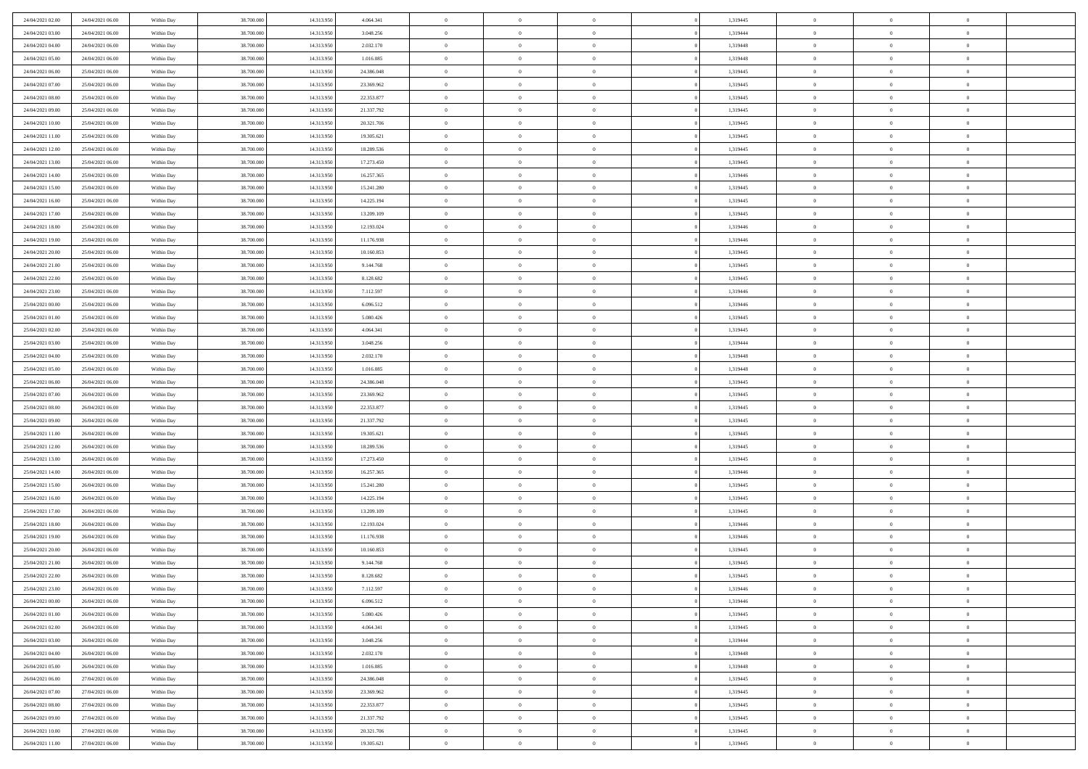| 24/04/2021 02:00 | 24/04/2021 06:00 | Within Day | 38,700,000 | 14.313.950 | 4.064.341  | $\bf{0}$       | $\overline{0}$ | $\Omega$       | 1,319445 | $\theta$       | $\overline{0}$ | $\overline{0}$ |  |
|------------------|------------------|------------|------------|------------|------------|----------------|----------------|----------------|----------|----------------|----------------|----------------|--|
| 24/04/2021 03:00 | 24/04/2021 06:00 | Within Dav | 38.700.000 | 14.313.950 | 3.048.256  | $\mathbf{0}$   | $\overline{0}$ | $\overline{0}$ | 1,319444 | $\theta$       | $\bf{0}$       | $\theta$       |  |
| 24/04/2021 04:00 | 24/04/2021 06:00 | Within Day | 38.700.000 | 14.313.950 | 2.032.170  | $\,$ 0         | $\overline{0}$ | $\bf{0}$       | 1,319448 | $\,0\,$        | $\overline{0}$ | $\,$ 0 $\,$    |  |
| 24/04/2021 05:00 | 24/04/2021 06:00 | Within Day | 38,700,000 | 14.313.950 | 1.016.085  | $\bf{0}$       | $\overline{0}$ | $\Omega$       | 1,319448 | $\overline{0}$ | $\theta$       | $\theta$       |  |
| 24/04/2021 06:00 | 25/04/2021 06:00 | Within Dav | 38.700.000 | 14.313.950 | 24.386.048 | $\mathbf{0}$   | $\overline{0}$ | $\overline{0}$ | 1,319445 | $\mathbf{0}$   | $\bf{0}$       | $\overline{0}$ |  |
| 24/04/2021 07:00 | 25/04/2021 06:00 | Within Day | 38.700.000 | 14.313.950 | 23.369.962 | $\bf{0}$       | $\overline{0}$ | $\bf{0}$       | 1,319445 | $\,0\,$        | $\overline{0}$ | $\,$ 0 $\,$    |  |
| 24/04/2021 08:00 | 25/04/2021 06:00 | Within Day | 38,700,000 | 14.313.950 | 22.353.877 | $\bf{0}$       | $\overline{0}$ | $\overline{0}$ | 1,319445 | $\bf{0}$       | $\overline{0}$ | $\theta$       |  |
| 24/04/2021 09:00 | 25/04/2021 06:00 | Within Dav | 38.700.000 | 14.313.950 | 21.337.792 | $\overline{0}$ | $\overline{0}$ | $\overline{0}$ | 1,319445 | $\mathbf{0}$   | $\overline{0}$ | $\theta$       |  |
| 24/04/2021 10:00 | 25/04/2021 06:00 | Within Day | 38.700.000 | 14.313.950 | 20.321.706 | $\bf{0}$       | $\overline{0}$ | $\bf{0}$       | 1,319445 | $\,0\,$        | $\overline{0}$ | $\,$ 0 $\,$    |  |
| 24/04/2021 11:00 | 25/04/2021 06:00 | Within Day | 38,700,000 | 14.313.950 | 19.305.621 | $\bf{0}$       | $\overline{0}$ | $\overline{0}$ | 1,319445 | $\theta$       | $\overline{0}$ | $\overline{0}$ |  |
| 24/04/2021 12:00 | 25/04/2021 06:00 | Within Dav | 38.700.000 | 14.313.950 | 18.289.536 | $\overline{0}$ | $\overline{0}$ | $\overline{0}$ | 1,319445 | $\mathbf{0}$   | $\bf{0}$       | $\theta$       |  |
| 24/04/2021 13:00 | 25/04/2021 06:00 | Within Day | 38.700.000 | 14.313.950 | 17.273.450 | $\bf{0}$       | $\overline{0}$ | $\bf{0}$       | 1,319445 | $\,0\,$        | $\overline{0}$ | $\,$ 0 $\,$    |  |
| 24/04/2021 14:00 | 25/04/2021 06:00 | Within Day | 38,700,000 | 14.313.950 | 16.257.365 | $\bf{0}$       | $\overline{0}$ | $\Omega$       | 1,319446 | $\theta$       | $\theta$       | $\theta$       |  |
| 24/04/2021 15:00 | 25/04/2021 06:00 | Within Day | 38.700.000 | 14.313.950 | 15.241.280 | $\overline{0}$ | $\overline{0}$ | $\overline{0}$ | 1,319445 | $\mathbf{0}$   | $\overline{0}$ | $\overline{0}$ |  |
| 24/04/2021 16:00 | 25/04/2021 06:00 | Within Day | 38.700.000 | 14.313.950 | 14.225.194 | $\bf{0}$       | $\overline{0}$ | $\bf{0}$       | 1,319445 | $\,0\,$        | $\overline{0}$ | $\,$ 0 $\,$    |  |
| 24/04/2021 17:00 | 25/04/2021 06:00 | Within Day | 38,700,000 | 14.313.950 | 13.209.109 | $\bf{0}$       | $\overline{0}$ | $\overline{0}$ | 1,319445 | $\overline{0}$ | $\overline{0}$ | $\overline{0}$ |  |
| 24/04/2021 18:00 | 25/04/2021 06:00 | Within Day | 38.700.000 | 14.313.950 | 12.193.024 | $\overline{0}$ | $\overline{0}$ | $\overline{0}$ | 1,319446 | $\mathbf{0}$   | $\overline{0}$ | $\theta$       |  |
| 24/04/2021 19:00 | 25/04/2021 06:00 | Within Day | 38.700.000 | 14.313.950 | 11.176.938 | $\bf{0}$       | $\overline{0}$ | $\bf{0}$       | 1,319446 | $\,0\,$        | $\overline{0}$ | $\,$ 0 $\,$    |  |
| 24/04/2021 20:00 | 25/04/2021 06:00 | Within Day | 38,700,000 | 14.313.950 | 10.160.853 | $\bf{0}$       | $\overline{0}$ | $\overline{0}$ | 1,319445 | $\theta$       | $\theta$       | $\overline{0}$ |  |
| 24/04/2021 21:00 | 25/04/2021 06:00 | Within Day | 38.700.000 | 14.313.950 | 9.144.768  | $\overline{0}$ | $\overline{0}$ | $\overline{0}$ | 1,319445 | $\mathbf{0}$   | $\overline{0}$ | $\theta$       |  |
| 24/04/2021 22:00 | 25/04/2021 06:00 | Within Day | 38.700.000 | 14.313.950 | 8.128.682  | $\bf{0}$       | $\overline{0}$ | $\bf{0}$       | 1,319445 | $\,0\,$        | $\overline{0}$ | $\,$ 0 $\,$    |  |
| 24/04/2021 23:00 | 25/04/2021 06:00 | Within Day | 38,700,000 | 14.313.950 | 7.112.597  | $\bf{0}$       | $\overline{0}$ | $\Omega$       | 1,319446 | $\overline{0}$ | $\theta$       | $\theta$       |  |
| 25/04/2021 00:00 | 25/04/2021 06:00 | Within Day | 38.700.000 | 14.313.950 | 6.096.512  | $\overline{0}$ | $\overline{0}$ | $\overline{0}$ | 1,319446 | $\mathbf{0}$   | $\overline{0}$ | $\overline{0}$ |  |
| 25/04/2021 01:00 | 25/04/2021 06:00 | Within Day | 38.700.000 | 14.313.950 | 5.080.426  | $\bf{0}$       | $\overline{0}$ | $\bf{0}$       | 1,319445 | $\,0\,$        | $\overline{0}$ | $\,$ 0 $\,$    |  |
| 25/04/2021 02:00 | 25/04/2021 06:00 | Within Day | 38,700,000 | 14.313.950 | 4.064.341  | $\bf{0}$       | $\overline{0}$ | $\overline{0}$ | 1,319445 | $\bf{0}$       | $\overline{0}$ | $\overline{0}$ |  |
| 25/04/2021 03:00 | 25/04/2021 06:00 | Within Day | 38.700.000 | 14.313.950 | 3.048.256  | $\overline{0}$ | $\overline{0}$ | $\overline{0}$ | 1,319444 | $\overline{0}$ | $\overline{0}$ | $\theta$       |  |
| 25/04/2021 04:00 | 25/04/2021 06:00 | Within Day | 38.700.000 | 14.313.950 | 2.032.170  | $\bf{0}$       | $\overline{0}$ | $\bf{0}$       | 1,319448 | $\,0\,$        | $\overline{0}$ | $\,$ 0 $\,$    |  |
| 25/04/2021 05:00 | 25/04/2021 06:00 | Within Day | 38,700,000 | 14.313.950 | 1.016.085  | $\bf{0}$       | $\overline{0}$ | $\Omega$       | 1,319448 | $\theta$       | $\theta$       | $\overline{0}$ |  |
| 25/04/2021 06:00 | 26/04/2021 06:00 | Within Day | 38.700.000 | 14.313.950 | 24.386.048 | $\overline{0}$ | $\overline{0}$ | $\overline{0}$ | 1,319445 | $\overline{0}$ | $\bf{0}$       | $\overline{0}$ |  |
| 25/04/2021 07:00 | 26/04/2021 06:00 | Within Day | 38.700.000 | 14.313.950 | 23.369.962 | $\bf{0}$       | $\overline{0}$ | $\bf{0}$       | 1,319445 | $\,0\,$        | $\overline{0}$ | $\,$ 0 $\,$    |  |
| 25/04/2021 08:00 | 26/04/2021 06:00 | Within Day | 38.700.000 | 14.313.950 | 22.353.877 | $\,$ 0         | $\overline{0}$ | $\overline{0}$ | 1,319445 | $\bf{0}$       | $\overline{0}$ | $\theta$       |  |
| 25/04/2021 09:00 | 26/04/2021 06:00 | Within Day | 38.700.000 | 14.313.950 | 21.337.792 | $\overline{0}$ | $\overline{0}$ | $\overline{0}$ | 1,319445 | $\overline{0}$ | $\overline{0}$ | $\overline{0}$ |  |
| 25/04/2021 11:00 | 26/04/2021 06:00 | Within Day | 38.700.000 | 14.313.950 | 19.305.621 | $\bf{0}$       | $\overline{0}$ | $\bf{0}$       | 1,319445 | $\,0\,$        | $\overline{0}$ | $\,$ 0 $\,$    |  |
| 25/04/2021 12:00 | 26/04/2021 06:00 | Within Day | 38.700.000 | 14.313.950 | 18.289.536 | $\bf{0}$       | $\overline{0}$ | $\bf{0}$       | 1,319445 | $\bf{0}$       | $\overline{0}$ | $\bf{0}$       |  |
| 25/04/2021 13:00 | 26/04/2021 06:00 | Within Day | 38.700.000 | 14.313.950 | 17.273.450 | $\overline{0}$ | $\overline{0}$ | $\overline{0}$ | 1,319445 | $\mathbf{0}$   | $\overline{0}$ | $\theta$       |  |
| 25/04/2021 14:00 | 26/04/2021 06:00 | Within Day | 38.700.000 | 14.313.950 | 16.257.365 | $\bf{0}$       | $\overline{0}$ | $\bf{0}$       | 1,319446 | $\,0\,$        | $\overline{0}$ | $\,$ 0 $\,$    |  |
| 25/04/2021 15:00 | 26/04/2021 06:00 | Within Day | 38.700.000 | 14.313.950 | 15.241.280 | $\,$ 0         | $\overline{0}$ | $\overline{0}$ | 1,319445 | $\bf{0}$       | $\overline{0}$ | $\theta$       |  |
| 25/04/2021 16:00 | 26/04/2021 06:00 | Within Day | 38.700.000 | 14.313.950 | 14.225.194 | $\overline{0}$ | $\overline{0}$ | $\overline{0}$ | 1,319445 | $\overline{0}$ | $\bf{0}$       | $\overline{0}$ |  |
| 25/04/2021 17:00 | 26/04/2021 06:00 | Within Day | 38.700.000 | 14.313.950 | 13.209.109 | $\bf{0}$       | $\overline{0}$ | $\bf{0}$       | 1,319445 | $\,0\,$        | $\overline{0}$ | $\,$ 0 $\,$    |  |
| 25/04/2021 18:00 | 26/04/2021 06:00 | Within Day | 38.700.000 | 14.313.950 | 12.193.024 | $\bf{0}$       | $\overline{0}$ | $\overline{0}$ | 1,319446 | $\bf{0}$       | $\overline{0}$ | $\theta$       |  |
| 25/04/2021 19:00 | 26/04/2021 06:00 | Within Day | 38.700.000 | 14.313.950 | 11.176.938 | $\overline{0}$ | $\overline{0}$ | $\overline{0}$ | 1,319446 | $\mathbf{0}$   | $\overline{0}$ | $\theta$       |  |
| 25/04/2021 20:00 | 26/04/2021 06:00 | Within Day | 38.700.000 | 14.313.950 | 10.160.853 | $\bf{0}$       | $\overline{0}$ | $\bf{0}$       | 1,319445 | $\,0\,$        | $\overline{0}$ | $\theta$       |  |
| 25/04/2021 21:00 | 26/04/2021 06:00 | Within Day | 38.700.000 | 14.313.950 | 9.144.768  | $\bf{0}$       | $\overline{0}$ | $\bf{0}$       | 1,319445 | $\bf{0}$       | $\overline{0}$ | $\bf{0}$       |  |
| 25/04/2021 22:00 | 26/04/2021 06:00 | Within Dav | 38.700.000 | 14.313.950 | 8.128.682  | $\mathbf{0}$   | $\overline{0}$ | $\overline{0}$ | 1,319445 | $\theta$       | $\bf{0}$       | $\theta$       |  |
| 25/04/2021 23:00 | 26/04/2021 06:00 | Within Day | 38.700.000 | 14.313.950 | 7.112.597  | $\bf{0}$       | $\overline{0}$ | $\theta$       | 1,319446 | $\bf{0}$       | $\overline{0}$ | $\theta$       |  |
| 26/04/2021 00:00 | 26/04/2021 06:00 | Within Day | 38.700.000 | 14.313.950 | 6.096.512  | $\bf{0}$       | $\overline{0}$ | $\bf{0}$       | 1,319446 | $\bf{0}$       | $\overline{0}$ | $\bf{0}$       |  |
| 26/04/2021 01:00 | 26/04/2021 06:00 | Within Day | 38.700.000 | 14.313.950 | 5.080.426  | $\overline{0}$ | $\overline{0}$ | $\overline{0}$ | 1,319445 | $\overline{0}$ | $\overline{0}$ | $\overline{0}$ |  |
| 26/04/2021 02:00 | 26/04/2021 06:00 | Within Day | 38.700.000 | 14.313.950 | 4.064.341  | $\,$ 0 $\,$    | $\overline{0}$ | $\overline{0}$ | 1,319445 | $\,$ 0 $\,$    | $\,$ 0 $\,$    | $\,$ 0 $\,$    |  |
| 26/04/2021 03:00 | 26/04/2021 06:00 | Within Day | 38.700.000 | 14.313.950 | 3.048.256  | $\bf{0}$       | $\bf{0}$       | $\overline{0}$ | 1,319444 | $\mathbf{0}$   | $\overline{0}$ | $\bf{0}$       |  |
| 26/04/2021 04:00 | 26/04/2021 06:00 | Within Day | 38.700.000 | 14.313.950 | 2.032.170  | $\,$ 0 $\,$    | $\overline{0}$ | $\overline{0}$ | 1,319448 | $\mathbf{0}$   | $\overline{0}$ | $\overline{0}$ |  |
| 26/04/2021 05:00 | 26/04/2021 06:00 | Within Day | 38.700.000 | 14.313.950 | 1.016.085  | $\,$ 0 $\,$    | $\overline{0}$ | $\overline{0}$ | 1,319448 | $\,$ 0 $\,$    | $\overline{0}$ | $\,$ 0         |  |
| 26/04/2021 06:00 | 27/04/2021 06:00 | Within Day | 38.700.000 | 14.313.950 | 24.386.048 | $\bf{0}$       | $\overline{0}$ | $\overline{0}$ | 1,319445 | $\overline{0}$ | $\overline{0}$ | $\bf{0}$       |  |
| 26/04/2021 07:00 | 27/04/2021 06:00 | Within Day | 38.700.000 | 14.313.950 | 23.369.962 | $\,$ 0 $\,$    | $\overline{0}$ | $\overline{0}$ | 1,319445 | $\overline{0}$ | $\bf{0}$       | $\overline{0}$ |  |
| 26/04/2021 08:00 | 27/04/2021 06:00 | Within Day | 38.700.000 | 14.313.950 | 22.353.877 | $\,$ 0 $\,$    | $\overline{0}$ | $\overline{0}$ | 1,319445 | $\,$ 0 $\,$    | $\bf{0}$       | $\,$ 0         |  |
| 26/04/2021 09:00 | 27/04/2021 06:00 | Within Day | 38.700.000 | 14.313.950 | 21.337.792 | $\bf{0}$       | $\bf{0}$       | $\overline{0}$ | 1,319445 | $\mathbf{0}$   | $\overline{0}$ | $\bf{0}$       |  |
| 26/04/2021 10:00 | 27/04/2021 06:00 | Within Day | 38.700.000 | 14.313.950 | 20.321.706 | $\,$ 0 $\,$    | $\overline{0}$ | $\overline{0}$ | 1,319445 | $\overline{0}$ | $\bf{0}$       | $\overline{0}$ |  |
| 26/04/2021 11:00 | 27/04/2021 06:00 | Within Day | 38.700.000 | 14.313.950 | 19.305.621 | $\,0\,$        | $\overline{0}$ | $\overline{0}$ | 1,319445 | $\,0\,$        | $\overline{0}$ | $\,$ 0 $\,$    |  |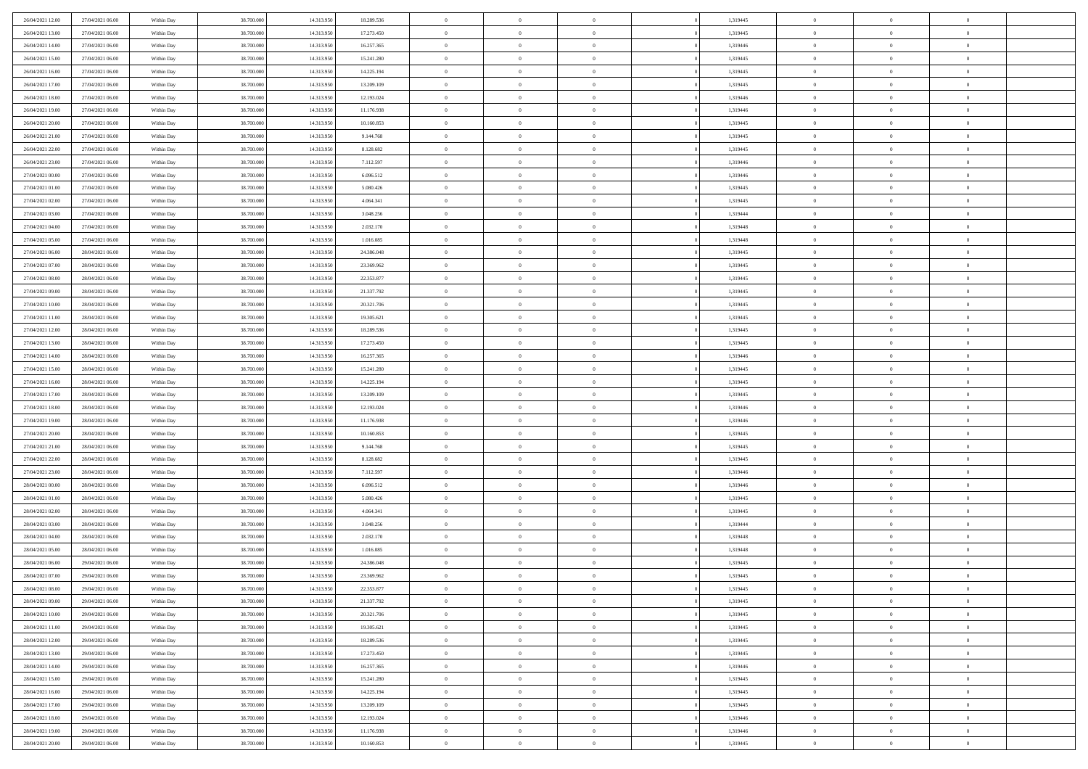| 26/04/2021 12:00 | 27/04/2021 06:00 | Within Day | 38,700,000 | 14.313.950 | 18.289.536 | $\bf{0}$       | $\overline{0}$ | $\Omega$       | 1,319445 | $\theta$       | $\overline{0}$ | $\overline{0}$ |  |
|------------------|------------------|------------|------------|------------|------------|----------------|----------------|----------------|----------|----------------|----------------|----------------|--|
| 26/04/2021 13:00 | 27/04/2021 06:00 | Within Day | 38.700.000 | 14.313.950 | 17.273.450 | $\mathbf{0}$   | $\overline{0}$ | $\overline{0}$ | 1,319445 | $\theta$       | $\bf{0}$       | $\theta$       |  |
| 26/04/2021 14:00 | 27/04/2021 06:00 | Within Day | 38.700.000 | 14.313.950 | 16.257.365 | $\,$ 0         | $\overline{0}$ | $\bf{0}$       | 1,319446 | $\,0\,$        | $\overline{0}$ | $\,$ 0 $\,$    |  |
| 26/04/2021 15:00 | 27/04/2021 06:00 | Within Day | 38,700,000 | 14.313.950 | 15.241.280 | $\bf{0}$       | $\overline{0}$ | $\Omega$       | 1,319445 | $\overline{0}$ | $\theta$       | $\theta$       |  |
| 26/04/2021 16:00 | 27/04/2021 06:00 | Within Day | 38.700.000 | 14.313.950 | 14.225.194 | $\mathbf{0}$   | $\overline{0}$ | $\overline{0}$ | 1,319445 | $\mathbf{0}$   | $\bf{0}$       | $\overline{0}$ |  |
| 26/04/2021 17:00 | 27/04/2021 06:00 | Within Day | 38.700.000 | 14.313.950 | 13.209.109 | $\bf{0}$       | $\overline{0}$ | $\bf{0}$       | 1,319445 | $\,0\,$        | $\overline{0}$ | $\,$ 0 $\,$    |  |
| 26/04/2021 18:00 | 27/04/2021 06:00 | Within Day | 38,700,000 | 14.313.950 | 12.193.024 | $\bf{0}$       | $\overline{0}$ | $\overline{0}$ | 1,319446 | $\bf{0}$       | $\overline{0}$ | $\theta$       |  |
| 26/04/2021 19:00 | 27/04/2021 06:00 | Within Dav | 38.700.000 | 14.313.950 | 11.176.938 | $\overline{0}$ | $\overline{0}$ | $\overline{0}$ | 1,319446 | $\mathbf{0}$   | $\overline{0}$ | $\theta$       |  |
| 26/04/2021 20:00 | 27/04/2021 06:00 | Within Day | 38.700.000 | 14.313.950 | 10.160.853 | $\bf{0}$       | $\overline{0}$ | $\bf{0}$       | 1,319445 | $\,0\,$        | $\overline{0}$ | $\,$ 0 $\,$    |  |
| 26/04/2021 21:00 | 27/04/2021 06:00 | Within Day | 38,700,000 | 14.313.950 | 9.144.768  | $\bf{0}$       | $\overline{0}$ | $\overline{0}$ | 1,319445 | $\theta$       | $\overline{0}$ | $\overline{0}$ |  |
| 26/04/2021 22:00 | 27/04/2021 06:00 | Within Dav | 38.700.000 | 14.313.950 | 8.128.682  | $\overline{0}$ | $\overline{0}$ | $\overline{0}$ | 1,319445 | $\mathbf{0}$   | $\bf{0}$       | $\theta$       |  |
| 26/04/2021 23:00 | 27/04/2021 06:00 | Within Day | 38.700.000 | 14.313.950 | 7.112.597  | $\bf{0}$       | $\overline{0}$ | $\bf{0}$       | 1,319446 | $\,0\,$        | $\overline{0}$ | $\,$ 0 $\,$    |  |
| 27/04/2021 00:00 | 27/04/2021 06:00 | Within Day | 38,700,000 | 14.313.950 | 6.096.512  | $\bf{0}$       | $\overline{0}$ | $\Omega$       | 1,319446 | $\theta$       | $\theta$       | $\theta$       |  |
| 27/04/2021 01:00 | 27/04/2021 06:00 | Within Dav | 38.700.000 | 14.313.950 | 5.080.426  | $\overline{0}$ | $\overline{0}$ | $\overline{0}$ | 1,319445 | $\mathbf{0}$   | $\overline{0}$ | $\overline{0}$ |  |
| 27/04/2021 02:00 | 27/04/2021 06:00 | Within Day | 38.700.000 | 14.313.950 | 4.064.341  | $\bf{0}$       | $\overline{0}$ | $\bf{0}$       | 1,319445 | $\,0\,$        | $\overline{0}$ | $\,$ 0 $\,$    |  |
| 27/04/2021 03:00 | 27/04/2021 06:00 | Within Day | 38,700,000 | 14.313.950 | 3.048.256  | $\bf{0}$       | $\overline{0}$ | $\overline{0}$ | 1,319444 | $\theta$       | $\overline{0}$ | $\overline{0}$ |  |
| 27/04/2021 04:00 | 27/04/2021 06:00 | Within Dav | 38.700.000 | 14.313.950 | 2.032.170  | $\overline{0}$ | $\overline{0}$ | $\overline{0}$ | 1,319448 | $\mathbf{0}$   | $\overline{0}$ | $\theta$       |  |
| 27/04/2021 05:00 | 27/04/2021 06:00 | Within Day | 38.700.000 | 14.313.950 | 1.016.085  | $\bf{0}$       | $\overline{0}$ | $\bf{0}$       | 1,319448 | $\,0\,$        | $\overline{0}$ | $\,$ 0 $\,$    |  |
| 27/04/2021 06:00 | 28/04/2021 06:00 | Within Day | 38,700,000 | 14.313.950 | 24.386.048 | $\bf{0}$       | $\overline{0}$ | $\overline{0}$ | 1,319445 | $\theta$       | $\theta$       | $\overline{0}$ |  |
| 27/04/2021 07:00 | 28/04/2021 06:00 | Within Day | 38.700.000 | 14.313.950 | 23.369.962 | $\overline{0}$ | $\overline{0}$ | $\overline{0}$ | 1,319445 | $\overline{0}$ | $\overline{0}$ | $\theta$       |  |
| 27/04/2021 08:00 | 28/04/2021 06:00 | Within Day | 38.700.000 | 14.313.950 | 22.353.877 | $\bf{0}$       | $\overline{0}$ | $\bf{0}$       | 1,319445 | $\,0\,$        | $\overline{0}$ | $\,$ 0 $\,$    |  |
| 27/04/2021 09:00 | 28/04/2021 06:00 | Within Day | 38,700,000 | 14.313.950 | 21.337.792 | $\bf{0}$       | $\overline{0}$ | $\Omega$       | 1,319445 | $\overline{0}$ | $\theta$       | $\theta$       |  |
| 27/04/2021 10:00 | 28/04/2021 06:00 | Within Day | 38.700.000 | 14.313.950 | 20.321.706 | $\overline{0}$ | $\overline{0}$ | $\overline{0}$ | 1,319445 | $\overline{0}$ | $\overline{0}$ | $\overline{0}$ |  |
| 27/04/2021 11:00 | 28/04/2021 06:00 | Within Day | 38.700.000 | 14.313.950 | 19.305.621 | $\bf{0}$       | $\overline{0}$ | $\bf{0}$       | 1,319445 | $\,0\,$        | $\overline{0}$ | $\,$ 0 $\,$    |  |
| 27/04/2021 12:00 | 28/04/2021 06:00 | Within Day | 38,700,000 | 14.313.950 | 18.289.536 | $\bf{0}$       | $\overline{0}$ | $\overline{0}$ | 1,319445 | $\bf{0}$       | $\overline{0}$ | $\overline{0}$ |  |
| 27/04/2021 13:00 | 28/04/2021 06:00 | Within Day | 38.700.000 | 14.313.950 | 17.273.450 | $\overline{0}$ | $\overline{0}$ | $\overline{0}$ | 1,319445 | $\overline{0}$ | $\overline{0}$ | $\theta$       |  |
| 27/04/2021 14:00 | 28/04/2021 06:00 | Within Day | 38.700.000 | 14.313.950 | 16.257.365 | $\bf{0}$       | $\overline{0}$ | $\bf{0}$       | 1,319446 | $\,0\,$        | $\overline{0}$ | $\,$ 0 $\,$    |  |
| 27/04/2021 15:00 | 28/04/2021 06:00 | Within Day | 38,700,000 | 14.313.950 | 15.241.280 | $\bf{0}$       | $\overline{0}$ | $\Omega$       | 1,319445 | $\theta$       | $\theta$       | $\overline{0}$ |  |
| 27/04/2021 16:00 | 28/04/2021 06:00 | Within Day | 38.700.000 | 14.313.950 | 14.225.194 | $\overline{0}$ | $\overline{0}$ | $\overline{0}$ | 1,319445 | $\mathbf{0}$   | $\bf{0}$       | $\overline{0}$ |  |
| 27/04/2021 17:00 | 28/04/2021 06:00 | Within Day | 38.700.000 | 14.313.950 | 13.209.109 | $\bf{0}$       | $\overline{0}$ | $\bf{0}$       | 1,319445 | $\,0\,$        | $\overline{0}$ | $\,$ 0 $\,$    |  |
| 27/04/2021 18:00 | 28/04/2021 06:00 | Within Day | 38.700.000 | 14.313.950 | 12.193.024 | $\,$ 0         | $\bf{0}$       | $\overline{0}$ | 1,319446 | $\bf{0}$       | $\overline{0}$ | $\theta$       |  |
| 27/04/2021 19:00 | 28/04/2021 06:00 | Within Day | 38.700.000 | 14.313.950 | 11.176.938 | $\overline{0}$ | $\overline{0}$ | $\overline{0}$ | 1,319446 | $\mathbf{0}$   | $\overline{0}$ | $\theta$       |  |
| 27/04/2021 20:00 | 28/04/2021 06:00 | Within Day | 38.700.000 | 14.313.950 | 10.160.853 | $\bf{0}$       | $\overline{0}$ | $\bf{0}$       | 1,319445 | $\,0\,$        | $\overline{0}$ | $\,$ 0 $\,$    |  |
| 27/04/2021 21:00 | 28/04/2021 06:00 | Within Day | 38.700.000 | 14.313.950 | 9.144.768  | $\bf{0}$       | $\bf{0}$       | $\bf{0}$       | 1,319445 | $\bf{0}$       | $\overline{0}$ | $\bf{0}$       |  |
| 27/04/2021 22:00 | 28/04/2021 06:00 | Within Dav | 38.700.000 | 14.313.950 | 8.128.682  | $\overline{0}$ | $\overline{0}$ | $\overline{0}$ | 1,319445 | $\theta$       | $\overline{0}$ | $\theta$       |  |
| 27/04/2021 23:00 | 28/04/2021 06:00 | Within Day | 38.700.000 | 14.313.950 | 7.112.597  | $\bf{0}$       | $\overline{0}$ | $\bf{0}$       | 1,319446 | $\,0\,$        | $\overline{0}$ | $\,$ 0 $\,$    |  |
| 28/04/2021 00:00 | 28/04/2021 06:00 | Within Day | 38.700.000 | 14.313.950 | 6.096.512  | $\bf{0}$       | $\bf{0}$       | $\overline{0}$ | 1,319446 | $\bf{0}$       | $\overline{0}$ | $\theta$       |  |
| 28/04/2021 01:00 | 28/04/2021 06:00 | Within Dav | 38.700.000 | 14.313.950 | 5.080.426  | $\overline{0}$ | $\overline{0}$ | $\overline{0}$ | 1,319445 | $\mathbf{0}$   | $\bf{0}$       | $\overline{0}$ |  |
| 28/04/2021 02:00 | 28/04/2021 06:00 | Within Day | 38.700.000 | 14.313.950 | 4.064.341  | $\bf{0}$       | $\overline{0}$ | $\bf{0}$       | 1,319445 | $\,0\,$        | $\overline{0}$ | $\,$ 0 $\,$    |  |
| 28/04/2021 03:00 | 28/04/2021 06:00 | Within Day | 38.700.000 | 14.313.950 | 3.048.256  | $\bf{0}$       | $\bf{0}$       | $\overline{0}$ | 1,319444 | $\bf{0}$       | $\overline{0}$ | $\theta$       |  |
| 28/04/2021 04:00 | 28/04/2021 06:00 | Within Dav | 38.700.000 | 14.313.950 | 2.032.170  | $\overline{0}$ | $\overline{0}$ | $\overline{0}$ | 1,319448 | $\theta$       | $\overline{0}$ | $\theta$       |  |
| 28/04/2021 05:00 | 28/04/2021 06:00 | Within Day | 38.700.000 | 14.313.950 | 1.016.085  | $\bf{0}$       | $\overline{0}$ | $\bf{0}$       | 1,319448 | $\,0\,$        | $\overline{0}$ | $\theta$       |  |
| 28/04/2021 06:00 | 29/04/2021 06:00 | Within Day | 38.700.000 | 14.313.950 | 24.386.048 | $\bf{0}$       | $\bf{0}$       | $\bf{0}$       | 1,319445 | $\bf{0}$       | $\overline{0}$ | $\bf{0}$       |  |
| 28/04/2021 07:00 | 29/04/2021 06:00 | Within Dav | 38.700.000 | 14.313.950 | 23.369.962 | $\mathbf{0}$   | $\overline{0}$ | $\overline{0}$ | 1,319445 | $\theta$       | $\bf{0}$       | $\theta$       |  |
| 28/04/2021 08:00 | 29/04/2021 06:00 | Within Day | 38.700.000 | 14.313.950 | 22.353.877 | $\bf{0}$       | $\overline{0}$ | $\theta$       | 1,319445 | $\bf{0}$       | $\overline{0}$ | $\theta$       |  |
| 28/04/2021 09:00 | 29/04/2021 06:00 | Within Day | 38.700.000 | 14.313.950 | 21.337.792 | $\bf{0}$       | $\bf{0}$       | $\bf{0}$       | 1,319445 | $\bf{0}$       | $\overline{0}$ | $\bf{0}$       |  |
| 28/04/2021 10:00 | 29/04/2021 06:00 | Within Day | 38.700.000 | 14.313.950 | 20.321.706 | $\overline{0}$ | $\overline{0}$ | $\overline{0}$ | 1,319445 | $\overline{0}$ | $\overline{0}$ | $\overline{0}$ |  |
| 28/04/2021 11:00 | 29/04/2021 06:00 | Within Day | 38.700.000 | 14.313.950 | 19.305.621 | $\,$ 0 $\,$    | $\overline{0}$ | $\overline{0}$ | 1,319445 | $\,$ 0 $\,$    | $\,$ 0 $\,$    | $\,$ 0 $\,$    |  |
| 28/04/2021 12:00 | 29/04/2021 06:00 | Within Day | 38.700.000 | 14.313.950 | 18.289.536 | $\bf{0}$       | $\bf{0}$       | $\overline{0}$ | 1,319445 | $\mathbf{0}$   | $\overline{0}$ | $\bf{0}$       |  |
| 28/04/2021 13:00 | 29/04/2021 06:00 | Within Day | 38.700.000 | 14.313.950 | 17.273.450 | $\,$ 0 $\,$    | $\overline{0}$ | $\overline{0}$ | 1,319445 | $\mathbf{0}$   | $\bf{0}$       | $\overline{0}$ |  |
| 28/04/2021 14:00 | 29/04/2021 06:00 | Within Day | 38.700.000 | 14.313.950 | 16.257.365 | $\,$ 0 $\,$    | $\overline{0}$ | $\overline{0}$ | 1,319446 | $\,$ 0 $\,$    | $\overline{0}$ | $\,$ 0         |  |
| 28/04/2021 15:00 | 29/04/2021 06:00 | Within Day | 38.700.000 | 14.313.950 | 15.241.280 | $\bf{0}$       | $\overline{0}$ | $\overline{0}$ | 1,319445 | $\overline{0}$ | $\overline{0}$ | $\bf{0}$       |  |
| 28/04/2021 16:00 | 29/04/2021 06:00 | Within Day | 38.700.000 | 14.313.950 | 14.225.194 | $\,$ 0 $\,$    | $\overline{0}$ | $\overline{0}$ | 1,319445 | $\overline{0}$ | $\bf{0}$       | $\overline{0}$ |  |
| 28/04/2021 17:00 | 29/04/2021 06:00 | Within Day | 38.700.000 | 14.313.950 | 13.209.109 | $\,$ 0 $\,$    | $\overline{0}$ | $\overline{0}$ | 1,319445 | $\,$ 0 $\,$    | $\bf{0}$       | $\,$ 0         |  |
| 28/04/2021 18:00 | 29/04/2021 06:00 | Within Day | 38.700.000 | 14.313.950 | 12.193.024 | $\bf{0}$       | $\overline{0}$ | $\overline{0}$ | 1,319446 | $\mathbf{0}$   | $\overline{0}$ | $\bf{0}$       |  |
| 28/04/2021 19:00 | 29/04/2021 06:00 | Within Day | 38.700.000 | 14.313.950 | 11.176.938 | $\,$ 0 $\,$    | $\overline{0}$ | $\overline{0}$ | 1,319446 | $\overline{0}$ | $\overline{0}$ | $\overline{0}$ |  |
| 28/04/2021 20:00 | 29/04/2021 06:00 | Within Day | 38.700.000 | 14.313.950 | 10.160.853 | $\,0\,$        | $\overline{0}$ | $\overline{0}$ | 1,319445 | $\,0\,$        | $\overline{0}$ | $\,$ 0 $\,$    |  |
|                  |                  |            |            |            |            |                |                |                |          |                |                |                |  |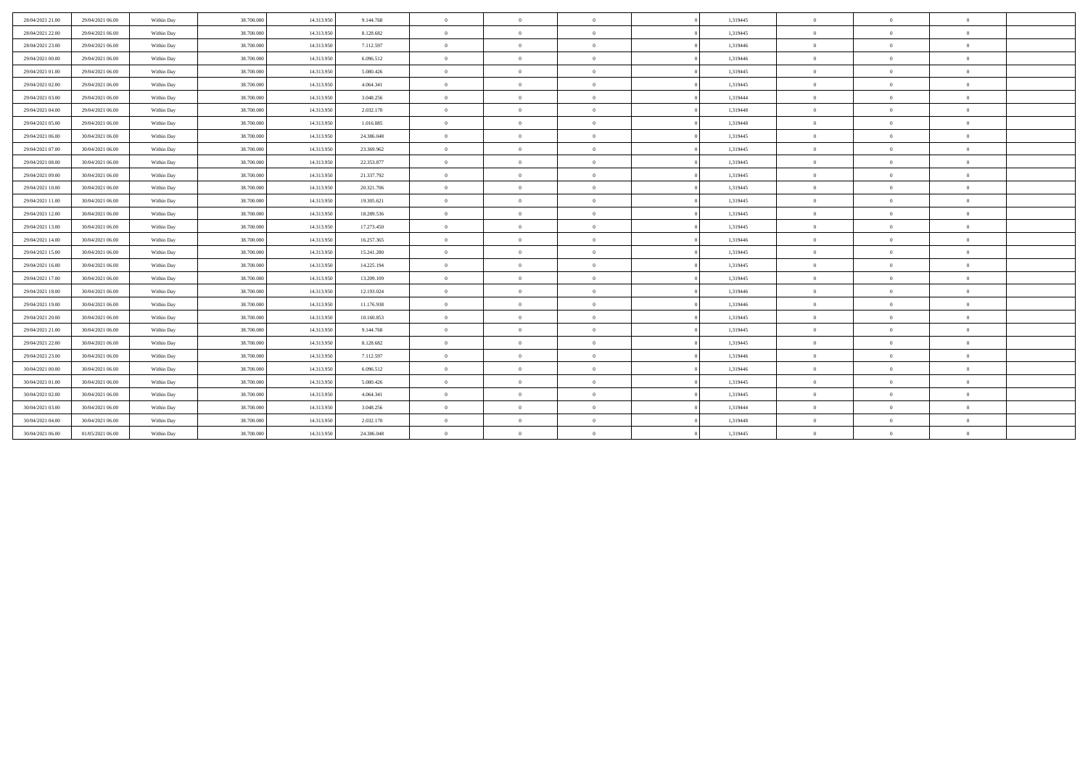| 28/04/2021 21:00 | 29/04/2021 06:00 | Within Day | 38,700,000 | 14.313.950 | 9.144.768  | $\overline{0}$ | $\overline{0}$ | $\overline{0}$ | 1,319445 | $\theta$       | $\overline{0}$ | $\theta$       |  |
|------------------|------------------|------------|------------|------------|------------|----------------|----------------|----------------|----------|----------------|----------------|----------------|--|
| 28/04/2021 22:00 | 29/04/2021 06:00 | Within Day | 38.700.000 | 14.313.950 | 8.128.682  | $\overline{0}$ | $\theta$       | $\overline{0}$ | 1,319445 | $\mathbf{0}$   | $\Omega$       | $\overline{0}$ |  |
| 28/04/2021 23:00 | 29/04/2021 06:00 | Within Day | 38.700.000 | 14.313.950 | 7.112.597  | $\overline{0}$ | $\theta$       | $\overline{0}$ | 1,319446 | $\theta$       | $\Omega$       | $\overline{0}$ |  |
| 29/04/2021 00:00 | 29/04/2021 06:00 | Within Day | 38,700,000 | 14.313.950 | 6.096.512  | $\overline{0}$ | $\Omega$       | $\overline{0}$ | 1.319446 | $\mathbf{0}$   | $\Omega$       | $\overline{0}$ |  |
| 29/04/2021 01:00 | 29/04/2021 06:00 | Within Day | 38,700,000 | 14.313.950 | 5.080.426  | $\overline{0}$ | $\theta$       | $\overline{0}$ | 1,319445 | $\mathbf{0}$   | $\mathbf{0}$   | $\overline{0}$ |  |
| 29/04/2021 02:00 | 29/04/2021 06:00 | Within Day | 38,700,000 | 14.313.950 | 4.064.341  | $\overline{0}$ | $\theta$       | $\overline{0}$ | 1,319445 | $\Omega$       | $\theta$       | $\theta$       |  |
| 29/04/2021 03:00 | 29/04/2021 06:00 | Within Day | 38,700,000 | 14.313.950 | 3.048.256  | $\overline{0}$ | $\theta$       | $\overline{0}$ | 1.319444 | $\theta$       | $\Omega$       | $\overline{0}$ |  |
| 29/04/2021 04:00 | 29/04/2021 06:00 | Within Day | 38,700,000 | 14.313.950 | 2.032.170  | $\overline{0}$ | $\theta$       | $\overline{0}$ | 1.319448 | $\overline{0}$ | $\mathbf{0}$   | $\overline{0}$ |  |
| 29/04/2021 05:00 | 29/04/2021 06:00 | Within Day | 38,700,000 | 14.313.950 | 1.016.085  | $\overline{0}$ | $\Omega$       | $\theta$       | 1.319448 | $\mathbf{0}$   | $\Omega$       | $\overline{0}$ |  |
| 29/04/2021 06:00 | 30/04/2021 06:00 | Within Day | 38.700.000 | 14.313.950 | 24.386.048 | $\overline{0}$ | $\overline{0}$ | $\overline{0}$ | 1,319445 | $\overline{0}$ | $\overline{0}$ | $\overline{0}$ |  |
| 29/04/2021 07:00 | 30/04/2021 06:00 | Within Day | 38.700.000 | 14.313.950 | 23.369.962 | $\overline{0}$ | $\theta$       | $\overline{0}$ | 1,319445 | $\mathbf{0}$   | $\mathbf{0}$   | $\overline{0}$ |  |
| 29/04/2021 08:00 | 30/04/2021 06:00 | Within Day | 38.700.000 | 14.313.950 | 22.353.877 | $\overline{0}$ | $\theta$       | $\overline{0}$ | 1,319445 | $\overline{0}$ | $\Omega$       | $\overline{0}$ |  |
| 29/04/2021 09:00 | 30/04/2021 06:00 | Within Day | 38.700.000 | 14.313.950 | 21.337.792 | $\overline{0}$ | $\theta$       | $\overline{0}$ | 1,319445 | $\mathbf{0}$   | $\mathbf{0}$   | $\overline{0}$ |  |
| 29/04/2021 10:00 | 30/04/2021 06:00 | Within Day | 38.700.000 | 14.313.950 | 20.321.706 | $\overline{0}$ | $\theta$       | $\overline{0}$ | 1,319445 | $\overline{0}$ | $\mathbf{0}$   | $\overline{0}$ |  |
| 29/04/2021 11:00 | 30/04/2021 06:00 | Within Day | 38.700.000 | 14.313.950 | 19.305.621 | $\overline{0}$ | $\theta$       | $\overline{0}$ | 1,319445 | $\theta$       | $\theta$       | $\overline{0}$ |  |
| 29/04/2021 12:00 | 30/04/2021 06:00 | Within Day | 38,700,000 | 14.313.950 | 18.289.536 | $\overline{0}$ | $\Omega$       | $\overline{0}$ | 1,319445 | $\theta$       | $\Omega$       | $\overline{0}$ |  |
| 29/04/2021 13:00 | 30/04/2021 06:00 | Within Day | 38.700.000 | 14.313.950 | 17.273.450 | $\overline{0}$ | $\Omega$       | $\overline{0}$ | 1,319445 | $\theta$       | $\Omega$       | $\overline{0}$ |  |
| 29/04/2021 14:00 | 30/04/2021 06:00 | Within Day | 38,700,000 | 14.313.950 | 16.257.365 | $\overline{0}$ | $\Omega$       | $\overline{0}$ | 1,319446 | $\theta$       | $\Omega$       | $\Omega$       |  |
| 29/04/2021 15:00 | 30/04/2021 06:00 | Within Day | 38,700,000 | 14.313.950 | 15.241.280 | $\overline{0}$ | $\overline{0}$ | $\overline{0}$ | 1.319445 | $\mathbf{0}$   | $\mathbf{0}$   | $\overline{0}$ |  |
| 29/04/2021 16:00 | 30/04/2021 06:00 | Within Day | 38,700,000 | 14.313.950 | 14.225.194 | $\overline{0}$ | $\Omega$       | $\theta$       | 1.319445 | $\theta$       | $\Omega$       | $\overline{0}$ |  |
| 29/04/2021 17:00 | 30/04/2021 06:00 | Within Day | 38.700.000 | 14.313.950 | 13.209.109 | $\overline{0}$ | $\Omega$       | $\overline{0}$ | 1,319445 | $\mathbf{0}$   | $\Omega$       | $\overline{0}$ |  |
| 29/04/2021 18:00 | 30/04/2021 06:00 | Within Day | 38.700.000 | 14.313.950 | 12.193.024 | $\overline{0}$ | $\theta$       | $\overline{0}$ | 1,319446 | $\mathbf{0}$   | $\mathbf{0}$   | $\overline{0}$ |  |
| 29/04/2021 19:00 | 30/04/2021 06:00 | Within Day | 38.700.000 | 14.313.950 | 11.176.938 | $\overline{0}$ | $\overline{0}$ | $\overline{0}$ | 1,319446 | $\overline{0}$ | $\theta$       | $\overline{0}$ |  |
| 29/04/2021 20:00 | 30/04/2021 06:00 | Within Day | 38.700.000 | 14.313.950 | 10.160.853 | $\overline{0}$ | $\Omega$       | $\overline{0}$ | 1,319445 | $\theta$       | $\Omega$       | $\overline{0}$ |  |
| 29/04/2021 21:00 | 30/04/2021 06:00 | Within Day | 38.700.000 | 14.313.950 | 9.144.768  | $\overline{0}$ | $\overline{0}$ | $\overline{0}$ | 1,319445 | $\overline{0}$ | $\mathbf{0}$   | $\overline{0}$ |  |
| 29/04/2021 22:00 | 30/04/2021 06:00 | Within Day | 38.700.000 | 14.313.950 | 8.128.682  | $\overline{0}$ | $\theta$       | $\overline{0}$ | 1,319445 | $\mathbf{0}$   | $\Omega$       | $\overline{0}$ |  |
| 29/04/2021 23:00 | 30/04/2021 06:00 | Within Day | 38.700.000 | 14.313.950 | 7.112.597  | $\overline{0}$ | $\overline{0}$ | $\overline{0}$ | 1,319446 | $\overline{0}$ | $\mathbf{0}$   | $\overline{0}$ |  |
| 30/04/2021 00:00 | 30/04/2021 06:00 | Within Day | 38.700.000 | 14.313.950 | 6.096.512  | $\overline{0}$ | $\Omega$       | $\overline{0}$ | 1,319446 | $\theta$       | $\Omega$       | $\overline{0}$ |  |
| 30/04/2021 01:00 | 30/04/2021 06:00 | Within Day | 38,700,000 | 14.313.950 | 5.080.426  | $\overline{0}$ | $\Omega$       | $\theta$       | 1,319445 | $\theta$       | $\Omega$       | $\overline{0}$ |  |
| 30/04/2021 02:00 | 30/04/2021 06:00 | Within Day | 38.700.000 | 14.313.950 | 4.064.341  | $\mathbf{0}$   | $\theta$       | $\overline{0}$ | 1,319445 | $\mathbf{0}$   | $\Omega$       | $\overline{0}$ |  |
| 30/04/2021 03:00 | 30/04/2021 06:00 | Within Day | 38,700,000 | 14.313.950 | 3.048.256  | $\overline{0}$ | $\Omega$       | $\overline{0}$ | 1,319444 | $\mathbf{0}$   | $\Omega$       | $\theta$       |  |
| 30/04/2021 04:00 | 30/04/2021 06:00 | Within Day | 38.700.000 | 14.313.950 | 2.032.170  | $\overline{0}$ | $\Omega$       | $\overline{0}$ | 1,319448 | $\theta$       | $\Omega$       | $\overline{0}$ |  |
| 30/04/2021 06:00 | 01/05/2021 06:00 | Within Day | 38.700.000 | 14.313.950 | 24.386.048 | $\overline{0}$ | $\Omega$       | $\overline{0}$ | 1,319445 | $\theta$       | $\Omega$       | $\theta$       |  |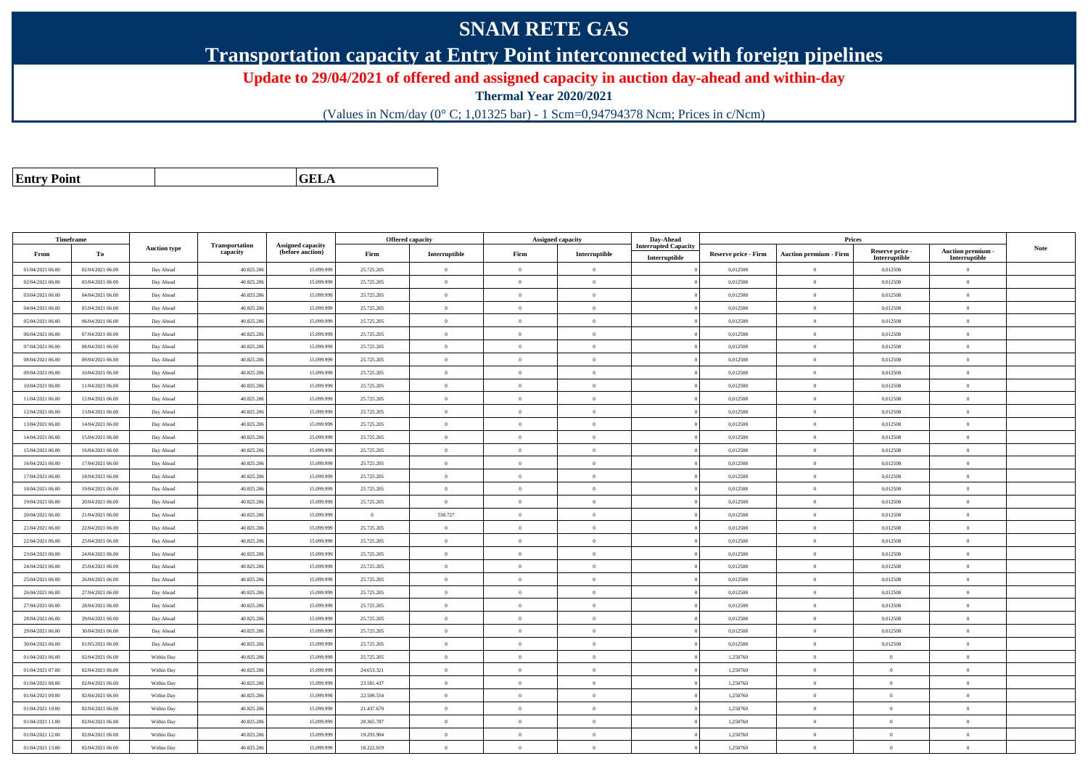## **SNAM RETE GAS**

**Transportation capacity at Entry Point interconnected with foreign pipelines**

**Update to 29/04/2021 of offered and assigned capacity in auction day-ahead and within-day**

**Thermal Year 2020/2021**

(Values in Ncm/day (0° C; 1,01325 bar) - 1 Scm=0,94794378 Ncm; Prices in c/Ncm)

| <b>Entry Point</b> |  |
|--------------------|--|
|                    |  |

**GELA**

| Timeframe        |                  |                     |                            |                                       |                | Offered capacity |                | Assigned capacity | Day-Ahead                   |                             | Prices                        |                           |                                 |             |
|------------------|------------------|---------------------|----------------------------|---------------------------------------|----------------|------------------|----------------|-------------------|-----------------------------|-----------------------------|-------------------------------|---------------------------|---------------------------------|-------------|
| From             | To               | <b>Auction type</b> | Transportation<br>capacity | Assigned capacity<br>(before auction) | Firm           | Interruptible    | Firm           | Interruptible     | <b>Interrupted Capacity</b> | <b>Reserve price - Firm</b> | <b>Auction premium - Firm</b> | Reserve price -           | Auction premium -               | <b>Note</b> |
| 01/04/2021 06:00 | 02/04/2021 06:00 | Day Ahead           | 40.825.206                 | 15.099.99                             | 25.725.205     | $\mathbf{0}$     | $\theta$       | $\overline{0}$    | Interruptible               | 0,012508                    | $\theta$                      | Interruptible<br>0,012508 | Interruptible<br>$\overline{0}$ |             |
| 02/04/2021 06:00 | 03/04/2021 06:00 | Day Ahead           | 40.825.206                 | 15.099.99                             | 25.725.205     | $\overline{0}$   | $\theta$       | $\Omega$          |                             | 0,012508                    | $\theta$                      | 0,012508                  | $\overline{0}$                  |             |
| 03/04/2021 06:00 | 04/04/2021 06:00 | Day Ahead           | 40.825.20                  | 15.099.99                             | 25.725.205     | $\overline{0}$   | $\overline{0}$ | $\Omega$          |                             | 0,012508                    | $\theta$                      | 0,012508                  | $\overline{0}$                  |             |
|                  |                  |                     |                            |                                       |                |                  |                |                   |                             |                             |                               |                           |                                 |             |
| 04/04/2021 06:00 | 05/04/2021 06:00 | Day Ahead           | 40.825.206                 | 15.099.99                             | 25.725.205     | $\overline{0}$   | $\overline{0}$ | $\Omega$          |                             | 0,012508                    | $\theta$                      | 0,012508                  | $\overline{0}$                  |             |
| 05/04/2021 06:00 | 06/04/2021 06:00 | Day Ahead           | 40.825.20                  | 15,099.99                             | 25.725.205     | $\overline{0}$   | $\theta$       | $\Omega$          |                             | 0.012508                    | $\theta$                      | 0.012508                  | $\mathbf{0}$                    |             |
| 06/04/2021 06:00 | 07/04/2021 06:00 | Day Ahead           | 40.825.20                  | 15,099.99                             | 25.725.205     | $\overline{0}$   | $\Omega$       | $^{\circ}$        |                             | 0,012508                    | $\theta$                      | 0,012508                  | $\mathbf{0}$                    |             |
| 07/04/2021 06:00 | 08/04/2021 06:00 | Day Ahead           | 40.825.206                 | 15.099.99                             | 25.725.205     | $\overline{0}$   | $\overline{0}$ | $\Omega$          |                             | 0,012508                    | $\theta$                      | 0,012508                  | $\overline{0}$                  |             |
| 08/04/2021 06:00 | 09/04/2021 06:00 | Day Ahead           | 40.825.20                  | 15,099,999                            | 25.725.205     | $\mathbf{0}$     | $\theta$       | $\Omega$          |                             | 0.012508                    | $\bf{0}$                      | 0.012508                  | $\theta$                        |             |
| 09/04/2021 06:00 | 10/04/2021 06:00 | Day Ahead           | 40.825.206                 | 15.099.99                             | 25.725.205     | $\overline{0}$   | $\Omega$       | $\overline{0}$    |                             | 0,012508                    | $\overline{0}$                | 0,012508                  | $\overline{0}$                  |             |
| 10/04/2021 06:00 | 11/04/2021 06:00 | Day Ahead           | 40.825.206                 | 15.099.99                             | 25.725.205     | $\bf{0}$         | $\overline{0}$ | $\Omega$          |                             | 0,012508                    | $\,$ 0 $\,$                   | 0,012508                  | $\overline{0}$                  |             |
| 11/04/2021 06:00 | 12/04/2021 06:00 | Day Ahead           | 40.825.20                  | 15.099.99                             | 25.725.205     | $\mathbf{0}$     | $\theta$       | $\Omega$          |                             | 0,012508                    | $\theta$                      | 0,012508                  | $\Omega$                        |             |
| 12/04/2021 06:00 | 13/04/2021 06:00 | Day Ahead           | 40.825.206                 | 15.099.99                             | 25.725.205     | $\overline{0}$   | $\theta$       | $\Omega$          |                             | 0,012508                    | $\theta$                      | 0,012508                  | $\Omega$                        |             |
| 13/04/2021 06:00 | 14/04/2021 06:00 | Day Ahead           | 40.825.206                 | 15.099.99                             | 25.725.205     | $\theta$         | $\theta$       | $\Omega$          |                             | 0,012508                    | $\theta$                      | 0,012508                  | $\Omega$                        |             |
| 14/04/2021 06:00 | 15/04/2021 06:00 | Day Ahead           | 40.825.20                  | 15.099.99                             | 25.725.205     | $\theta$         | $\Omega$       | $\Omega$          |                             | 0,012508                    | $\theta$                      | 0,012508                  | $\Omega$                        |             |
| 15/04/2021 06:00 | 16/04/2021 06:00 | Day Ahead           | 40.825.20                  | 15.099.99                             | 25.725.205     | $\mathbf{0}$     | $\theta$       | $\Omega$          |                             | 0,012508                    | $\theta$                      | 0,012508                  | $\mathbf{0}$                    |             |
| 16/04/2021 06:00 | 17/04/2021 06:00 | Day Ahead           | 40.825.20                  | 15.099.99                             | 25.725.205     | $\overline{0}$   | $\theta$       | $\Omega$          |                             | 0,012508                    | $\theta$                      | 0,012508                  | $\overline{0}$                  |             |
| 17/04/2021 06:00 | 18/04/2021 06:00 | Day Ahead           | 40.825.206                 | 15.099.99                             | 25.725.205     | $\overline{0}$   | $\Omega$       | $\Omega$          |                             | 0.012508                    | $\theta$                      | 0,012508                  | $\overline{0}$                  |             |
| 18/04/2021 06:00 | 19/04/2021 06:00 | Day Ahead           | 40.825.206                 | 15.099.99                             | 25.725.205     | $\overline{0}$   | $\theta$       | $\Omega$          |                             | 0,012508                    | $\theta$                      | 0,012508                  | $\overline{0}$                  |             |
| 19/04/2021 06:00 | 20/04/2021 06:00 | Day Ahead           | 40.825.20                  | 15.099.99                             | 25.725.205     | $\overline{0}$   | $\overline{0}$ | $\Omega$          |                             | 0,012508                    | $\,$ 0 $\,$                   | 0,012508                  | $\overline{0}$                  |             |
| 20/04/2021 06:00 | 21/04/2021 06:00 | Day Ahead           | 40.825.206                 | 15,099.99                             | $\overline{0}$ | 530.727          | $\Omega$       | $\theta$          |                             | 0.012508                    | $\theta$                      | 0,012508                  | $\theta$                        |             |
| 21/04/2021 06:00 | 22/04/2021 06:00 | Day Ahead           | 40.825.206                 | 15.099.99                             | 25.725.205     | $\bf{0}$         | $\overline{0}$ | $\Omega$          |                             | 0,012508                    | $\theta$                      | 0,012508                  | $\overline{0}$                  |             |
| 22/04/2021 06:00 | 23/04/2021 06:00 | Day Ahead           | 40.825.206                 | 15.099.99                             | 25.725.205     | $\overline{0}$   | $\theta$       | $\Omega$          |                             | 0,012508                    | $\bf{0}$                      | 0,012508                  | $\overline{0}$                  |             |
| 23/04/2021 06:00 | 24/04/2021 06:00 | Day Ahead           | 40.825.206                 | 15.099.999                            | 25.725.205     | $\mathbf{0}$     | $\theta$       | $\Omega$          |                             | 0,012508                    | $\theta$                      | 0,012508                  | $\theta$                        |             |
| 24/04/2021 06:00 | 25/04/2021 06:00 | Day Ahead           | 40.825.206                 | 15.099.99                             | 25.725.205     | $\theta$         | $\theta$       | $\Omega$          |                             | 0.012508                    | $\theta$                      | 0.012508                  | $\Omega$                        |             |
| 25/04/2021 06:00 | 26/04/2021 06:00 | Day Ahead           | 40.825.206                 | 15.099.99                             | 25.725.205     | $\mathbf{0}$     | $\overline{0}$ | $\overline{0}$    |                             | 0,012508                    | $\mathbf{0}$                  | 0,012508                  | $\overline{0}$                  |             |
| 26/04/2021 06:00 | 27/04/2021 06:00 | Day Ahead           | 40.825.206                 | 15.099.99                             | 25.725.205     | $\overline{0}$   | $\overline{0}$ | $\Omega$          |                             | 0,012508                    | $\theta$                      | 0,012508                  | $\overline{0}$                  |             |
| 27/04/2021 06:00 | 28/04/2021 06:00 | Day Ahead           | 40.825.20                  | 15.099.99                             | 25.725.205     | $\overline{0}$   | $\theta$       | $\Omega$          |                             | 0,012508                    | $\theta$                      | 0,012508                  | $\overline{0}$                  |             |
| 28/04/2021 06:00 | 29/04/2021 06:00 | Day Ahead           | 40.825.206                 | 15.099.999                            | 25.725.205     | $\overline{0}$   | $\theta$       | $\theta$          |                             | 0,012508                    | $\theta$                      | 0,012508                  | $\mathbf{0}$                    |             |
| 29/04/2021 06:00 | 30/04/2021 06:00 | Day Ahead           | 40.825.206                 | 15.099.99                             | 25.725.205     | $\theta$         | $\Omega$       | $\Omega$          |                             | 0.012508                    | $\theta$                      | 0.012508                  | $\theta$                        |             |
| 30/04/2021 06:00 | 01/05/2021 06:00 | Day Ahead           | 40.825.20                  | 15.099.99                             | 25.725.205     | $\overline{0}$   | $\theta$       | $\Omega$          |                             | 0,012508                    | $\theta$                      | 0,012508                  | $\overline{0}$                  |             |
| 01/04/2021 06:00 | 02/04/2021 06:00 | Within Day          | 40.825.20                  | 15.099.99                             | 25.725.205     | $\overline{0}$   | $\theta$       | $\overline{0}$    |                             | 1,250760                    | $\,$ 0 $\,$                   | $\bf{0}$                  | $\mathbf{0}$                    |             |
| 01/04/2021 07:00 | 02/04/2021 06:00 | Within Day          | 40.825.20                  | 15,099.99                             | 24.653.321     | $\overline{0}$   | $\theta$       | $\Omega$          |                             | 1.250760                    | $\theta$                      | $\theta$                  | $\Omega$                        |             |
| 01/04/2021 08:00 | 02/04/2021 06:00 | Within Day          | 40.825.206                 | 15.099.99                             | 23.581.437     | $\overline{0}$   | $\overline{0}$ | $\overline{0}$    |                             | 1,250760                    | $\theta$                      | $\Omega$                  | $\overline{0}$                  |             |
| 01/04/2021 09:00 | 02/04/2021 06:00 | Within Day          | 40.825.206                 | 15.099.99                             | 22.509.554     | $\overline{0}$   | $\overline{0}$ | $\Omega$          |                             | 1,250760                    | $\theta$                      | $\mathbf{0}$              | $\overline{0}$                  |             |
| 01/04/2021 10:00 | 02/04/2021 06:00 | Within Day          | 40.825.20                  | 15.099.99                             | 21.437.670     | $\theta$         | $\theta$       | $\Omega$          |                             | 1,250760                    | $\theta$                      | $\theta$                  | $\theta$                        |             |
| 01/04/2021 11:00 | 02/04/2021 06:00 | Within Day          | 40.825.206                 | 15.099.99                             | 20.365.787     | $\overline{0}$   | $\Omega$       | $\theta$          |                             | 1,250760                    | $\theta$                      | $\mathbf{0}$              | $\overline{0}$                  |             |
| 01/04/2021 12:00 | 02/04/2021 06:00 | Within Day          | 40.825.20                  | 15.099.99                             | 19.293.904     | $\overline{0}$   | $\theta$       | $\Omega$          |                             | 1.250760                    | $\theta$                      | $\mathbf{0}$              | $\mathbf{0}$                    |             |
| 01/04/2021 13:00 | 02/04/2021 06:00 | Within Day          | 40.825.20                  | 15.099.99                             | 18.222.019     | $\overline{0}$   | $\theta$       | $\Omega$          |                             | 1,250760                    | $\bf{0}$                      | $\Omega$                  | $\overline{0}$                  |             |
|                  |                  |                     |                            |                                       |                |                  |                |                   |                             |                             |                               |                           |                                 |             |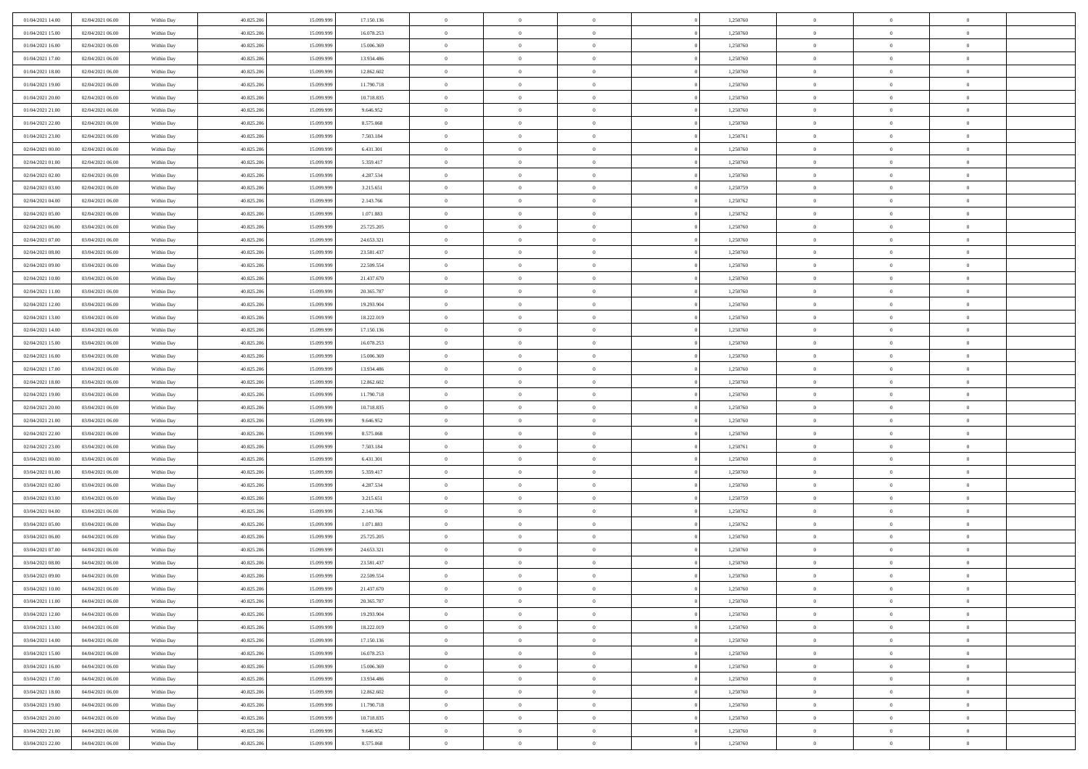| 01/04/2021 14:00 | 02/04/2021 06:00 | Within Day | 40.825.206 | 15.099.999 | 17.150.136 | $\overline{0}$ | $\overline{0}$ | $\Omega$       | 1,250760 | $\bf{0}$       | $\mathbf{0}$   | $\bf{0}$       |  |
|------------------|------------------|------------|------------|------------|------------|----------------|----------------|----------------|----------|----------------|----------------|----------------|--|
| 01/04/2021 15:00 | 02/04/2021 06:00 | Within Day | 40.825.206 | 15.099.999 | 16.078.253 | $\mathbf{0}$   | $\overline{0}$ | $\overline{0}$ | 1,250760 | $\overline{0}$ | $\overline{0}$ | $\theta$       |  |
| 01/04/2021 16:00 | 02/04/2021 06:00 | Within Day | 40.825.206 | 15.099.999 | 15.006.369 | $\,$ 0         | $\overline{0}$ | $\bf{0}$       | 1,250760 | $\,$ 0         | $\overline{0}$ | $\,$ 0 $\,$    |  |
| 01/04/2021 17.00 | 02/04/2021 06:00 | Within Day | 40.825.206 | 15.099.999 | 13.934.486 | $\bf{0}$       | $\overline{0}$ | $\Omega$       | 1,250760 | $\bf{0}$       | $\mathbf{0}$   | $\theta$       |  |
| 01/04/2021 18:00 | 02/04/2021 06:00 | Within Day | 40.825.206 | 15.099.999 | 12.862.602 | $\bf{0}$       | $\overline{0}$ | $\overline{0}$ | 1,250760 | $\mathbf{0}$   | $\overline{0}$ | $\overline{0}$ |  |
| 01/04/2021 19:00 | 02/04/2021 06:00 | Within Day | 40.825.206 | 15.099.999 | 11.790.718 | $\bf{0}$       | $\overline{0}$ | $\bf{0}$       | 1,250760 | $\,$ 0         | $\overline{0}$ | $\,$ 0 $\,$    |  |
| 01/04/2021 20:00 | 02/04/2021 06:00 | Within Day | 40.825.206 | 15.099.999 | 10.718.835 | $\bf{0}$       | $\overline{0}$ | $\Omega$       | 1,250760 | $\theta$       | $\mathbf{0}$   | $\theta$       |  |
| 01/04/2021 21:00 | 02/04/2021 06:00 | Within Dav | 40.825.206 | 15.099.999 | 9.646.952  | $\overline{0}$ | $\overline{0}$ | $\overline{0}$ | 1,250760 | $\mathbf{0}$   | $\overline{0}$ | $\overline{0}$ |  |
| 01/04/2021 22.00 | 02/04/2021 06:00 | Within Day | 40.825.206 | 15.099.999 | 8.575.068  | $\bf{0}$       | $\overline{0}$ | $\bf{0}$       | 1,250760 | $\,$ 0         | $\overline{0}$ | $\,$ 0 $\,$    |  |
| 01/04/2021 23.00 | 02/04/2021 06:00 | Within Day | 40.825.206 | 15.099.999 | 7.503.184  | $\bf{0}$       | $\overline{0}$ | $\Omega$       | 1,250761 | $\bf{0}$       | $\mathbf{0}$   | $\theta$       |  |
| 02/04/2021 00:00 | 02/04/2021 06:00 | Within Day | 40.825.206 | 15.099.999 | 6.431.301  | $\overline{0}$ | $\overline{0}$ | $\overline{0}$ | 1,250760 | $\overline{0}$ | $\overline{0}$ | $\overline{0}$ |  |
| 02/04/2021 01:00 | 02/04/2021 06:00 | Within Day | 40.825.206 | 15.099.999 | 5.359.417  | $\bf{0}$       | $\overline{0}$ | $\bf{0}$       | 1,250760 | $\,$ 0         | $\overline{0}$ | $\,$ 0 $\,$    |  |
| 02/04/2021 02:00 | 02/04/2021 06:00 | Within Day | 40.825.206 | 15.099.999 | 4.287.534  | $\bf{0}$       | $\overline{0}$ | $\Omega$       | 1,250760 | $\overline{0}$ | $\theta$       | $\theta$       |  |
| 02/04/2021 03:00 | 02/04/2021 06:00 | Within Dav | 40.825.206 | 15.099.999 | 3.215.651  | $\overline{0}$ | $\overline{0}$ | $\overline{0}$ | 1,250759 | $\mathbf{0}$   | $\overline{0}$ | $\overline{0}$ |  |
| 02/04/2021 04:00 | 02/04/2021 06:00 | Within Day | 40.825.206 | 15.099.999 | 2.143.766  | $\bf{0}$       | $\overline{0}$ | $\bf{0}$       | 1,250762 | $\,$ 0         | $\overline{0}$ | $\,$ 0 $\,$    |  |
| 02/04/2021 05:00 | 02/04/2021 06:00 | Within Day | 40.825.206 | 15.099.999 | 1.071.883  | $\bf{0}$       | $\overline{0}$ | $\overline{0}$ | 1,250762 | $\bf{0}$       | $\mathbf{0}$   | $\bf{0}$       |  |
| 02/04/2021 06:00 | 03/04/2021 06:00 | Within Day | 40.825.206 | 15.099.999 | 25.725.205 | $\overline{0}$ | $\overline{0}$ | $\overline{0}$ | 1,250760 | $\mathbf{0}$   | $\overline{0}$ | $\overline{0}$ |  |
| 02/04/2021 07:00 | 03/04/2021 06:00 | Within Day | 40.825.206 | 15.099.999 | 24.653.321 | $\bf{0}$       | $\overline{0}$ | $\bf{0}$       | 1,250760 | $\,$ 0         | $\overline{0}$ | $\,0\,$        |  |
| 02/04/2021 08:00 | 03/04/2021 06:00 | Within Day | 40.825.206 | 15.099.999 | 23.581.437 | $\bf{0}$       | $\overline{0}$ | $\Omega$       | 1,250760 | $\overline{0}$ | $\mathbf{0}$   | $\theta$       |  |
| 02/04/2021 09:00 | 03/04/2021 06:00 | Within Day | 40.825.206 | 15.099.999 | 22.509.554 | $\overline{0}$ | $\overline{0}$ | $\overline{0}$ | 1,250760 | $\overline{0}$ | $\overline{0}$ | $\overline{0}$ |  |
| 02/04/2021 10:00 | 03/04/2021 06:00 | Within Day | 40.825.206 | 15.099.999 | 21.437.670 | $\bf{0}$       | $\overline{0}$ | $\bf{0}$       | 1,250760 | $\,$ 0         | $\overline{0}$ | $\,$ 0 $\,$    |  |
| 02/04/2021 11:00 | 03/04/2021 06:00 | Within Day | 40.825.206 | 15.099.999 | 20.365.787 | $\bf{0}$       | $\overline{0}$ | $\Omega$       | 1,250760 | $\overline{0}$ | $\theta$       | $\theta$       |  |
| 02/04/2021 12:00 | 03/04/2021 06:00 | Within Dav | 40.825.206 | 15.099.999 | 19.293.904 | $\overline{0}$ | $\overline{0}$ | $\overline{0}$ | 1,250760 | $\mathbf{0}$   | $\overline{0}$ | $\overline{0}$ |  |
| 02/04/2021 13:00 | 03/04/2021 06:00 | Within Day | 40.825.206 | 15.099.999 | 18.222.019 | $\bf{0}$       | $\overline{0}$ | $\bf{0}$       | 1,250760 | $\,$ 0         | $\overline{0}$ | $\,$ 0 $\,$    |  |
| 02/04/2021 14:00 | 03/04/2021 06:00 | Within Day | 40.825.206 | 15.099.999 | 17.150.136 | $\bf{0}$       | $\overline{0}$ | $\overline{0}$ | 1,250760 | $\bf{0}$       | $\mathbf{0}$   | $\theta$       |  |
| 02/04/2021 15:00 | 03/04/2021 06:00 | Within Day | 40.825.206 | 15.099.999 | 16.078.253 | $\mathbf{0}$   | $\overline{0}$ | $\overline{0}$ | 1,250760 | $\overline{0}$ | $\overline{0}$ | $\overline{0}$ |  |
| 02/04/2021 16:00 | 03/04/2021 06:00 | Within Day | 40.825.206 | 15.099.999 | 15.006.369 | $\bf{0}$       | $\overline{0}$ | $\bf{0}$       | 1,250760 | $\,$ 0         | $\overline{0}$ | $\,$ 0 $\,$    |  |
| 02/04/2021 17:00 | 03/04/2021 06:00 | Within Day | 40.825.206 | 15.099.999 | 13.934.486 | $\bf{0}$       | $\overline{0}$ | $\Omega$       | 1,250760 | $\bf{0}$       | $\mathbf{0}$   | $\theta$       |  |
| 02/04/2021 18:00 | 03/04/2021 06:00 | Within Day | 40.825.206 | 15.099.999 | 12.862.602 | $\overline{0}$ | $\overline{0}$ | $\overline{0}$ | 1,250760 | $\mathbf{0}$   | $\overline{0}$ | $\overline{0}$ |  |
| 02/04/2021 19:00 | 03/04/2021 06:00 | Within Day | 40.825.206 | 15.099.999 | 11.790.718 | $\bf{0}$       | $\overline{0}$ | $\bf{0}$       | 1,250760 | $\,$ 0         | $\overline{0}$ | $\,$ 0 $\,$    |  |
| 02/04/2021 20:00 | 03/04/2021 06:00 | Within Day | 40.825.206 | 15.099.999 | 10.718.835 | $\,$ 0         | $\bf{0}$       | $\overline{0}$ | 1,250760 | $\bf{0}$       | $\overline{0}$ | $\,0\,$        |  |
| 02/04/2021 21:00 | 03/04/2021 06:00 | Within Dav | 40.825.206 | 15.099.999 | 9.646.952  | $\overline{0}$ | $\overline{0}$ | $\overline{0}$ | 1,250760 | $\mathbf{0}$   | $\overline{0}$ | $\overline{0}$ |  |
| 02/04/2021 22.00 | 03/04/2021 06:00 | Within Day | 40.825.206 | 15.099.999 | 8.575.068  | $\bf{0}$       | $\overline{0}$ | $\bf{0}$       | 1,250760 | $\,$ 0         | $\overline{0}$ | $\,$ 0 $\,$    |  |
| 02/04/2021 23.00 | 03/04/2021 06:00 | Within Day | 40.825.206 | 15.099.999 | 7.503.184  | $\bf{0}$       | $\bf{0}$       | $\bf{0}$       | 1,250761 | $\bf{0}$       | $\overline{0}$ | $\,0\,$        |  |
| 03/04/2021 00:00 | 03/04/2021 06:00 | Within Day | 40.825.206 | 15.099.999 | 6.431.301  | $\overline{0}$ | $\overline{0}$ | $\overline{0}$ | 1,250760 | $\overline{0}$ | $\overline{0}$ | $\overline{0}$ |  |
| 03/04/2021 01:00 | 03/04/2021 06:00 | Within Day | 40.825.206 | 15.099.999 | 5.359.417  | $\bf{0}$       | $\overline{0}$ | $\bf{0}$       | 1,250760 | $\,$ 0         | $\overline{0}$ | $\,$ 0 $\,$    |  |
| 03/04/2021 02:00 | 03/04/2021 06:00 | Within Day | 40.825.206 | 15.099.999 | 4.287.534  | $\bf{0}$       | $\bf{0}$       | $\overline{0}$ | 1,250760 | $\bf{0}$       | $\overline{0}$ | $\,0\,$        |  |
| 03/04/2021 03:00 | 03/04/2021 06:00 | Within Day | 40.825.206 | 15.099.999 | 3.215.651  | $\overline{0}$ | $\overline{0}$ | $\overline{0}$ | 1,250759 | $\mathbf{0}$   | $\overline{0}$ | $\overline{0}$ |  |
| 03/04/2021 04:00 | 03/04/2021 06:00 | Within Day | 40.825.206 | 15.099.999 | 2.143.766  | $\bf{0}$       | $\overline{0}$ | $\bf{0}$       | 1,250762 | $\,$ 0         | $\overline{0}$ | $\,$ 0 $\,$    |  |
| 03/04/2021 05:00 | 03/04/2021 06:00 | Within Day | 40.825.206 | 15.099.999 | 1.071.883  | $\bf{0}$       | $\bf{0}$       | $\overline{0}$ | 1,250762 | $\bf{0}$       | $\overline{0}$ | $\,0\,$        |  |
| 03/04/2021 06:00 | 04/04/2021 06:00 | Within Day | 40.825.206 | 15.099.999 | 25.725.205 | $\overline{0}$ | $\overline{0}$ | $\overline{0}$ | 1,250760 | $\overline{0}$ | $\overline{0}$ | $\overline{0}$ |  |
| 03/04/2021 07:00 | 04/04/2021 06:00 | Within Day | 40.825.206 | 15.099.999 | 24.653.321 | $\bf{0}$       | $\overline{0}$ | $\bf{0}$       | 1,250760 | $\,$ 0         | $\overline{0}$ | $\,$ 0 $\,$    |  |
| 03/04/2021 08:00 | 04/04/2021 06:00 | Within Day | 40.825.206 | 15.099.999 | 23.581.437 | $\bf{0}$       | $\bf{0}$       | $\bf{0}$       | 1,250760 | $\bf{0}$       | $\overline{0}$ | $\,0\,$        |  |
| 03/04/2021 09:00 | 04/04/2021 06:00 | Within Day | 40.825.206 | 15.099.999 | 22.509.554 | $\mathbf{0}$   | $\overline{0}$ | $\overline{0}$ | 1,250760 | $\overline{0}$ | $\overline{0}$ | $\overline{0}$ |  |
| 03/04/2021 10:00 | 04/04/2021 06:00 | Within Day | 40.825.206 | 15.099.999 | 21.437.670 | $\bf{0}$       | $\overline{0}$ | $\theta$       | 1,250760 | $\overline{0}$ | $\theta$       | $\theta$       |  |
| 03/04/2021 11:00 | 04/04/2021 06:00 | Within Day | 40.825.206 | 15.099.999 | 20.365.787 | $\bf{0}$       | $\bf{0}$       | $\bf{0}$       | 1,250760 | $\bf{0}$       | $\overline{0}$ | $\,0\,$        |  |
| 03/04/2021 12:00 | 04/04/2021 06:00 | Within Day | 40.825.206 | 15.099.999 | 19.293.904 | $\overline{0}$ | $\overline{0}$ | $\overline{0}$ | 1,250760 | $\overline{0}$ | $\bf{0}$       | $\overline{0}$ |  |
| 03/04/2021 13:00 | 04/04/2021 06:00 | Within Day | 40.825.206 | 15.099.999 | 18.222.019 | $\,$ 0 $\,$    | $\overline{0}$ | $\overline{0}$ | 1,250760 | $\mathbf{0}$   | $\,$ 0 $\,$    | $\,$ 0 $\,$    |  |
| 03/04/2021 14:00 | 04/04/2021 06:00 | Within Day | 40.825.206 | 15.099.999 | 17.150.136 | $\bf{0}$       | $\bf{0}$       | $\overline{0}$ | 1,250760 | $\bf{0}$       | $\overline{0}$ | $\bf{0}$       |  |
| 03/04/2021 15:00 | 04/04/2021 06:00 | Within Day | 40.825.206 | 15.099.999 | 16.078.253 | $\bf{0}$       | $\overline{0}$ | $\overline{0}$ | 1,250760 | $\overline{0}$ | $\overline{0}$ | $\overline{0}$ |  |
| 03/04/2021 16:00 | 04/04/2021 06:00 | Within Day | 40.825.206 | 15.099.999 | 15.006.369 | $\,$ 0 $\,$    | $\overline{0}$ | $\overline{0}$ | 1,250760 | $\,$ 0 $\,$    | $\overline{0}$ | $\,$ 0 $\,$    |  |
| 03/04/2021 17:00 | 04/04/2021 06:00 | Within Day | 40.825.206 | 15.099.999 | 13.934.486 | $\overline{0}$ | $\overline{0}$ | $\overline{0}$ | 1,250760 | $\bf{0}$       | $\overline{0}$ | $\overline{0}$ |  |
| 03/04/2021 18:00 | 04/04/2021 06:00 | Within Day | 40.825.206 | 15.099.999 | 12.862.602 | $\overline{0}$ | $\overline{0}$ | $\overline{0}$ | 1,250760 | $\overline{0}$ | $\bf{0}$       | $\overline{0}$ |  |
| 03/04/2021 19:00 | 04/04/2021 06:00 | Within Day | 40.825.206 | 15.099.999 | 11.790.718 | $\,$ 0 $\,$    | $\overline{0}$ | $\overline{0}$ | 1,250760 | $\,$ 0 $\,$    | $\,$ 0 $\,$    | $\,$ 0 $\,$    |  |
| 03/04/2021 20:00 | 04/04/2021 06:00 | Within Day | 40.825.206 | 15.099.999 | 10.718.835 | $\bf{0}$       | $\bf{0}$       | $\overline{0}$ | 1,250760 | $\mathbf{0}$   | $\overline{0}$ | $\bf{0}$       |  |
| 03/04/2021 21:00 | 04/04/2021 06:00 | Within Day | 40.825.206 | 15.099.999 | 9.646.952  | $\bf{0}$       | $\overline{0}$ | $\overline{0}$ | 1,250760 | $\mathbf{0}$   | $\bf{0}$       | $\overline{0}$ |  |
| 03/04/2021 22.00 | 04/04/2021 06:00 | Within Day | 40.825.206 | 15.099.999 | 8.575.068  | $\,0\,$        | $\overline{0}$ | $\overline{0}$ | 1,250760 | $\,$ 0         | $\overline{0}$ | $\,$ 0 $\,$    |  |
|                  |                  |            |            |            |            |                |                |                |          |                |                |                |  |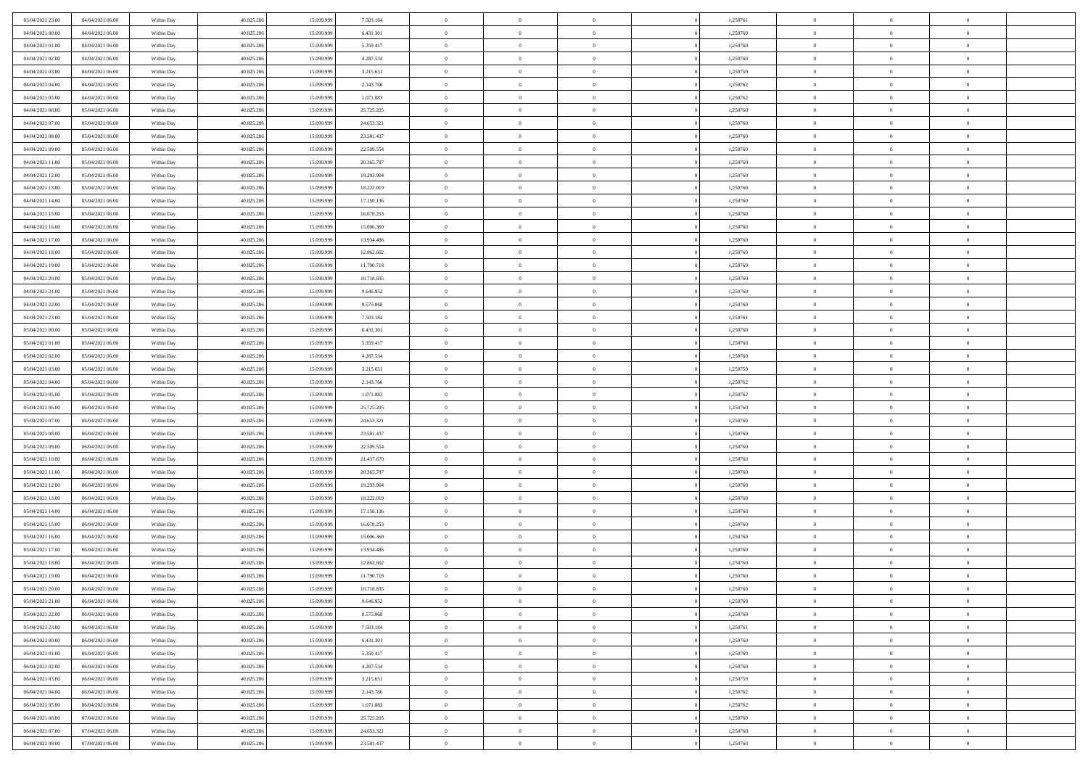| 03/04/2021 23:00                     | 04/04/2021 06:00                     | Within Day               | 40.825.206               | 15.099.999               | 7.503.184                | $\bf{0}$                   | $\overline{0}$                   | $\Omega$                         | 1,250761             | $\bf{0}$                 | $\overline{0}$             | $\bf{0}$                  |  |
|--------------------------------------|--------------------------------------|--------------------------|--------------------------|--------------------------|--------------------------|----------------------------|----------------------------------|----------------------------------|----------------------|--------------------------|----------------------------|---------------------------|--|
| 04/04/2021 00:00                     | 04/04/2021 06:00                     | Within Dav               | 40.825.206               | 15.099.999               | 6.431.301                | $\overline{0}$             | $\overline{0}$                   | $\overline{0}$                   | 1,250760             | $\mathbf{0}$             | $\bf{0}$                   | $\overline{0}$            |  |
| 04/04/2021 01:00                     | 04/04/2021 06:00                     | Within Day               | 40.825.206               | 15.099.999               | 5.359.417                | $\theta$                   | $\overline{0}$                   | $\overline{0}$                   | 1,250760             | $\,$ 0                   | $\overline{0}$             | $\,$ 0 $\,$               |  |
| 04/04/2021 02:00                     | 04/04/2021 06:00                     | Within Day               | 40.825.206               | 15.099.999               | 4.287.534                | $\mathbf{0}$               | $\overline{0}$                   | $\mathbf{0}$                     | 1,250760             | $\bf{0}$                 | $\mathbf{0}$               | $\theta$                  |  |
| 04/04/2021 03:00                     | 04/04/2021 06:00                     | Within Dav               | 40.825.206               | 15.099.999               | 3.215.651                | $\overline{0}$             | $\overline{0}$                   | $\overline{0}$                   | 1,250759             | $\mathbf{0}$             | $\bf{0}$                   | $\overline{0}$            |  |
| 04/04/2021 04:00                     | 04/04/2021 06:00                     | Within Day               | 40.825.206               | 15.099.999               | 2.143.766                | $\theta$                   | $\overline{0}$                   | $\bf{0}$                         | 1,250762             | $\,$ 0                   | $\overline{0}$             | $\,$ 0 $\,$               |  |
| 04/04/2021 05:00                     | 04/04/2021 06:00                     | Within Day               | 40.825.206               | 15.099.999               | 1.071.883                | $\,$ 0 $\,$                | $\overline{0}$                   | $\Omega$                         | 1,250762             | $\bf{0}$                 | $\mathbf{0}$               | $\theta$                  |  |
| 04/04/2021 06:00                     | 05/04/2021 06:00                     | Within Dav               | 40.825.206               | 15.099.999               | 25.725.205               | $\overline{0}$             | $\overline{0}$                   | $\overline{0}$                   | 1,250760             | $\mathbf{0}$             | $\bf{0}$                   | $\overline{0}$            |  |
| 04/04/2021 07:00                     | 05/04/2021 06:00                     | Within Day               | 40.825.206               | 15.099.999               | 24.653.321               | $\theta$                   | $\overline{0}$                   | $\bf{0}$                         | 1,250760             | $\,$ 0                   | $\overline{0}$             | $\,$ 0 $\,$               |  |
| 04/04/2021 08:00                     | 05/04/2021 06:00                     | Within Day               | 40.825.206               | 15.099.999               | 23.581.437               | $\mathbf{0}$               | $\overline{0}$                   | $\mathbf{0}$                     | 1,250760             | $\bf{0}$                 | $\mathbf{0}$               | $\theta$                  |  |
| 04/04/2021 09:00                     | 05/04/2021 06:00                     | Within Dav               | 40.825.206               | 15.099.999               | 22.509.554               | $\overline{0}$             | $\overline{0}$                   | $\overline{0}$                   | 1,250760             | $\mathbf{0}$             | $\bf{0}$                   | $\overline{0}$            |  |
| 04/04/2021 11:00                     | 05/04/2021 06:00                     | Within Day               | 40.825.206               | 15.099.999               | 20.365.787               | $\theta$                   | $\overline{0}$                   | $\bf{0}$                         | 1,250760             | $\,$ 0                   | $\overline{0}$             | $\,$ 0 $\,$               |  |
| 04/04/2021 12:00                     | 05/04/2021 06:00                     | Within Day               | 40.825.206               | 15.099.999               | 19.293.904               | $\theta$                   | $\overline{0}$                   | $\mathbf{0}$                     | 1,250760             | $\bf{0}$                 | $\theta$                   | $\theta$                  |  |
| 04/04/2021 13:00                     | 05/04/2021 06:00                     | Within Dav               | 40.825.206               | 15.099.999               | 18.222.019               | $\overline{0}$             | $\overline{0}$                   | $\overline{0}$                   | 1,250760             | $\mathbf{0}$             | $\bf{0}$                   | $\overline{0}$            |  |
| 04/04/2021 14:00                     | 05/04/2021 06:00                     | Within Day               | 40.825.206               | 15.099.999               | 17.150.136               | $\theta$                   | $\overline{0}$                   | $\overline{0}$                   | 1,250760             | $\,$ 0                   | $\overline{0}$             | $\,$ 0 $\,$               |  |
| 04/04/2021 15:00                     | 05/04/2021 06:00                     | Within Day               | 40.825.206               | 15.099.999               | 16.078.253               | $\bf{0}$                   | $\overline{0}$                   | $\mathbf{0}$                     | 1,250760             | $\bf{0}$                 | $\mathbf{0}$               | $\bf{0}$                  |  |
| 04/04/2021 16:00                     | 05/04/2021 06:00                     | Within Dav               | 40.825.206               | 15.099.999               | 15.006.369               | $\theta$                   | $\overline{0}$                   | $\overline{0}$                   | 1,250760             | $\mathbf{0}$             | $\bf{0}$                   | $\overline{0}$            |  |
| 04/04/2021 17:00                     | 05/04/2021 06:00                     | Within Day               | 40.825.206               | 15.099.999               | 13.934.486               | $\theta$                   | $\overline{0}$                   | $\bf{0}$                         | 1,250760             | $\,$ 0                   | $\overline{0}$             | $\,$ 0 $\,$               |  |
| 04/04/2021 18:00                     | 05/04/2021 06:00                     | Within Day               | 40.825.206               | 15.099.999               | 12.862.602               | $\mathbf{0}$               | $\overline{0}$                   | $\mathbf{0}$                     | 1,250760             | $\bf{0}$                 | $\mathbf{0}$               | $\theta$                  |  |
| 04/04/2021 19:00                     | 05/04/2021 06:00                     | Within Dav               | 40.825.206               | 15.099.999               | 11.790.718               | $\overline{0}$             | $\overline{0}$                   | $\overline{0}$                   | 1,250760             | $\mathbf{0}$             | $\bf{0}$                   | $\overline{0}$            |  |
| 04/04/2021 20:00                     | 05/04/2021 06:00                     | Within Day               | 40.825.206               | 15.099.999               | 10.718.835               | $\theta$                   | $\overline{0}$                   | $\bf{0}$                         | 1,250760             | $\,$ 0                   | $\overline{0}$             | $\,$ 0 $\,$               |  |
| 04/04/2021 21:00                     | 05/04/2021 06:00                     | Within Day               | 40.825.206               | 15.099.999               | 9.646.952                | $\mathbf{0}$               | $\overline{0}$                   | $\mathbf{0}$                     | 1,250760             | $\bf{0}$                 | $\mathbf{0}$               | $\theta$                  |  |
| 04/04/2021 22:00                     | 05/04/2021 06:00                     | Within Dav               | 40.825.206               | 15.099.999               | 8.575.068                | $\overline{0}$             | $\overline{0}$                   | $\overline{0}$                   | 1,250760             | $\mathbf{0}$             | $\bf{0}$                   | $\overline{0}$            |  |
| 04/04/2021 23:00                     | 05/04/2021 06:00                     | Within Day               | 40.825.206               | 15.099.999               | 7.503.184                | $\theta$                   | $\overline{0}$                   | $\bf{0}$                         | 1,250761             | $\,$ 0                   | $\overline{0}$             | $\,$ 0 $\,$               |  |
| 05/04/2021 00:00                     | 05/04/2021 06:00                     | Within Day               | 40.825.206               | 15.099.999               | 6.431.301                | $\,$ 0 $\,$                | $\overline{0}$                   | $\mathbf{0}$                     | 1,250760             | $\bf{0}$                 | $\overline{0}$             | $\bf{0}$                  |  |
| 05/04/2021 01:00                     | 05/04/2021 06:00                     | Within Dav               | 40.825.206               | 15.099.999               | 5.359.417                | $\overline{0}$             | $\overline{0}$                   | $\overline{0}$                   | 1,250760             | $\mathbf{0}$             | $\bf{0}$                   | $\overline{0}$            |  |
| 05/04/2021 02:00                     | 05/04/2021 06:00                     | Within Day               | 40.825.206               | 15.099.999               | 4.287.534                | $\theta$                   | $\overline{0}$                   | $\overline{0}$                   | 1,250760             | $\,$ 0                   | $\overline{0}$             | $\,$ 0 $\,$               |  |
| 05/04/2021 03:00                     | 05/04/2021 06:00                     | Within Day               | 40.825.206               | 15.099.999               | 3.215.651                | $\mathbf{0}$               | $\overline{0}$                   | $\mathbf{0}$                     | 1.250759             | $\bf{0}$                 | $\mathbf{0}$               | $\theta$                  |  |
| 05/04/2021 04:00                     | 05/04/2021 06:00                     | Within Dav               | 40.825.206               | 15.099.999               | 2.143.766                | $\mathbf{0}$               | $\overline{0}$                   | $\overline{0}$                   | 1,250762             | $\mathbf{0}$             | $\bf{0}$                   | $\overline{0}$            |  |
| 05/04/2021 05:00                     | 05/04/2021 06:00                     | Within Day               | 40.825.206               | 15.099.999               | 1.071.883                | $\theta$                   | $\overline{0}$                   | $\bf{0}$                         | 1,250762             | $\,$ 0                   | $\overline{0}$             | $\,$ 0 $\,$               |  |
| 05/04/2021 06:00                     | 06/04/2021 06:00                     | Within Day               | 40.825.206               | 15.099.999               | 25.725.205               | $\bf{0}$                   | $\overline{0}$                   | $\overline{0}$                   | 1,250760             | $\bf{0}$                 | $\overline{0}$             | $\,0\,$                   |  |
| 05/04/2021 07:00                     | 06/04/2021 06:00                     | Within Dav               | 40.825.206               | 15.099.999               | 24.653.321               | $\overline{0}$             | $\overline{0}$                   | $\overline{0}$                   | 1,250760             | $\mathbf{0}$             | $\bf{0}$                   | $\overline{0}$            |  |
| 05/04/2021 08:00                     | 06/04/2021 06:00                     | Within Day               | 40.825.206               | 15.099.999               | 23.581.437               | $\theta$                   | $\overline{0}$                   | $\overline{0}$                   | 1,250760             | $\,$ 0                   | $\overline{0}$             | $\,$ 0 $\,$               |  |
| 05/04/2021 09:00                     | 06/04/2021 06:00                     | Within Day               | 40.825.206               | 15.099.999               | 22.509.554               | $\,$ 0 $\,$                | $\overline{0}$                   | $\overline{0}$                   | 1,250760             | $\bf{0}$                 | $\overline{0}$             | $\,0\,$                   |  |
| 05/04/2021 10:00                     | 06/04/2021 06:00                     | Within Dav               | 40.825.206               | 15.099.999               | 21.437.670               | $\theta$                   | $\overline{0}$                   | $\overline{0}$                   | 1,250760             | $\mathbf{0}$             | $\bf{0}$                   | $\overline{0}$            |  |
| 05/04/2021 11:00                     | 06/04/2021 06:00                     | Within Day               | 40.825.206               | 15.099.999               | 20.365.787               | $\theta$                   | $\overline{0}$                   | $\bf{0}$                         | 1,250760             | $\,$ 0                   | $\overline{0}$             | $\,$ 0 $\,$               |  |
| 05/04/2021 12:00<br>05/04/2021 13:00 | 06/04/2021 06:00<br>06/04/2021 06:00 | Within Day<br>Within Dav | 40.825.206<br>40.825.206 | 15.099.999<br>15.099.999 | 19.293.904<br>18.222.019 | $\bf{0}$<br>$\overline{0}$ | $\overline{0}$<br>$\overline{0}$ | $\overline{0}$<br>$\overline{0}$ | 1,250760<br>1,250760 | $\bf{0}$<br>$\mathbf{0}$ | $\overline{0}$<br>$\bf{0}$ | $\,0\,$<br>$\overline{0}$ |  |
| 05/04/2021 14:00                     | 06/04/2021 06:00                     |                          | 40.825.206               | 15.099.999               | 17.150.136               | $\theta$                   | $\overline{0}$                   | $\bf{0}$                         | 1,250760             | $\,$ 0                   | $\overline{0}$             | $\,$ 0 $\,$               |  |
|                                      |                                      | Within Day               |                          |                          |                          | $\,$ 0 $\,$                |                                  | $\overline{0}$                   |                      | $\bf{0}$                 | $\overline{0}$             | $\,0\,$                   |  |
| 05/04/2021 15:00<br>05/04/2021 16:00 | 06/04/2021 06:00<br>06/04/2021 06:00 | Within Day<br>Within Dav | 40.825.206<br>40.825.206 | 15.099.999<br>15.099.999 | 16.078.253<br>15.006.369 | $\theta$                   | $\overline{0}$<br>$\overline{0}$ | $\overline{0}$                   | 1,250760<br>1,250760 | $\mathbf{0}$             | $\bf{0}$                   | $\overline{0}$            |  |
| 05/04/2021 17:00                     | 06/04/2021 06:00                     | Within Day               | 40.825.206               | 15.099.999               | 13.934.486               | $\theta$                   | $\overline{0}$                   | $\bf{0}$                         | 1,250760             | $\,$ 0                   | $\overline{0}$             | $\,$ 0 $\,$               |  |
| 05/04/2021 18:00                     | 06/04/2021 06:00                     | Within Day               | 40.825.206               | 15.099.999               | 12.862.602               | $\,$ 0 $\,$                | $\overline{0}$                   | $\overline{0}$                   | 1,250760             | $\bf{0}$                 | $\overline{0}$             | $\,0\,$                   |  |
| 05/04/2021 19:00                     | 06/04/2021 06:00                     | Within Dav               | 40.825.206               | 15.099.999               | 11.790.718               | $\theta$                   | $\overline{0}$                   | $\overline{0}$                   | 1,250760             | $\mathbf{0}$             | $\bf{0}$                   | $\overline{0}$            |  |
| 05/04/2021 20:00                     | 06/04/2021 06:00                     | Within Day               | 40.825.206               | 15.099.999               | 10.718.835               | $\overline{0}$             | $\overline{0}$                   | $\overline{0}$                   | 1,250760             | $\overline{0}$           | $\overline{0}$             | $\theta$                  |  |
| 05/04/2021 21:00                     | 06/04/2021 06:00                     | Within Day               | 40.825.206               | 15.099.999               | 9.646.952                | $\bf{0}$                   | $\overline{0}$                   | $\overline{0}$                   | 1,250760             | $\mathbf{0}$             | $\overline{0}$             | $\bf{0}$                  |  |
| 05/04/2021 22:00                     | 06/04/2021 06:00                     | Within Day               | 40.825.206               | 15.099.999               | 8.575.068                | $\overline{0}$             | $\overline{0}$                   | $\overline{0}$                   | 1,250760             | $\overline{0}$           | $\overline{0}$             | $\overline{0}$            |  |
| 05/04/2021 23:00                     | 06/04/2021 06:00                     | Within Day               | 40.825.206               | 15.099.999               | 7.503.184                | $\,$ 0 $\,$                | $\overline{0}$                   | $\overline{0}$                   | 1,250761             | $\,$ 0 $\,$              | $\,$ 0 $\,$                | $\,$ 0 $\,$               |  |
| 06/04/2021 00:00                     | 06/04/2021 06:00                     | Within Day               | 40.825.206               | 15.099.999               | 6.431.301                | $\bf{0}$                   | $\overline{0}$                   | $\overline{0}$                   | 1,250760             | $\mathbf{0}$             | $\overline{0}$             | $\bf{0}$                  |  |
| 06/04/2021 01:00                     | 06/04/2021 06:00                     | Within Day               | 40.825.206               | 15.099.999               | 5.359.417                | $\mathbf{0}$               | $\overline{0}$                   | $\overline{0}$                   | 1,250760             | $\,$ 0 $\,$              | $\bf{0}$                   | $\overline{0}$            |  |
| 06/04/2021 02:00                     | 06/04/2021 06:00                     | Within Day               | 40.825.206               | 15.099.999               | 4.287.534                | $\,$ 0                     | $\overline{0}$                   | $\overline{0}$                   | 1,250760             | $\,$ 0 $\,$              | $\overline{0}$             | $\,$ 0 $\,$               |  |
| 06/04/2021 03:00                     | 06/04/2021 06:00                     | Within Day               | 40.825.206               | 15.099.999               | 3.215.651                | $\bf{0}$                   | $\overline{0}$                   | $\overline{0}$                   | 1,250759             | $\overline{0}$           | $\overline{0}$             | $\overline{0}$            |  |
| 06/04/2021 04:00                     | 06/04/2021 06:00                     | Within Day               | 40.825.206               | 15.099.999               | 2.143.766                | $\mathbf{0}$               | $\overline{0}$                   | $\overline{0}$                   | 1,250762             | $\,$ 0 $\,$              | $\overline{0}$             | $\overline{0}$            |  |
| 06/04/2021 05:00                     | 06/04/2021 06:00                     | Within Day               | 40.825.206               | 15.099.999               | 1.071.883                | $\,$ 0                     | $\overline{0}$                   | $\overline{0}$                   | 1,250762             | $\,$ 0 $\,$              | $\,$ 0 $\,$                | $\,$ 0 $\,$               |  |
| 06/04/2021 06:00                     | 07/04/2021 06:00                     | Within Day               | 40.825.206               | 15.099.999               | 25.725.205               | $\bf{0}$                   | $\overline{0}$                   | $\overline{0}$                   | 1,250760             | $\mathbf{0}$             | $\overline{0}$             | $\bf{0}$                  |  |
| 06/04/2021 07:00                     | 07/04/2021 06:00                     | Within Day               | 40.825.206               | 15.099.999               | 24.653.321               | $\mathbf{0}$               | $\overline{0}$                   | $\overline{0}$                   | 1,250760             | $\overline{0}$           | $\bf{0}$                   | $\overline{0}$            |  |
| 06/04/2021 08:00                     | 07/04/2021 06:00                     | Within Day               | 40.825.206               | 15.099.999               | 23.581.437               | $\,$ 0 $\,$                | $\overline{0}$                   | $\overline{0}$                   | 1,250760             | $\,$ 0 $\,$              | $\overline{0}$             | $\,$ 0 $\,$               |  |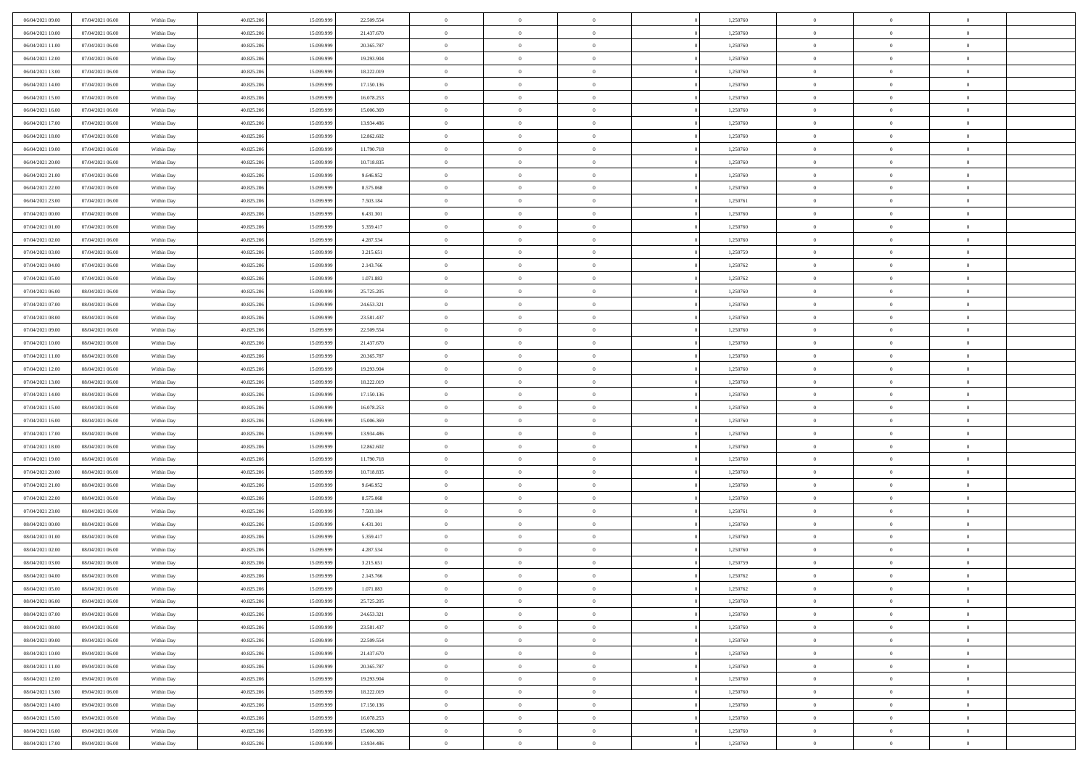| 06/04/2021 09:00                     | 07/04/2021 06:00                     | Within Day               | 40.825.206               | 15.099.999               | 22.509.554              | $\,$ 0         | $\overline{0}$                   | $\overline{0}$             |          | 1,250760             | $\bf{0}$       | $\overline{0}$                   | $\,0\,$        |  |
|--------------------------------------|--------------------------------------|--------------------------|--------------------------|--------------------------|-------------------------|----------------|----------------------------------|----------------------------|----------|----------------------|----------------|----------------------------------|----------------|--|
| 06/04/2021 10:00                     | 07/04/2021 06:00                     | Within Day               | 40.825.206               | 15.099.999               | 21.437.670              | $\overline{0}$ | $\overline{0}$                   | $\overline{0}$             |          | 1,250760             | $\overline{0}$ | $\overline{0}$                   | $\theta$       |  |
| 06/04/2021 11:00                     | 07/04/2021 06:00                     | Within Dav               | 40.825.206               | 15.099.999               | 20.365.787              | $\mathbf{0}$   | $\overline{0}$                   | $\overline{0}$             |          | 1,250760             | $\mathbf{0}$   | $\overline{0}$                   | $\overline{0}$ |  |
| 06/04/2021 12:00                     | 07/04/2021 06:00                     | Within Day               | 40.825.206               | 15.099.999               | 19.293.904              | $\bf{0}$       | $\overline{0}$                   | $\bf{0}$                   |          | 1,250760             | $\bf{0}$       | $\overline{0}$                   | $\,0\,$        |  |
| 06/04/2021 13:00                     | 07/04/2021 06:00                     | Within Day               | 40.825.206               | 15.099.999               | 18.222.019              | $\bf{0}$       | $\overline{0}$                   | $\overline{0}$             |          | 1,250760             | $\bf{0}$       | $\theta$                         | $\,0\,$        |  |
| 06/04/2021 14:00                     | 07/04/2021 06:00                     | Within Dav               | 40.825.206               | 15.099.999               | 17.150.136              | $\mathbf{0}$   | $\overline{0}$                   | $\overline{0}$             |          | 1,250760             | $\mathbf{0}$   | $\overline{0}$                   | $\overline{0}$ |  |
| 06/04/2021 15:00                     | 07/04/2021 06:00                     | Within Day               | 40.825.206               | 15.099.999               | 16.078.253              | $\bf{0}$       | $\overline{0}$                   | $\overline{0}$             |          | 1,250760             | $\bf{0}$       | $\overline{0}$                   | $\,0\,$        |  |
| 06/04/2021 16:00                     | 07/04/2021 06:00                     | Within Day               | 40.825.206               | 15.099.999               | 15.006.369              | $\theta$       | $\overline{0}$                   | $\overline{0}$             |          | 1,250760             | $\,$ 0 $\,$    | $\overline{0}$                   | $\theta$       |  |
| 06/04/2021 17:00                     | 07/04/2021 06:00                     | Within Day               | 40.825.206               | 15.099.999               | 13.934.486              | $\mathbf{0}$   | $\overline{0}$                   | $\overline{0}$             |          | 1,250760             | $\mathbf{0}$   | $\bf{0}$                         | $\overline{0}$ |  |
| 06/04/2021 18:00                     | 07/04/2021 06:00                     | Within Day               | 40.825.206               | 15.099.999               | 12.862.602              | $\bf{0}$       | $\overline{0}$                   | $\overline{0}$             |          | 1,250760             | $\bf{0}$       | $\overline{0}$                   | $\,0\,$        |  |
| 06/04/2021 19:00                     | 07/04/2021 06:00                     | Within Day               | 40.825.206               | 15.099.999               | 11.790.718              | $\overline{0}$ | $\overline{0}$                   | $\overline{0}$             |          | 1,250760             | $\bf{0}$       | $\mathbf{0}$                     | $\theta$       |  |
| 06/04/2021 20:00                     | 07/04/2021 06:00                     | Within Dav               | 40.825.206               | 15.099.999               | 10.718.835              | $\mathbf{0}$   | $\overline{0}$                   | $\overline{0}$             |          | 1,250760             | $\mathbf{0}$   | $\overline{0}$                   | $\overline{0}$ |  |
| 06/04/2021 21:00                     | 07/04/2021 06:00                     | Within Day               | 40.825.206               | 15.099.999               | 9.646.952               | $\bf{0}$       | $\overline{0}$                   | $\bf{0}$                   |          | 1,250760             | $\bf{0}$       | $\overline{0}$                   | $\bf{0}$       |  |
| 06/04/2021 22:00                     | 07/04/2021 06:00                     | Within Day               | 40.825.206               | 15.099.999               | 8.575.068               | $\bf{0}$       | $\overline{0}$                   | $\overline{0}$             |          | 1,250760             | $\bf{0}$       | $\theta$                         | $\,0\,$        |  |
| 06/04/2021 23:00                     | 07/04/2021 06:00                     | Within Dav               | 40.825.206               | 15.099.999               | 7.503.184               | $\mathbf{0}$   | $\overline{0}$                   | $\overline{0}$             |          | 1,250761             | $\mathbf{0}$   | $\overline{0}$                   | $\overline{0}$ |  |
| 07/04/2021 00:00                     | 07/04/2021 06:00                     | Within Day               | 40.825.206               | 15.099.999               | 6.431.301               | $\bf{0}$       | $\bf{0}$                         | $\overline{0}$             |          | 1,250760             | $\bf{0}$       | $\overline{0}$                   | $\,0\,$        |  |
| 07/04/2021 01:00                     | 07/04/2021 06:00                     |                          | 40.825.206               | 15.099.999               | 5.359.417               | $\overline{0}$ | $\overline{0}$                   | $\overline{0}$             |          | 1,250760             | $\bf{0}$       | $\overline{0}$                   | $\theta$       |  |
| 07/04/2021 02:00                     | 07/04/2021 06:00                     | Within Day<br>Within Day | 40.825.206               | 15.099.999               | 4.287.534               | $\mathbf{0}$   | $\overline{0}$                   | $\overline{0}$             |          | 1,250760             | $\mathbf{0}$   | $\overline{0}$                   | $\overline{0}$ |  |
| 07/04/2021 03:00                     | 07/04/2021 06:00                     | Within Day               | 40.825.206               | 15.099.999               | 3.215.651               | $\bf{0}$       | $\bf{0}$                         | $\overline{0}$             |          | 1,250759             | $\bf{0}$       | $\overline{0}$                   | $\,0\,$        |  |
| 07/04/2021 04:00                     | 07/04/2021 06:00                     |                          | 40.825.206               | 15.099.999               |                         | $\overline{0}$ | $\overline{0}$                   | $\overline{0}$             |          |                      | $\bf{0}$       | $\overline{0}$                   | $\overline{0}$ |  |
|                                      |                                      | Within Day               |                          |                          | 2.143.766               | $\mathbf{0}$   |                                  |                            |          | 1,250762             | $\mathbf{0}$   |                                  | $\overline{0}$ |  |
| 07/04/2021 05:00<br>07/04/2021 06:00 | 07/04/2021 06:00<br>08/04/2021 06:00 | Within Dav<br>Within Day | 40.825.206<br>40.825.206 | 15.099.999<br>15.099.999 | 1.071.883<br>25.725.205 | $\bf{0}$       | $\overline{0}$<br>$\overline{0}$ | $\overline{0}$<br>$\bf{0}$ |          | 1,250762<br>1,250760 | $\bf{0}$       | $\overline{0}$<br>$\overline{0}$ | $\bf{0}$       |  |
|                                      |                                      |                          |                          |                          |                         |                |                                  |                            |          |                      |                |                                  |                |  |
| 07/04/2021 07:00<br>07/04/2021 08:00 | 08/04/2021 06:00                     | Within Day               | 40.825.206               | 15.099.999               | 24.653.321              | $\bf{0}$       | $\bf{0}$                         | $\overline{0}$             |          | 1,250760             | $\bf{0}$       | $\overline{0}$                   | $\,0\,$        |  |
|                                      | 08/04/2021 06:00                     | Within Dav               | 40.825.206               | 15.099.999               | 23.581.437              | $\mathbf{0}$   | $\overline{0}$                   | $\overline{0}$             |          | 1,250760             | $\mathbf{0}$   | $\overline{0}$                   | $\overline{0}$ |  |
| 07/04/2021 09:00                     | 08/04/2021 06:00                     | Within Day               | 40.825.206               | 15.099.999               | 22.509.554              | $\bf{0}$       | $\bf{0}$                         | $\overline{0}$             |          | 1,250760             | $\bf{0}$       | $\overline{0}$                   | $\,0\,$        |  |
| 07/04/2021 10:00                     | 08/04/2021 06:00                     | Within Day               | 40.825.206               | 15.099.999               | 21.437.670              | $\overline{0}$ | $\overline{0}$                   | $\overline{0}$             |          | 1,250760             | $\bf{0}$       | $\overline{0}$                   | $\theta$       |  |
| 07/04/2021 11:00                     | 08/04/2021 06:00                     | Within Day               | 40.825.206               | 15.099.999               | 20.365.787              | $\mathbf{0}$   | $\overline{0}$                   | $\overline{0}$             |          | 1,250760             | $\mathbf{0}$   | $\overline{0}$                   | $\overline{0}$ |  |
| 07/04/2021 12:00                     | 08/04/2021 06:00                     | Within Day               | 40.825.206               | 15.099.999               | 19.293.904              | $\bf{0}$       | $\bf{0}$                         | $\overline{0}$             |          | 1,250760             | $\bf{0}$       | $\overline{0}$                   | $\,0\,$        |  |
| 07/04/2021 13:00                     | 08/04/2021 06:00                     | Within Day               | 40.825.206               | 15,099,999               | 18.222.019              | $\bf{0}$       | $\overline{0}$                   | $\overline{0}$             |          | 1,250760             | $\bf{0}$       | $\mathbf{0}$                     | $\bf{0}$       |  |
| 07/04/2021 14:00                     | 08/04/2021 06:00                     | Within Dav               | 40.825.206               | 15.099.999               | 17.150.136              | $\mathbf{0}$   | $\overline{0}$                   | $\overline{0}$             |          | 1,250760             | $\mathbf{0}$   | $\overline{0}$                   | $\overline{0}$ |  |
| 07/04/2021 15:00                     | 08/04/2021 06:00                     | Within Day               | 40.825.206               | 15.099.999               | 16.078.253              | $\bf{0}$       | $\overline{0}$                   | $\theta$                   |          | 1,250760             | $\,$ 0         | $\overline{0}$                   | $\theta$       |  |
| 07/04/2021 16:00                     | 08/04/2021 06:00                     | Within Day               | 40.825.206               | 15.099.999               | 15.006.369              | $\bf{0}$       | $\overline{0}$                   | $\overline{0}$             |          | 1,250760             | $\bf{0}$       | $\mathbf{0}$                     | $\bf{0}$       |  |
| 07/04/2021 17:00                     | 08/04/2021 06:00                     | Within Dav               | 40.825.206               | 15.099.999               | 13.934.486              | $\mathbf{0}$   | $\overline{0}$                   | $\overline{0}$             |          | 1,250760             | $\mathbf{0}$   | $\overline{0}$                   | $\overline{0}$ |  |
| 07/04/2021 18:00                     | 08/04/2021 06:00                     | Within Day               | 40.825.206               | 15.099.999               | 12.862.602              | $\bf{0}$       | $\overline{0}$                   | $\theta$                   |          | 1,250760             | $\,$ 0         | $\overline{0}$                   | $\theta$       |  |
| 07/04/2021 19:00                     | 08/04/2021 06:00                     | Within Day               | 40.825.206               | 15.099.999               | 11.790.718              | $\overline{0}$ | $\overline{0}$                   | $\overline{0}$             |          | 1,250760             | $\bf{0}$       | $\overline{0}$                   | $\overline{0}$ |  |
| 07/04/2021 20:00                     | 08/04/2021 06:00                     | Within Day               | 40.825.206               | 15.099.999               | 10.718.835              | $\mathbf{0}$   | $\overline{0}$                   | $\overline{0}$             |          | 1,250760             | $\mathbf{0}$   | $\overline{0}$                   | $\overline{0}$ |  |
| 07/04/2021 21:00                     | 08/04/2021 06:00                     | Within Day               | 40.825.206               | 15.099.999               | 9.646.952               | $\bf{0}$       | $\overline{0}$                   | $\theta$                   |          | 1,250760             | $\,$ 0         | $\overline{0}$                   | $\theta$       |  |
| 07/04/2021 22.00                     | 08/04/2021 06:00                     | Within Day               | 40.825.206               | 15.099.999               | 8.575.068               | $\bf{0}$       | $\overline{0}$                   | $\overline{0}$             |          | 1,250760             | $\bf{0}$       | $\mathbf{0}$                     | $\overline{0}$ |  |
| 07/04/2021 23:00                     | 08/04/2021 06:00                     | Within Dav               | 40.825.206               | 15.099.999               | 7.503.184               | $\mathbf{0}$   | $\overline{0}$                   | $\overline{0}$             |          | 1,250761             | $\mathbf{0}$   | $\overline{0}$                   | $\overline{0}$ |  |
| 08/04/2021 00:00                     | 08/04/2021 06:00                     | Within Day               | 40.825.206               | 15.099.999               | 6.431.301               | $\bf{0}$       | $\overline{0}$                   | $\theta$                   |          | 1,250760             | $\,$ 0         | $\overline{0}$                   | $\theta$       |  |
| 08/04/2021 01:00                     | 08/04/2021 06:00                     | Within Day               | 40.825.206               | 15.099.999               | 5.359.417               | $\bf{0}$       | $\overline{0}$                   | $\overline{0}$             |          | 1,250760             | $\,$ 0 $\,$    | $\overline{0}$                   | $\overline{0}$ |  |
| 08/04/2021 02:00                     | 08/04/2021 06:00                     | Within Dav               | 40.825.206               | 15.099.999               | 4.287.534               | $\mathbf{0}$   | $\overline{0}$                   | $\overline{0}$             |          | 1,250760             | $\mathbf{0}$   | $\overline{0}$                   | $\overline{0}$ |  |
| 08/04/2021 03:00                     | 08/04/2021 06:00                     | Within Day               | 40.825.206               | 15.099.999               | 3.215.651               | $\bf{0}$       | $\overline{0}$                   | $\theta$                   |          | 1,250759             | $\,$ 0         | $\overline{0}$                   | $\theta$       |  |
| 08/04/2021 04:00                     | 08/04/2021 06:00                     | Within Day               | 40.825.206               | 15.099.999               | 2.143.766               | $\bf{0}$       | $\overline{0}$                   | $\overline{0}$             |          | 1,250762             | $\,$ 0 $\,$    | $\overline{0}$                   | $\overline{0}$ |  |
| 08/04/2021 05:00                     | 08/04/2021 06:00                     | Within Day               | 40.825.206               | 15.099.999               | 1.071.883               | $\bf{0}$       | $\overline{0}$                   |                            |          | 1,250762             | $\overline{0}$ | $\theta$                         | $\theta$       |  |
| 08/04/2021 06:00                     | 09/04/2021 06:00                     | Within Day               | 40.825.206               | 15.099.999               | 25.725.205              | $\,0\,$        | $\overline{0}$                   | $\theta$                   |          | 1,250760             | $\,$ 0 $\,$    | $\overline{0}$                   | $\theta$       |  |
| 08/04/2021 07:00                     | 09/04/2021 06:00                     | Within Day               | 40.825.206               | 15.099.999               | 24.653.321              | $\overline{0}$ | $\overline{0}$                   | $\overline{0}$             |          | 1,250760             | $\overline{0}$ | $\overline{0}$                   | $\overline{0}$ |  |
| 08/04/2021 08:00                     | 09/04/2021 06:00                     | Within Day               | 40.825.206               | 15.099.999               | 23.581.437              | $\bf{0}$       | $\overline{0}$                   | $\overline{0}$             |          | 1,250760             | $\overline{0}$ | $\bf{0}$                         | $\mathbf{0}$   |  |
| 08/04/2021 09:00                     | 09/04/2021 06:00                     | Within Day               | 40.825.206               | 15.099.999               | 22.509.554              | $\bf{0}$       | $\overline{0}$                   | $\overline{0}$             | $\theta$ | 1,250760             | $\,$ 0 $\,$    | $\bf{0}$                         | $\,$ 0 $\,$    |  |
| 08/04/2021 10:00                     | 09/04/2021 06:00                     | Within Day               | 40.825.206               | 15.099.999               | 21.437.670              | $\bf{0}$       | $\overline{0}$                   | $\overline{0}$             |          | 1,250760             | $\,$ 0 $\,$    | $\overline{0}$                   | $\overline{0}$ |  |
| 08/04/2021 11:00                     | 09/04/2021 06:00                     | Within Day               | 40.825.206               | 15.099.999               | 20.365.787              | $\bf{0}$       | $\overline{0}$                   | $\overline{0}$             |          | 1,250760             | $\mathbf{0}$   | $\overline{0}$                   | $\overline{0}$ |  |
| 08/04/2021 12:00                     | 09/04/2021 06:00                     | Within Day               | 40.825.206               | 15.099.999               | 19.293.904              | $\,0\,$        | $\overline{0}$                   | $\mathbf{0}$               | $\theta$ | 1,250760             | $\,$ 0 $\,$    | $\overline{0}$                   | $\overline{0}$ |  |
| 08/04/2021 13:00                     | 09/04/2021 06:00                     | Within Day               | 40.825.206               | 15.099.999               | 18.222.019              | $\bf{0}$       | $\overline{0}$                   | $\overline{0}$             |          | 1,250760             | $\overline{0}$ | $\overline{0}$                   | $\overline{0}$ |  |
| 08/04/2021 14:00                     | 09/04/2021 06:00                     | Within Day               | 40.825.206               | 15.099.999               | 17.150.136              | $\bf{0}$       | $\overline{0}$                   | $\overline{0}$             |          | 1,250760             | $\mathbf{0}$   | $\overline{0}$                   | $\mathbf{0}$   |  |
| 08/04/2021 15:00                     | 09/04/2021 06:00                     | Within Day               | 40.825.206               | 15.099.999               | 16.078.253              | $\,0\,$        | $\overline{0}$                   | $\overline{0}$             |          | 1,250760             | $\,$ 0 $\,$    | $\mathbf{0}$                     | $\theta$       |  |
| 08/04/2021 16:00                     | 09/04/2021 06:00                     | Within Day               | 40.825.206               | 15.099.999               | 15.006.369              | $\bf{0}$       | $\bf{0}$                         | $\overline{0}$             |          | 1,250760             | $\bf{0}$       | $\mathbf{0}$                     | $\overline{0}$ |  |
| 08/04/2021 17:00                     | 09/04/2021 06:00                     | Within Day               | 40.825.206               | 15.099.999               | 13.934.486              | $\mathbf{0}$   | $\overline{0}$                   | $\overline{0}$             |          | 1,250760             | $\mathbf{0}$   | $\overline{0}$                   | $\overline{0}$ |  |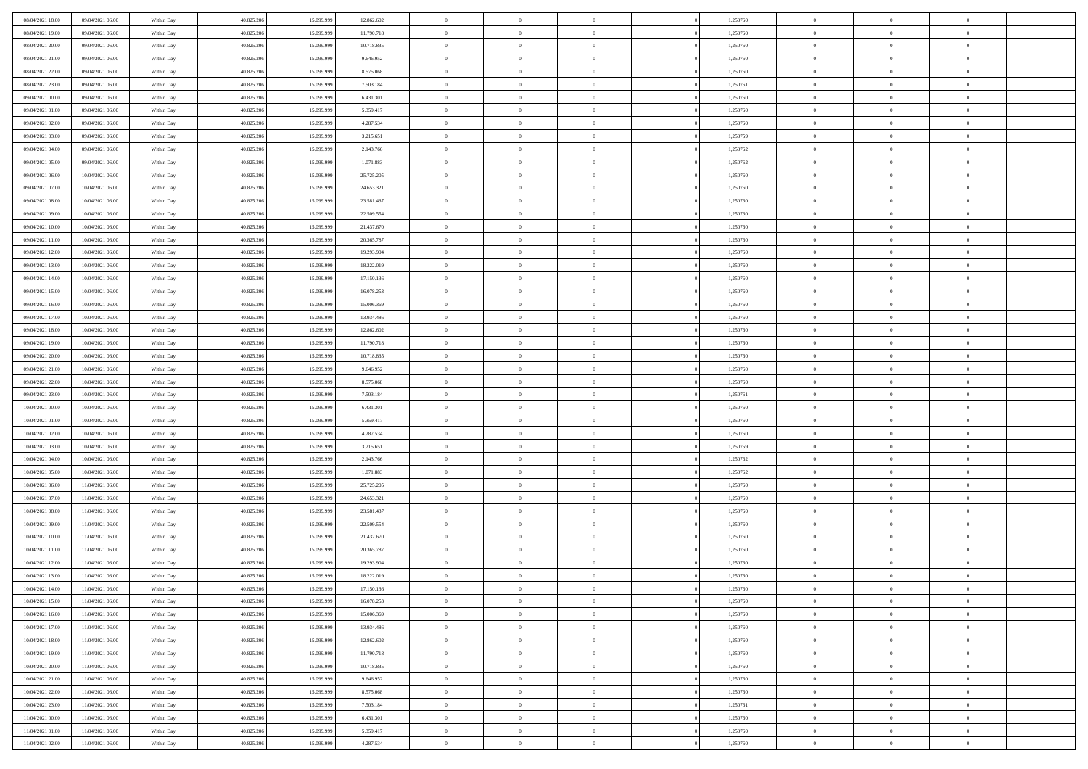| 08/04/2021 18:00 | 09/04/2021 06:00 | Within Day               | 40.825.206 | 15.099.999 | 12.862.602             | $\,$ 0         | $\bf{0}$       | $\theta$       |          | 1,250760 | $\bf{0}$       | $\overline{0}$ | $\,0\,$        |  |
|------------------|------------------|--------------------------|------------|------------|------------------------|----------------|----------------|----------------|----------|----------|----------------|----------------|----------------|--|
| 08/04/2021 19:00 | 09/04/2021 06:00 | Within Day               | 40.825.206 | 15.099.99  | 11.790.718             | $\overline{0}$ | $\overline{0}$ | $\overline{0}$ |          | 1,250760 | $\overline{0}$ | $\overline{0}$ | $\theta$       |  |
| 08/04/2021 20:00 | 09/04/2021 06:00 | Within Dav               | 40.825.206 | 15.099.999 | 10.718.835             | $\mathbf{0}$   | $\overline{0}$ | $\overline{0}$ |          | 1,250760 | $\mathbf{0}$   | $\overline{0}$ | $\overline{0}$ |  |
| 08/04/2021 21:00 | 09/04/2021 06:00 | Within Day               | 40.825.206 | 15.099.999 | 9.646.952              | $\bf{0}$       | $\overline{0}$ | $\bf{0}$       |          | 1,250760 | $\bf{0}$       | $\overline{0}$ | $\,0\,$        |  |
| 08/04/2021 22:00 | 09/04/2021 06:00 | Within Day               | 40.825.206 | 15.099.999 | 8.575.068              | $\bf{0}$       | $\bf{0}$       | $\overline{0}$ |          | 1,250760 | $\bf{0}$       | $\theta$       | $\,0\,$        |  |
| 08/04/2021 23:00 | 09/04/2021 06:00 | Within Dav               | 40.825.206 | 15.099.999 | 7.503.184              | $\mathbf{0}$   | $\overline{0}$ | $\overline{0}$ |          | 1,250761 | $\mathbf{0}$   | $\overline{0}$ | $\overline{0}$ |  |
| 09/04/2021 00:00 | 09/04/2021 06:00 | Within Day               | 40.825.206 | 15.099.999 | 6.431.301              | $\bf{0}$       | $\bf{0}$       | $\overline{0}$ |          | 1,250760 | $\bf{0}$       | $\overline{0}$ | $\,0\,$        |  |
| 09/04/2021 01:00 | 09/04/2021 06:00 | Within Day               | 40.825.206 | 15.099.999 | 5.359.417              | $\theta$       | $\overline{0}$ | $\overline{0}$ |          | 1,250760 | $\,$ 0 $\,$    | $\overline{0}$ | $\theta$       |  |
| 09/04/2021 02:00 | 09/04/2021 06:00 | Within Day               | 40.825.206 | 15.099.999 | 4.287.534              | $\mathbf{0}$   | $\overline{0}$ | $\overline{0}$ |          | 1,250760 | $\mathbf{0}$   | $\bf{0}$       | $\overline{0}$ |  |
| 09/04/2021 03:00 | 09/04/2021 06:00 | Within Day               | 40.825.206 | 15.099.999 | 3.215.651              | $\bf{0}$       | $\bf{0}$       | $\theta$       |          | 1,250759 | $\bf{0}$       | $\overline{0}$ | $\,0\,$        |  |
| 09/04/2021 04:00 | 09/04/2021 06:00 |                          | 40.825.206 | 15.099.999 |                        | $\overline{0}$ | $\overline{0}$ | $\overline{0}$ |          | 1,250762 | $\bf{0}$       | $\mathbf{0}$   | $\theta$       |  |
| 09/04/2021 05:00 | 09/04/2021 06:00 | Within Day<br>Within Dav | 40.825.206 | 15.099.999 | 2.143.766<br>1.071.883 | $\mathbf{0}$   | $\overline{0}$ | $\overline{0}$ |          | 1,250762 | $\mathbf{0}$   | $\overline{0}$ | $\overline{0}$ |  |
| 09/04/2021 06:00 | 10/04/2021 06:00 |                          | 40.825.206 | 15.099.999 | 25.725.205             | $\bf{0}$       | $\overline{0}$ | $\bf{0}$       |          | 1,250760 | $\bf{0}$       | $\overline{0}$ | $\bf{0}$       |  |
|                  |                  | Within Day               |            |            |                        | $\bf{0}$       | $\overline{0}$ |                |          |          | $\bf{0}$       | $\theta$       | $\,0\,$        |  |
| 09/04/2021 07:00 | 10/04/2021 06:00 | Within Day               | 40.825.206 | 15.099.999 | 24.653.321             | $\mathbf{0}$   |                | $\overline{0}$ |          | 1,250760 | $\mathbf{0}$   |                | $\overline{0}$ |  |
| 09/04/2021 08:00 | 10/04/2021 06:00 | Within Dav               | 40.825.206 | 15.099.999 | 23.581.437             |                | $\overline{0}$ | $\overline{0}$ |          | 1,250760 |                | $\overline{0}$ |                |  |
| 09/04/2021 09:00 | 10/04/2021 06:00 | Within Day               | 40.825.206 | 15.099.999 | 22.509.554             | $\bf{0}$       | $\bf{0}$       | $\overline{0}$ |          | 1,250760 | $\bf{0}$       | $\overline{0}$ | $\,0\,$        |  |
| 09/04/2021 10:00 | 10/04/2021 06:00 | Within Day               | 40.825.206 | 15.099.999 | 21.437.670             | $\overline{0}$ | $\overline{0}$ | $\overline{0}$ |          | 1,250760 | $\,$ 0 $\,$    | $\overline{0}$ | $\theta$       |  |
| 09/04/2021 11:00 | 10/04/2021 06:00 | Within Day               | 40.825.206 | 15.099.999 | 20.365.787             | $\mathbf{0}$   | $\overline{0}$ | $\overline{0}$ |          | 1,250760 | $\mathbf{0}$   | $\overline{0}$ | $\overline{0}$ |  |
| 09/04/2021 12:00 | 10/04/2021 06:00 | Within Day               | 40.825.206 | 15.099.999 | 19.293.904             | $\,$ 0         | $\bf{0}$       | $\overline{0}$ |          | 1,250760 | $\bf{0}$       | $\overline{0}$ | $\,0\,$        |  |
| 09/04/2021 13:00 | 10/04/2021 06:00 | Within Day               | 40.825.206 | 15.099.999 | 18.222.019             | $\overline{0}$ | $\overline{0}$ | $\overline{0}$ |          | 1,250760 | $\bf{0}$       | $\mathbf{0}$   | $\overline{0}$ |  |
| 09/04/2021 14:00 | 10/04/2021 06:00 | Within Dav               | 40.825.206 | 15.099.999 | 17.150.136             | $\mathbf{0}$   | $\overline{0}$ | $\overline{0}$ |          | 1,250760 | $\mathbf{0}$   | $\overline{0}$ | $\overline{0}$ |  |
| 09/04/2021 15:00 | 10/04/2021 06:00 | Within Day               | 40.825.206 | 15.099.999 | 16.078.253             | $\bf{0}$       | $\overline{0}$ | $\bf{0}$       |          | 1,250760 | $\bf{0}$       | $\overline{0}$ | $\bf{0}$       |  |
| 09/04/2021 16:00 | 10/04/2021 06:00 | Within Day               | 40.825.206 | 15.099.999 | 15.006.369             | $\bf{0}$       | $\overline{0}$ | $\overline{0}$ |          | 1,250760 | $\bf{0}$       | $\bf{0}$       | $\,0\,$        |  |
| 09/04/2021 17:00 | 10/04/2021 06:00 | Within Dav               | 40.825.206 | 15.099.999 | 13.934.486             | $\mathbf{0}$   | $\overline{0}$ | $\overline{0}$ |          | 1,250760 | $\mathbf{0}$   | $\overline{0}$ | $\overline{0}$ |  |
| 09/04/2021 18:00 | 10/04/2021 06:00 | Within Day               | 40.825.206 | 15.099.999 | 12.862.602             | $\bf{0}$       | $\overline{0}$ | $\overline{0}$ |          | 1,250760 | $\bf{0}$       | $\overline{0}$ | $\,0\,$        |  |
| 09/04/2021 19:00 | 10/04/2021 06:00 | Within Day               | 40.825.206 | 15.099.999 | 11.790.718             | $\overline{0}$ | $\overline{0}$ | $\overline{0}$ |          | 1,250760 | $\bf{0}$       | $\overline{0}$ | $\theta$       |  |
| 09/04/2021 20:00 | 10/04/2021 06:00 | Within Day               | 40.825.206 | 15.099.999 | 10.718.835             | $\mathbf{0}$   | $\overline{0}$ | $\overline{0}$ |          | 1,250760 | $\mathbf{0}$   | $\bf{0}$       | $\overline{0}$ |  |
| 09/04/2021 21:00 | 10/04/2021 06:00 | Within Day               | 40.825.206 | 15.099.999 | 9.646.952              | $\bf{0}$       | $\overline{0}$ | $\overline{0}$ |          | 1,250760 | $\bf{0}$       | $\overline{0}$ | $\,0\,$        |  |
| 09/04/2021 22.00 | 10/04/2021 06:00 | Within Day               | 40.825.206 | 15.099.999 | 8.575.068              | $\bf{0}$       | $\overline{0}$ | $\overline{0}$ |          | 1,250760 | $\bf{0}$       | $\mathbf{0}$   | $\bf{0}$       |  |
| 09/04/2021 23:00 | 10/04/2021 06:00 | Within Dav               | 40.825.206 | 15.099.999 | 7.503.184              | $\mathbf{0}$   | $\overline{0}$ | $\overline{0}$ |          | 1,250761 | $\mathbf{0}$   | $\overline{0}$ | $\overline{0}$ |  |
| 10/04/2021 00:00 | 10/04/2021 06:00 | Within Day               | 40.825.206 | 15.099.999 | 6.431.301              | $\bf{0}$       | $\overline{0}$ | $\theta$       |          | 1,250760 | $\,$ 0         | $\overline{0}$ | $\theta$       |  |
| 10/04/2021 01:00 | 10/04/2021 06:00 | Within Day               | 40.825.206 | 15.099.999 | 5.359.417              | $\bf{0}$       | $\overline{0}$ | $\overline{0}$ |          | 1,250760 | $\bf{0}$       | $\mathbf{0}$   | $\overline{0}$ |  |
| 10/04/2021 02:00 | 10/04/2021 06:00 | Within Dav               | 40.825.206 | 15.099.999 | 4.287.534              | $\mathbf{0}$   | $\overline{0}$ | $\overline{0}$ |          | 1,250760 | $\mathbf{0}$   | $\overline{0}$ | $\overline{0}$ |  |
| 10/04/2021 03:00 | 10/04/2021 06:00 | Within Day               | 40.825.206 | 15.099.999 | 3.215.651              | $\bf{0}$       | $\overline{0}$ | $\theta$       |          | 1,250759 | $\,$ 0         | $\overline{0}$ | $\theta$       |  |
| 10/04/2021 04:00 | 10/04/2021 06:00 | Within Day               | 40.825.206 | 15.099.999 | 2.143.766              | $\overline{0}$ | $\overline{0}$ | $\overline{0}$ |          | 1,250762 | $\bf{0}$       | $\overline{0}$ | $\overline{0}$ |  |
| 10/04/2021 05:00 | 10/04/2021 06:00 | Within Day               | 40.825.206 | 15.099.999 | 1.071.883              | $\mathbf{0}$   | $\overline{0}$ | $\overline{0}$ |          | 1,250762 | $\mathbf{0}$   | $\overline{0}$ | $\overline{0}$ |  |
| 10/04/2021 06:00 | 11/04/2021 06:00 | Within Day               | 40.825.206 | 15.099.999 | 25.725.205             | $\bf{0}$       | $\overline{0}$ | $\theta$       |          | 1,250760 | $\,$ 0         | $\overline{0}$ | $\theta$       |  |
| 10/04/2021 07:00 | 11/04/2021 06:00 | Within Day               | 40.825.206 | 15.099.999 | 24.653.321             | $\bf{0}$       | $\overline{0}$ | $\overline{0}$ |          | 1,250760 | $\bf{0}$       | $\mathbf{0}$   | $\overline{0}$ |  |
| 10/04/2021 08:00 | 11/04/2021 06:00 | Within Dav               | 40.825.206 | 15.099.999 | 23.581.437             | $\mathbf{0}$   | $\overline{0}$ | $\overline{0}$ |          | 1,250760 | $\mathbf{0}$   | $\overline{0}$ | $\overline{0}$ |  |
| 10/04/2021 09:00 | 11/04/2021 06:00 | Within Day               | 40.825.206 | 15.099.999 | 22.509.554             | $\bf{0}$       | $\overline{0}$ | $\theta$       |          | 1,250760 | $\,$ 0         | $\overline{0}$ | $\theta$       |  |
| 10/04/2021 10:00 | 11/04/2021 06:00 | Within Day               | 40.825.206 | 15.099.999 | 21.437.670             | $\bf{0}$       | $\overline{0}$ | $\overline{0}$ |          | 1,250760 | $\bf{0}$       | $\overline{0}$ | $\overline{0}$ |  |
| 10/04/2021 11:00 | 11/04/2021 06:00 | Within Dav               | 40.825.206 | 15.099.999 | 20.365.787             | $\mathbf{0}$   | $\overline{0}$ | $\overline{0}$ |          | 1,250760 | $\mathbf{0}$   | $\overline{0}$ | $\overline{0}$ |  |
| 10/04/2021 12:00 | 11/04/2021 06:00 | Within Day               | 40.825.206 | 15.099.999 | 19.293.904             | $\bf{0}$       | $\overline{0}$ | $\overline{0}$ |          | 1,250760 | $\,$ 0         | $\overline{0}$ | $\theta$       |  |
| 10/04/2021 13:00 | 11/04/2021 06:00 | Within Day               | 40.825.206 | 15.099.999 | 18.222.019             | $\bf{0}$       | $\overline{0}$ | $\overline{0}$ |          | 1,250760 | $\,$ 0 $\,$    | $\overline{0}$ | $\overline{0}$ |  |
| 10/04/2021 14:00 | 11/04/2021 06:00 | Within Day               | 40.825.206 | 15.099.999 | 17.150.136             | $\bf{0}$       | $\overline{0}$ | $\Omega$       |          | 1,250760 | $\overline{0}$ | $\theta$       | $\theta$       |  |
| 10/04/2021 15:00 | 11/04/2021 06:00 | Within Day               | 40.825.206 | 15.099.999 | 16.078.253             | $\,0\,$        | $\overline{0}$ | $\overline{0}$ |          | 1,250760 | $\,$ 0 $\,$    | $\bf{0}$       | $\theta$       |  |
| 10/04/2021 16:00 | 11/04/2021 06:00 | Within Day               | 40.825.206 | 15.099.999 | 15.006.369             | $\overline{0}$ | $\overline{0}$ | $\overline{0}$ |          | 1,250760 | $\overline{0}$ | $\overline{0}$ | $\overline{0}$ |  |
| 10/04/2021 17:00 | 11/04/2021 06:00 | Within Day               | 40.825.206 | 15.099.999 | 13.934.486             | $\bf{0}$       | $\overline{0}$ | $\overline{0}$ |          | 1,250760 | $\overline{0}$ | $\bf{0}$       | $\mathbf{0}$   |  |
| 10/04/2021 18:00 | 11/04/2021 06:00 | Within Day               | 40.825.206 | 15.099.999 | 12.862.602             | $\bf{0}$       | $\overline{0}$ | $\overline{0}$ | $\theta$ | 1,250760 | $\mathbf{0}$   | $\bf{0}$       | $\,$ 0 $\,$    |  |
| 10/04/2021 19:00 | 11/04/2021 06:00 | Within Day               | 40.825.206 | 15.099.999 | 11.790.718             | $\,$ 0 $\,$    | $\overline{0}$ | $\overline{0}$ |          | 1,250760 | $\,$ 0 $\,$    | $\overline{0}$ | $\overline{0}$ |  |
| 10/04/2021 20:00 | 11/04/2021 06:00 | Within Day               | 40.825.206 | 15.099.999 | 10.718.835             | $\bf{0}$       | $\overline{0}$ | $\overline{0}$ |          | 1,250760 | $\mathbf{0}$   | $\overline{0}$ | $\overline{0}$ |  |
| 10/04/2021 21:00 | 11/04/2021 06:00 | Within Day               | 40.825.206 | 15.099.999 | 9.646.952              | $\,$ 0 $\,$    | $\overline{0}$ | $\overline{0}$ | $\theta$ | 1,250760 | $\mathbf{0}$   | $\mathbf{0}$   | $\,$ 0 $\,$    |  |
| 10/04/2021 22:00 | 11/04/2021 06:00 | Within Day               | 40.825.206 | 15.099.999 | 8.575.068              | $\bf{0}$       | $\overline{0}$ | $\overline{0}$ |          | 1,250760 | $\overline{0}$ | $\overline{0}$ | $\overline{0}$ |  |
| 10/04/2021 23:00 | 11/04/2021 06:00 | Within Day               | 40.825.206 | 15.099.999 | 7.503.184              | $\bf{0}$       | $\overline{0}$ | $\overline{0}$ |          | 1,250761 | $\overline{0}$ | $\bf{0}$       | $\overline{0}$ |  |
| 11/04/2021 00:00 | 11/04/2021 06:00 | Within Day               | 40.825.206 | 15.099.999 | 6.431.301              | $\,0\,$        | $\overline{0}$ | $\overline{0}$ |          | 1,250760 | $\mathbf{0}$   | $\mathbf{0}$   | $\,$ 0 $\,$    |  |
| 11/04/2021 01:00 | 11/04/2021 06:00 | Within Day               | 40.825.206 | 15.099.999 | 5.359.417              | $\overline{0}$ | $\bf{0}$       | $\overline{0}$ |          | 1,250760 | $\mathbf{0}$   | $\mathbf{0}$   | $\overline{0}$ |  |
| 11/04/2021 02:00 | 11/04/2021 06:00 | Within Day               | 40.825.206 | 15.099.999 | 4.287.534              | $\bf{0}$       | $\overline{0}$ | $\overline{0}$ |          | 1,250760 | $\mathbf{0}$   | $\overline{0}$ | $\overline{0}$ |  |
|                  |                  |                          |            |            |                        |                |                |                |          |          |                |                |                |  |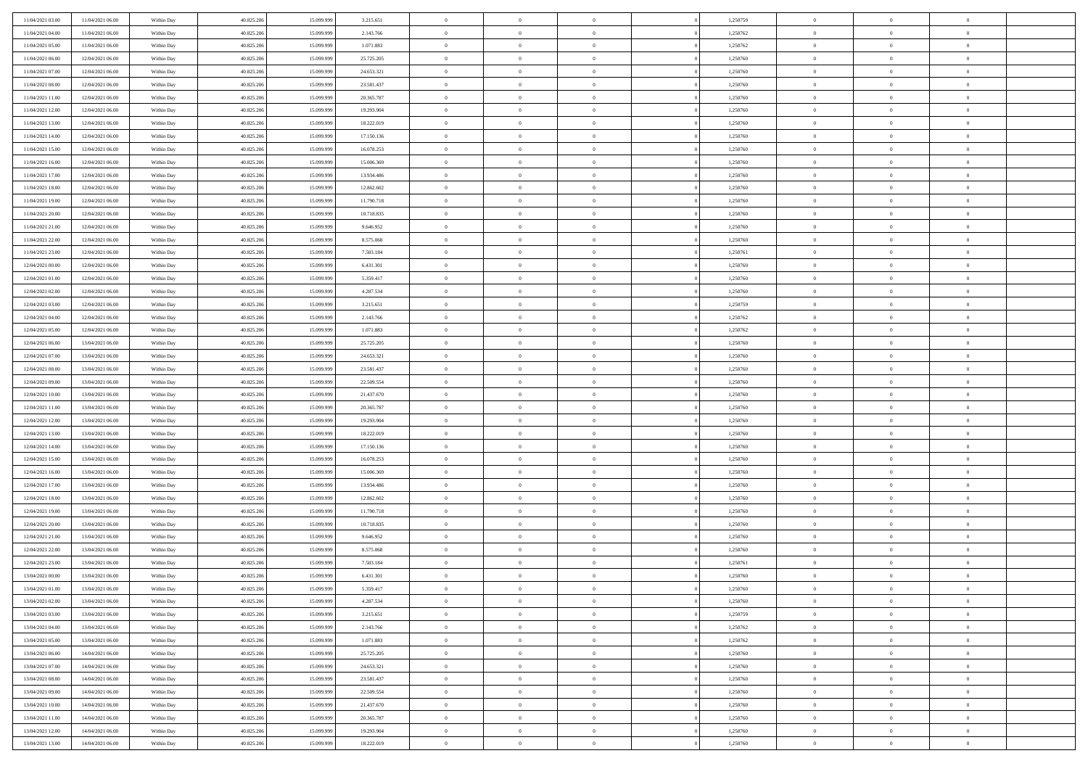| 11/04/2021 03:00 | 11/04/2021 06:00                     | Within Day               | 40.825.206 | 15.099.999 | 3.215.651              | $\,$ 0 $\,$        | $\overline{0}$ | $\overline{0}$ |          | 1,250759 | $\bf{0}$                 | $\overline{0}$ | $\,0\,$                   |  |
|------------------|--------------------------------------|--------------------------|------------|------------|------------------------|--------------------|----------------|----------------|----------|----------|--------------------------|----------------|---------------------------|--|
| 11/04/2021 04:00 | 11/04/2021 06:00                     | Within Day               | 40.825.206 | 15,099,999 | 2.143.766              | $\theta$           | $\overline{0}$ | $\mathbf{0}$   |          | 1,250762 | $\theta$                 | $\overline{0}$ | $\theta$                  |  |
| 11/04/2021 05:00 | 11/04/2021 06:00                     | Within Dav               | 40.825.206 | 15.099.999 | 1.071.883              | $\theta$           | $\overline{0}$ | $\overline{0}$ |          | 1,250762 | $\mathbf{0}$             | $\overline{0}$ | $\overline{0}$            |  |
| 11/04/2021 06:00 | 12/04/2021 06:00                     | Within Day               | 40.825.206 | 15.099.999 | 25.725.205             | $\,$ 0 $\,$        | $\overline{0}$ | $\overline{0}$ |          | 1,250760 | $\bf{0}$                 | $\overline{0}$ | $\bf{0}$                  |  |
| 11/04/2021 07:00 | 12/04/2021 06:00                     | Within Day               | 40.825.206 | 15.099.999 | 24.653.321             | $\bf{0}$           | $\overline{0}$ | $\mathbf{0}$   |          | 1,250760 | $\bf{0}$                 | $\theta$       | $\,0\,$                   |  |
| 11/04/2021 08:00 | 12/04/2021 06:00                     | Within Day               | 40.825.206 | 15.099.999 | 23.581.437             | $\theta$           | $\overline{0}$ | $\mathbf{0}$   |          | 1,250760 | $\mathbf{0}$             | $\overline{0}$ | $\overline{0}$            |  |
| 11/04/2021 11:00 | 12/04/2021 06:00                     | Within Day               | 40.825.206 | 15.099.999 | 20.365.787             | $\,$ 0 $\,$        | $\overline{0}$ | $\overline{0}$ |          | 1,250760 | $\bf{0}$                 | $\overline{0}$ | $\bf{0}$                  |  |
| 11/04/2021 12:00 | 12/04/2021 06:00                     | Within Day               | 40.825.206 | 15.099.999 | 19.293.904             | $\overline{0}$     | $\overline{0}$ | $\mathbf{0}$   |          | 1,250760 | $\,$ 0 $\,$              | $\overline{0}$ | $\theta$                  |  |
| 11/04/2021 13:00 | 12/04/2021 06:00                     | Within Day               | 40.825.206 | 15.099.999 | 18.222.019             | $\theta$           | $\overline{0}$ | $\mathbf{0}$   |          | 1,250760 | $\mathbf{0}$             | $\overline{0}$ | $\overline{0}$            |  |
| 11/04/2021 14:00 | 12/04/2021 06:00                     | Within Day               | 40.825.206 | 15.099.999 | 17.150.136             | $\,$ 0 $\,$        | $\overline{0}$ | $\Omega$       |          | 1,250760 | $\bf{0}$                 | $\overline{0}$ | $\,0\,$                   |  |
| 11/04/2021 15:00 | 12/04/2021 06:00                     | Within Day               | 40.825.206 | 15.099.999 | 16.078.253             | $\bf{0}$           | $\overline{0}$ | $\mathbf{0}$   |          | 1,250760 | $\bf{0}$                 | $\mathbf{0}$   | $\theta$                  |  |
| 11/04/2021 16:00 | 12/04/2021 06:00                     | Within Day               | 40.825.206 | 15.099.999 | 15.006.369             | $\theta$           | $\overline{0}$ | $\overline{0}$ |          | 1,250760 | $\mathbf{0}$             | $\overline{0}$ | $\overline{0}$            |  |
| 11/04/2021 17:00 | 12/04/2021 06:00                     | Within Day               | 40.825.206 | 15.099.999 | 13.934.486             | $\,$ 0 $\,$        | $\overline{0}$ | $\overline{0}$ |          | 1,250760 | $\bf{0}$                 | $\overline{0}$ | $\bf{0}$                  |  |
| 11/04/2021 18:00 | 12/04/2021 06:00                     | Within Day               | 40.825.206 | 15.099.999 | 12.862.602             | $\,$ 0             | $\overline{0}$ | $\mathbf{0}$   |          | 1,250760 | $\bf{0}$                 | $\theta$       | $\,0\,$                   |  |
| 11/04/2021 19:00 | 12/04/2021 06:00                     | Within Day               | 40.825.206 | 15.099.999 | 11.790.718             | $\theta$           | $\overline{0}$ | $\mathbf{0}$   |          | 1,250760 | $\mathbf{0}$             | $\overline{0}$ | $\overline{0}$            |  |
| 11/04/2021 20:00 | 12/04/2021 06:00                     | Within Day               | 40.825.206 | 15.099.999 | 10.718.835             | $\,$ 0 $\,$        | $\overline{0}$ | $\Omega$       |          | 1,250760 | $\bf{0}$                 | $\overline{0}$ | $\bf{0}$                  |  |
| 11/04/2021 21:00 | 12/04/2021 06:00                     |                          | 40.825.206 | 15.099.999 | 9.646.952              | $\,$ 0 $\,$        | $\overline{0}$ | $\mathbf{0}$   |          | 1,250760 | $\bf{0}$                 | $\overline{0}$ | $\theta$                  |  |
| 11/04/2021 22:00 | 12/04/2021 06:00                     | Within Day<br>Within Day | 40.825.206 | 15.099.999 | 8.575.068              | $\theta$           | $\overline{0}$ | $\mathbf{0}$   |          | 1,250760 | $\mathbf{0}$             | $\overline{0}$ | $\overline{0}$            |  |
| 11/04/2021 23:00 | 12/04/2021 06:00                     | Within Day               | 40.825.206 | 15.099.999 | 7.503.184              | $\,$ 0 $\,$        | $\overline{0}$ | $\Omega$       |          | 1,250761 | $\bf{0}$                 | $\overline{0}$ | $\,0\,$                   |  |
| 12/04/2021 00:00 | 12/04/2021 06:00                     |                          | 40.825.206 | 15.099.999 |                        | $\bf{0}$           | $\overline{0}$ | $\mathbf{0}$   |          | 1,250760 | $\bf{0}$                 | $\mathbf{0}$   | $\theta$                  |  |
| 12/04/2021 01:00 | 12/04/2021 06:00                     | Within Day<br>Within Day | 40.825.206 | 15.099.999 | 6.431.301<br>5.359.417 | $\theta$           | $\overline{0}$ |                |          | 1,250760 | $\mathbf{0}$             | $\overline{0}$ | $\overline{0}$            |  |
| 12/04/2021 02:00 |                                      |                          |            |            |                        | $\,$ 0 $\,$        |                | $\mathbf{0}$   |          |          | $\bf{0}$                 |                | $\bf{0}$                  |  |
|                  | 12/04/2021 06:00                     | Within Day               | 40.825.206 | 15.099.999 | 4.287.534              |                    | $\overline{0}$ | $\overline{0}$ |          | 1,250760 |                          | $\overline{0}$ |                           |  |
| 12/04/2021 03:00 | 12/04/2021 06:00<br>12/04/2021 06:00 | Within Day               | 40.825.206 | 15.099.999 | 3.215.651              | $\,$ 0<br>$\theta$ | $\overline{0}$ | $\mathbf{0}$   |          | 1,250759 | $\bf{0}$<br>$\mathbf{0}$ | $\bf{0}$       | $\,0\,$<br>$\overline{0}$ |  |
| 12/04/2021 04:00 |                                      | Within Day               | 40.825.206 | 15.099.999 | 2.143.766              |                    | $\overline{0}$ | $\mathbf{0}$   |          | 1,250762 |                          | $\overline{0}$ |                           |  |
| 12/04/2021 05:00 | 12/04/2021 06:00                     | Within Day               | 40.825.206 | 15.099.999 | 1.071.883              | $\,$ 0 $\,$        | $\overline{0}$ | $\overline{0}$ |          | 1,250762 | $\bf{0}$                 | $\overline{0}$ | $\bf{0}$                  |  |
| 12/04/2021 06:00 | 13/04/2021 06:00                     | Within Day               | 40.825.206 | 15.099.999 | 25.725.205             | $\,$ 0             | $\overline{0}$ | $\mathbf{0}$   |          | 1,250760 | $\mathbf{0}$             | $\overline{0}$ | $\theta$                  |  |
| 12/04/2021 07:00 | 13/04/2021 06:00                     | Within Day               | 40.825.206 | 15.099.999 | 24.653.321             | $\theta$           | $\overline{0}$ | $\overline{0}$ |          | 1,250760 | $\mathbf{0}$             | $\overline{0}$ | $\overline{0}$            |  |
| 12/04/2021 08:00 | 13/04/2021 06:00                     | Within Day               | 40.825.206 | 15.099.999 | 23.581.437             | $\,$ 0 $\,$        | $\overline{0}$ | $\Omega$       |          | 1,250760 | $\bf{0}$                 | $\overline{0}$ | $\bf{0}$                  |  |
| 12/04/2021 09:00 | 13/04/2021 06:00                     | Within Day               | 40.825.206 | 15.099.999 | 22.509.554             | $\bf{0}$           | $\overline{0}$ | $\mathbf{0}$   |          | 1,250760 | $\bf{0}$                 | $\mathbf{0}$   | $\overline{0}$            |  |
| 12/04/2021 10:00 | 13/04/2021 06:00                     | Within Day               | 40.825.206 | 15.099.999 | 21.437.670             | $\theta$           | $\overline{0}$ | $\overline{0}$ |          | 1,250760 | $\mathbf{0}$             | $\overline{0}$ | $\overline{0}$            |  |
| 12/04/2021 11:00 | 13/04/2021 06:00                     | Within Day               | 40.825.206 | 15.099.999 | 20.365.787             | $\,$ 0 $\,$        | $\overline{0}$ | $\overline{0}$ |          | 1,250760 | $\,$ 0                   | $\overline{0}$ | $\,$ 0 $\,$               |  |
| 12/04/2021 12:00 | 13/04/2021 06:00                     | Within Day               | 40.825.206 | 15.099.999 | 19.293.904             | $\bf{0}$           | $\overline{0}$ | $\mathbf{0}$   |          | 1,250760 | $\bf{0}$                 | $\mathbf{0}$   | $\overline{0}$            |  |
| 12/04/2021 13:00 | 13/04/2021 06:00                     | Within Day               | 40.825.206 | 15.099.999 | 18.222.019             | $\theta$           | $\overline{0}$ | $\mathbf{0}$   |          | 1,250760 | $\mathbf{0}$             | $\overline{0}$ | $\overline{0}$            |  |
| 12/04/2021 14:00 | 13/04/2021 06:00                     | Within Day               | 40.825.206 | 15.099.999 | 17.150.136             | $\theta$           | $\overline{0}$ | $\overline{0}$ |          | 1,250760 | $\,$ 0                   | $\overline{0}$ | $\theta$                  |  |
| 12/04/2021 15:00 | 13/04/2021 06:00                     | Within Day               | 40.825.206 | 15.099.999 | 16.078.253             | $\bf{0}$           | $\overline{0}$ | $\mathbf{0}$   |          | 1,250760 | $\mathbf{0}$             | $\overline{0}$ | $\overline{0}$            |  |
| 12/04/2021 16:00 | 13/04/2021 06:00                     | Within Day               | 40.825.206 | 15.099.999 | 15.006.369             | $\theta$           | $\overline{0}$ | $\mathbf{0}$   |          | 1,250760 | $\mathbf{0}$             | $\overline{0}$ | $\overline{0}$            |  |
| 12/04/2021 17:00 | 13/04/2021 06:00                     | Within Day               | 40.825.206 | 15.099.999 | 13.934.486             | $\theta$           | $\overline{0}$ | $\overline{0}$ |          | 1,250760 | $\,$ 0                   | $\overline{0}$ | $\theta$                  |  |
| 12/04/2021 18:00 | 13/04/2021 06:00                     | Within Day               | 40.825.206 | 15.099.999 | 12.862.602             | $\bf{0}$           | $\overline{0}$ | $\mathbf{0}$   |          | 1,250760 | $\bf{0}$                 | $\mathbf{0}$   | $\overline{0}$            |  |
| 12/04/2021 19:00 | 13/04/2021 06:00                     | Within Day               | 40.825.206 | 15.099.999 | 11.790.718             | $\theta$           | $\overline{0}$ | $\overline{0}$ |          | 1,250760 | $\mathbf{0}$             | $\overline{0}$ | $\overline{0}$            |  |
| 12/04/2021 20:00 | 13/04/2021 06:00                     | Within Day               | 40.825.206 | 15.099.999 | 10.718.835             | $\,$ 0 $\,$        | $\overline{0}$ | $\overline{0}$ |          | 1,250760 | $\,$ 0                   | $\overline{0}$ | $\,$ 0 $\,$               |  |
| 12/04/2021 21:00 | 13/04/2021 06:00                     | Within Day               | 40.825.206 | 15.099.999 | 9.646.952              | $\bf{0}$           | $\,$ 0 $\,$    | $\overline{0}$ |          | 1,250760 | $\,$ 0 $\,$              | $\overline{0}$ | $\overline{0}$            |  |
| 12/04/2021 22:00 | 13/04/2021 06:00                     | Within Day               | 40.825.206 | 15.099.999 | 8.575.068              | $\theta$           | $\overline{0}$ | $\mathbf{0}$   |          | 1,250760 | $\mathbf{0}$             | $\overline{0}$ | $\theta$                  |  |
| 12/04/2021 23:00 | 13/04/2021 06:00                     | Within Day               | 40.825.206 | 15.099.999 | 7.503.184              | $\overline{0}$     | $\overline{0}$ | $\overline{0}$ |          | 1,250761 | $\,$ 0                   | $\overline{0}$ | $\theta$                  |  |
| 13/04/2021 00:00 | 13/04/2021 06:00                     | Within Day               | 40.825.206 | 15.099.999 | 6.431.301              | $\bf{0}$           | $\,$ 0 $\,$    | $\mathbf{0}$   |          | 1,250760 | $\,$ 0 $\,$              | $\overline{0}$ | $\bf{0}$                  |  |
| 13/04/2021 01:00 | 13/04/2021 06:00                     | Within Day               | 40.825.206 | 15.099.999 | 5.359.417              | $\overline{0}$     | $\theta$       |                |          | 1,250760 | $\overline{0}$           | $\theta$       | $\theta$                  |  |
| 13/04/2021 02:00 | 13/04/2021 06:00                     | Within Day               | 40.825.206 | 15.099.999 | 4.287.534              | $\,$ 0 $\,$        | $\overline{0}$ | $\overline{0}$ |          | 1,250760 | $\,$ 0 $\,$              | $\bf{0}$       | $\theta$                  |  |
| 13/04/2021 03:00 | 13/04/2021 06:00                     | Within Day               | 40.825.206 | 15.099.999 | 3.215.651              | $\overline{0}$     | $\,$ 0 $\,$    | $\overline{0}$ |          | 1,250759 | $\,$ 0 $\,$              | $\overline{0}$ | $\overline{0}$            |  |
| 13/04/2021 04:00 | 13/04/2021 06:00                     | Within Day               | 40.825.206 | 15.099.999 | 2.143.766              | $\mathbf{0}$       | $\overline{0}$ | $\overline{0}$ |          | 1,250762 | $\,$ 0 $\,$              | $\bf{0}$       | $\overline{0}$            |  |
| 13/04/2021 05:00 | 13/04/2021 06:00                     | Within Day               | 40.825.206 | 15.099.999 | 1.071.883              | $\,$ 0 $\,$        | $\overline{0}$ | $\overline{0}$ | $\theta$ | 1,250762 | $\,$ 0 $\,$              | $\bf{0}$       | $\,$ 0 $\,$               |  |
| 13/04/2021 06:00 | 14/04/2021 06:00                     | Within Day               | 40.825.206 | 15.099.999 | 25.725.205             | $\,$ 0 $\,$        | $\,$ 0 $\,$    | $\overline{0}$ |          | 1,250760 | $\,$ 0 $\,$              | $\overline{0}$ | $\overline{0}$            |  |
| 13/04/2021 07:00 | 14/04/2021 06:00                     | Within Day               | 40.825.206 | 15.099.999 | 24.653.321             | $\mathbf{0}$       | $\overline{0}$ | $\overline{0}$ |          | 1,250760 | $\mathbf{0}$             | $\bf{0}$       | $\overline{0}$            |  |
| 13/04/2021 08:00 | 14/04/2021 06:00                     | Within Day               | 40.825.206 | 15.099.999 | 23.581.437             | $\,$ 0 $\,$        | $\overline{0}$ | $\overline{0}$ |          | 1,250760 | $\,$ 0 $\,$              | $\bf{0}$       | $\,$ 0 $\,$               |  |
| 13/04/2021 09:00 | 14/04/2021 06:00                     | Within Day               | 40.825.206 | 15.099.999 | 22.509.554             | $\bf{0}$           | $\,$ 0 $\,$    | $\overline{0}$ |          | 1,250760 | $\,$ 0 $\,$              | $\overline{0}$ | $\overline{0}$            |  |
| 13/04/2021 10:00 | 14/04/2021 06:00                     | Within Day               | 40.825.206 | 15.099.999 | 21.437.670             | $\,$ 0 $\,$        | $\overline{0}$ | $\overline{0}$ |          | 1,250760 | $\,$ 0 $\,$              | $\bf{0}$       | $\overline{0}$            |  |
| 13/04/2021 11:00 | 14/04/2021 06:00                     | Within Day               | 40.825.206 | 15.099.999 | 20.365.787             | $\,$ 0 $\,$        | $\overline{0}$ | $\overline{0}$ |          | 1,250760 | $\,$ 0 $\,$              | $\mathbf{0}$   | $\,$ 0 $\,$               |  |
| 13/04/2021 12:00 | 14/04/2021 06:00                     | Within Day               | 40.825.206 | 15.099.999 | 19.293.904             | $\,$ 0 $\,$        | $\,$ 0 $\,$    | $\overline{0}$ |          | 1,250760 | $\,$ 0 $\,$              | $\overline{0}$ | $\overline{0}$            |  |
| 13/04/2021 13:00 | 14/04/2021 06:00                     | Within Day               | 40.825.206 | 15.099.999 | 18.222.019             | $\theta$           | $\overline{0}$ | $\overline{0}$ |          | 1,250760 | $\mathbf{0}$             | $\mathbf{0}$   | $\overline{0}$            |  |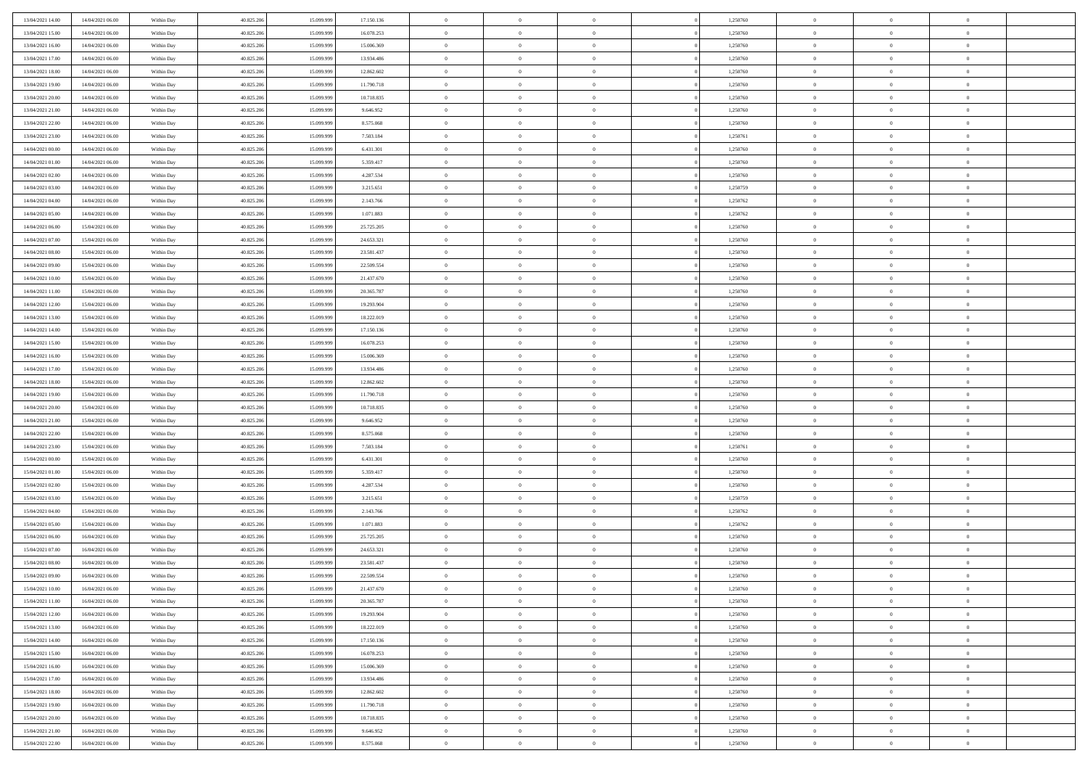| 13/04/2021 14:00                     | 14/04/2021 06:00                     | Within Day               | 40.825.206               | 15.099.999               | 17.150.136               | $\,$ 0 $\,$                | $\overline{0}$                   | $\overline{0}$                   |          | 1,250760             | $\bf{0}$                     | $\overline{0}$                   | $\,0\,$                          |  |
|--------------------------------------|--------------------------------------|--------------------------|--------------------------|--------------------------|--------------------------|----------------------------|----------------------------------|----------------------------------|----------|----------------------|------------------------------|----------------------------------|----------------------------------|--|
| 13/04/2021 15:00                     | 14/04/2021 06:00                     | Within Day               | 40.825.206               | 15.099.99                | 16.078.253               | $\overline{0}$             | $\overline{0}$                   | $\mathbf{0}$                     |          | 1,250760             | $\theta$                     | $\overline{0}$                   | $\theta$                         |  |
| 13/04/2021 16:00                     | 14/04/2021 06:00                     | Within Day               | 40.825.206               | 15.099.999               | 15.006.369               | $\theta$                   | $\overline{0}$                   | $\overline{0}$                   |          | 1,250760             | $\mathbf{0}$                 | $\overline{0}$                   | $\overline{0}$                   |  |
| 13/04/2021 17:00                     | 14/04/2021 06:00                     | Within Day               | 40.825.206               | 15.099.999               | 13.934.486               | $\,$ 0 $\,$                | $\overline{0}$                   | $\overline{0}$                   |          | 1,250760             | $\bf{0}$                     | $\overline{0}$                   | $\bf{0}$                         |  |
| 13/04/2021 18:00                     | 14/04/2021 06:00                     | Within Day               | 40.825.206               | 15.099.999               | 12.862.602               | $\bf{0}$                   | $\overline{0}$                   | $\mathbf{0}$                     |          | 1,250760             | $\bf{0}$                     | $\theta$                         | $\,0\,$                          |  |
| 13/04/2021 19:00                     | 14/04/2021 06:00                     | Within Day               | 40.825.206               | 15.099.999               | 11.790.718               | $\theta$                   | $\overline{0}$                   | $\mathbf{0}$                     |          | 1,250760             | $\mathbf{0}$                 | $\overline{0}$                   | $\overline{0}$                   |  |
| 13/04/2021 20:00                     | 14/04/2021 06:00                     | Within Day               | 40.825.206               | 15.099.999               | 10.718.835               | $\,$ 0 $\,$                | $\overline{0}$                   | $\overline{0}$                   |          | 1,250760             | $\bf{0}$                     | $\overline{0}$                   | $\bf{0}$                         |  |
| 13/04/2021 21:00                     | 14/04/2021 06:00                     | Within Day               | 40.825.206               | 15.099.999               | 9.646.952                | $\,$ 0                     | $\overline{0}$                   | $\mathbf{0}$                     |          | 1,250760             | $\,$ 0 $\,$                  | $\overline{0}$                   | $\theta$                         |  |
| 13/04/2021 22:00                     | 14/04/2021 06:00                     | Within Day               | 40.825.206               | 15.099.999               | 8.575.068                | $\theta$                   | $\overline{0}$                   | $\mathbf{0}$                     |          | 1,250760             | $\mathbf{0}$                 | $\overline{0}$                   | $\overline{0}$                   |  |
| 13/04/2021 23:00                     | 14/04/2021 06:00                     | Within Day               | 40.825.206               | 15.099.999               | 7.503.184                | $\,$ 0 $\,$                | $\overline{0}$                   | $\Omega$                         |          | 1,250761             | $\bf{0}$                     | $\overline{0}$                   | $\,0\,$                          |  |
| 14/04/2021 00:00                     | 14/04/2021 06:00                     | Within Day               | 40.825.206               | 15.099.999               | 6.431.301                | $\bf{0}$                   | $\overline{0}$                   | $\mathbf{0}$                     |          | 1,250760             | $\bf{0}$                     | $\mathbf{0}$                     | $\theta$                         |  |
| 14/04/2021 01:00                     | 14/04/2021 06:00                     | Within Dav               | 40.825.206               | 15.099.999               | 5.359.417                | $\theta$                   | $\overline{0}$                   | $\overline{0}$                   |          | 1,250760             | $\mathbf{0}$                 | $\overline{0}$                   | $\overline{0}$                   |  |
| 14/04/2021 02:00                     | 14/04/2021 06:00                     | Within Day               | 40.825.206               | 15.099.999               | 4.287.534                | $\,$ 0 $\,$                | $\overline{0}$                   | $\overline{0}$                   |          | 1,250760             | $\bf{0}$                     | $\overline{0}$                   | $\bf{0}$                         |  |
| 14/04/2021 03:00                     | 14/04/2021 06:00                     | Within Day               | 40.825.206               | 15.099.999               | 3.215.651                | $\,$ 0                     | $\overline{0}$                   | $\mathbf{0}$                     |          | 1,250759             | $\bf{0}$                     | $\theta$                         | $\,0\,$                          |  |
| 14/04/2021 04:00                     | 14/04/2021 06:00                     | Within Dav               | 40.825.206               | 15.099.999               | 2.143.766                | $\theta$                   | $\overline{0}$                   | $\mathbf{0}$                     |          | 1,250762             | $\mathbf{0}$                 | $\overline{0}$                   | $\overline{0}$                   |  |
| 14/04/2021 05:00                     | 14/04/2021 06:00                     | Within Day               | 40.825.206               | 15.099.999               | 1.071.883                | $\,$ 0 $\,$                | $\overline{0}$                   | $\Omega$                         |          | 1,250762             | $\bf{0}$                     | $\overline{0}$                   | $\bf{0}$                         |  |
| 14/04/2021 06:00                     | 15/04/2021 06:00                     |                          | 40.825.206               | 15.099.999               | 25.725.205               | $\,$ 0                     | $\overline{0}$                   | $\mathbf{0}$                     |          | 1,250760             | $\bf{0}$                     | $\overline{0}$                   | $\theta$                         |  |
| 14/04/2021 07:00                     | 15/04/2021 06:00                     | Within Day<br>Within Day | 40.825.206               | 15.099.999               | 24.653.321               | $\theta$                   | $\overline{0}$                   | $\mathbf{0}$                     |          | 1,250760             | $\mathbf{0}$                 | $\overline{0}$                   | $\overline{0}$                   |  |
| 14/04/2021 08:00                     | 15/04/2021 06:00                     | Within Day               | 40.825.206               | 15.099.999               | 23.581.437               | $\,$ 0 $\,$                | $\overline{0}$                   | $\overline{0}$                   |          | 1,250760             | $\bf{0}$                     | $\overline{0}$                   | $\,0\,$                          |  |
| 14/04/2021 09:00                     | 15/04/2021 06:00                     |                          | 40.825.206               | 15.099.999               | 22.509.554               | $\bf{0}$                   | $\overline{0}$                   | $\mathbf{0}$                     |          | 1,250760             | $\bf{0}$                     | $\mathbf{0}$                     | $\theta$                         |  |
| 14/04/2021 10:00                     | 15/04/2021 06:00                     | Within Day<br>Within Dav | 40.825.206               | 15.099.999               | 21.437.670               | $\theta$                   | $\overline{0}$                   | $\mathbf{0}$                     |          | 1,250760             | $\mathbf{0}$                 | $\overline{0}$                   | $\overline{0}$                   |  |
| 14/04/2021 11:00                     |                                      |                          |                          |                          |                          | $\,$ 0 $\,$                |                                  |                                  |          |                      | $\bf{0}$                     |                                  | $\bf{0}$                         |  |
|                                      | 15/04/2021 06:00                     | Within Day               | 40.825.206               | 15.099.999               | 20.365.787               |                            | $\overline{0}$                   | $\overline{0}$                   |          | 1,250760             |                              | $\overline{0}$                   |                                  |  |
| 14/04/2021 12:00<br>14/04/2021 13:00 | 15/04/2021 06:00<br>15/04/2021 06:00 | Within Day               | 40.825.206               | 15.099.999               | 19.293.904               | $\,$ 0<br>$\theta$         | $\overline{0}$                   | $\mathbf{0}$                     |          | 1,250760             | $\bf{0}$<br>$\mathbf{0}$     | $\bf{0}$                         | $\,0\,$<br>$\overline{0}$        |  |
|                                      |                                      | Within Dav               | 40.825.206               | 15.099.999               | 18.222.019               |                            | $\overline{0}$                   | $\mathbf{0}$<br>$\overline{0}$   |          | 1,250760             |                              | $\overline{0}$<br>$\overline{0}$ |                                  |  |
| 14/04/2021 14:00                     | 15/04/2021 06:00                     | Within Day               | 40.825.206               | 15.099.999               | 17.150.136               | $\,$ 0 $\,$                | $\overline{0}$                   |                                  |          | 1,250760             | $\bf{0}$                     |                                  | $\,0\,$                          |  |
| 14/04/2021 15:00                     | 15/04/2021 06:00                     | Within Day               | 40.825.206               | 15.099.999               | 16.078.253               | $\,$ 0                     | $\overline{0}$                   | $\mathbf{0}$                     |          | 1,250760             | $\mathbf{0}$                 | $\overline{0}$                   | $\theta$                         |  |
| 14/04/2021 16:00                     | 15/04/2021 06:00                     | Within Day               | 40.825.206               | 15.099.999               | 15.006.369               | $\theta$                   | $\overline{0}$                   | $\overline{0}$                   |          | 1,250760             | $\mathbf{0}$                 | $\overline{0}$                   | $\overline{0}$                   |  |
| 14/04/2021 17:00                     | 15/04/2021 06:00                     | Within Day               | 40.825.206               | 15.099.999               | 13.934.486               | $\,$ 0 $\,$                | $\overline{0}$                   | $\overline{0}$                   |          | 1,250760             | $\bf{0}$                     | $\overline{0}$                   | $\,0\,$                          |  |
| 14/04/2021 18:00                     | 15/04/2021 06:00                     | Within Day               | 40.825.206               | 15,099,999               | 12.862.602               | $\bf{0}$                   | $\overline{0}$                   | $\mathbf{0}$                     |          | 1,250760             | $\bf{0}$                     | $\mathbf{0}$                     | $\overline{0}$                   |  |
| 14/04/2021 19:00                     | 15/04/2021 06:00                     | Within Dav               | 40.825.206               | 15.099.999               | 11.790.718               | $\theta$                   | $\overline{0}$                   | $\overline{0}$                   |          | 1,250760             | $\mathbf{0}$                 | $\overline{0}$                   | $\overline{0}$                   |  |
| 14/04/2021 20:00                     | 15/04/2021 06:00                     | Within Day               | 40.825.206               | 15.099.999               | 10.718.835               | $\,$ 0 $\,$                | $\overline{0}$                   | $\overline{0}$                   |          | 1,250760             | $\,$ 0                       | $\overline{0}$                   | $\,$ 0 $\,$                      |  |
| 14/04/2021 21:00                     | 15/04/2021 06:00                     | Within Day               | 40.825.206               | 15.099.999               | 9.646.952                | $\,$ 0<br>$\theta$         | $\overline{0}$                   | $\mathbf{0}$                     |          | 1,250760             | $\bf{0}$<br>$\mathbf{0}$     | $\mathbf{0}$                     | $\overline{0}$<br>$\overline{0}$ |  |
| 14/04/2021 22:00                     | 15/04/2021 06:00                     | Within Dav               | 40.825.206               | 15.099.999               | 8.575.068                |                            | $\overline{0}$<br>$\overline{0}$ | $\mathbf{0}$                     |          | 1,250760             |                              | $\overline{0}$                   | $\theta$                         |  |
| 14/04/2021 23:00                     | 15/04/2021 06:00                     | Within Day               | 40.825.206               | 15.099.999<br>15,099,999 | 7.503.184                | $\theta$                   |                                  | $\overline{0}$                   |          | 1,250761             | $\,$ 0                       | $\overline{0}$<br>$\overline{0}$ | $\overline{0}$                   |  |
| 15/04/2021 00:00<br>15/04/2021 01:00 | 15/04/2021 06:00<br>15/04/2021 06:00 | Within Day<br>Within Day | 40.825.206<br>40.825.206 | 15.099.999               | 6.431.301<br>5.359.417   | $\bf{0}$<br>$\theta$       | $\overline{0}$<br>$\overline{0}$ | $\mathbf{0}$                     |          | 1,250760<br>1,250760 | $\mathbf{0}$<br>$\mathbf{0}$ | $\overline{0}$                   | $\overline{0}$                   |  |
|                                      |                                      |                          |                          |                          |                          | $\theta$                   | $\overline{0}$                   | $\mathbf{0}$<br>$\overline{0}$   |          |                      | $\,$ 0                       | $\overline{0}$                   | $\theta$                         |  |
| 15/04/2021 02:00<br>15/04/2021 03:00 | 15/04/2021 06:00<br>15/04/2021 06:00 | Within Day               | 40.825.206<br>40.825.206 | 15.099.999<br>15.099.999 | 4.287.534                | $\bf{0}$                   | $\overline{0}$                   | $\mathbf{0}$                     |          | 1,250760             | $\bf{0}$                     | $\mathbf{0}$                     | $\overline{0}$                   |  |
| 15/04/2021 04:00                     | 15/04/2021 06:00                     | Within Day<br>Within Dav | 40.825.206               | 15.099.999               | 3.215.651<br>2.143.766   | $\theta$                   | $\overline{0}$                   | $\overline{0}$                   |          | 1,250759<br>1,250762 | $\mathbf{0}$                 | $\overline{0}$                   | $\overline{0}$                   |  |
|                                      |                                      |                          |                          |                          |                          | $\,$ 0 $\,$                |                                  | $\overline{0}$                   |          |                      | $\,$ 0                       | $\overline{0}$                   | $\,$ 0 $\,$                      |  |
| 15/04/2021 05:00<br>15/04/2021 06:00 | 15/04/2021 06:00<br>16/04/2021 06:00 | Within Day               | 40.825.206<br>40.825.206 | 15.099.999<br>15.099.999 | 1.071.883<br>25.725.205  | $\,$ 0                     | $\overline{0}$<br>$\,$ 0 $\,$    | $\overline{0}$                   |          | 1,250762<br>1,250760 | $\,$ 0 $\,$                  | $\overline{0}$                   | $\overline{0}$                   |  |
| 15/04/2021 07:00                     | 16/04/2021 06:00                     | Within Day<br>Within Dav | 40.825.206               | 15.099.999               | 24.653.321               | $\theta$                   | $\overline{0}$                   | $\mathbf{0}$                     |          | 1,250760             | $\mathbf{0}$                 | $\overline{0}$                   | $\theta$                         |  |
| 15/04/2021 08:00                     | 16/04/2021 06:00                     | Within Day               | 40.825.206               | 15.099.999               | 23.581.437               | $\overline{0}$             | $\overline{0}$                   | $\overline{0}$                   |          | 1,250760             | $\,$ 0                       | $\overline{0}$                   | $\theta$                         |  |
| 15/04/2021 09:00                     | 16/04/2021 06:00                     | Within Day               | 40.825.206               | 15.099.999               | 22.509.554               | $\bf{0}$                   | $\overline{0}$                   | $\mathbf{0}$                     |          | 1,250760             | $\,$ 0 $\,$                  | $\overline{0}$                   | $\bf{0}$                         |  |
| 15/04/2021 10:00                     | 16/04/2021 06:00                     | Within Day               | 40.825.206               | 15.099.999               | 21.437.670               | $\overline{0}$             | $\theta$                         |                                  |          | 1,250760             | $\overline{0}$               | $^{\circ}$                       | $\theta$                         |  |
| 15/04/2021 11:00                     | 16/04/2021 06:00                     | Within Day               | 40.825.206               | 15.099.999               | 20.365.787               | $\,$ 0 $\,$                | $\overline{0}$                   | $\overline{0}$                   |          | 1,250760             | $\,$ 0 $\,$                  | $\bf{0}$                         | $\theta$                         |  |
| 15/04/2021 12:00                     | 16/04/2021 06:00                     | Within Day               | 40.825.206               | 15.099.999               | 19.293.904               | $\bf{0}$                   | $\,$ 0 $\,$                      | $\overline{0}$                   |          | 1,250760             | $\,$ 0 $\,$                  | $\overline{0}$                   | $\overline{0}$                   |  |
| 15/04/2021 13:00                     | 16/04/2021 06:00                     | Within Day               | 40.825.206               | 15.099.999               | 18.222.019               | $\mathbf{0}$               | $\overline{0}$                   | $\overline{0}$                   |          | 1,250760             | $\,$ 0 $\,$                  | $\bf{0}$                         | $\overline{0}$                   |  |
|                                      |                                      |                          |                          |                          |                          |                            |                                  |                                  |          |                      |                              |                                  |                                  |  |
| 15/04/2021 14:00                     | 16/04/2021 06:00<br>16/04/2021 06:00 | Within Day               | 40.825.206<br>40.825.206 | 15.099.999<br>15.099.999 | 17.150.136<br>16.078.253 | $\,$ 0 $\,$<br>$\,$ 0 $\,$ | $\overline{0}$<br>$\,$ 0 $\,$    | $\overline{0}$<br>$\overline{0}$ | $\theta$ | 1,250760<br>1,250760 | $\,$ 0 $\,$<br>$\,$ 0 $\,$   | $\bf{0}$<br>$\overline{0}$       | $\,$ 0 $\,$<br>$\overline{0}$    |  |
| 15/04/2021 15:00<br>15/04/2021 16:00 | 16/04/2021 06:00                     | Within Day<br>Within Day | 40.825.206               | 15.099.999               | 15.006.369               | $\mathbf{0}$               | $\overline{0}$                   | $\overline{0}$                   |          | 1,250760             | $\mathbf{0}$                 | $\overline{0}$                   | $\overline{0}$                   |  |
|                                      |                                      |                          |                          |                          |                          |                            |                                  |                                  |          |                      |                              |                                  |                                  |  |
| 15/04/2021 17:00                     | 16/04/2021 06:00                     | Within Day               | 40.825.206               | 15.099.999               | 13.934.486               | $\,$ 0 $\,$                | $\overline{0}$                   | $\overline{0}$<br>$\overline{0}$ |          | 1,250760             | $\,$ 0 $\,$                  | $\mathbf{0}$<br>$\overline{0}$   | $\,$ 0 $\,$                      |  |
| 15/04/2021 18:00                     | 16/04/2021 06:00                     | Within Day               | 40.825.206               | 15.099.999               | 12.862.602               | $\bf{0}$<br>$\,$ 0 $\,$    | $\overline{0}$                   |                                  |          | 1,250760             | $\,$ 0 $\,$                  |                                  | $\overline{0}$                   |  |
| 15/04/2021 19:00                     | 16/04/2021 06:00                     | Within Day               | 40.825.206               | 15.099.999               | 11.790.718               |                            | $\overline{0}$                   | $\overline{0}$                   |          | 1,250760             | $\mathbf{0}$                 | $\bf{0}$                         | $\overline{0}$                   |  |
| 15/04/2021 20:00                     | 16/04/2021 06:00                     | Within Day               | 40.825.206               | 15.099.999               | 10.718.835               | $\,$ 0 $\,$                | $\overline{0}$                   | $\overline{0}$                   |          | 1,250760             | $\,$ 0 $\,$                  | $\mathbf{0}$                     | $\,$ 0 $\,$                      |  |
| 15/04/2021 21:00                     | 16/04/2021 06:00                     | Within Day               | 40.825.206               | 15.099.999               | 9.646.952                | $\,$ 0 $\,$                | $\,$ 0 $\,$                      | $\overline{0}$                   |          | 1,250760             | $\,$ 0 $\,$                  | $\overline{0}$                   | $\overline{0}$                   |  |
| 15/04/2021 22:00                     | 16/04/2021 06:00                     | Within Day               | 40.825.206               | 15.099.999               | 8.575.068                | $\theta$                   | $\overline{0}$                   | $\overline{0}$                   |          | 1,250760             | $\mathbf{0}$                 | $\overline{0}$                   | $\overline{0}$                   |  |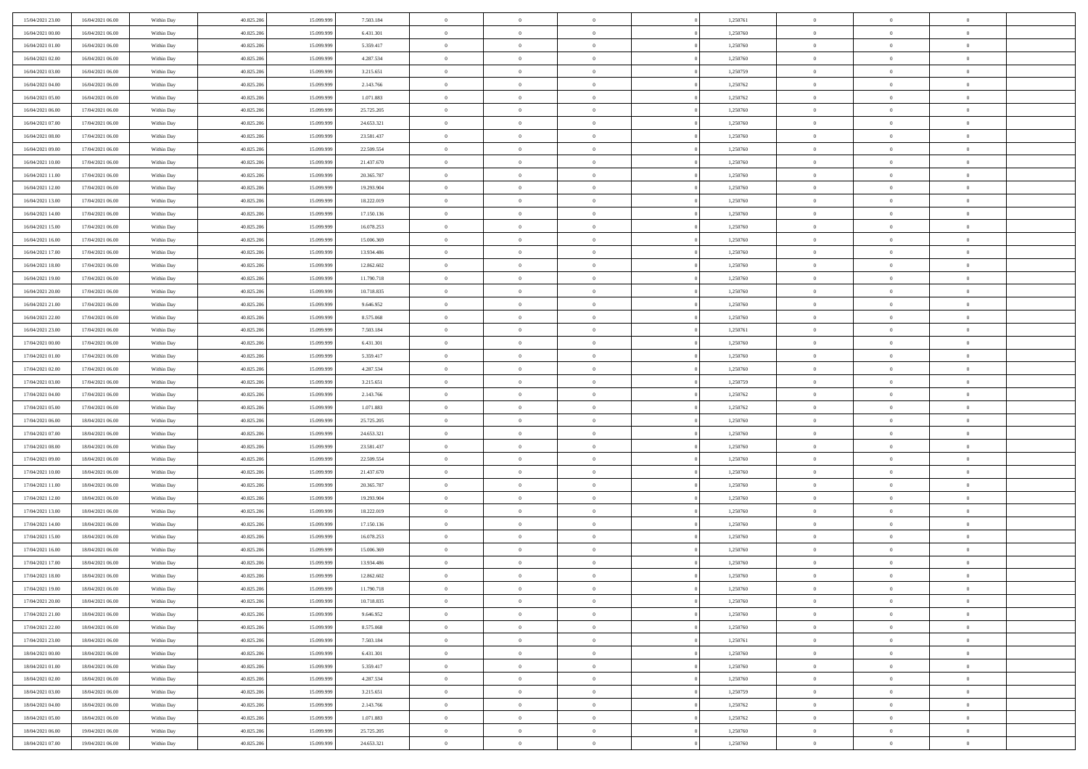| 15/04/2021 23:00                     | 16/04/2021 06:00                     | Within Day               | 40.825.206               | 15.099.999               | 7.503.184                | $\,$ 0 $\,$           | $\overline{0}$                   | $\overline{0}$                   |          | 1,250761             | $\bf{0}$              | $\overline{0}$                   | $\,0\,$                          |  |
|--------------------------------------|--------------------------------------|--------------------------|--------------------------|--------------------------|--------------------------|-----------------------|----------------------------------|----------------------------------|----------|----------------------|-----------------------|----------------------------------|----------------------------------|--|
| 16/04/2021 00:00                     | 16/04/2021 06:00                     | Within Day               | 40.825.206               | 15.099.99                | 6.431.301                | $\theta$              | $\overline{0}$                   | $\mathbf{0}$                     |          | 1,250760             | $\theta$              | $\overline{0}$                   | $\theta$                         |  |
| 16/04/2021 01:00                     | 16/04/2021 06:00                     | Within Dav               | 40.825.206               | 15.099.999               | 5.359.417                | $\theta$              | $\overline{0}$                   | $\overline{0}$                   |          | 1,250760             | $\mathbf{0}$          | $\overline{0}$                   | $\overline{0}$                   |  |
| 16/04/2021 02:00                     | 16/04/2021 06:00                     | Within Day               | 40.825.206               | 15.099.999               | 4.287.534                | $\,$ 0 $\,$           | $\overline{0}$                   | $\overline{0}$                   |          | 1,250760             | $\bf{0}$              | $\overline{0}$                   | $\bf{0}$                         |  |
| 16/04/2021 03:00                     | 16/04/2021 06:00                     | Within Day               | 40.825.206               | 15.099.999               | 3.215.651                | $\bf{0}$              | $\overline{0}$                   | $\mathbf{0}$                     |          | 1,250759             | $\bf{0}$              | $\theta$                         | $\,0\,$                          |  |
| 16/04/2021 04:00                     | 16/04/2021 06:00                     | Within Dav               | 40.825.206               | 15.099.999               | 2.143.766                | $\theta$              | $\overline{0}$                   | $\mathbf{0}$                     |          | 1,250762             | $\mathbf{0}$          | $\overline{0}$                   | $\overline{0}$                   |  |
| 16/04/2021 05:00                     | 16/04/2021 06:00                     | Within Day               | 40.825.206               | 15.099.999               | 1.071.883                | $\,$ 0 $\,$           | $\overline{0}$                   | $\overline{0}$                   |          | 1,250762             | $\bf{0}$              | $\overline{0}$                   | $\,0\,$                          |  |
| 16/04/2021 06:00                     | 17/04/2021 06:00                     | Within Day               | 40.825.206               | 15.099.999               | 25.725.205               | $\overline{0}$        | $\overline{0}$                   | $\mathbf{0}$                     |          | 1,250760             | $\,$ 0 $\,$           | $\overline{0}$                   | $\theta$                         |  |
| 16/04/2021 07:00                     | 17/04/2021 06:00                     | Within Day               | 40.825.206               | 15.099.999               | 24.653.321               | $\theta$              | $\overline{0}$                   | $\mathbf{0}$                     |          | 1,250760             | $\mathbf{0}$          | $\bf{0}$                         | $\overline{0}$                   |  |
| 16/04/2021 08:00                     | 17/04/2021 06:00                     | Within Day               | 40.825.206               | 15.099.999               | 23.581.437               | $\,$ 0 $\,$           | $\overline{0}$                   | $\Omega$                         |          | 1,250760             | $\bf{0}$              | $\overline{0}$                   | $\,0\,$                          |  |
| 16/04/2021 09:00                     | 17/04/2021 06:00                     | Within Day               | 40.825.206               | 15.099.999               | 22.509.554               | $\bf{0}$              | $\overline{0}$                   | $\mathbf{0}$                     |          | 1,250760             | $\bf{0}$              | $\mathbf{0}$                     | $\theta$                         |  |
| 16/04/2021 10:00                     | 17/04/2021 06:00                     | Within Dav               | 40.825.206               | 15.099.999               | 21.437.670               | $\theta$              | $\overline{0}$                   | $\overline{0}$                   |          | 1,250760             | $\mathbf{0}$          | $\overline{0}$                   | $\overline{0}$                   |  |
| 16/04/2021 11:00                     | 17/04/2021 06:00                     | Within Day               | 40.825.206               | 15.099.999               | 20.365.787               | $\,$ 0 $\,$           | $\overline{0}$                   | $\overline{0}$                   |          | 1,250760             | $\bf{0}$              | $\overline{0}$                   | $\bf{0}$                         |  |
| 16/04/2021 12:00                     | 17/04/2021 06:00                     | Within Day               | 40.825.206               | 15.099.999               | 19.293.904               | $\bf{0}$              | $\overline{0}$                   | $\mathbf{0}$                     |          | 1,250760             | $\bf{0}$              | $\theta$                         | $\,0\,$                          |  |
| 16/04/2021 13:00                     | 17/04/2021 06:00                     | Within Dav               | 40.825.206               | 15.099.999               | 18.222.019               | $\theta$              | $\overline{0}$                   | $\mathbf{0}$                     |          | 1,250760             | $\mathbf{0}$          | $\overline{0}$                   | $\overline{0}$                   |  |
| 16/04/2021 14:00                     | 17/04/2021 06:00                     | Within Day               | 40.825.206               | 15.099.999               | 17.150.136               | $\,$ 0 $\,$           | $\overline{0}$                   | $\Omega$                         |          | 1,250760             | $\bf{0}$              | $\overline{0}$                   | $\bf{0}$                         |  |
| 16/04/2021 15:00                     | 17/04/2021 06:00                     | Within Day               | 40.825.206               | 15.099.999               | 16.078.253               | $\,$ 0                | $\overline{0}$                   | $\mathbf{0}$                     |          | 1,250760             | $\bf{0}$              | $\overline{0}$                   | $\theta$                         |  |
| 16/04/2021 16:00                     | 17/04/2021 06:00                     | Within Day               | 40.825.206               | 15.099.999               | 15.006.369               | $\theta$              | $\overline{0}$                   | $\mathbf{0}$                     |          | 1,250760             | $\mathbf{0}$          | $\overline{0}$                   | $\overline{0}$                   |  |
| 16/04/2021 17:00                     | 17/04/2021 06:00                     | Within Day               | 40.825.206               | 15.099.999               | 13.934.486               | $\,$ 0 $\,$           | $\overline{0}$                   | $\Omega$                         |          | 1,250760             | $\bf{0}$              | $\overline{0}$                   | $\,0\,$                          |  |
| 16/04/2021 18:00                     | 17/04/2021 06:00                     | Within Day               | 40.825.206               | 15.099.999               | 12.862.602               | $\bf{0}$              | $\overline{0}$                   | $\mathbf{0}$                     |          | 1,250760             | $\bf{0}$              | $\mathbf{0}$                     | $\theta$                         |  |
| 16/04/2021 19:00                     | 17/04/2021 06:00                     | Within Dav               | 40.825.206               | 15.099.999               | 11.790.718               | $\theta$              | $\overline{0}$                   | $\mathbf{0}$                     |          | 1,250760             | $\mathbf{0}$          | $\overline{0}$                   | $\overline{0}$                   |  |
| 16/04/2021 20:00                     | 17/04/2021 06:00                     | Within Day               | 40.825.206               | 15.099.999               | 10.718.835               | $\,$ 0 $\,$           | $\overline{0}$                   | $\overline{0}$                   |          | 1,250760             | $\bf{0}$              | $\overline{0}$                   | $\bf{0}$                         |  |
| 16/04/2021 21:00                     | 17/04/2021 06:00                     | Within Day               | 40.825.206               | 15.099.999               | 9.646.952                | $\bf{0}$              | $\overline{0}$                   | $\mathbf{0}$                     |          | 1,250760             | $\bf{0}$              | $\overline{0}$                   | $\,0\,$                          |  |
| 16/04/2021 22:00                     | 17/04/2021 06:00                     | Within Dav               | 40.825.206               | 15.099.999               | 8.575.068                | $\theta$              | $\overline{0}$                   | $\mathbf{0}$                     |          | 1,250760             | $\mathbf{0}$          | $\overline{0}$                   | $\overline{0}$                   |  |
| 16/04/2021 23:00                     | 17/04/2021 06:00                     | Within Day               | 40.825.206               | 15.099.999               | 7.503.184                | $\,$ 0 $\,$           | $\overline{0}$                   | $\overline{0}$                   |          | 1,250761             | $\bf{0}$              | $\overline{0}$                   | $\,0\,$                          |  |
| 17/04/2021 00:00                     | 17/04/2021 06:00                     | Within Day               | 40.825.206               | 15.099.999               | 6.431.301                | $\,$ 0                | $\overline{0}$                   | $\mathbf{0}$                     |          | 1,250760             | $\bf{0}$              | $\overline{0}$                   | $\theta$                         |  |
| 17/04/2021 01:00                     | 17/04/2021 06:00                     | Within Day               | 40.825.206               | 15.099.999               | 5.359.417                | $\theta$              | $\overline{0}$                   | $\overline{0}$                   |          | 1,250760             | $\mathbf{0}$          | $\bf{0}$                         | $\overline{0}$                   |  |
| 17/04/2021 02:00                     | 17/04/2021 06:00                     | Within Day               | 40.825.206               | 15.099.999               | 4.287.534                | $\,$ 0 $\,$           | $\overline{0}$                   | $\Omega$                         |          | 1,250760             | $\bf{0}$              | $\overline{0}$                   | $\,0\,$                          |  |
| 17/04/2021 03:00                     | 17/04/2021 06:00                     | Within Day               | 40.825.206               | 15,099,999               | 3.215.651                | $\bf{0}$              | $\overline{0}$                   | $\mathbf{0}$                     |          | 1,250759             | $\bf{0}$              | $\mathbf{0}$                     | $\overline{0}$                   |  |
| 17/04/2021 04:00                     | 17/04/2021 06:00                     | Within Dav               | 40.825.206               | 15.099.999               | 2.143.766                | $\theta$              | $\overline{0}$                   | $\overline{0}$                   |          | 1,250762             | $\mathbf{0}$          | $\overline{0}$                   | $\overline{0}$                   |  |
| 17/04/2021 05:00                     | 17/04/2021 06:00                     | Within Day               | 40.825.206               | 15.099.999               | 1.071.883                | $\theta$              | $\overline{0}$                   | $\overline{0}$                   |          | 1,250762             | $\,$ 0                | $\overline{0}$                   | $\,$ 0 $\,$                      |  |
| 17/04/2021 06:00                     | 18/04/2021 06:00                     | Within Day               | 40.825.206               | 15.099.999               | 25.725.205               | $\,$ 0                | $\overline{0}$                   | $\mathbf{0}$                     |          | 1,250760             | $\bf{0}$              | $\mathbf{0}$                     | $\overline{0}$                   |  |
| 17/04/2021 07:00                     | 18/04/2021 06:00                     | Within Dav               | 40.825.206               | 15.099.999               | 24.653.321               | $\theta$              | $\overline{0}$                   | $\mathbf{0}$                     |          | 1,250760             | $\mathbf{0}$          | $\overline{0}$                   | $\overline{0}$                   |  |
| 17/04/2021 08:00                     | 18/04/2021 06:00                     | Within Day               | 40.825.206               | 15.099.999               | 23.581.437               | $\theta$              | $\overline{0}$                   | $\overline{0}$                   |          | 1,250760             | $\,$ 0                | $\overline{0}$                   | $\theta$                         |  |
| 17/04/2021 09:00                     | 18/04/2021 06:00                     | Within Day               | 40.825.206               | 15.099.999               | 22.509.554               | $\bf{0}$              | $\overline{0}$                   | $\mathbf{0}$                     |          | 1,250760             | $\mathbf{0}$          | $\overline{0}$                   | $\overline{0}$                   |  |
| 17/04/2021 10:00                     | 18/04/2021 06:00                     | Within Day               | 40.825.206               | 15.099.999               | 21.437.670               | $\theta$              | $\overline{0}$                   | $\mathbf{0}$                     |          | 1,250760             | $\mathbf{0}$          | $\overline{0}$                   | $\overline{0}$                   |  |
| 17/04/2021 11:00                     | 18/04/2021 06:00                     | Within Day               | 40.825.206               | 15.099.999<br>15.099.999 | 20.365.787               | $\theta$<br>$\bf{0}$  | $\overline{0}$                   | $\overline{0}$<br>$\mathbf{0}$   |          | 1,250760             | $\,$ 0<br>$\bf{0}$    | $\overline{0}$<br>$\mathbf{0}$   | $\theta$                         |  |
| 17/04/2021 12:00<br>17/04/2021 13:00 | 18/04/2021 06:00<br>18/04/2021 06:00 | Within Day<br>Within Dav | 40.825.206<br>40.825.206 | 15.099.999               | 19.293.904<br>18.222.019 | $\theta$              | $\overline{0}$<br>$\overline{0}$ | $\overline{0}$                   |          | 1,250760<br>1,250760 | $\mathbf{0}$          | $\overline{0}$                   | $\overline{0}$<br>$\overline{0}$ |  |
|                                      |                                      |                          |                          |                          |                          |                       |                                  |                                  |          |                      |                       |                                  |                                  |  |
| 17/04/2021 14:00<br>17/04/2021 15:00 | 18/04/2021 06:00<br>18/04/2021 06:00 | Within Day<br>Within Day | 40.825.206<br>40.825.206 | 15.099.999<br>15.099.999 | 17.150.136<br>16.078.253 | $\,$ 0 $\,$<br>$\,$ 0 | $\overline{0}$<br>$\,$ 0 $\,$    | $\overline{0}$<br>$\overline{0}$ |          | 1,250760<br>1,250760 | $\,$ 0<br>$\,$ 0 $\,$ | $\overline{0}$<br>$\overline{0}$ | $\,$ 0 $\,$<br>$\overline{0}$    |  |
| 17/04/2021 16:00                     | 18/04/2021 06:00                     | Within Dav               | 40.825.206               | 15.099.999               | 15.006.369               | $\theta$              | $\overline{0}$                   | $\mathbf{0}$                     |          | 1,250760             | $\mathbf{0}$          | $\overline{0}$                   | $\theta$                         |  |
| 17/04/2021 17:00                     | 18/04/2021 06:00                     | Within Day               | 40.825.206               | 15.099.999               | 13.934.486               | $\overline{0}$        | $\overline{0}$                   | $\overline{0}$                   |          | 1,250760             | $\,$ 0                | $\overline{0}$                   | $\theta$                         |  |
| 17/04/2021 18:00                     | 18/04/2021 06:00                     | Within Day               | 40.825.206               | 15.099.999               | 12.862.602               | $\bf{0}$              | $\overline{0}$                   | $\mathbf{0}$                     |          | 1,250760             | $\bf{0}$              | $\overline{0}$                   | $\overline{0}$                   |  |
| 17/04/2021 19:00                     | 18/04/2021 06:00                     | Within Day               | 40.825.206               | 15.099.999               | 11.790.718               | $\overline{0}$        | $\theta$                         |                                  |          | 1,250760             | $\overline{0}$        | $^{\circ}$                       | $\theta$                         |  |
| 17/04/2021 20:00                     | 18/04/2021 06:00                     | Within Day               | 40.825.206               | 15.099.999               | 10.718.835               | $\,$ 0 $\,$           | $\overline{0}$                   | $\overline{0}$                   |          | 1,250760             | $\,$ 0 $\,$           | $\bf{0}$                         | $\theta$                         |  |
| 17/04/2021 21:00                     | 18/04/2021 06:00                     | Within Day               | 40.825.206               | 15.099.999               | 9.646.952                | $\bf{0}$              | $\,$ 0 $\,$                      | $\overline{0}$                   |          | 1,250760             | $\,$ 0 $\,$           | $\overline{0}$                   | $\overline{0}$                   |  |
| 17/04/2021 22:00                     | 18/04/2021 06:00                     | Within Day               | 40.825.206               | 15.099.999               | 8.575.068                | $\mathbf{0}$          | $\overline{0}$                   | $\overline{0}$                   |          | 1,250760             | $\,$ 0 $\,$           | $\bf{0}$                         | $\overline{0}$                   |  |
| 17/04/2021 23:00                     | 18/04/2021 06:00                     | Within Day               | 40.825.206               | 15.099.999               | 7.503.184                | $\,$ 0 $\,$           | $\overline{0}$                   | $\overline{0}$                   | $\theta$ | 1,250761             | $\,$ 0 $\,$           | $\bf{0}$                         | $\,$ 0 $\,$                      |  |
| 18/04/2021 00:00                     | 18/04/2021 06:00                     | Within Day               | 40.825.206               | 15.099.999               | 6.431.301                | $\,$ 0 $\,$           | $\,$ 0 $\,$                      | $\overline{0}$                   |          | 1,250760             | $\,$ 0 $\,$           | $\overline{0}$                   | $\overline{0}$                   |  |
| 18/04/2021 01:00                     | 18/04/2021 06:00                     | Within Day               | 40.825.206               | 15.099.999               | 5.359.417                | $\mathbf{0}$          | $\overline{0}$                   | $\overline{0}$                   |          | 1,250760             | $\mathbf{0}$          | $\bf{0}$                         | $\overline{0}$                   |  |
| 18/04/2021 02:00                     | 18/04/2021 06:00                     | Within Day               | 40.825.206               | 15.099.999               | 4.287.534                | $\,$ 0 $\,$           | $\overline{0}$                   | $\overline{0}$                   |          | 1,250760             | $\,$ 0 $\,$           | $\overline{0}$                   | $\,$ 0 $\,$                      |  |
| 18/04/2021 03:00                     | 18/04/2021 06:00                     | Within Day               | 40.825.206               | 15.099.999               | 3.215.651                | $\bf{0}$              | $\,$ 0 $\,$                      | $\overline{0}$                   |          | 1,250759             | $\,$ 0 $\,$           | $\overline{0}$                   | $\overline{0}$                   |  |
| 18/04/2021 04:00                     | 18/04/2021 06:00                     | Within Day               | 40.825.206               | 15.099.999               | 2.143.766                | $\mathbf{0}$          | $\overline{0}$                   | $\overline{0}$                   |          | 1,250762             | $\,$ 0 $\,$           | $\bf{0}$                         | $\overline{0}$                   |  |
| 18/04/2021 05:00                     | 18/04/2021 06:00                     | Within Day               | 40.825.206               | 15.099.999               | 1.071.883                | $\,$ 0 $\,$           | $\overline{0}$                   | $\overline{0}$                   |          | 1,250762             | $\,$ 0 $\,$           | $\overline{0}$                   | $\,$ 0 $\,$                      |  |
| 18/04/2021 06:00                     | 19/04/2021 06:00                     | Within Day               | 40.825.206               | 15.099.999               | 25.725.205               | $\,$ 0 $\,$           | $\,$ 0 $\,$                      | $\overline{0}$                   |          | 1,250760             | $\,$ 0 $\,$           | $\overline{0}$                   | $\overline{0}$                   |  |
| 18/04/2021 07:00                     | 19/04/2021 06:00                     | Within Day               | 40.825.206               | 15.099.999               | 24.653.321               | $\theta$              | $\overline{0}$                   | $\overline{0}$                   |          | 1,250760             | $\mathbf{0}$          | $\overline{0}$                   | $\overline{0}$                   |  |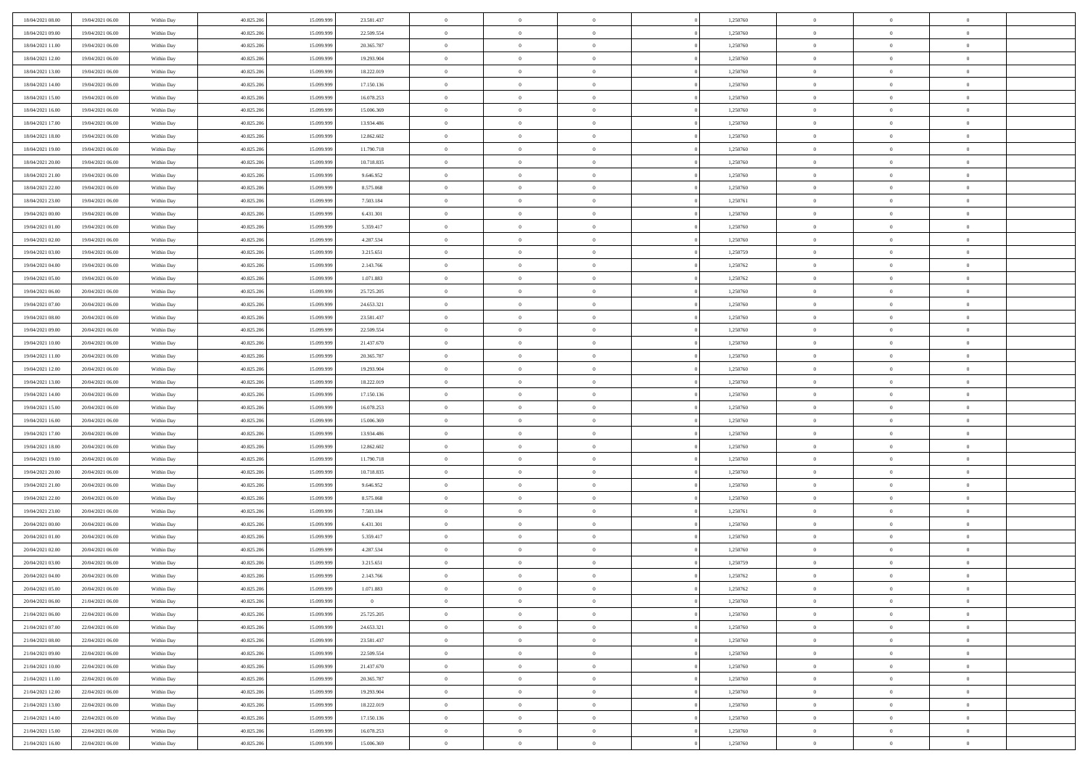| 18/04/2021 08:00 | 19/04/2021 06:00 | Within Day | 40.825.206 | 15.099.999 | 23.581.437     | $\,$ 0 $\,$    | $\overline{0}$ | $\overline{0}$ |          | 1,250760 | $\bf{0}$       | $\overline{0}$ | $\,0\,$        |  |
|------------------|------------------|------------|------------|------------|----------------|----------------|----------------|----------------|----------|----------|----------------|----------------|----------------|--|
| 18/04/2021 09:00 | 19/04/2021 06:00 | Within Day | 40.825.206 | 15,099,999 | 22.509.554     | $\overline{0}$ | $\overline{0}$ | $\mathbf{0}$   |          | 1,250760 | $\theta$       | $\overline{0}$ | $\theta$       |  |
| 18/04/2021 11:00 | 19/04/2021 06:00 | Within Dav | 40.825.206 | 15.099.999 | 20.365.787     | $\theta$       | $\overline{0}$ | $\overline{0}$ |          | 1,250760 | $\mathbf{0}$   | $\overline{0}$ | $\overline{0}$ |  |
| 18/04/2021 12:00 | 19/04/2021 06:00 | Within Day | 40.825.206 | 15.099.999 | 19.293.904     | $\,$ 0 $\,$    | $\overline{0}$ | $\overline{0}$ |          | 1,250760 | $\bf{0}$       | $\overline{0}$ | $\bf{0}$       |  |
| 18/04/2021 13:00 | 19/04/2021 06:00 | Within Day | 40.825.206 | 15.099.999 | 18.222.019     | $\bf{0}$       | $\overline{0}$ | $\mathbf{0}$   |          | 1,250760 | $\bf{0}$       | $\theta$       | $\,0\,$        |  |
| 18/04/2021 14:00 | 19/04/2021 06:00 | Within Dav | 40.825.206 | 15.099.999 | 17.150.136     | $\theta$       | $\overline{0}$ | $\mathbf{0}$   |          | 1,250760 | $\mathbf{0}$   | $\overline{0}$ | $\overline{0}$ |  |
| 18/04/2021 15:00 | 19/04/2021 06:00 | Within Day | 40.825.206 | 15.099.999 | 16.078.253     | $\,$ 0 $\,$    | $\overline{0}$ | $\overline{0}$ |          | 1,250760 | $\bf{0}$       | $\overline{0}$ | $\,0\,$        |  |
| 18/04/2021 16:00 | 19/04/2021 06:00 | Within Day | 40.825.206 | 15.099.999 | 15.006.369     | $\overline{0}$ | $\overline{0}$ | $\mathbf{0}$   |          | 1,250760 | $\,$ 0 $\,$    | $\overline{0}$ | $\theta$       |  |
| 18/04/2021 17:00 | 19/04/2021 06:00 | Within Day | 40.825.206 | 15.099.999 | 13.934.486     | $\theta$       | $\overline{0}$ | $\mathbf{0}$   |          | 1,250760 | $\mathbf{0}$   | $\bf{0}$       | $\overline{0}$ |  |
| 18/04/2021 18:00 | 19/04/2021 06:00 | Within Day | 40.825.206 | 15.099.999 | 12.862.602     | $\,$ 0 $\,$    | $\overline{0}$ | $\Omega$       |          | 1,250760 | $\bf{0}$       | $\overline{0}$ | $\,0\,$        |  |
| 18/04/2021 19:00 | 19/04/2021 06:00 | Within Day | 40.825.206 | 15,099,999 | 11.790.718     | $\bf{0}$       | $\overline{0}$ | $\mathbf{0}$   |          | 1,250760 | $\bf{0}$       | $\mathbf{0}$   | $\theta$       |  |
| 18/04/2021 20:00 | 19/04/2021 06:00 | Within Dav | 40.825.206 | 15.099.999 | 10.718.835     | $\theta$       | $\overline{0}$ | $\overline{0}$ |          | 1,250760 | $\mathbf{0}$   | $\overline{0}$ | $\overline{0}$ |  |
| 18/04/2021 21:00 | 19/04/2021 06:00 | Within Day | 40.825.206 | 15.099.999 | 9.646.952      | $\,$ 0 $\,$    | $\overline{0}$ | $\overline{0}$ |          | 1,250760 | $\bf{0}$       | $\overline{0}$ | $\bf{0}$       |  |
| 18/04/2021 22:00 | 19/04/2021 06:00 | Within Day | 40.825.206 | 15.099.999 | 8.575.068      | $\,$ 0         | $\overline{0}$ | $\mathbf{0}$   |          | 1,250760 | $\bf{0}$       | $\theta$       | $\,0\,$        |  |
| 18/04/2021 23:00 | 19/04/2021 06:00 | Within Dav | 40.825.206 | 15.099.999 | 7.503.184      | $\theta$       | $\overline{0}$ | $\mathbf{0}$   |          | 1,250761 | $\mathbf{0}$   | $\overline{0}$ | $\overline{0}$ |  |
| 19/04/2021 00:00 | 19/04/2021 06:00 | Within Day | 40.825.206 | 15.099.999 | 6.431.301      | $\,$ 0 $\,$    | $\overline{0}$ | $\Omega$       |          | 1,250760 | $\bf{0}$       | $\overline{0}$ | $\bf{0}$       |  |
| 19/04/2021 01:00 | 19/04/2021 06:00 | Within Day | 40.825.206 | 15.099.999 | 5.359.417      | $\,$ 0         | $\overline{0}$ | $\mathbf{0}$   |          | 1,250760 | $\bf{0}$       | $\overline{0}$ | $\theta$       |  |
| 19/04/2021 02:00 | 19/04/2021 06:00 | Within Day | 40.825.206 | 15.099.999 | 4.287.534      | $\theta$       | $\overline{0}$ | $\mathbf{0}$   |          | 1,250760 | $\mathbf{0}$   | $\overline{0}$ | $\overline{0}$ |  |
| 19/04/2021 03:00 | 19/04/2021 06:00 | Within Day | 40.825.206 | 15.099.999 | 3.215.651      | $\,$ 0 $\,$    | $\overline{0}$ | $\Omega$       |          | 1,250759 | $\bf{0}$       | $\overline{0}$ | $\,0\,$        |  |
| 19/04/2021 04:00 | 19/04/2021 06:00 | Within Day | 40.825.206 | 15.099.999 | 2.143.766      | $\bf{0}$       | $\overline{0}$ | $\mathbf{0}$   |          | 1,250762 | $\bf{0}$       | $\mathbf{0}$   | $\theta$       |  |
| 19/04/2021 05:00 | 19/04/2021 06:00 | Within Dav | 40.825.206 | 15.099.999 | 1.071.883      | $\theta$       | $\overline{0}$ | $\mathbf{0}$   |          | 1,250762 | $\mathbf{0}$   | $\overline{0}$ | $\overline{0}$ |  |
| 19/04/2021 06:00 | 20/04/2021 06:00 | Within Day | 40.825.206 | 15.099.999 | 25.725.205     | $\,$ 0 $\,$    | $\overline{0}$ | $\overline{0}$ |          | 1,250760 | $\bf{0}$       | $\overline{0}$ | $\bf{0}$       |  |
| 19/04/2021 07:00 | 20/04/2021 06:00 | Within Day | 40.825.206 | 15.099.999 | 24.653.321     | $\bf{0}$       | $\overline{0}$ | $\mathbf{0}$   |          | 1,250760 | $\bf{0}$       | $\bf{0}$       | $\,0\,$        |  |
| 19/04/2021 08:00 | 20/04/2021 06:00 | Within Dav | 40.825.206 | 15.099.999 | 23.581.437     | $\theta$       | $\overline{0}$ | $\mathbf{0}$   |          | 1,250760 | $\mathbf{0}$   | $\overline{0}$ | $\overline{0}$ |  |
| 19/04/2021 09:00 | 20/04/2021 06:00 | Within Day | 40.825.206 | 15.099.999 | 22.509.554     | $\,$ 0 $\,$    | $\overline{0}$ | $\overline{0}$ |          | 1,250760 | $\bf{0}$       | $\overline{0}$ | $\,0\,$        |  |
| 19/04/2021 10:00 | 20/04/2021 06:00 | Within Day | 40.825.206 | 15.099.999 | 21.437.670     | $\,$ 0         | $\overline{0}$ | $\mathbf{0}$   |          | 1,250760 | $\bf{0}$       | $\overline{0}$ | $\theta$       |  |
| 19/04/2021 11:00 | 20/04/2021 06:00 | Within Day | 40.825.206 | 15.099.999 | 20.365.787     | $\theta$       | $\overline{0}$ | $\overline{0}$ |          | 1,250760 | $\mathbf{0}$   | $\bf{0}$       | $\overline{0}$ |  |
| 19/04/2021 12:00 | 20/04/2021 06:00 | Within Day | 40.825.206 | 15.099.999 | 19.293.904     | $\,$ 0 $\,$    | $\overline{0}$ | $\Omega$       |          | 1,250760 | $\bf{0}$       | $\overline{0}$ | $\,0\,$        |  |
| 19/04/2021 13:00 | 20/04/2021 06:00 | Within Day | 40.825.206 | 15,099,999 | 18.222.019     | $\bf{0}$       | $\overline{0}$ | $\mathbf{0}$   |          | 1,250760 | $\bf{0}$       | $\mathbf{0}$   | $\overline{0}$ |  |
| 19/04/2021 14:00 | 20/04/2021 06:00 | Within Dav | 40.825.206 | 15.099.999 | 17.150.136     | $\theta$       | $\overline{0}$ | $\overline{0}$ |          | 1,250760 | $\mathbf{0}$   | $\overline{0}$ | $\overline{0}$ |  |
| 19/04/2021 15:00 | 20/04/2021 06:00 | Within Day | 40.825.206 | 15.099.999 | 16.078.253     | $\theta$       | $\overline{0}$ | $\overline{0}$ |          | 1,250760 | $\,$ 0         | $\overline{0}$ | $\,$ 0 $\,$    |  |
| 19/04/2021 16:00 | 20/04/2021 06:00 | Within Day | 40.825.206 | 15.099.999 | 15.006.369     | $\bf{0}$       | $\overline{0}$ | $\mathbf{0}$   |          | 1,250760 | $\bf{0}$       | $\mathbf{0}$   | $\bf{0}$       |  |
| 19/04/2021 17:00 | 20/04/2021 06:00 | Within Dav | 40.825.206 | 15.099.999 | 13.934.486     | $\theta$       | $\overline{0}$ | $\mathbf{0}$   |          | 1,250760 | $\mathbf{0}$   | $\overline{0}$ | $\overline{0}$ |  |
| 19/04/2021 18:00 | 20/04/2021 06:00 | Within Day | 40.825.206 | 15.099.999 | 12.862.602     | $\theta$       | $\overline{0}$ | $\overline{0}$ |          | 1,250760 | $\,$ 0         | $\overline{0}$ | $\theta$       |  |
| 19/04/2021 19:00 | 20/04/2021 06:00 | Within Day | 40.825.206 | 15.099.999 | 11.790.718     | $\bf{0}$       | $\overline{0}$ | $\mathbf{0}$   |          | 1,250760 | $\mathbf{0}$   | $\overline{0}$ | $\overline{0}$ |  |
| 19/04/2021 20:00 | 20/04/2021 06:00 | Within Day | 40.825.206 | 15.099.999 | 10.718.835     | $\theta$       | $\overline{0}$ | $\mathbf{0}$   |          | 1,250760 | $\mathbf{0}$   | $\overline{0}$ | $\overline{0}$ |  |
| 19/04/2021 21:00 | 20/04/2021 06:00 | Within Day | 40.825.206 | 15.099.999 | 9.646.952      | $\theta$       | $\overline{0}$ | $\overline{0}$ |          | 1,250760 | $\,$ 0         | $\overline{0}$ | $\theta$       |  |
| 19/04/2021 22:00 | 20/04/2021 06:00 | Within Day | 40.825.206 | 15.099.999 | 8.575.068      | $\bf{0}$       | $\overline{0}$ | $\mathbf{0}$   |          | 1,250760 | $\bf{0}$       | $\mathbf{0}$   | $\bf{0}$       |  |
| 19/04/2021 23:00 | 20/04/2021 06:00 | Within Dav | 40.825.206 | 15.099.999 | 7.503.184      | $\theta$       | $\overline{0}$ | $\overline{0}$ |          | 1,250761 | $\mathbf{0}$   | $\overline{0}$ | $\overline{0}$ |  |
| 20/04/2021 00:00 | 20/04/2021 06:00 | Within Day | 40.825.206 | 15.099.999 | 6.431.301      | $\,$ 0 $\,$    | $\overline{0}$ | $\overline{0}$ |          | 1,250760 | $\,$ 0         | $\overline{0}$ | $\,$ 0 $\,$    |  |
| 20/04/2021 01:00 | 20/04/2021 06:00 | Within Day | 40.825.206 | 15.099.999 | 5.359.417      | $\,$ 0         | $\,$ 0 $\,$    | $\overline{0}$ |          | 1,250760 | $\,$ 0 $\,$    | $\overline{0}$ | $\overline{0}$ |  |
| 20/04/2021 02:00 | 20/04/2021 06:00 | Within Dav | 40.825.206 | 15.099.999 | 4.287.534      | $\theta$       | $\overline{0}$ | $\mathbf{0}$   |          | 1,250760 | $\mathbf{0}$   | $\overline{0}$ | $\theta$       |  |
| 20/04/2021 03:00 | 20/04/2021 06:00 | Within Day | 40.825.206 | 15.099.999 | 3.215.651      | $\overline{0}$ | $\overline{0}$ | $\overline{0}$ |          | 1,250759 | $\,$ 0         | $\overline{0}$ | $\theta$       |  |
| 20/04/2021 04:00 | 20/04/2021 06:00 | Within Day | 40.825.206 | 15.099.999 | 2.143.766      | $\bf{0}$       | $\overline{0}$ | $\mathbf{0}$   |          | 1,250762 | $\,$ 0 $\,$    | $\overline{0}$ | $\overline{0}$ |  |
| 20/04/2021 05:00 | 20/04/2021 06:00 | Within Day | 40.825.206 | 15.099.999 | 1.071.883      | $\overline{0}$ | $\theta$       |                |          | 1,250762 | $\overline{0}$ | $^{\circ}$     | $\theta$       |  |
| 20/04/2021 06:00 | 21/04/2021 06:00 | Within Day | 40.825.206 | 15.099.999 | $\overline{0}$ | $\,$ 0 $\,$    | $\overline{0}$ | $\overline{0}$ |          | 1,250760 | $\,$ 0 $\,$    | $\bf{0}$       | $\theta$       |  |
| 21/04/2021 06:00 | 22/04/2021 06:00 | Within Day | 40.825.206 | 15.099.999 | 25.725.205     | $\bf{0}$       | $\,$ 0 $\,$    | $\overline{0}$ |          | 1,250760 | $\,$ 0 $\,$    | $\overline{0}$ | $\overline{0}$ |  |
| 21/04/2021 07:00 | 22/04/2021 06:00 | Within Day | 40.825.206 | 15.099.999 | 24.653.321     | $\overline{0}$ | $\overline{0}$ | $\overline{0}$ |          | 1,250760 | $\,$ 0 $\,$    | $\bf{0}$       | $\mathbf{0}$   |  |
| 21/04/2021 08:00 | 22/04/2021 06:00 | Within Day | 40.825.206 | 15.099.999 | 23.581.437     | $\,$ 0 $\,$    | $\overline{0}$ | $\overline{0}$ | $\theta$ | 1,250760 | $\,$ 0 $\,$    | $\bf{0}$       | $\,$ 0 $\,$    |  |
| 21/04/2021 09:00 | 22/04/2021 06:00 | Within Day | 40.825.206 | 15.099.999 | 22.509.554     | $\,$ 0 $\,$    | $\,$ 0 $\,$    | $\overline{0}$ |          | 1,250760 | $\,$ 0 $\,$    | $\overline{0}$ | $\overline{0}$ |  |
| 21/04/2021 10:00 | 22/04/2021 06:00 | Within Day | 40.825.206 | 15.099.999 | 21.437.670     | $\overline{0}$ | $\overline{0}$ | $\overline{0}$ |          | 1,250760 | $\mathbf{0}$   | $\bf{0}$       | $\overline{0}$ |  |
| 21/04/2021 11:00 | 22/04/2021 06:00 | Within Day | 40.825.206 | 15.099.999 | 20.365.787     | $\,$ 0 $\,$    | $\overline{0}$ | $\overline{0}$ |          | 1,250760 | $\,$ 0 $\,$    | $\bf{0}$       | $\,$ 0 $\,$    |  |
| 21/04/2021 12:00 | 22/04/2021 06:00 | Within Day | 40.825.206 | 15.099.999 | 19.293.904     | $\bf{0}$       | $\,$ 0 $\,$    | $\overline{0}$ |          | 1,250760 | $\,$ 0 $\,$    | $\overline{0}$ | $\overline{0}$ |  |
| 21/04/2021 13:00 | 22/04/2021 06:00 | Within Day | 40.825.206 | 15.099.999 | 18.222.019     | $\mathbf{0}$   | $\overline{0}$ | $\overline{0}$ |          | 1,250760 | $\,$ 0 $\,$    | $\bf{0}$       | $\overline{0}$ |  |
| 21/04/2021 14:00 | 22/04/2021 06:00 | Within Day | 40.825.206 | 15.099.999 | 17.150.136     | $\,$ 0 $\,$    | $\overline{0}$ | $\overline{0}$ |          | 1,250760 | $\,$ 0 $\,$    | $\overline{0}$ | $\,$ 0 $\,$    |  |
| 21/04/2021 15:00 | 22/04/2021 06:00 | Within Day | 40.825.206 | 15.099.999 | 16.078.253     | $\,$ 0 $\,$    | $\,$ 0 $\,$    | $\overline{0}$ |          | 1,250760 | $\,$ 0 $\,$    | $\overline{0}$ | $\overline{0}$ |  |
| 21/04/2021 16:00 | 22/04/2021 06:00 | Within Day | 40.825.206 | 15.099.999 | 15.006.369     | $\theta$       | $\overline{0}$ | $\overline{0}$ |          | 1,250760 | $\,$ 0 $\,$    | $\overline{0}$ | $\overline{0}$ |  |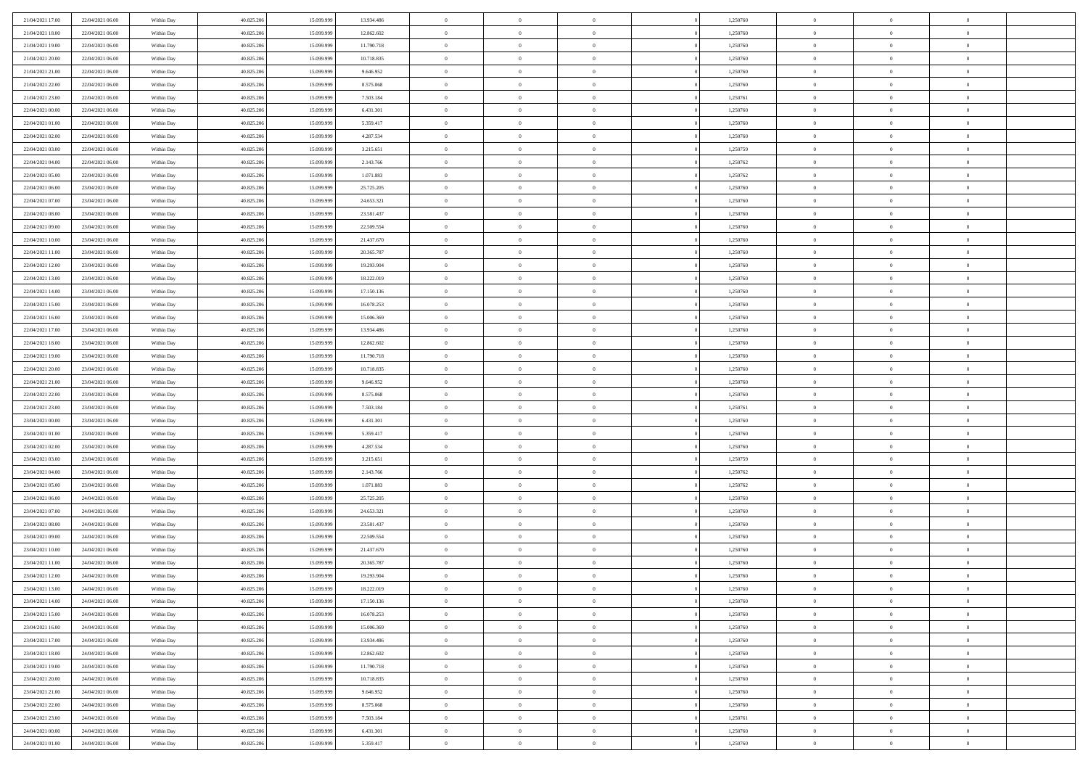| 21/04/2021 17:00 | 22/04/2021 06:00 | Within Day | 40.825.206 | 15.099.999 | 13.934.486 | $\bf{0}$       | $\overline{0}$ | $\Omega$       | 1,250760 | $\bf{0}$       | $\overline{0}$ | $\theta$       |  |
|------------------|------------------|------------|------------|------------|------------|----------------|----------------|----------------|----------|----------------|----------------|----------------|--|
| 21/04/2021 18:00 | 22/04/2021 06:00 | Within Dav | 40.825.206 | 15.099.999 | 12.862.602 | $\overline{0}$ | $\overline{0}$ | $\overline{0}$ | 1,250760 | $\mathbf{0}$   | $\bf{0}$       | $\overline{0}$ |  |
| 21/04/2021 19:00 | 22/04/2021 06:00 | Within Day | 40.825.206 | 15.099.999 | 11.790.718 | $\theta$       | $\overline{0}$ | $\overline{0}$ | 1,250760 | $\,$ 0         | $\overline{0}$ | $\,$ 0 $\,$    |  |
| 21/04/2021 20:00 | 22/04/2021 06:00 | Within Day | 40.825.206 | 15.099.999 | 10.718.835 | $\overline{0}$ | $\overline{0}$ | $\mathbf{0}$   | 1,250760 | $\bf{0}$       | $\mathbf{0}$   | $\theta$       |  |
| 21/04/2021 21:00 | 22/04/2021 06:00 | Within Dav | 40.825.206 | 15.099.999 | 9.646.952  | $\overline{0}$ | $\overline{0}$ | $\overline{0}$ | 1,250760 | $\mathbf{0}$   | $\bf{0}$       | $\overline{0}$ |  |
| 21/04/2021 22:00 | 22/04/2021 06:00 | Within Day | 40.825.206 | 15.099.999 | 8.575.068  | $\theta$       | $\overline{0}$ | $\bf{0}$       | 1,250760 | $\,$ 0         | $\overline{0}$ | $\,$ 0 $\,$    |  |
| 21/04/2021 23:00 | 22/04/2021 06:00 | Within Day | 40.825.206 | 15.099.999 | 7.503.184  | $\,$ 0 $\,$    | $\overline{0}$ | $\Omega$       | 1,250761 | $\bf{0}$       | $\overline{0}$ | $\theta$       |  |
| 22/04/2021 00:00 | 22/04/2021 06:00 | Within Dav | 40.825.206 | 15.099.999 | 6.431.301  | $\overline{0}$ | $\overline{0}$ | $\overline{0}$ | 1,250760 | $\mathbf{0}$   | $\bf{0}$       | $\overline{0}$ |  |
| 22/04/2021 01:00 | 22/04/2021 06:00 | Within Day | 40.825.206 | 15.099.999 | 5.359.417  | $\theta$       | $\overline{0}$ | $\bf{0}$       | 1,250760 | $\,$ 0         | $\overline{0}$ | $\,$ 0 $\,$    |  |
| 22/04/2021 02:00 | 22/04/2021 06:00 | Within Day | 40.825.206 | 15.099.999 | 4.287.534  | $\overline{0}$ | $\overline{0}$ | $\mathbf{0}$   | 1,250760 | $\bf{0}$       | $\mathbf{0}$   | $\theta$       |  |
| 22/04/2021 03:00 | 22/04/2021 06:00 | Within Dav | 40.825.206 | 15.099.999 | 3.215.651  | $\overline{0}$ | $\overline{0}$ | $\overline{0}$ | 1,250759 | $\mathbf{0}$   | $\bf{0}$       | $\overline{0}$ |  |
| 22/04/2021 04:00 | 22/04/2021 06:00 | Within Day | 40.825.206 | 15.099.999 | 2.143.766  | $\theta$       | $\overline{0}$ | $\bf{0}$       | 1,250762 | $\,$ 0         | $\overline{0}$ | $\,$ 0 $\,$    |  |
| 22/04/2021 05:00 | 22/04/2021 06:00 | Within Day | 40.825.206 | 15.099.999 | 1.071.883  | $\theta$       | $\overline{0}$ | $\mathbf{0}$   | 1,250762 | $\bf{0}$       | $\theta$       | $\theta$       |  |
| 22/04/2021 06:00 | 23/04/2021 06:00 | Within Dav | 40.825.206 | 15.099.999 | 25.725.205 | $\overline{0}$ | $\overline{0}$ | $\overline{0}$ | 1,250760 | $\mathbf{0}$   | $\bf{0}$       | $\overline{0}$ |  |
| 22/04/2021 07:00 | 23/04/2021 06:00 | Within Day | 40.825.206 | 15.099.999 | 24.653.321 | $\theta$       | $\overline{0}$ | $\overline{0}$ | 1,250760 | $\,$ 0         | $\overline{0}$ | $\,$ 0 $\,$    |  |
| 22/04/2021 08:00 | 23/04/2021 06:00 | Within Day | 40.825.206 | 15.099.999 | 23.581.437 | $\bf{0}$       | $\overline{0}$ | $\mathbf{0}$   | 1,250760 | $\bf{0}$       | $\mathbf{0}$   | $\bf{0}$       |  |
| 22/04/2021 09:00 | 23/04/2021 06:00 | Within Dav | 40.825.206 | 15.099.999 | 22.509.554 | $\overline{0}$ | $\overline{0}$ | $\overline{0}$ | 1,250760 | $\mathbf{0}$   | $\bf{0}$       | $\overline{0}$ |  |
| 22/04/2021 10:00 | 23/04/2021 06:00 | Within Day | 40.825.206 | 15.099.999 | 21.437.670 | $\theta$       | $\overline{0}$ | $\bf{0}$       | 1,250760 | $\,$ 0         | $\overline{0}$ | $\,$ 0 $\,$    |  |
| 22/04/2021 11:00 | 23/04/2021 06:00 | Within Day | 40.825.206 | 15.099.999 | 20.365.787 | $\mathbf{0}$   | $\overline{0}$ | $\mathbf{0}$   | 1.250760 | $\theta$       | $\mathbf{0}$   | $\theta$       |  |
| 22/04/2021 12:00 | 23/04/2021 06:00 | Within Dav | 40.825.206 | 15.099.999 | 19.293.904 | $\overline{0}$ | $\overline{0}$ | $\overline{0}$ | 1,250760 | $\mathbf{0}$   | $\bf{0}$       | $\overline{0}$ |  |
| 22/04/2021 13:00 | 23/04/2021 06:00 | Within Day | 40.825.206 | 15.099.999 | 18.222.019 | $\theta$       | $\overline{0}$ | $\bf{0}$       | 1,250760 | $\,$ 0         | $\overline{0}$ | $\,$ 0 $\,$    |  |
| 22/04/2021 14:00 | 23/04/2021 06:00 | Within Day | 40.825.206 | 15.099.999 | 17.150.136 | $\mathbf{0}$   | $\overline{0}$ | $\mathbf{0}$   | 1,250760 | $\bf{0}$       | $\mathbf{0}$   | $\theta$       |  |
| 22/04/2021 15:00 | 23/04/2021 06:00 | Within Day | 40.825.206 | 15.099.999 | 16.078.253 | $\overline{0}$ | $\overline{0}$ | $\overline{0}$ | 1,250760 | $\mathbf{0}$   | $\bf{0}$       | $\overline{0}$ |  |
| 22/04/2021 16:00 | 23/04/2021 06:00 | Within Day | 40.825.206 | 15.099.999 | 15.006.369 | $\theta$       | $\overline{0}$ | $\bf{0}$       | 1,250760 | $\,$ 0         | $\overline{0}$ | $\,$ 0 $\,$    |  |
| 22/04/2021 17:00 | 23/04/2021 06:00 | Within Day | 40.825.206 | 15.099.999 | 13.934.486 | $\bf{0}$       | $\overline{0}$ | $\mathbf{0}$   | 1,250760 | $\bf{0}$       | $\overline{0}$ | $\bf{0}$       |  |
| 22/04/2021 18:00 | 23/04/2021 06:00 | Within Day | 40.825.206 | 15.099.999 | 12.862.602 | $\overline{0}$ | $\overline{0}$ | $\overline{0}$ | 1,250760 | $\mathbf{0}$   | $\bf{0}$       | $\overline{0}$ |  |
| 22/04/2021 19:00 | 23/04/2021 06:00 | Within Day | 40.825.206 | 15.099.999 | 11.790.718 | $\theta$       | $\overline{0}$ | $\overline{0}$ | 1,250760 | $\,$ 0         | $\overline{0}$ | $\,$ 0 $\,$    |  |
| 22/04/2021 20:00 | 23/04/2021 06:00 | Within Day | 40.825.206 | 15.099.999 | 10.718.835 | $\mathbf{0}$   | $\overline{0}$ | $\mathbf{0}$   | 1,250760 | $\bf{0}$       | $\mathbf{0}$   | $\theta$       |  |
| 22/04/2021 21:00 | 23/04/2021 06:00 | Within Day | 40.825.206 | 15.099.999 | 9.646.952  | $\overline{0}$ | $\overline{0}$ | $\overline{0}$ | 1,250760 | $\mathbf{0}$   | $\bf{0}$       | $\overline{0}$ |  |
| 22/04/2021 22:00 | 23/04/2021 06:00 | Within Day | 40.825.206 | 15.099.999 | 8.575.068  | $\theta$       | $\overline{0}$ | $\bf{0}$       | 1,250760 | $\,$ 0         | $\overline{0}$ | $\,$ 0 $\,$    |  |
| 22/04/2021 23:00 | 23/04/2021 06:00 | Within Day | 40.825.206 | 15.099.999 | 7.503.184  | $\,$ 0 $\,$    | $\overline{0}$ | $\overline{0}$ | 1,250761 | $\bf{0}$       | $\overline{0}$ | $\,0\,$        |  |
| 23/04/2021 00:00 | 23/04/2021 06:00 | Within Day | 40.825.206 | 15.099.999 | 6.431.301  | $\overline{0}$ | $\overline{0}$ | $\overline{0}$ | 1,250760 | $\mathbf{0}$   | $\bf{0}$       | $\overline{0}$ |  |
| 23/04/2021 01:00 | 23/04/2021 06:00 | Within Day | 40.825.206 | 15.099.999 | 5.359.417  | $\theta$       | $\overline{0}$ | $\overline{0}$ | 1,250760 | $\,$ 0         | $\overline{0}$ | $\,$ 0 $\,$    |  |
| 23/04/2021 02:00 | 23/04/2021 06:00 | Within Day | 40.825.206 | 15.099.999 | 4.287.534  | $\,$ 0 $\,$    | $\overline{0}$ | $\overline{0}$ | 1,250760 | $\bf{0}$       | $\overline{0}$ | $\bf{0}$       |  |
| 23/04/2021 03:00 | 23/04/2021 06:00 | Within Day | 40.825.206 | 15.099.999 | 3.215.651  | $\theta$       | $\overline{0}$ | $\overline{0}$ | 1,250759 | $\mathbf{0}$   | $\bf{0}$       | $\overline{0}$ |  |
| 23/04/2021 04:00 | 23/04/2021 06:00 | Within Day | 40.825.206 | 15.099.999 | 2.143.766  | $\theta$       | $\overline{0}$ | $\bf{0}$       | 1,250762 | $\,$ 0         | $\overline{0}$ | $\,$ 0 $\,$    |  |
| 23/04/2021 05:00 | 23/04/2021 06:00 | Within Day | 40.825.206 | 15.099.999 | 1.071.883  | $\,$ 0 $\,$    | $\overline{0}$ | $\overline{0}$ | 1,250762 | $\bf{0}$       | $\overline{0}$ | $\,0\,$        |  |
| 23/04/2021 06:00 | 24/04/2021 06:00 | Within Day | 40.825.206 | 15.099.999 | 25.725.205 | $\overline{0}$ | $\overline{0}$ | $\overline{0}$ | 1,250760 | $\mathbf{0}$   | $\bf{0}$       | $\overline{0}$ |  |
| 23/04/2021 07:00 | 24/04/2021 06:00 | Within Day | 40.825.206 | 15.099.999 | 24.653.321 | $\theta$       | $\overline{0}$ | $\bf{0}$       | 1,250760 | $\,$ 0         | $\overline{0}$ | $\,$ 0 $\,$    |  |
| 23/04/2021 08:00 | 24/04/2021 06:00 | Within Day | 40.825.206 | 15.099.999 | 23.581.437 | $\,$ 0 $\,$    | $\overline{0}$ | $\overline{0}$ | 1,250760 | $\bf{0}$       | $\overline{0}$ | $\,0\,$        |  |
| 23/04/2021 09:00 | 24/04/2021 06:00 | Within Day | 40.825.206 | 15.099.999 | 22.509.554 | $\theta$       | $\overline{0}$ | $\overline{0}$ | 1,250760 | $\mathbf{0}$   | $\bf{0}$       | $\overline{0}$ |  |
| 23/04/2021 10:00 | 24/04/2021 06:00 | Within Day | 40.825.206 | 15.099.999 | 21.437.670 | $\theta$       | $\overline{0}$ | $\bf{0}$       | 1,250760 | $\,$ 0         | $\overline{0}$ | $\,$ 0 $\,$    |  |
| 23/04/2021 11:00 | 24/04/2021 06:00 | Within Day | 40.825.206 | 15.099.999 | 20.365.787 | $\,$ 0 $\,$    | $\overline{0}$ | $\overline{0}$ | 1,250760 | $\bf{0}$       | $\overline{0}$ | $\,0\,$        |  |
| 23/04/2021 12:00 | 24/04/2021 06:00 | Within Dav | 40.825.206 | 15.099.999 | 19.293.904 | $\theta$       | $\overline{0}$ | $\overline{0}$ | 1,250760 | $\mathbf{0}$   | $\bf{0}$       | $\overline{0}$ |  |
| 23/04/2021 13:00 | 24/04/2021 06:00 | Within Day | 40.825.206 | 15.099.999 | 18.222.019 | $\overline{0}$ | $\overline{0}$ | $\overline{0}$ | 1,250760 | $\overline{0}$ | $\overline{0}$ | $\theta$       |  |
| 23/04/2021 14:00 | 24/04/2021 06:00 | Within Day | 40.825.206 | 15.099.999 | 17.150.136 | $\bf{0}$       | $\overline{0}$ | $\overline{0}$ | 1,250760 | $\mathbf{0}$   | $\overline{0}$ | $\bf{0}$       |  |
| 23/04/2021 15:00 | 24/04/2021 06:00 | Within Day | 40.825.206 | 15.099.999 | 16.078.253 | $\overline{0}$ | $\overline{0}$ | $\overline{0}$ | 1,250760 | $\overline{0}$ | $\overline{0}$ | $\overline{0}$ |  |
| 23/04/2021 16:00 | 24/04/2021 06:00 | Within Day | 40.825.206 | 15.099.999 | 15.006.369 | $\,$ 0 $\,$    | $\overline{0}$ | $\overline{0}$ | 1,250760 | $\,$ 0 $\,$    | $\,$ 0 $\,$    | $\,$ 0 $\,$    |  |
| 23/04/2021 17:00 | 24/04/2021 06:00 | Within Day | 40.825.206 | 15.099.999 | 13.934.486 | $\bf{0}$       | $\overline{0}$ | $\overline{0}$ | 1,250760 | $\mathbf{0}$   | $\overline{0}$ | $\bf{0}$       |  |
| 23/04/2021 18:00 | 24/04/2021 06:00 | Within Day | 40.825.206 | 15.099.999 | 12.862.602 | $\mathbf{0}$   | $\overline{0}$ | $\overline{0}$ | 1,250760 | $\,$ 0 $\,$    | $\bf{0}$       | $\overline{0}$ |  |
| 23/04/2021 19:00 | 24/04/2021 06:00 | Within Day | 40.825.206 | 15.099.999 | 11.790.718 | $\,$ 0         | $\overline{0}$ | $\overline{0}$ | 1,250760 | $\,$ 0 $\,$    | $\overline{0}$ | $\,$ 0 $\,$    |  |
| 23/04/2021 20:00 | 24/04/2021 06:00 | Within Day | 40.825.206 | 15.099.999 | 10.718.835 | $\bf{0}$       | $\overline{0}$ | $\overline{0}$ | 1,250760 | $\overline{0}$ | $\overline{0}$ | $\overline{0}$ |  |
| 23/04/2021 21:00 | 24/04/2021 06:00 | Within Day | 40.825.206 | 15.099.999 | 9.646.952  | $\,$ 0 $\,$    | $\overline{0}$ | $\overline{0}$ | 1,250760 | $\,$ 0 $\,$    | $\bf{0}$       | $\mathbf{0}$   |  |
| 23/04/2021 22:00 | 24/04/2021 06:00 | Within Day | 40.825.206 | 15.099.999 | 8.575.068  | $\,$ 0         | $\overline{0}$ | $\overline{0}$ | 1,250760 | $\,$ 0 $\,$    | $\,$ 0 $\,$    | $\,$ 0 $\,$    |  |
| 23/04/2021 23:00 | 24/04/2021 06:00 | Within Day | 40.825.206 | 15.099.999 | 7.503.184  | $\bf{0}$       | $\overline{0}$ | $\overline{0}$ | 1,250761 | $\mathbf{0}$   | $\overline{0}$ | $\bf{0}$       |  |
| 24/04/2021 00:00 | 24/04/2021 06:00 | Within Day | 40.825.206 | 15.099.999 | 6.431.301  | $\mathbf{0}$   | $\overline{0}$ | $\overline{0}$ | 1,250760 | $\overline{0}$ | $\bf{0}$       | $\overline{0}$ |  |
| 24/04/2021 01:00 | 24/04/2021 06:00 | Within Day | 40.825.206 | 15.099.999 | 5.359.417  | $\,$ 0 $\,$    | $\overline{0}$ | $\overline{0}$ | 1,250760 | $\,$ 0 $\,$    | $\overline{0}$ | $\,$ 0 $\,$    |  |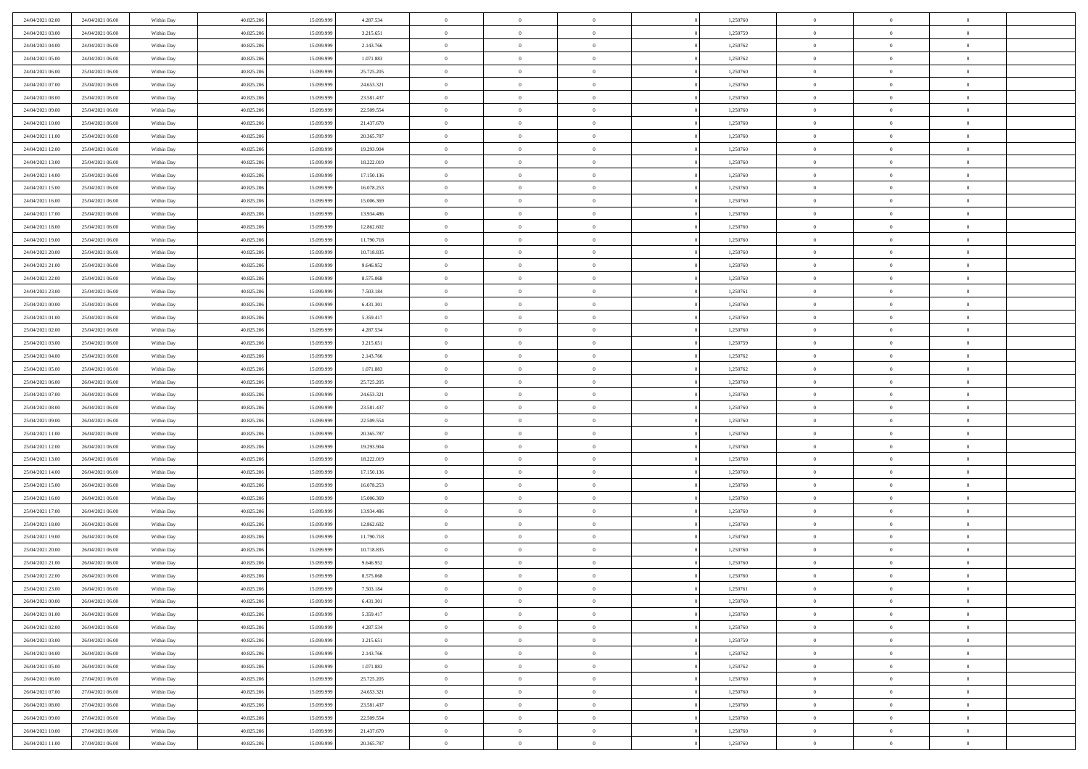| 24/04/2021 02:00 | 24/04/2021 06:00 | Within Day               | 40.825.206 | 15.099.999 | 4.287.534  | $\,$ 0 $\,$    | $\overline{0}$ | $\overline{0}$           |          | 1,250760 | $\bf{0}$       | $\overline{0}$ | $\,0\,$        |  |
|------------------|------------------|--------------------------|------------|------------|------------|----------------|----------------|--------------------------|----------|----------|----------------|----------------|----------------|--|
| 24/04/2021 03:00 | 24/04/2021 06:00 | Within Day               | 40.825.206 | 15,099.99  | 3.215.651  | $\theta$       | $\overline{0}$ | $\mathbf{0}$             |          | 1,250759 | $\theta$       | $\overline{0}$ | $\theta$       |  |
| 24/04/2021 04:00 | 24/04/2021 06:00 | Within Day               | 40.825.206 | 15.099.999 | 2.143.766  | $\theta$       | $\overline{0}$ | $\overline{0}$           |          | 1,250762 | $\mathbf{0}$   | $\overline{0}$ | $\overline{0}$ |  |
| 24/04/2021 05:00 | 24/04/2021 06:00 | Within Day               | 40.825.206 | 15.099.999 | 1.071.883  | $\,$ 0 $\,$    | $\overline{0}$ | $\overline{0}$           |          | 1,250762 | $\bf{0}$       | $\overline{0}$ | $\bf{0}$       |  |
| 24/04/2021 06:00 | 25/04/2021 06:00 | Within Day               | 40.825.206 | 15.099.999 | 25.725.205 | $\bf{0}$       | $\overline{0}$ | $\mathbf{0}$             |          | 1,250760 | $\bf{0}$       | $\theta$       | $\,0\,$        |  |
| 24/04/2021 07:00 | 25/04/2021 06:00 | Within Day               | 40.825.206 | 15.099.999 | 24.653.321 | $\theta$       | $\overline{0}$ | $\mathbf{0}$             |          | 1,250760 | $\mathbf{0}$   | $\overline{0}$ | $\overline{0}$ |  |
| 24/04/2021 08:00 | 25/04/2021 06:00 | Within Day               | 40.825.206 | 15.099.999 | 23.581.437 | $\,$ 0 $\,$    | $\overline{0}$ | $\overline{0}$           |          | 1,250760 | $\bf{0}$       | $\overline{0}$ | $\,0\,$        |  |
| 24/04/2021 09:00 | 25/04/2021 06:00 | Within Day               | 40.825.206 | 15.099.999 | 22.509.554 | $\,$ 0         | $\overline{0}$ | $\mathbf{0}$             |          | 1,250760 | $\,$ 0 $\,$    | $\overline{0}$ | $\theta$       |  |
| 24/04/2021 10:00 | 25/04/2021 06:00 | Within Day               | 40.825.206 | 15.099.999 | 21.437.670 | $\theta$       | $\overline{0}$ | $\mathbf{0}$             |          | 1,250760 | $\mathbf{0}$   | $\bf{0}$       | $\overline{0}$ |  |
| 24/04/2021 11:00 | 25/04/2021 06:00 | Within Day               | 40.825.206 | 15.099.999 | 20.365.787 | $\,$ 0 $\,$    | $\overline{0}$ | $\Omega$                 |          | 1,250760 | $\bf{0}$       | $\overline{0}$ | $\,0\,$        |  |
| 24/04/2021 12:00 | 25/04/2021 06:00 | Within Day               | 40.825.206 | 15.099.999 | 19.293.904 | $\bf{0}$       | $\overline{0}$ | $\mathbf{0}$             |          | 1,250760 | $\bf{0}$       | $\mathbf{0}$   | $\theta$       |  |
| 24/04/2021 13:00 | 25/04/2021 06:00 | Within Dav               | 40.825.206 | 15.099.999 | 18.222.019 | $\theta$       | $\overline{0}$ | $\overline{0}$           |          | 1,250760 | $\mathbf{0}$   | $\overline{0}$ | $\overline{0}$ |  |
| 24/04/2021 14:00 | 25/04/2021 06:00 | Within Day               | 40.825.206 | 15.099.999 | 17.150.136 | $\,$ 0 $\,$    | $\overline{0}$ | $\overline{0}$           |          | 1,250760 | $\bf{0}$       | $\overline{0}$ | $\bf{0}$       |  |
| 24/04/2021 15:00 | 25/04/2021 06:00 | Within Day               | 40.825.206 | 15.099.999 | 16.078.253 | $\bf{0}$       | $\overline{0}$ | $\mathbf{0}$             |          | 1,250760 | $\bf{0}$       | $\theta$       | $\,0\,$        |  |
| 24/04/2021 16:00 | 25/04/2021 06:00 | Within Dav               | 40.825.206 | 15.099.999 | 15.006.369 | $\theta$       | $\overline{0}$ | $\mathbf{0}$             |          | 1,250760 | $\mathbf{0}$   | $\overline{0}$ | $\overline{0}$ |  |
| 24/04/2021 17:00 | 25/04/2021 06:00 | Within Day               | 40.825.206 | 15.099.999 | 13.934.486 | $\,$ 0 $\,$    | $\overline{0}$ | $\Omega$                 |          | 1,250760 | $\bf{0}$       | $\overline{0}$ | $\bf{0}$       |  |
| 24/04/2021 18:00 | 25/04/2021 06:00 |                          | 40.825.206 | 15.099.999 | 12.862.602 | $\,$ 0         | $\overline{0}$ | $\mathbf{0}$             |          | 1,250760 | $\bf{0}$       | $\overline{0}$ | $\theta$       |  |
| 24/04/2021 19:00 | 25/04/2021 06:00 | Within Day<br>Within Day | 40.825.206 | 15.099.999 | 11.790.718 | $\theta$       | $\overline{0}$ |                          |          | 1,250760 | $\mathbf{0}$   | $\overline{0}$ | $\overline{0}$ |  |
| 24/04/2021 20:00 | 25/04/2021 06:00 |                          | 40.825.206 | 15.099.999 | 10.718.835 | $\,$ 0 $\,$    | $\overline{0}$ | $\mathbf{0}$<br>$\Omega$ |          | 1,250760 | $\bf{0}$       | $\overline{0}$ | $\,0\,$        |  |
|                  |                  | Within Day               |            | 15.099.999 |            |                |                |                          |          |          |                | $\mathbf{0}$   | $\theta$       |  |
| 24/04/2021 21:00 | 25/04/2021 06:00 | Within Day               | 40.825.206 |            | 9.646.952  | $\bf{0}$       | $\overline{0}$ | $\mathbf{0}$             |          | 1,250760 | $\bf{0}$       |                |                |  |
| 24/04/2021 22:00 | 25/04/2021 06:00 | Within Dav               | 40.825.206 | 15.099.999 | 8.575.068  | $\theta$       | $\overline{0}$ | $\mathbf{0}$             |          | 1,250760 | $\mathbf{0}$   | $\overline{0}$ | $\overline{0}$ |  |
| 24/04/2021 23:00 | 25/04/2021 06:00 | Within Day               | 40.825.206 | 15.099.999 | 7.503.184  | $\,$ 0 $\,$    | $\overline{0}$ | $\overline{0}$           |          | 1,250761 | $\bf{0}$       | $\overline{0}$ | $\bf{0}$       |  |
| 25/04/2021 00:00 | 25/04/2021 06:00 | Within Day               | 40.825.206 | 15.099.999 | 6.431.301  | $\,$ 0         | $\overline{0}$ | $\mathbf{0}$             |          | 1,250760 | $\bf{0}$       | $\bf{0}$       | $\,0\,$        |  |
| 25/04/2021 01:00 | 25/04/2021 06:00 | Within Dav               | 40.825.206 | 15.099.999 | 5.359.417  | $\theta$       | $\overline{0}$ | $\mathbf{0}$             |          | 1,250760 | $\mathbf{0}$   | $\overline{0}$ | $\overline{0}$ |  |
| 25/04/2021 02:00 | 25/04/2021 06:00 | Within Day               | 40.825.206 | 15.099.999 | 4.287.534  | $\,$ 0 $\,$    | $\overline{0}$ | $\overline{0}$           |          | 1,250760 | $\bf{0}$       | $\overline{0}$ | $\,0\,$        |  |
| 25/04/2021 03:00 | 25/04/2021 06:00 | Within Day               | 40.825.206 | 15.099.999 | 3.215.651  | $\,$ 0         | $\overline{0}$ | $\mathbf{0}$             |          | 1,250759 | $\mathbf{0}$   | $\overline{0}$ | $\theta$       |  |
| 25/04/2021 04:00 | 25/04/2021 06:00 | Within Day               | 40.825.206 | 15.099.999 | 2.143.766  | $\theta$       | $\overline{0}$ | $\overline{0}$           |          | 1,250762 | $\mathbf{0}$   | $\bf{0}$       | $\overline{0}$ |  |
| 25/04/2021 05:00 | 25/04/2021 06:00 | Within Day               | 40.825.206 | 15.099.999 | 1.071.883  | $\,$ 0 $\,$    | $\overline{0}$ | $\Omega$                 |          | 1,250762 | $\bf{0}$       | $\overline{0}$ | $\,0\,$        |  |
| 25/04/2021 06:00 | 26/04/2021 06:00 | Within Day               | 40.825.206 | 15.099.999 | 25.725.205 | $\bf{0}$       | $\overline{0}$ | $\mathbf{0}$             |          | 1,250760 | $\bf{0}$       | $\mathbf{0}$   | $\overline{0}$ |  |
| 25/04/2021 07:00 | 26/04/2021 06:00 | Within Dav               | 40.825.206 | 15.099.999 | 24.653.321 | $\theta$       | $\overline{0}$ | $\overline{0}$           |          | 1,250760 | $\mathbf{0}$   | $\overline{0}$ | $\overline{0}$ |  |
| 25/04/2021 08:00 | 26/04/2021 06:00 | Within Day               | 40.825.206 | 15.099.999 | 23.581.437 | $\theta$       | $\overline{0}$ | $\overline{0}$           |          | 1,250760 | $\,$ 0         | $\overline{0}$ | $\,$ 0 $\,$    |  |
| 25/04/2021 09:00 | 26/04/2021 06:00 | Within Day               | 40.825.206 | 15.099.999 | 22.509.554 | $\bf{0}$       | $\overline{0}$ | $\mathbf{0}$             |          | 1,250760 | $\bf{0}$       | $\mathbf{0}$   | $\overline{0}$ |  |
| 25/04/2021 11:00 | 26/04/2021 06:00 | Within Dav               | 40.825.206 | 15.099.999 | 20.365.787 | $\theta$       | $\overline{0}$ | $\mathbf{0}$             |          | 1,250760 | $\mathbf{0}$   | $\overline{0}$ | $\overline{0}$ |  |
| 25/04/2021 12:00 | 26/04/2021 06:00 | Within Day               | 40.825.206 | 15.099.999 | 19.293.904 | $\theta$       | $\overline{0}$ | $\overline{0}$           |          | 1,250760 | $\,$ 0         | $\overline{0}$ | $\theta$       |  |
| 25/04/2021 13:00 | 26/04/2021 06:00 | Within Day               | 40.825.206 | 15.099.999 | 18.222.019 | $\bf{0}$       | $\overline{0}$ | $\mathbf{0}$             |          | 1,250760 | $\mathbf{0}$   | $\overline{0}$ | $\overline{0}$ |  |
| 25/04/2021 14:00 | 26/04/2021 06:00 | Within Day               | 40.825.206 | 15.099.999 | 17.150.136 | $\theta$       | $\overline{0}$ | $\mathbf{0}$             |          | 1,250760 | $\mathbf{0}$   | $\overline{0}$ | $\overline{0}$ |  |
| 25/04/2021 15:00 | 26/04/2021 06:00 | Within Day               | 40.825.206 | 15.099.999 | 16.078.253 | $\theta$       | $\overline{0}$ | $\overline{0}$           |          | 1,250760 | $\,$ 0         | $\overline{0}$ | $\theta$       |  |
| 25/04/2021 16:00 | 26/04/2021 06:00 | Within Day               | 40.825.206 | 15.099.999 | 15.006.369 | $\bf{0}$       | $\overline{0}$ | $\mathbf{0}$             |          | 1,250760 | $\bf{0}$       | $\mathbf{0}$   | $\overline{0}$ |  |
| 25/04/2021 17:00 | 26/04/2021 06:00 | Within Dav               | 40.825.206 | 15.099.999 | 13.934.486 | $\theta$       | $\overline{0}$ | $\overline{0}$           |          | 1,250760 | $\mathbf{0}$   | $\overline{0}$ | $\overline{0}$ |  |
| 25/04/2021 18:00 | 26/04/2021 06:00 | Within Day               | 40.825.206 | 15.099.999 | 12.862.602 | $\,$ 0 $\,$    | $\overline{0}$ | $\overline{0}$           |          | 1,250760 | $\,$ 0         | $\overline{0}$ | $\,$ 0 $\,$    |  |
| 25/04/2021 19:00 | 26/04/2021 06:00 | Within Day               | 40.825.206 | 15.099.999 | 11.790.718 | $\,$ 0         | $\,$ 0 $\,$    | $\overline{0}$           |          | 1,250760 | $\,$ 0 $\,$    | $\overline{0}$ | $\overline{0}$ |  |
| 25/04/2021 20:00 | 26/04/2021 06:00 | Within Dav               | 40.825.206 | 15.099.999 | 10.718.835 | $\theta$       | $\overline{0}$ | $\mathbf{0}$             |          | 1,250760 | $\mathbf{0}$   | $\overline{0}$ | $\theta$       |  |
| 25/04/2021 21:00 | 26/04/2021 06:00 | Within Day               | 40.825.206 | 15.099.999 | 9.646.952  | $\overline{0}$ | $\overline{0}$ | $\overline{0}$           |          | 1,250760 | $\,$ 0         | $\overline{0}$ | $\theta$       |  |
| 25/04/2021 22:00 | 26/04/2021 06:00 | Within Day               | 40.825.206 | 15.099.999 | 8.575.068  | $\bf{0}$       | $\,$ 0 $\,$    | $\mathbf{0}$             |          | 1,250760 | $\,$ 0 $\,$    | $\overline{0}$ | $\overline{0}$ |  |
| 25/04/2021 23:00 | 26/04/2021 06:00 | Within Day               | 40.825.206 | 15.099.999 | 7.503.184  | $\overline{0}$ | $\theta$       |                          |          | 1,250761 | $\overline{0}$ | $\theta$       | $\theta$       |  |
| 26/04/2021 00:00 | 26/04/2021 06:00 | Within Day               | 40.825.206 | 15.099.999 | 6.431.301  | $\,$ 0 $\,$    | $\overline{0}$ | $\overline{0}$           |          | 1,250760 | $\,$ 0 $\,$    | $\bf{0}$       | $\theta$       |  |
| 26/04/2021 01:00 | 26/04/2021 06:00 | Within Day               | 40.825.206 | 15.099.999 | 5.359.417  | $\bf{0}$       | $\,$ 0 $\,$    | $\overline{0}$           |          | 1,250760 | $\,$ 0 $\,$    | $\overline{0}$ | $\overline{0}$ |  |
| 26/04/2021 02:00 | 26/04/2021 06:00 | Within Day               | 40.825.206 | 15.099.999 | 4.287.534  | $\mathbf{0}$   | $\overline{0}$ | $\overline{0}$           |          | 1,250760 | $\,$ 0 $\,$    | $\bf{0}$       | $\mathbf{0}$   |  |
| 26/04/2021 03:00 | 26/04/2021 06:00 | Within Day               | 40.825.206 | 15.099.999 | 3.215.651  | $\,$ 0 $\,$    | $\overline{0}$ | $\overline{0}$           | $\theta$ | 1,250759 | $\,$ 0 $\,$    | $\bf{0}$       | $\,$ 0 $\,$    |  |
| 26/04/2021 04:00 | 26/04/2021 06:00 | Within Day               | 40.825.206 | 15.099.999 | 2.143.766  | $\,$ 0 $\,$    | $\,$ 0 $\,$    | $\overline{0}$           |          | 1,250762 | $\,$ 0 $\,$    | $\overline{0}$ | $\overline{0}$ |  |
| 26/04/2021 05:00 | 26/04/2021 06:00 | Within Day               | 40.825.206 | 15.099.999 | 1.071.883  | $\mathbf{0}$   | $\overline{0}$ | $\overline{0}$           |          | 1,250762 | $\mathbf{0}$   | $\bf{0}$       | $\overline{0}$ |  |
| 26/04/2021 06:00 | 27/04/2021 06:00 | Within Day               | 40.825.206 | 15.099.999 | 25.725.205 | $\,$ 0 $\,$    | $\overline{0}$ | $\overline{0}$           |          | 1,250760 | $\,$ 0 $\,$    | $\mathbf{0}$   | $\,$ 0 $\,$    |  |
| 26/04/2021 07:00 | 27/04/2021 06:00 | Within Day               | 40.825.206 | 15.099.999 | 24.653.321 | $\bf{0}$       | $\overline{0}$ | $\overline{0}$           |          | 1,250760 | $\,$ 0 $\,$    | $\overline{0}$ | $\overline{0}$ |  |
| 26/04/2021 08:00 | 27/04/2021 06:00 | Within Day               | 40.825.206 | 15.099.999 | 23.581.437 | $\,$ 0 $\,$    | $\overline{0}$ | $\overline{0}$           |          | 1,250760 | $\,$ 0 $\,$    | $\bf{0}$       | $\overline{0}$ |  |
| 26/04/2021 09:00 | 27/04/2021 06:00 | Within Day               | 40.825.206 | 15.099.999 | 22.509.554 | $\,$ 0 $\,$    | $\overline{0}$ | $\overline{0}$           |          | 1,250760 | $\,$ 0 $\,$    | $\mathbf{0}$   | $\,$ 0 $\,$    |  |
| 26/04/2021 10:00 | 27/04/2021 06:00 | Within Day               | 40.825.206 | 15.099.999 | 21.437.670 | $\,$ 0 $\,$    | $\,$ 0 $\,$    | $\overline{0}$           |          | 1,250760 | $\,$ 0 $\,$    | $\overline{0}$ | $\overline{0}$ |  |
| 26/04/2021 11:00 | 27/04/2021 06:00 | Within Day               | 40.825.206 | 15.099.999 | 20.365.787 | $\theta$       | $\overline{0}$ | $\overline{0}$           |          | 1,250760 | $\mathbf{0}$   | $\overline{0}$ | $\overline{0}$ |  |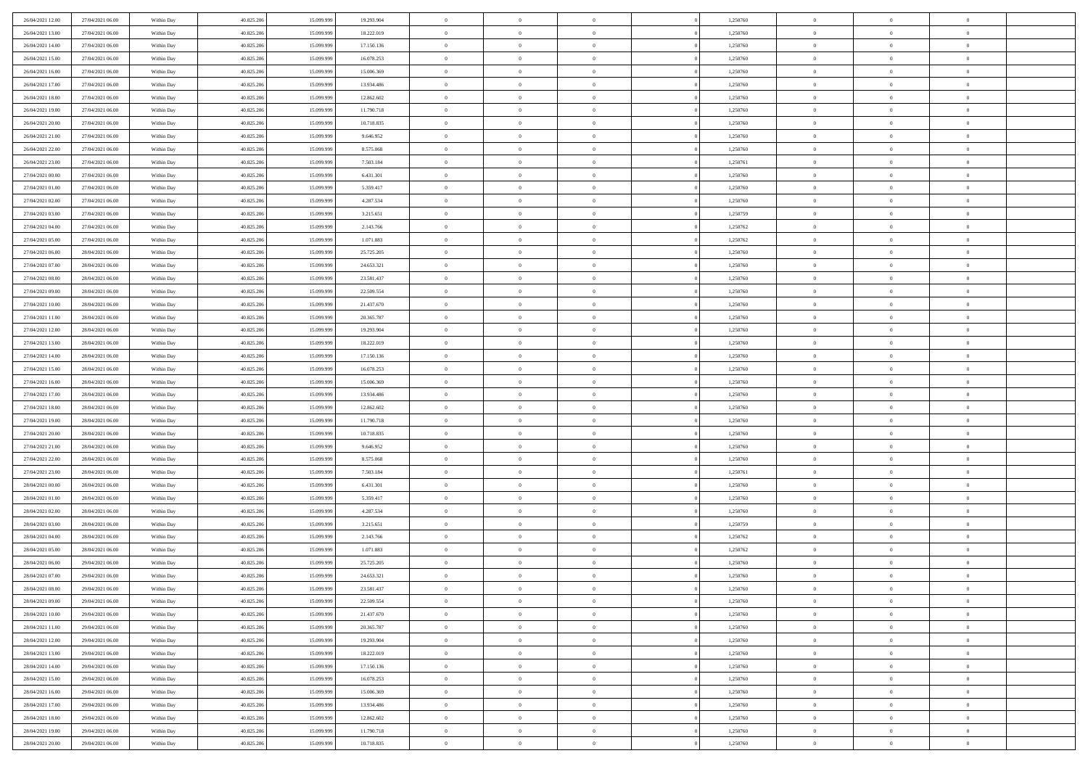| 26/04/2021 12:00 | 27/04/2021 06:00 | Within Day               | 40.825.206 | 15.099.999 | 19.293.904 | $\,$ 0         | $\overline{0}$ | $\theta$       |          | 1,250760 | $\bf{0}$       | $\overline{0}$ | $\,0\,$        |  |
|------------------|------------------|--------------------------|------------|------------|------------|----------------|----------------|----------------|----------|----------|----------------|----------------|----------------|--|
| 26/04/2021 13:00 | 27/04/2021 06:00 | Within Day               | 40.825.206 | 15.099.999 | 18.222.019 | $\overline{0}$ | $\overline{0}$ | $\overline{0}$ |          | 1,250760 | $\overline{0}$ | $\overline{0}$ | $\theta$       |  |
| 26/04/2021 14:00 | 27/04/2021 06:00 | Within Dav               | 40.825.206 | 15.099.999 | 17.150.136 | $\mathbf{0}$   | $\overline{0}$ | $\overline{0}$ |          | 1,250760 | $\mathbf{0}$   | $\overline{0}$ | $\overline{0}$ |  |
| 26/04/2021 15:00 | 27/04/2021 06:00 | Within Day               | 40.825.206 | 15.099.999 | 16.078.253 | $\bf{0}$       | $\overline{0}$ | $\bf{0}$       |          | 1,250760 | $\bf{0}$       | $\overline{0}$ | $\bf{0}$       |  |
| 26/04/2021 16:00 | 27/04/2021 06:00 | Within Day               | 40.825.206 | 15.099.999 | 15.006.369 | $\bf{0}$       | $\overline{0}$ | $\overline{0}$ |          | 1,250760 | $\bf{0}$       | $\bf{0}$       | $\,0\,$        |  |
| 26/04/2021 17:00 | 27/04/2021 06:00 | Within Dav               | 40.825.206 | 15.099.999 | 13.934.486 | $\mathbf{0}$   | $\overline{0}$ | $\overline{0}$ |          | 1,250760 | $\mathbf{0}$   | $\overline{0}$ | $\overline{0}$ |  |
| 26/04/2021 18:00 | 27/04/2021 06:00 | Within Day               | 40.825.206 | 15.099.999 | 12.862.602 | $\bf{0}$       | $\overline{0}$ | $\overline{0}$ |          | 1,250760 | $\bf{0}$       | $\overline{0}$ | $\,0\,$        |  |
| 26/04/2021 19:00 | 27/04/2021 06:00 | Within Day               | 40.825.206 | 15.099.999 | 11.790.718 | $\overline{0}$ | $\overline{0}$ | $\overline{0}$ |          | 1,250760 | $\,$ 0 $\,$    | $\overline{0}$ | $\theta$       |  |
| 26/04/2021 20:00 | 27/04/2021 06:00 | Within Dav               | 40.825.206 | 15.099.999 | 10.718.835 | $\mathbf{0}$   | $\overline{0}$ | $\overline{0}$ |          | 1,250760 | $\mathbf{0}$   | $\overline{0}$ | $\overline{0}$ |  |
| 26/04/2021 21:00 | 27/04/2021 06:00 | Within Day               | 40.825.206 | 15.099.999 | 9.646.952  | $\bf{0}$       | $\overline{0}$ | $\overline{0}$ |          | 1,250760 | $\bf{0}$       | $\overline{0}$ | $\,0\,$        |  |
| 26/04/2021 22.00 | 27/04/2021 06:00 |                          | 40.825.206 | 15,099,999 | 8.575.068  | $\bf{0}$       | $\overline{0}$ | $\overline{0}$ |          | 1,250760 | $\bf{0}$       | $\mathbf{0}$   | $\theta$       |  |
| 26/04/2021 23:00 | 27/04/2021 06:00 | Within Day<br>Within Dav | 40.825.206 | 15.099.999 | 7.503.184  | $\mathbf{0}$   | $\overline{0}$ | $\overline{0}$ |          | 1,250761 | $\mathbf{0}$   | $\overline{0}$ | $\overline{0}$ |  |
|                  |                  |                          |            |            |            | $\bf{0}$       |                |                |          |          | $\bf{0}$       |                |                |  |
| 27/04/2021 00:00 | 27/04/2021 06:00 | Within Day               | 40.825.206 | 15.099.999 | 6.431.301  |                | $\overline{0}$ | $\bf{0}$       |          | 1,250760 |                | $\overline{0}$ | $\overline{0}$ |  |
| 27/04/2021 01:00 | 27/04/2021 06:00 | Within Day               | 40.825.206 | 15.099.999 | 5.359.417  | $\bf{0}$       | $\overline{0}$ | $\overline{0}$ |          | 1,250760 | $\bf{0}$       | $\theta$       | $\,0\,$        |  |
| 27/04/2021 02:00 | 27/04/2021 06:00 | Within Dav               | 40.825.206 | 15.099.999 | 4.287.534  | $\mathbf{0}$   | $\overline{0}$ | $\overline{0}$ |          | 1,250760 | $\mathbf{0}$   | $\overline{0}$ | $\overline{0}$ |  |
| 27/04/2021 03:00 | 27/04/2021 06:00 | Within Day               | 40.825.206 | 15.099.999 | 3.215.651  | $\bf{0}$       | $\overline{0}$ | $\overline{0}$ |          | 1,250759 | $\bf{0}$       | $\overline{0}$ | $\bf{0}$       |  |
| 27/04/2021 04:00 | 27/04/2021 06:00 | Within Day               | 40.825.206 | 15.099.999 | 2.143.766  | $\overline{0}$ | $\overline{0}$ | $\overline{0}$ |          | 1,250762 | $\bf{0}$       | $\overline{0}$ | $\theta$       |  |
| 27/04/2021 05:00 | 27/04/2021 06:00 | Within Day               | 40.825.206 | 15.099.999 | 1.071.883  | $\mathbf{0}$   | $\overline{0}$ | $\overline{0}$ |          | 1,250762 | $\mathbf{0}$   | $\overline{0}$ | $\overline{0}$ |  |
| 27/04/2021 06:00 | 28/04/2021 06:00 | Within Day               | 40.825.206 | 15.099.999 | 25.725.205 | $\bf{0}$       | $\overline{0}$ | $\overline{0}$ |          | 1,250760 | $\bf{0}$       | $\overline{0}$ | $\,0\,$        |  |
| 27/04/2021 07:00 | 28/04/2021 06:00 | Within Day               | 40.825.206 | 15.099.999 | 24.653.321 | $\bf{0}$       | $\overline{0}$ | $\overline{0}$ |          | 1,250760 | $\bf{0}$       | $\overline{0}$ | $\overline{0}$ |  |
| 27/04/2021 08:00 | 28/04/2021 06:00 | Within Dav               | 40.825.206 | 15.099.999 | 23.581.437 | $\mathbf{0}$   | $\overline{0}$ | $\overline{0}$ |          | 1,250760 | $\mathbf{0}$   | $\overline{0}$ | $\overline{0}$ |  |
| 27/04/2021 09:00 | 28/04/2021 06:00 | Within Day               | 40.825.206 | 15.099.999 | 22.509.554 | $\bf{0}$       | $\overline{0}$ | $\bf{0}$       |          | 1,250760 | $\bf{0}$       | $\overline{0}$ | $\bf{0}$       |  |
| 27/04/2021 10:00 | 28/04/2021 06:00 | Within Day               | 40.825.206 | 15.099.999 | 21.437.670 | $\bf{0}$       | $\bf{0}$       | $\overline{0}$ |          | 1,250760 | $\bf{0}$       | $\overline{0}$ | $\,0\,$        |  |
| 27/04/2021 11:00 | 28/04/2021 06:00 | Within Dav               | 40.825.206 | 15.099.999 | 20.365.787 | $\mathbf{0}$   | $\overline{0}$ | $\overline{0}$ |          | 1,250760 | $\mathbf{0}$   | $\overline{0}$ | $\overline{0}$ |  |
| 27/04/2021 12:00 | 28/04/2021 06:00 | Within Day               | 40.825.206 | 15.099.999 | 19.293.904 | $\bf{0}$       | $\bf{0}$       | $\overline{0}$ |          | 1,250760 | $\bf{0}$       | $\overline{0}$ | $\,0\,$        |  |
| 27/04/2021 13:00 | 28/04/2021 06:00 | Within Day               | 40.825.206 | 15.099.999 | 18.222.019 | $\bf{0}$       | $\overline{0}$ | $\overline{0}$ |          | 1,250760 | $\bf{0}$       | $\overline{0}$ | $\overline{0}$ |  |
| 27/04/2021 14:00 | 28/04/2021 06:00 | Within Dav               | 40.825.206 | 15.099.999 | 17.150.136 | $\mathbf{0}$   | $\overline{0}$ | $\overline{0}$ |          | 1,250760 | $\mathbf{0}$   | $\overline{0}$ | $\overline{0}$ |  |
| 27/04/2021 15:00 | 28/04/2021 06:00 | Within Day               | 40.825.206 | 15.099.999 | 16.078.253 | $\bf{0}$       | $\bf{0}$       | $\overline{0}$ |          | 1,250760 | $\bf{0}$       | $\overline{0}$ | $\,0\,$        |  |
| 27/04/2021 16:00 | 28/04/2021 06:00 | Within Day               | 40.825.206 | 15,099,999 | 15.006.369 | $\bf{0}$       | $\bf{0}$       | $\overline{0}$ |          | 1,250760 | $\bf{0}$       | $\overline{0}$ | $\bf{0}$       |  |
| 27/04/2021 17:00 | 28/04/2021 06:00 | Within Dav               | 40.825.206 | 15.099.999 | 13.934.486 | $\mathbf{0}$   | $\overline{0}$ | $\overline{0}$ |          | 1,250760 | $\mathbf{0}$   | $\overline{0}$ | $\overline{0}$ |  |
| 27/04/2021 18:00 | 28/04/2021 06:00 | Within Day               | 40.825.206 | 15.099.999 | 12.862.602 | $\bf{0}$       | $\overline{0}$ | $\theta$       |          | 1,250760 | $\,$ 0         | $\overline{0}$ | $\theta$       |  |
| 27/04/2021 19:00 | 28/04/2021 06:00 | Within Day               | 40.825.206 | 15.099.999 | 11.790.718 | $\bf{0}$       | $\bf{0}$       | $\overline{0}$ |          | 1,250760 | $\bf{0}$       | $\overline{0}$ | $\bf{0}$       |  |
| 27/04/2021 20:00 | 28/04/2021 06:00 | Within Dav               | 40.825.206 | 15.099.999 | 10.718.835 | $\mathbf{0}$   | $\overline{0}$ | $\overline{0}$ |          | 1,250760 | $\mathbf{0}$   | $\overline{0}$ | $\overline{0}$ |  |
| 27/04/2021 21:00 | 28/04/2021 06:00 | Within Day               | 40.825.206 | 15.099.999 | 9.646.952  | $\bf{0}$       | $\overline{0}$ | $\theta$       |          | 1,250760 | $\,$ 0         | $\overline{0}$ | $\theta$       |  |
| 27/04/2021 22:00 | 28/04/2021 06:00 | Within Day               | 40.825.206 | 15.099.999 | 8.575.068  | $\bf{0}$       | $\overline{0}$ | $\overline{0}$ |          | 1,250760 | $\bf{0}$       | $\overline{0}$ | $\overline{0}$ |  |
| 27/04/2021 23:00 | 28/04/2021 06:00 | Within Day               | 40.825.206 | 15.099.999 | 7.503.184  | $\mathbf{0}$   | $\overline{0}$ | $\overline{0}$ |          | 1,250761 | $\mathbf{0}$   | $\overline{0}$ | $\overline{0}$ |  |
| 28/04/2021 00:00 | 28/04/2021 06:00 | Within Day               | 40.825.206 | 15.099.999 | 6.431.301  | $\bf{0}$       | $\overline{0}$ | $\theta$       |          | 1,250760 | $\,$ 0         | $\overline{0}$ | $\theta$       |  |
| 28/04/2021 01:00 | 28/04/2021 06:00 | Within Day               | 40.825.206 | 15.099.999 | 5.359.417  | $\bf{0}$       | $\bf{0}$       | $\overline{0}$ |          | 1,250760 | $\bf{0}$       | $\overline{0}$ | $\overline{0}$ |  |
| 28/04/2021 02:00 | 28/04/2021 06:00 | Within Dav               | 40.825.206 | 15.099.999 | 4.287.534  | $\mathbf{0}$   | $\overline{0}$ | $\overline{0}$ |          | 1,250760 | $\mathbf{0}$   | $\overline{0}$ | $\overline{0}$ |  |
| 28/04/2021 03:00 | 28/04/2021 06:00 | Within Day               | 40.825.206 | 15.099.999 | 3.215.651  | $\,0\,$        | $\overline{0}$ | $\theta$       |          | 1,250759 | $\,$ 0         | $\overline{0}$ | $\theta$       |  |
| 28/04/2021 04:00 | 28/04/2021 06:00 | Within Day               | 40.825.206 | 15.099.999 | 2.143.766  | $\bf{0}$       | $\bf{0}$       | $\overline{0}$ |          | 1,250762 | $\bf{0}$       | $\overline{0}$ | $\overline{0}$ |  |
| 28/04/2021 05:00 | 28/04/2021 06:00 | Within Dav               | 40.825.206 | 15.099.999 | 1.071.883  | $\mathbf{0}$   | $\overline{0}$ | $\overline{0}$ |          | 1,250762 | $\mathbf{0}$   | $\overline{0}$ | $\overline{0}$ |  |
| 28/04/2021 06:00 | 29/04/2021 06:00 | Within Day               | 40.825.206 | 15.099.999 | 25.725.205 | $\bf{0}$       | $\overline{0}$ | $\theta$       |          | 1,250760 | $\,$ 0         | $\overline{0}$ | $\theta$       |  |
| 28/04/2021 07:00 | 29/04/2021 06:00 | Within Day               | 40.825.206 | 15.099.999 | 24.653.321 | $\bf{0}$       | $\overline{0}$ | $\overline{0}$ |          | 1,250760 | $\,$ 0 $\,$    | $\overline{0}$ | $\overline{0}$ |  |
| 28/04/2021 08:00 | 29/04/2021 06:00 | Within Day               | 40.825.206 | 15.099.999 | 23.581.437 | $\bf{0}$       | $\overline{0}$ |                |          | 1,250760 | $\overline{0}$ | $\theta$       | $\theta$       |  |
| 28/04/2021 09:00 | 29/04/2021 06:00 | Within Day               | 40.825.206 | 15.099.999 | 22.509.554 | $\,0\,$        | $\overline{0}$ | $\theta$       |          | 1,250760 | $\,$ 0 $\,$    | $\bf{0}$       | $\theta$       |  |
| 28/04/2021 10:00 | 29/04/2021 06:00 | Within Day               | 40.825.206 | 15.099.999 | 21.437.670 | $\overline{0}$ | $\overline{0}$ | $\overline{0}$ |          | 1,250760 | $\overline{0}$ | $\overline{0}$ | $\overline{0}$ |  |
| 28/04/2021 11:00 | 29/04/2021 06:00 | Within Day               | 40.825.206 | 15.099.999 | 20.365.787 | $\bf{0}$       | $\overline{0}$ | $\overline{0}$ |          | 1,250760 | $\overline{0}$ | $\bf{0}$       | $\mathbf{0}$   |  |
| 28/04/2021 12:00 | 29/04/2021 06:00 | Within Day               | 40.825.206 | 15.099.999 | 19.293.904 | $\bf{0}$       | $\overline{0}$ | $\overline{0}$ | $\theta$ | 1,250760 | $\mathbf{0}$   | $\bf{0}$       | $\,$ 0 $\,$    |  |
| 28/04/2021 13:00 | 29/04/2021 06:00 | Within Day               | 40.825.206 | 15.099.999 | 18.222.019 | $\bf{0}$       | $\overline{0}$ | $\overline{0}$ |          | 1,250760 | $\,$ 0 $\,$    | $\overline{0}$ | $\overline{0}$ |  |
| 28/04/2021 14:00 | 29/04/2021 06:00 | Within Day               | 40.825.206 | 15.099.999 | 17.150.136 | $\bf{0}$       | $\overline{0}$ | $\overline{0}$ |          | 1,250760 | $\mathbf{0}$   | $\overline{0}$ | $\overline{0}$ |  |
| 28/04/2021 15:00 | 29/04/2021 06:00 | Within Day               | 40.825.206 | 15.099.999 | 16.078.253 | $\,0\,$        | $\overline{0}$ | $\overline{0}$ | $\theta$ | 1,250760 | $\,$ 0 $\,$    | $\overline{0}$ | $\overline{0}$ |  |
|                  |                  |                          | 40.825.206 |            |            | $\bf{0}$       | $\overline{0}$ | $\overline{0}$ |          |          | $\overline{0}$ | $\overline{0}$ |                |  |
| 28/04/2021 16:00 | 29/04/2021 06:00 | Within Day               |            | 15.099.999 | 15.006.369 |                |                |                |          | 1,250760 |                |                | $\overline{0}$ |  |
| 28/04/2021 17:00 | 29/04/2021 06:00 | Within Day               | 40.825.206 | 15.099.999 | 13.934.486 | $\bf{0}$       | $\overline{0}$ | $\overline{0}$ |          | 1,250760 | $\mathbf{0}$   | $\overline{0}$ | $\mathbf{0}$   |  |
| 28/04/2021 18:00 | 29/04/2021 06:00 | Within Day               | 40.825.206 | 15.099.999 | 12.862.602 | $\,0\,$        | $\overline{0}$ | $\overline{0}$ |          | 1,250760 | $\,$ 0 $\,$    | $\overline{0}$ | $\overline{0}$ |  |
| 28/04/2021 19:00 | 29/04/2021 06:00 | Within Day               | 40.825.206 | 15.099.999 | 11.790.718 | $\bf{0}$       | $\overline{0}$ | $\overline{0}$ |          | 1,250760 | $\bf{0}$       | $\mathbf{0}$   | $\overline{0}$ |  |
| 28/04/2021 20:00 | 29/04/2021 06:00 | Within Day               | 40.825.206 | 15.099.999 | 10.718.835 | $\mathbf{0}$   | $\overline{0}$ | $\overline{0}$ |          | 1,250760 | $\mathbf{0}$   | $\overline{0}$ | $\overline{0}$ |  |